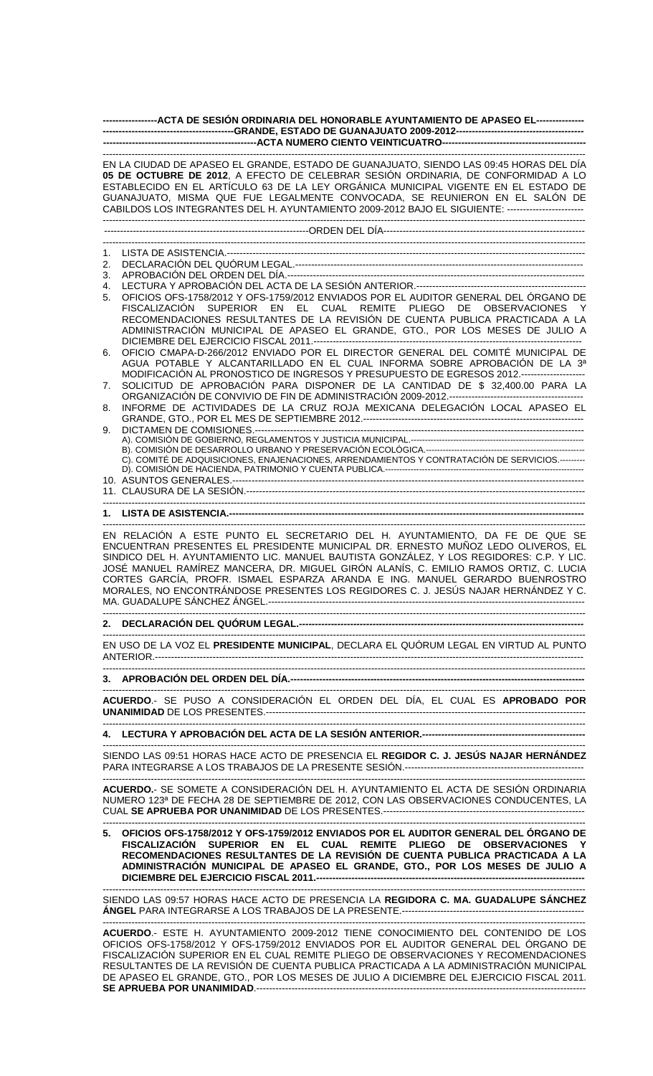|                | -----------------ACTA DE SESIÓN ORDINARIA DEL HONORABLE AYUNTAMIENTO DE APASEO EL---------------                                                                                                                                                                                                                                                                                                                                                                                                                          |
|----------------|---------------------------------------------------------------------------------------------------------------------------------------------------------------------------------------------------------------------------------------------------------------------------------------------------------------------------------------------------------------------------------------------------------------------------------------------------------------------------------------------------------------------------|
|                |                                                                                                                                                                                                                                                                                                                                                                                                                                                                                                                           |
|                | EN LA CIUDAD DE APASEO EL GRANDE, ESTADO DE GUANAJUATO, SIENDO LAS 09:45 HORAS DEL DÍA<br>05 DE OCTUBRE DE 2012, A EFECTO DE CELEBRAR SESIÓN ORDINARIA, DE CONFORMIDAD A LO<br>ESTABLECIDO EN EL ARTÍCULO 63 DE LA LEY ORGÁNICA MUNICIPAL VIGENTE EN EL ESTADO DE<br>GUANAJUATO, MISMA QUE FUE LEGALMENTE CONVOCADA, SE REUNIERON EN EL SALÓN DE<br>CABILDOS LOS INTEGRANTES DEL H. AYUNTAMIENTO 2009-2012 BAJO EL SIGUIENTE: ------------------------                                                                    |
|                |                                                                                                                                                                                                                                                                                                                                                                                                                                                                                                                           |
|                |                                                                                                                                                                                                                                                                                                                                                                                                                                                                                                                           |
| 1.<br>2.       |                                                                                                                                                                                                                                                                                                                                                                                                                                                                                                                           |
| 3.             |                                                                                                                                                                                                                                                                                                                                                                                                                                                                                                                           |
| 4.<br>5.       | OFICIOS OFS-1758/2012 Y OFS-1759/2012 ENVIADOS POR EL AUDITOR GENERAL DEL ÓRGANO DE<br>FISCALIZACIÓN SUPERIOR EN EL CUAL REMITE PLIEGO DE OBSERVACIONES Y<br>RECOMENDACIONES RESULTANTES DE LA REVISIÓN DE CUENTA PUBLICA PRACTICADA A LA<br>ADMINISTRACIÓN MUNICIPAL DE APASEO EL GRANDE, GTO., POR LOS MESES DE JULIO A                                                                                                                                                                                                 |
| 6.<br>7.<br>8. | OFICIO CMAPA-D-266/2012 ENVIADO POR EL DIRECTOR GENERAL DEL COMITÉ MUNICIPAL DE<br>AGUA POTABLE Y ALCANTARILLADO EN EL CUAL INFORMA SOBRE APROBACIÓN DE LA 3ª<br>MODIFICACIÓN AL PRONOSTICO DE INGRESOS Y PRESUPUESTO DE EGRESOS 2012.-------------------<br>SOLICITUD DE APROBACIÓN PARA DISPONER DE LA CANTIDAD DE \$ 32,400.00 PARA LA<br>INFORME DE ACTIVIDADES DE LA CRUZ ROJA MEXICANA DELEGACIÓN LOCAL APASEO EL                                                                                                   |
| 9.             | C). COMITÉ DE ADQUISICIONES, ENAJENACIONES, ARRENDAMIENTOS Y CONTRATACIÓN DE SERVICIOS.---------                                                                                                                                                                                                                                                                                                                                                                                                                          |
|                |                                                                                                                                                                                                                                                                                                                                                                                                                                                                                                                           |
|                | EN RELACIÓN A ESTE PUNTO EL SECRETARIO DEL H. AYUNTAMIENTO, DA FE DE QUE SE<br>ENCUENTRAN PRESENTES EL PRESIDENTE MUNICIPAL DR. ERNESTO MUÑOZ LEDO OLIVEROS, EL<br>SINDICO DEL H. AYUNTAMIENTO LIC. MANUEL BAUTISTA GONZÁLEZ, Y LOS REGIDORES: C.P. Y LIC.<br>JOSÉ MANUEL RAMÍREZ MANCERA, DR. MIGUEL GIRÓN ALANÍS, C. EMILIO RAMOS ORTIZ, C. LUCIA<br>CORTES GARCÍA, PROFR. ISMAEL ESPARZA ARANDA E ING. MANUEL GERARDO BUENROSTRO<br>MORALES, NO ENCONTRÁNDOSE PRESENTES LOS REGIDORES C. J. JESÚS NAJAR HERNÁNDEZ Y C. |
|                |                                                                                                                                                                                                                                                                                                                                                                                                                                                                                                                           |
|                | EN USO DE LA VOZ EL PRESIDENTE MUNICIPAL, DECLARA EL QUÓRUM LEGAL EN VIRTUD AL PUNTO                                                                                                                                                                                                                                                                                                                                                                                                                                      |
|                |                                                                                                                                                                                                                                                                                                                                                                                                                                                                                                                           |
|                | ACUERDO.- SE PUSO A CONSIDERACIÓN EL ORDEN DEL DÍA, EL CUAL ES APROBADO POR                                                                                                                                                                                                                                                                                                                                                                                                                                               |
|                |                                                                                                                                                                                                                                                                                                                                                                                                                                                                                                                           |
|                | SIENDO LAS 09:51 HORAS HACE ACTO DE PRESENCIA EL REGIDOR C. J. JESÚS NAJAR HERNÁNDEZ                                                                                                                                                                                                                                                                                                                                                                                                                                      |
|                | ACUERDO.- SE SOMETE A CONSIDERACIÓN DEL H. AYUNTAMIENTO EL ACTA DE SESIÓN ORDINARIA<br>NUMERO 123ª DE FECHA 28 DE SEPTIEMBRE DE 2012, CON LAS OBSERVACIONES CONDUCENTES, LA                                                                                                                                                                                                                                                                                                                                               |
|                | 5. OFICIOS OFS-1758/2012 Y OFS-1759/2012 ENVIADOS POR EL AUDITOR GENERAL DEL ÓRGANO DE<br>FISCALIZACIÓN SUPERIOR EN EL CUAL REMITE PLIEGO DE OBSERVACIONES Y<br>RECOMENDACIONES RESULTANTES DE LA REVISIÓN DE CUENTA PUBLICA PRACTICADA A LA<br>ADMINISTRACIÓN MUNICIPAL DE APASEO EL GRANDE, GTO., POR LOS MESES DE JULIO A                                                                                                                                                                                              |
|                | SIENDO LAS 09:57 HORAS HACE ACTO DE PRESENCIA LA REGIDORA C. MA. GUADALUPE SÁNCHEZ                                                                                                                                                                                                                                                                                                                                                                                                                                        |
|                | ACUERDO - ESTE H AYUNTAMIENTO 2009-2012 TIENE CONOCIMIENTO DEL CONTENIDO DE LOS                                                                                                                                                                                                                                                                                                                                                                                                                                           |

**ACUERDO**.- ESTE H. AYUNTAMIENTO 2009-2012 TIENE CONOCIMIENTO DEL CONTENIDO DE LOS OFICIOS OFS-1758/2012 Y OFS-1759/2012 ENVIADOS POR EL AUDITOR GENERAL DEL ÓRGANO DE FISCALIZACIÓN SUPERIOR EN EL CUAL REMITE PLIEGO DE OBSERVACIONES Y RECOMENDACIONES RESULTANTES DE LA REVISIÓN DE CUENTA PUBLICA PRACTICADA A LA ADMINISTRACIÓN MUNICIPAL DE APASEO EL GRANDE, GTO., POR LOS MESES DE JULIO A DICIEMBRE DEL EJERCICIO FISCAL 2011. **SE APRUEBA POR UNANIMIDAD**.-------------------------------------------------------------------------------------------------------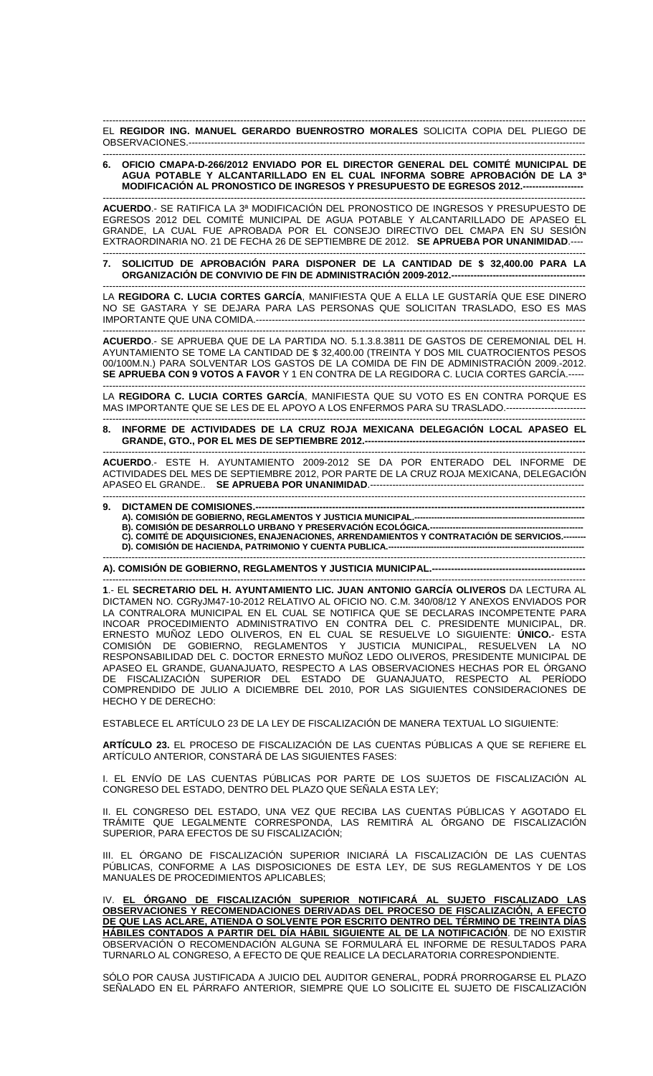------------------------------------------------------------------------------------------------------------------------------------------------------- EL **REGIDOR ING. MANUEL GERARDO BUENROSTRO MORALES** SOLICITA COPIA DEL PLIEGO DE OBSERVACIONES.----

## ------------------------------------------------------------------------------------------------------------------------------------------------------- **6. OFICIO CMAPA-D-266/2012 ENVIADO POR EL DIRECTOR GENERAL DEL COMITÉ MUNICIPAL DE AGUA POTABLE Y ALCANTARILLADO EN EL CUAL INFORMA SOBRE APROBACIÓN DE LA 3ª MODIFICACIÓN AL PRONOSTICO DE INGRESOS Y PRESUPUESTO DE EGRESOS 2012.--**

------------------------------------------------------------------------------------------------------------------------------------------------------- **ACUERDO**.- SE RATIFICA LA 3ª MODIFICACIÓN DEL PRONOSTICO DE INGRESOS Y PRESUPUESTO DE EGRESOS 2012 DEL COMITÉ MUNICIPAL DE AGUA POTABLE Y ALCANTARILLADO DE APASEO EL GRANDE, LA CUAL FUE APROBADA POR EL CONSEJO DIRECTIVO DEL CMAPA EN SU SESIÓN EXTRAORDINARIA NO. 21 DE FECHA 26 DE SEPTIEMBRE DE 2012. **SE APRUEBA POR UNANIMIDAD**.----

------------------------------------------------------------------------------------------------------------------------------------------------------- **7. SOLICITUD DE APROBACIÓN PARA DISPONER DE LA CANTIDAD DE \$ 32,400.00 PARA LA ORGANIZACIÓN DE CONVIVIO DE FIN DE ADMINISTRACIÓN 2009-2012.-**

------------------------------------------------------------------------------------------------------------------------------------------------------- LA **REGIDORA C. LUCIA CORTES GARCÍA**, MANIFIESTA QUE A ELLA LE GUSTARÍA QUE ESE DINERO NO SE GASTARA Y SE DEJARA PARA LAS PERSONAS QUE SOLICITAN TRASLADO, ESO ES MAS IMPORTANTE QUE UNA COMIDA.-------------------------------------------------------------------------------------------------------

------------------------------------------------------------------------------------------------------------------------------------------------------- **ACUERDO**.- SE APRUEBA QUE DE LA PARTIDA NO. 5.1.3.8.3811 DE GASTOS DE CEREMONIAL DEL H. AYUNTAMIENTO SE TOME LA CANTIDAD DE \$ 32,400.00 (TREINTA Y DOS MIL CUATROCIENTOS PESOS 00/100M.N.) PARA SOLVENTAR LOS GASTOS DE LA COMIDA DE FIN DE ADMINISTRACIÓN 2009.-2012. **SE APRUEBA CON 9 VOTOS A FAVOR** Y 1 EN CONTRA DE LA REGIDORA C. LUCIA CORTES GARCÍA.-----

------------------------------------------------------------------------------------------------------------------------------------------------------- LA **REGIDORA C. LUCIA CORTES GARCÍA**, MANIFIESTA QUE SU VOTO ES EN CONTRA PORQUE ES MAS IMPORTANTE QUE SE LES DE EL APOYO A LOS ENFERMOS PARA SU TRASLADO.-------------------------

## ------------------------------------------------------------------------------------------------------------------------------------------------------- **8. INFORME DE ACTIVIDADES DE LA CRUZ ROJA MEXICANA DELEGACIÓN LOCAL APASEO EL GRANDE, GTO., POR EL MES DE SEPTIEMBRE 2012.--**

------------------------------------------------------------------------------------------------------------------------------------------------------- **ACUERDO**.- ESTE H. AYUNTAMIENTO 2009-2012 SE DA POR ENTERADO DEL INFORME DE ACTIVIDADES DEL MES DE SEPTIEMBRE 2012, POR PARTE DE LA CRUZ ROJA MEXICANA, DELEGACIÓN APASEO EL GRANDE.. **SE APRUEBA POR UNANIMIDAD**.-------------------------------------------------------------------

## ------------------------------------------------------------------------------------------------------------------------------------------------------- **9. DICTAMEN DE COMISIONES.--**

**A). COMISIÓN DE GOBIERNO, REGLAMENTOS Y JUSTICIA MUNICIPAL.-**

**B). COMISIÓN DE DESARROLLO URBANO Y PRESERVACIÓN ECOLÓGICA.---------------------**C). COMITÉ DE ADQUISICIONES, ENAJENACIONES, ARRENDAMIENTOS Y CONTRATACIÓN DE SERVICIOS.--

**D). COMISIÓN DE HACIENDA, PATRIMONIO Y CUENTA PUBLICA.--------------**-------------------------------------------------------------------------------------------------------------------------------------------------------

**A). COMISIÓN DE GOBIERNO, REGLAMENTOS Y JUSTICIA MUNICIPAL.---**

------------------------------------------------------------------------------------------------------------------------------------------------------- **1**.- EL **SECRETARIO DEL H. AYUNTAMIENTO LIC. JUAN ANTONIO GARCÍA OLIVEROS** DA LECTURA AL DICTAMEN NO. CGRyJM47-10-2012 RELATIVO AL OFICIO NO. C.M. 340/08/12 Y ANEXOS ENVIADOS POR LA CONTRALORA MUNICIPAL EN EL CUAL SE NOTIFICA QUE SE DECLARAS INCOMPETENTE PARA INCOAR PROCEDIMIENTO ADMINISTRATIVO EN CONTRA DEL C. PRESIDENTE MUNICIPAL, DR. ERNESTO MUÑOZ LEDO OLIVEROS, EN EL CUAL SE RESUELVE LO SIGUIENTE: **ÚNICO.**- ESTA COMISIÓN DE GOBIERNO, REGLAMENTOS Y JUSTICIA MUNICIPAL, RESUELVEN LA NO RESPONSABILIDAD DEL C. DOCTOR ERNESTO MUÑOZ LEDO OLIVEROS, PRESIDENTE MUNICIPAL DE APASEO EL GRANDE, GUANAJUATO, RESPECTO A LAS OBSERVACIONES HECHAS POR EL ÓRGANO DE FISCALIZACIÓN SUPERIOR DEL ESTADO DE GUANAJUATO, RESPECTO AL PERÍODO COMPRENDIDO DE JULIO A DICIEMBRE DEL 2010, POR LAS SIGUIENTES CONSIDERACIONES DE HECHO Y DE DERECHO:

ESTABLECE EL ARTÍCULO 23 DE LA LEY DE FISCALIZACIÓN DE MANERA TEXTUAL LO SIGUIENTE:

**ARTÍCULO 23.** EL PROCESO DE FISCALIZACIÓN DE LAS CUENTAS PÚBLICAS A QUE SE REFIERE EL ARTÍCULO ANTERIOR, CONSTARÁ DE LAS SIGUIENTES FASES:

I. EL ENVÍO DE LAS CUENTAS PÚBLICAS POR PARTE DE LOS SUJETOS DE FISCALIZACIÓN AL CONGRESO DEL ESTADO, DENTRO DEL PLAZO QUE SEÑALA ESTA LEY;

II. EL CONGRESO DEL ESTADO, UNA VEZ QUE RECIBA LAS CUENTAS PÚBLICAS Y AGOTADO EL TRÁMITE QUE LEGALMENTE CORRESPONDA, LAS REMITIRÁ AL ÓRGANO DE FISCALIZACIÓN SUPERIOR, PARA EFECTOS DE SU FISCALIZACIÓN;

III. EL ÓRGANO DE FISCALIZACIÓN SUPERIOR INICIARÁ LA FISCALIZACIÓN DE LAS CUENTAS PÚBLICAS, CONFORME A LAS DISPOSICIONES DE ESTA LEY, DE SUS REGLAMENTOS Y DE LOS MANUALES DE PROCEDIMIENTOS APLICABLES;

IV. **EL ÓRGANO DE FISCALIZACIÓN SUPERIOR NOTIFICARÁ AL SUJETO FISCALIZADO LAS OBSERVACIONES Y RECOMENDACIONES DERIVADAS DEL PROCESO DE FISCALIZACIÓN, A EFECTO DE QUE LAS ACLARE, ATIENDA O SOLVENTE POR ESCRITO DENTRO DEL TÉRMINO DE TREINTA DÍAS HÁBILES CONTADOS A PARTIR DEL DÍA HÁBIL SIGUIENTE AL DE LA NOTIFICACIÓN**. DE NO EXISTIR OBSERVACIÓN O RECOMENDACIÓN ALGUNA SE FORMULARÁ EL INFORME DE RESULTADOS PARA TURNARLO AL CONGRESO, A EFECTO DE QUE REALICE LA DECLARATORIA CORRESPONDIENTE.

SÓLO POR CAUSA JUSTIFICADA A JUICIO DEL AUDITOR GENERAL, PODRÁ PRORROGARSE EL PLAZO SEÑALADO EN EL PÁRRAFO ANTERIOR, SIEMPRE QUE LO SOLICITE EL SUJETO DE FISCALIZACIÓN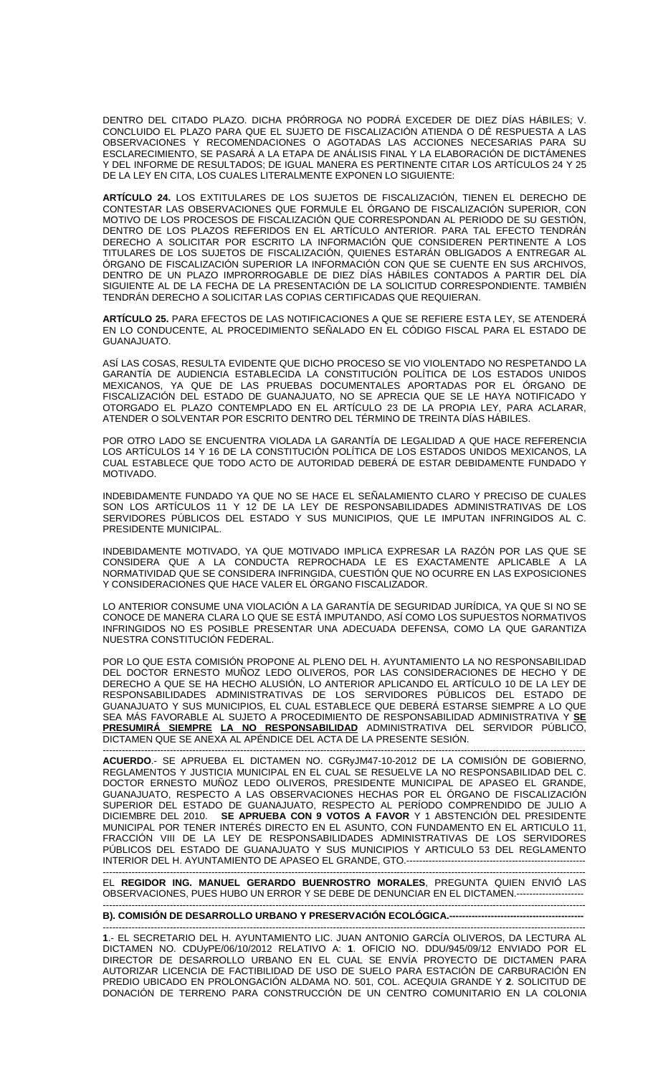DENTRO DEL CITADO PLAZO. DICHA PRÓRROGA NO PODRÁ EXCEDER DE DIEZ DÍAS HÁBILES; V. CONCLUIDO EL PLAZO PARA QUE EL SUJETO DE FISCALIZACIÓN ATIENDA O DÉ RESPUESTA A LAS OBSERVACIONES Y RECOMENDACIONES O AGOTADAS LAS ACCIONES NECESARIAS PARA SU ESCLARECIMIENTO, SE PASARÁ A LA ETAPA DE ANÁLISIS FINAL Y LA ELABORACIÓN DE DICTÁMENES Y DEL INFORME DE RESULTADOS; DE IGUAL MANERA ES PERTINENTE CITAR LOS ARTÍCULOS 24 Y 25 DE LA LEY EN CITA, LOS CUALES LITERALMENTE EXPONEN LO SIGUIENTE:

**ARTÍCULO 24.** LOS EXTITULARES DE LOS SUJETOS DE FISCALIZACIÓN, TIENEN EL DERECHO DE CONTESTAR LAS OBSERVACIONES QUE FORMULE EL ÓRGANO DE FISCALIZACIÓN SUPERIOR, CON MOTIVO DE LOS PROCESOS DE FISCALIZACIÓN QUE CORRESPONDAN AL PERIODO DE SU GESTIÓN, DENTRO DE LOS PLAZOS REFERIDOS EN EL ARTÍCULO ANTERIOR. PARA TAL EFECTO TENDRÁN DERECHO A SOLICITAR POR ESCRITO LA INFORMACIÓN QUE CONSIDEREN PERTINENTE A LOS TITULARES DE LOS SUJETOS DE FISCALIZACIÓN, QUIENES ESTARÁN OBLIGADOS A ENTREGAR AL ÓRGANO DE FISCALIZACIÓN SUPERIOR LA INFORMACIÓN CON QUE SE CUENTE EN SUS ARCHIVOS, DENTRO DE UN PLAZO IMPRORROGABLE DE DIEZ DÍAS HÁBILES CONTADOS A PARTIR DEL DÍA SIGUIENTE AL DE LA FECHA DE LA PRESENTACIÓN DE LA SOLICITUD CORRESPONDIENTE. TAMBIÉN TENDRÁN DERECHO A SOLICITAR LAS COPIAS CERTIFICADAS QUE REQUIERAN.

**ARTÍCULO 25.** PARA EFECTOS DE LAS NOTIFICACIONES A QUE SE REFIERE ESTA LEY, SE ATENDERÁ EN LO CONDUCENTE, AL PROCEDIMIENTO SEÑALADO EN EL CÓDIGO FISCAL PARA EL ESTADO DE GUANAJUATO.

ASÍ LAS COSAS, RESULTA EVIDENTE QUE DICHO PROCESO SE VIO VIOLENTADO NO RESPETANDO LA GARANTÍA DE AUDIENCIA ESTABLECIDA LA CONSTITUCIÓN POLÍTICA DE LOS ESTADOS UNIDOS MEXICANOS, YA QUE DE LAS PRUEBAS DOCUMENTALES APORTADAS POR EL ÓRGANO DE FISCALIZACIÓN DEL ESTADO DE GUANAJUATO, NO SE APRECIA QUE SE LE HAYA NOTIFICADO Y OTORGADO EL PLAZO CONTEMPLADO EN EL ARTÍCULO 23 DE LA PROPIA LEY, PARA ACLARAR, ATENDER O SOLVENTAR POR ESCRITO DENTRO DEL TÉRMINO DE TREINTA DÍAS HÁBILES.

POR OTRO LADO SE ENCUENTRA VIOLADA LA GARANTÍA DE LEGALIDAD A QUE HACE REFERENCIA LOS ARTÍCULOS 14 Y 16 DE LA CONSTITUCIÓN POLÍTICA DE LOS ESTADOS UNIDOS MEXICANOS, LA CUAL ESTABLECE QUE TODO ACTO DE AUTORIDAD DEBERÁ DE ESTAR DEBIDAMENTE FUNDADO Y MOTIVADO.

INDEBIDAMENTE FUNDADO YA QUE NO SE HACE EL SEÑALAMIENTO CLARO Y PRECISO DE CUALES SON LOS ARTÍCULOS 11 Y 12 DE LA LEY DE RESPONSABILIDADES ADMINISTRATIVAS DE LOS SERVIDORES PÚBLICOS DEL ESTADO Y SUS MUNICIPIOS, QUE LE IMPUTAN INFRINGIDOS AL C. PRESIDENTE MUNICIPAL.

INDEBIDAMENTE MOTIVADO, YA QUE MOTIVADO IMPLICA EXPRESAR LA RAZÓN POR LAS QUE SE CONSIDERA QUE A LA CONDUCTA REPROCHADA LE ES EXACTAMENTE APLICABLE A LA NORMATIVIDAD QUE SE CONSIDERA INFRINGIDA, CUESTIÓN QUE NO OCURRE EN LAS EXPOSICIONES Y CONSIDERACIONES QUE HACE VALER EL ÓRGANO FISCALIZADOR.

LO ANTERIOR CONSUME UNA VIOLACIÓN A LA GARANTÍA DE SEGURIDAD JURÍDICA, YA QUE SI NO SE CONOCE DE MANERA CLARA LO QUE SE ESTÁ IMPUTANDO, ASÍ COMO LOS SUPUESTOS NORMATIVOS INFRINGIDOS NO ES POSIBLE PRESENTAR UNA ADECUADA DEFENSA, COMO LA QUE GARANTIZA NUESTRA CONSTITUCIÓN FEDERAL.

POR LO QUE ESTA COMISIÓN PROPONE AL PLENO DEL H. AYUNTAMIENTO LA NO RESPONSABILIDAD DEL DOCTOR ERNESTO MUÑOZ LEDO OLIVEROS, POR LAS CONSIDERACIONES DE HECHO Y DE DERECHO A QUE SE HA HECHO ALUSIÓN, LO ANTERIOR APLICANDO EL ARTÍCULO 10 DE LA LEY DE RESPONSABILIDADES ADMINISTRATIVAS DE LOS SERVIDORES PÚBLICOS DEL ESTADO DE GUANAJUATO Y SUS MUNICIPIOS, EL CUAL ESTABLECE QUE DEBERÁ ESTARSE SIEMPRE A LO QUE SEA MÁS FAVORABLE AL SUJETO A PROCEDIMIENTO DE RESPONSABILIDAD ADMINISTRATIVA Y **SE PRESUMIRÁ SIEMPRE LA NO RESPONSABILIDAD** ADMINISTRATIVA DEL SERVIDOR PÚBLICO, DICTAMEN QUE SE ANEXA AL APÉNDICE DEL ACTA DE LA PRESENTE SESIÓN.

------------------------------------------------------------------------------------------------------------------------------------------------------- **ACUERDO**.- SE APRUEBA EL DICTAMEN NO. CGRyJM47-10-2012 DE LA COMISIÓN DE GOBIERNO, REGLAMENTOS Y JUSTICIA MUNICIPAL EN EL CUAL SE RESUELVE LA NO RESPONSABILIDAD DEL C. DOCTOR ERNESTO MUÑOZ LEDO OLIVEROS, PRESIDENTE MUNICIPAL DE APASEO EL GRANDE, GUANAJUATO, RESPECTO A LAS OBSERVACIONES HECHAS POR EL ÓRGANO DE FISCALIZACIÓN SUPERIOR DEL ESTADO DE GUANAJUATO, RESPECTO AL PERÍODO COMPRENDIDO DE JULIO A DICIEMBRE DEL 2010. **SE APRUEBA CON 9 VOTOS A FAVOR** Y 1 ABSTENCIÓN DEL PRESIDENTE MUNICIPAL POR TENER INTERÉS DIRECTO EN EL ASUNTO, CON FUNDAMENTO EN EL ARTICULO 11, FRACCIÓN VIII DE LA LEY DE RESPONSABILIDADES ADMINISTRATIVAS DE LOS SERVIDORES PÚBLICOS DEL ESTADO DE GUANAJUATO Y SUS MUNICIPIOS Y ARTICULO 53 DEL REGLAMENTO INTERIOR DEL H. AYUNTAMIENTO DE APASEO EL GRANDE, GTO.--------------------------------------------------------

------------------------------------------------------------------------------------------------------------------------------------------------------- EL **REGIDOR ING. MANUEL GERARDO BUENROSTRO MORALES**, PREGUNTA QUIEN ENVIÓ LAS OBSERVACIONES, PUES HUBO UN ERROR Y SE DEBE DE DENUNCIAR EN EL DICTAMEN.--------------------- -------------------------------------------------------------------------------------------------------------------------------------------------------

**B). COMISIÓN DE DESARROLLO URBANO Y PRESERVACIÓN ECOLÓGICA.----**

**1**.- EL SECRETARIO DEL H. AYUNTAMIENTO LIC. JUAN ANTONIO GARCÍA OLIVEROS, DA LECTURA AL DICTAMEN NO. CDUyPE/06/10/2012 RELATIVO A: **1**. OFICIO NO. DDU/945/09/12 ENVIADO POR EL DIRECTOR DE DESARROLLO URBANO EN EL CUAL SE ENVÍA PROYECTO DE DICTAMEN PARA AUTORIZAR LICENCIA DE FACTIBILIDAD DE USO DE SUELO PARA ESTACIÓN DE CARBURACIÓN EN PREDIO UBICADO EN PROLONGACIÓN ALDAMA NO. 501, COL. ACEQUIA GRANDE Y **2**. SOLICITUD DE DONACIÓN DE TERRENO PARA CONSTRUCCIÓN DE UN CENTRO COMUNITARIO EN LA COLONIA

-------------------------------------------------------------------------------------------------------------------------------------------------------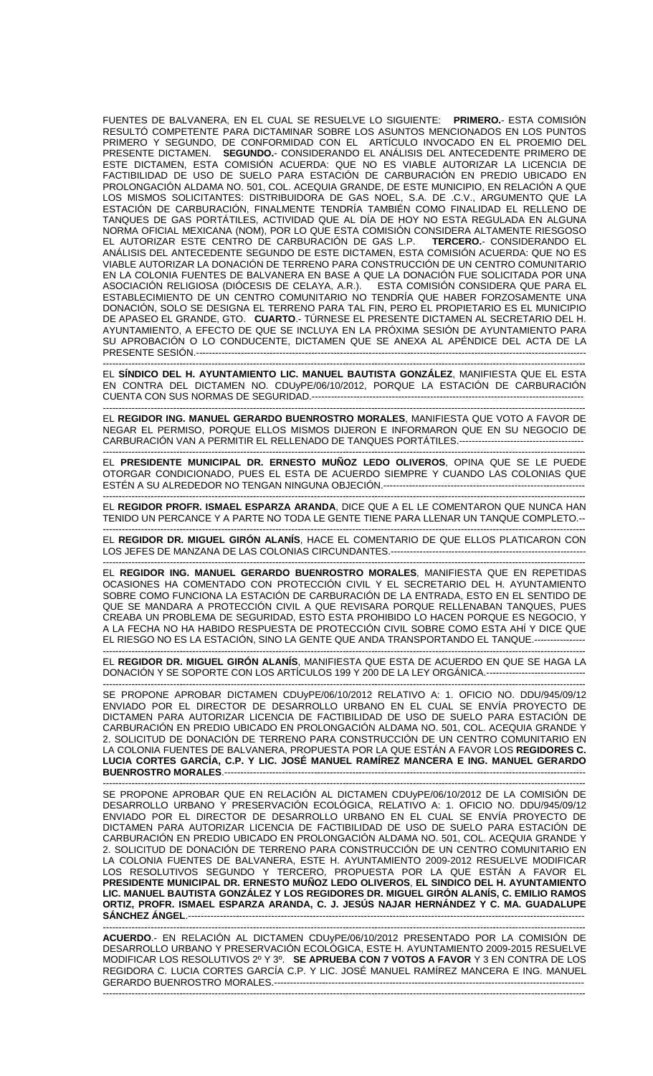FUENTES DE BALVANERA, EN EL CUAL SE RESUELVE LO SIGUIENTE: **PRIMERO.**- ESTA COMISIÓN RESULTÓ COMPETENTE PARA DICTAMINAR SOBRE LOS ASUNTOS MENCIONADOS EN LOS PUNTOS PRIMERO Y SEGUNDO, DE CONFORMIDAD CON EL ARTÍCULO INVOCADO EN EL PROEMIO DEL PRESENTE DICTAMEN. **SEGUNDO.**- CONSIDERANDO EL ANÁLISIS DEL ANTECEDENTE PRIMERO DE ESTE DICTAMEN, ESTA COMISIÓN ACUERDA: QUE NO ES VIABLE AUTORIZAR LA LICENCIA DE FACTIBILIDAD DE USO DE SUELO PARA ESTACIÓN DE CARBURACIÓN EN PREDIO UBICADO EN PROLONGACIÓN ALDAMA NO. 501, COL. ACEQUIA GRANDE, DE ESTE MUNICIPIO, EN RELACIÓN A QUE LOS MISMOS SOLICITANTES: DISTRIBUIDORA DE GAS NOEL, S.A. DE .C.V., ARGUMENTO QUE LA ESTACIÓN DE CARBURACIÓN, FINALMENTE TENDRÍA TAMBIÉN COMO FINALIDAD EL RELLENO DE TANQUES DE GAS PORTÁTILES, ACTIVIDAD QUE AL DÍA DE HOY NO ESTA REGULADA EN ALGUNA NORMA OFICIAL MEXICANA (NOM), POR LO QUE ESTA COMISIÓN CONSIDERA ALTAMENTE RIESGOSO EL AUTORIZAR ESTE CENTRO DE CARBURACIÓN DE GAS L.P. **TERCERO.**- CONSIDERANDO EL ANÁLISIS DEL ANTECEDENTE SEGUNDO DE ESTE DICTAMEN, ESTA COMISIÓN ACUERDA: QUE NO ES VIABLE AUTORIZAR LA DONACIÓN DE TERRENO PARA CONSTRUCCIÓN DE UN CENTRO COMUNITARIO EN LA COLONIA FUENTES DE BALVANERA EN BASE A QUE LA DONACIÓN FUE SOLICITADA POR UNA ASOCIACIÓN RELIGIOSA (DIÓCESIS DE CELAYA, A.R.). ESTA COMISIÓN CONSIDERA QUE PARA EL ESTABLECIMIENTO DE UN CENTRO COMUNITARIO NO TENDRÍA QUE HABER FORZOSAMENTE UNA DONACIÓN, SOLO SE DESIGNA EL TERRENO PARA TAL FIN, PERO EL PROPIETARIO ES EL MUNICIPIO DE APASEO EL GRANDE, GTO. **CUARTO**.- TÚRNESE EL PRESENTE DICTAMEN AL SECRETARIO DEL H. AYUNTAMIENTO, A EFECTO DE QUE SE INCLUYA EN LA PRÓXIMA SESIÓN DE AYUNTAMIENTO PARA SU APROBACIÓN O LO CONDUCENTE, DICTAMEN QUE SE ANEXA AL APÉNDICE DEL ACTA DE LA PRESENTE SESIÓN.--------------------------------------------------------------------------------------------------------------------------

------------------------------------------------------------------------------------------------------------------------------------------------------- EL **SÍNDICO DEL H. AYUNTAMIENTO LIC. MANUEL BAUTISTA GONZÁLEZ**, MANIFIESTA QUE EL ESTA EN CONTRA DEL DICTAMEN NO. CDUyPE/06/10/2012, PORQUE LA ESTACIÓN DE CARBURACIÓN CUENTA CON SUS NORMAS DE SEGURIDAD.-------------------------

------------------------------------------------------------------------------------------------------------------------------------------------------- EL **REGIDOR ING. MANUEL GERARDO BUENROSTRO MORALES**, MANIFIESTA QUE VOTO A FAVOR DE NEGAR EL PERMISO, PORQUE ELLOS MISMOS DIJERON E INFORMARON QUE EN SU NEGOCIO DE CARBURACIÓN VAN A PERMITIR EL RELLENADO DE TANQUES PORTÁTILES.----

------------------------------------------------------------------------------------------------------------------------------------------------------- EL **PRESIDENTE MUNICIPAL DR. ERNESTO MUÑOZ LEDO OLIVEROS**, OPINA QUE SE LE PUEDE OTORGAR CONDICIONADO, PUES EL ESTA DE ACUERDO SIEMPRE Y CUANDO LAS COLONIAS QUE ESTÉN A SU ALREDEDOR NO TENGAN NINGUNA OBJECIÓN.----

------------------------------------------------------------------------------------------------------------------------------------------------------- EL **REGIDOR PROFR. ISMAEL ESPARZA ARANDA**, DICE QUE A EL LE COMENTARON QUE NUNCA HAN TENIDO UN PERCANCE Y A PARTE NO TODA LE GENTE TIENE PARA LLENAR UN TANQUE COMPLETO.--

------------------------------------------------------------------------------------------------------------------------------------------------------- EL **REGIDOR DR. MIGUEL GIRÓN ALANÍS**, HACE EL COMENTARIO DE QUE ELLOS PLATICARON CON LOS JEFES DE MANZANA DE LAS COLONIAS CIRCUNDANTES.----------------------

------------------------------------------------------------------------------------------------------------------------------------------------------- EL **REGIDOR ING. MANUEL GERARDO BUENROSTRO MORALES**, MANIFIESTA QUE EN REPETIDAS OCASIONES HA COMENTADO CON PROTECCIÓN CIVIL Y EL SECRETARIO DEL H. AYUNTAMIENTO SOBRE COMO FUNCIONA LA ESTACIÓN DE CARBURACIÓN DE LA ENTRADA, ESTO EN EL SENTIDO DE QUE SE MANDARA A PROTECCIÓN CIVIL A QUE REVISARA PORQUE RELLENABAN TANQUES, PUES CREABA UN PROBLEMA DE SEGURIDAD, ESTO ESTA PROHIBIDO LO HACEN PORQUE ES NEGOCIO, Y A LA FECHA NO HA HABIDO RESPUESTA DE PROTECCIÓN CIVIL SOBRE COMO ESTA AHÍ Y DICE QUE EL RIESGO NO ES LA ESTACIÓN, SINO LA GENTE QUE ANDA TRANSPORTANDO EL TANQUE.----------------

------------------------------------------------------------------------------------------------------------------------------------------------------- EL **REGIDOR DR. MIGUEL GIRÓN ALANÍS**, MANIFIESTA QUE ESTA DE ACUERDO EN QUE SE HAGA LA DONACIÓN Y SE SOPORTE CON LOS ARTÍCULOS 199 Y 200 DE LA LEY ORGÁNICA.-------------------------------

------------------------------------------------------------------------------------------------------------------------------------------------------- SE PROPONE APROBAR DICTAMEN CDUyPE/06/10/2012 RELATIVO A: 1. OFICIO NO. DDU/945/09/12 ENVIADO POR EL DIRECTOR DE DESARROLLO URBANO EN EL CUAL SE ENVÍA PROYECTO DE DICTAMEN PARA AUTORIZAR LICENCIA DE FACTIBILIDAD DE USO DE SUELO PARA ESTACIÓN DE CARBURACIÓN EN PREDIO UBICADO EN PROLONGACIÓN ALDAMA NO. 501, COL. ACEQUIA GRANDE Y 2. SOLICITUD DE DONACIÓN DE TERRENO PARA CONSTRUCCIÓN DE UN CENTRO COMUNITARIO EN LA COLONIA FUENTES DE BALVANERA, PROPUESTA POR LA QUE ESTÁN A FAVOR LOS **REGIDORES C. LUCIA CORTES GARCÍA, C.P. Y LIC. JOSÉ MANUEL RAMÍREZ MANCERA E ING. MANUEL GERARDO BUENROSTRO MORALES**.-----------------------------------------------------------------------------------------------------------------

------------------------------------------------------------------------------------------------------------------------------------------------------- SE PROPONE APROBAR QUE EN RELACIÓN AL DICTAMEN CDUyPE/06/10/2012 DE LA COMISIÓN DE DESARROLLO URBANO Y PRESERVACIÓN ECOLÓGICA, RELATIVO A: 1. OFICIO NO. DDU/945/09/12 ENVIADO POR EL DIRECTOR DE DESARROLLO URBANO EN EL CUAL SE ENVÍA PROYECTO DE DICTAMEN PARA AUTORIZAR LICENCIA DE FACTIBILIDAD DE USO DE SUELO PARA ESTACIÓN DE CARBURACIÓN EN PREDIO UBICADO EN PROLONGACIÓN ALDAMA NO. 501, COL. ACEQUIA GRANDE Y 2. SOLICITUD DE DONACIÓN DE TERRENO PARA CONSTRUCCIÓN DE UN CENTRO COMUNITARIO EN LA COLONIA FUENTES DE BALVANERA, ESTE H. AYUNTAMIENTO 2009-2012 RESUELVE MODIFICAR LOS RESOLUTIVOS SEGUNDO Y TERCERO, PROPUESTA POR LA QUE ESTÁN A FAVOR EL **PRESIDENTE MUNICIPAL DR. ERNESTO MUÑOZ LEDO OLIVEROS**, **EL SINDICO DEL H. AYUNTAMIENTO LIC. MANUEL BAUTISTA GONZÁLEZ Y LOS REGIDORES DR. MIGUEL GIRÓN ALANÍS, C. EMILIO RAMOS ORTIZ, PROFR. ISMAEL ESPARZA ARANDA, C. J. JESÚS NAJAR HERNÁNDEZ Y C. MA. GUADALUPE**  SÁNCHEZ ÁNGEL.---

------------------------------------------------------------------------------------------------------------------------------------------------------- **ACUERDO**.- EN RELACIÓN AL DICTAMEN CDUyPE/06/10/2012 PRESENTADO POR LA COMISIÓN DE DESARROLLO URBANO Y PRESERVACIÓN ECOLÓGICA, ESTE H. AYUNTAMIENTO 2009-2015 RESUELVE MODIFICAR LOS RESOLUTIVOS 2º Y 3º. **SE APRUEBA CON 7 VOTOS A FAVOR** Y 3 EN CONTRA DE LOS REGIDORA C. LUCIA CORTES GARCÍA C.P. Y LIC. JOSÉ MANUEL RAMÍREZ MANCERA E ING. MANUEL GERARDO BUENROSTRO MORALES.-------------------------------------------------------------------------------------------------------------------------------------------------------------------------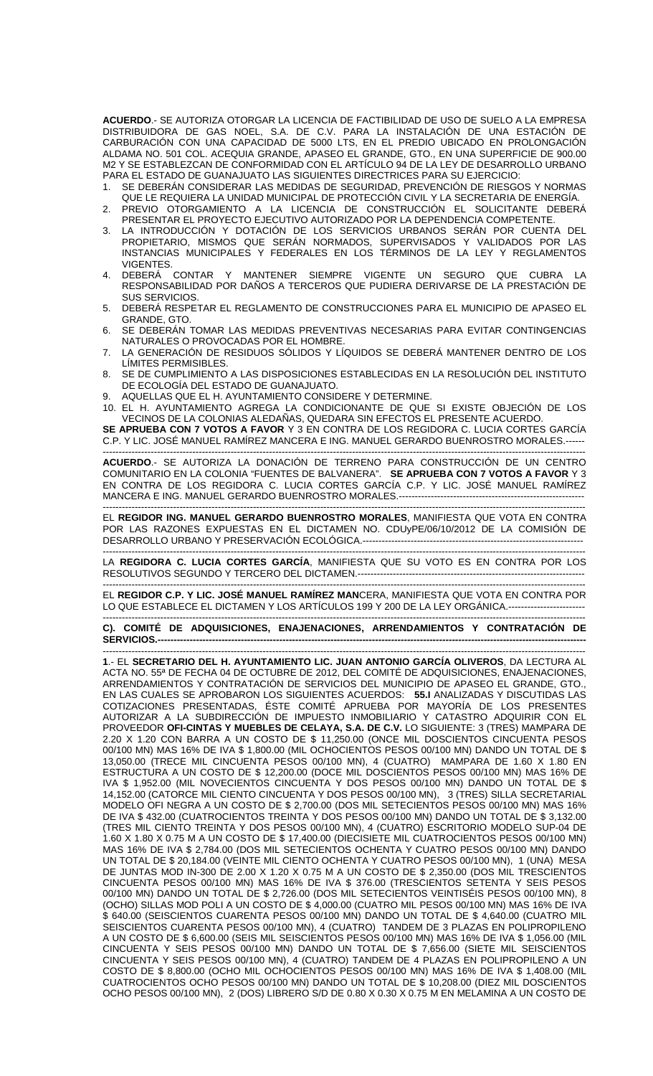**ACUERDO**.- SE AUTORIZA OTORGAR LA LICENCIA DE FACTIBILIDAD DE USO DE SUELO A LA EMPRESA DISTRIBUIDORA DE GAS NOEL, S.A. DE C.V. PARA LA INSTALACIÓN DE UNA ESTACIÓN DE CARBURACIÓN CON UNA CAPACIDAD DE 5000 LTS, EN EL PREDIO UBICADO EN PROLONGACIÓN ALDAMA NO. 501 COL. ACEQUIA GRANDE, APASEO EL GRANDE, GTO., EN UNA SUPERFICIE DE 900.00 M2 Y SE ESTABLEZCAN DE CONFORMIDAD CON EL ARTÍCULO 94 DE LA LEY DE DESARROLLO URBANO PARA EL ESTADO DE GUANAJUATO LAS SIGUIENTES DIRECTRICES PARA SU EJERCICIO:

- 1. SE DEBERÁN CONSIDERAR LAS MEDIDAS DE SEGURIDAD, PREVENCIÓN DE RIESGOS Y NORMAS QUE LE REQUIERA LA UNIDAD MUNICIPAL DE PROTECCIÓN CIVIL Y LA SECRETARIA DE ENERGÍA. 2. PREVIO OTORGAMIENTO A LA LICENCIA DE CONSTRUCCIÓN EL SOLICITANTE DEBERÁ
- PRESENTAR EL PROYECTO EJECUTIVO AUTORIZADO POR LA DEPENDENCIA COMPETENTE. 3. LA INTRODUCCIÓN Y DOTACIÓN DE LOS SERVICIOS URBANOS SERÁN POR CUENTA DEL
- PROPIETARIO, MISMOS QUE SERÁN NORMADOS, SUPERVISADOS Y VALIDADOS POR LAS INSTANCIAS MUNICIPALES Y FEDERALES EN LOS TÉRMINOS DE LA LEY Y REGLAMENTOS VIGENTES.
- 4. DEBERÁ CONTAR Y MANTENER SIEMPRE VIGENTE UN SEGURO QUE CUBRA LA RESPONSABILIDAD POR DAÑOS A TERCEROS QUE PUDIERA DERIVARSE DE LA PRESTACIÓN DE SUS SERVICIOS.
- 5. DEBERÁ RESPETAR EL REGLAMENTO DE CONSTRUCCIONES PARA EL MUNICIPIO DE APASEO EL GRANDE, GTO.
- 6. SE DEBERÁN TOMAR LAS MEDIDAS PREVENTIVAS NECESARIAS PARA EVITAR CONTINGENCIAS NATURALES O PROVOCADAS POR EL HOMBRE.
- 7. LA GENERACIÓN DE RESIDUOS SÓLIDOS Y LÍQUIDOS SE DEBERÁ MANTENER DENTRO DE LOS LÍMITES PERMISIBLES.
- 8. SE DE CUMPLIMIENTO A LAS DISPOSICIONES ESTABLECIDAS EN LA RESOLUCIÓN DEL INSTITUTO DE ECOLOGÍA DEL ESTADO DE GUANAJUATO.
- 9. AQUELLAS QUE EL H. AYUNTAMIENTO CONSIDERE Y DETERMINE.
- 10. EL H. AYUNTAMIENTO AGREGA LA CONDICIONANTE DE QUE SI EXISTE OBJECIÓN DE LOS VECINOS DE LA COLONIAS ALEDAÑAS, QUEDARA SIN EFECTOS EL PRESENTE ACUERDO.

**SE APRUEBA CON 7 VOTOS A FAVOR** Y 3 EN CONTRA DE LOS REGIDORA C. LUCIA CORTES GARCÍA C.P. Y LIC. JOSÉ MANUEL RAMÍREZ MANCERA E ING. MANUEL GERARDO BUENROSTRO MORALES.--

------------------------------------------------------------------------------------------------------------------------------------------------------- **ACUERDO**.- SE AUTORIZA LA DONACIÓN DE TERRENO PARA CONSTRUCCIÓN DE UN CENTRO COMUNITARIO EN LA COLONIA "FUENTES DE BALVANERA". **SE APRUEBA CON 7 VOTOS A FAVOR** Y 3 EN CONTRA DE LOS REGIDORA C. LUCIA CORTES GARCÍA C.P. Y LIC. JOSÉ MANUEL RAMÍREZ MANCERA E ING. MANUEL GERARDO BUENROSTRO MORALES.----------------------------------------------------------

------------------------------------------------------------------------------------------------------------------------------------------------------- EL **REGIDOR ING. MANUEL GERARDO BUENROSTRO MORALES**, MANIFIESTA QUE VOTA EN CONTRA POR LAS RAZONES EXPUESTAS EN EL DICTAMEN NO. CDUyPE/06/10/2012 DE LA COMISIÓN DE DESARROLLO URBANO Y PRESERVACIÓN ECOLÓGICA.---------------------------------------------------------------------

------------------------------------------------------------------------------------------------------------------------------------------------------- LA **REGIDORA C. LUCIA CORTES GARCÍA**, MANIFIESTA QUE SU VOTO ES EN CONTRA POR LOS RESOLUTIVOS SEGUNDO Y TERCERO DEL DICTAMEN.-----------------------------------------------------------------------

EL **REGIDOR C.P. Y LIC. JOSÉ MANUEL RAMÍREZ MAN**CERA, MANIFIESTA QUE VOTA EN CONTRA POR LO QUE ESTABLECE EL DICTAMEN Y LOS ARTÍCULOS 199 Y 200 DE LA LEY ORGÁNICA.------------------------

------------------------------------------------------------------------------------------------------------------------------------------------------- **C). COMITÉ DE ADQUISICIONES, ENAJENACIONES, ARRENDAMIENTOS Y CONTRATACIÓN DE**  SERVICIOS.-

------------------------------------------------------------------------------------------------------------------------------------------------------- **1**.- EL **SECRETARIO DEL H. AYUNTAMIENTO LIC. JUAN ANTONIO GARCÍA OLIVEROS**, DA LECTURA AL ACTA NO. 55ª DE FECHA 04 DE OCTUBRE DE 2012, DEL COMITÉ DE ADQUISICIONES, ENAJENACIONES, ARRENDAMIENTOS Y CONTRATACIÓN DE SERVICIOS DEL MUNICIPIO DE APASEO EL GRANDE, GTO., EN LAS CUALES SE APROBARON LOS SIGUIENTES ACUERDOS: **55.I** ANALIZADAS Y DISCUTIDAS LAS COTIZACIONES PRESENTADAS, ÉSTE COMITÉ APRUEBA POR MAYORÍA DE LOS PRESENTES AUTORIZAR A LA SUBDIRECCIÓN DE IMPUESTO INMOBILIARIO Y CATASTRO ADQUIRIR CON EL PROVEEDOR **OFI-CINTAS Y MUEBLES DE CELAYA, S.A. DE C.V.** LO SIGUIENTE: 3 (TRES) MAMPARA DE 2.20 X 1.20 CON BARRA A UN COSTO DE \$ 11,250.00 (ONCE MIL DOSCIENTOS CINCUENTA PESOS 00/100 MN) MAS 16% DE IVA \$ 1,800.00 (MIL OCHOCIENTOS PESOS 00/100 MN) DANDO UN TOTAL DE \$ 13,050.00 (TRECE MIL CINCUENTA PESOS 00/100 MN), 4 (CUATRO) MAMPARA DE 1.60 X 1.80 EN ESTRUCTURA A UN COSTO DE \$ 12,200.00 (DOCE MIL DOSCIENTOS PESOS 00/100 MN) MAS 16% DE IVA \$ 1,952.00 (MIL NOVECIENTOS CINCUENTA Y DOS PESOS 00/100 MN) DANDO UN TOTAL DE \$ 14,152.00 (CATORCE MIL CIENTO CINCUENTA Y DOS PESOS 00/100 MN), 3 (TRES) SILLA SECRETARIAL MODELO OFI NEGRA A UN COSTO DE \$ 2,700.00 (DOS MIL SETECIENTOS PESOS 00/100 MN) MAS 16% DE IVA \$ 432.00 (CUATROCIENTOS TREINTA Y DOS PESOS 00/100 MN) DANDO UN TOTAL DE \$ 3,132.00 (TRES MIL CIENTO TREINTA Y DOS PESOS 00/100 MN), 4 (CUATRO) ESCRITORIO MODELO SUP-04 DE 1.60 X 1.80 X 0.75 M A UN COSTO DE \$ 17,400.00 (DIECISIETE MIL CUATROCIENTOS PESOS 00/100 MN) MAS 16% DE IVA \$ 2,784.00 (DOS MIL SETECIENTOS OCHENTA Y CUATRO PESOS 00/100 MN) DANDO UN TOTAL DE \$ 20,184.00 (VEINTE MIL CIENTO OCHENTA Y CUATRO PESOS 00/100 MN), 1 (UNA) MESA DE JUNTAS MOD IN-300 DE 2.00 X 1.20 X 0.75 M A UN COSTO DE \$ 2,350.00 (DOS MIL TRESCIENTOS CINCUENTA PESOS 00/100 MN) MAS 16% DE IVA \$ 376.00 (TRESCIENTOS SETENTA Y SEIS PESOS 00/100 MN) DANDO UN TOTAL DE \$ 2,726.00 (DOS MIL SETECIENTOS VEINTISÉIS PESOS 00/100 MN), 8 (OCHO) SILLAS MOD POLI A UN COSTO DE \$ 4,000.00 (CUATRO MIL PESOS 00/100 MN) MAS 16% DE IVA \$ 640.00 (SEISCIENTOS CUARENTA PESOS 00/100 MN) DANDO UN TOTAL DE \$ 4,640.00 (CUATRO MIL SEISCIENTOS CUARENTA PESOS 00/100 MN), 4 (CUATRO) TANDEM DE 3 PLAZAS EN POLIPROPILENO A UN COSTO DE \$ 6,600.00 (SEIS MIL SEISCIENTOS PESOS 00/100 MN) MAS 16% DE IVA \$ 1,056.00 (MIL CINCUENTA Y SEIS PESOS 00/100 MN) DANDO UN TOTAL DE \$ 7,656.00 (SIETE MIL SEISCIENTOS CINCUENTA Y SEIS PESOS 00/100 MN), 4 (CUATRO) TANDEM DE 4 PLAZAS EN POLIPROPILENO A UN COSTO DE \$ 8,800.00 (OCHO MIL OCHOCIENTOS PESOS 00/100 MN) MAS 16% DE IVA \$ 1,408.00 (MIL CUATROCIENTOS OCHO PESOS 00/100 MN) DANDO UN TOTAL DE \$ 10,208.00 (DIEZ MIL DOSCIENTOS OCHO PESOS 00/100 MN), 2 (DOS) LIBRERO S/D DE 0.80 X 0.30 X 0.75 M EN MELAMINA A UN COSTO DE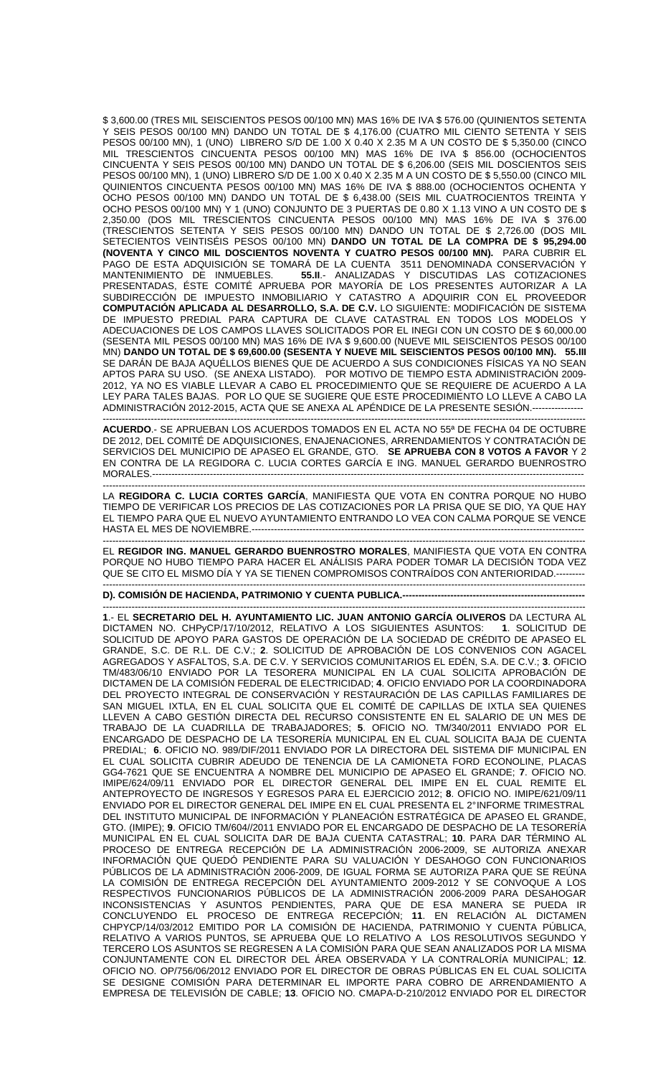\$ 3,600.00 (TRES MIL SEISCIENTOS PESOS 00/100 MN) MAS 16% DE IVA \$ 576.00 (QUINIENTOS SETENTA Y SEIS PESOS 00/100 MN) DANDO UN TOTAL DE \$ 4,176.00 (CUATRO MIL CIENTO SETENTA Y SEIS PESOS 00/100 MN), 1 (UNO) LIBRERO S/D DE 1.00 X 0.40 X 2.35 M A UN COSTO DE \$ 5,350.00 (CINCO MIL TRESCIENTOS CINCUENTA PESOS 00/100 MN) MAS 16% DE IVA \$ 856.00 (OCHOCIENTOS CINCUENTA Y SEIS PESOS 00/100 MN) DANDO UN TOTAL DE \$ 6,206.00 (SEIS MIL DOSCIENTOS SEIS PESOS 00/100 MN), 1 (UNO) LIBRERO S/D DE 1.00 X 0.40 X 2.35 M A UN COSTO DE \$ 5,550.00 (CINCO MIL QUINIENTOS CINCUENTA PESOS 00/100 MN) MAS 16% DE IVA \$ 888.00 (OCHOCIENTOS OCHENTA Y OCHO PESOS 00/100 MN) DANDO UN TOTAL DE \$ 6,438.00 (SEIS MIL CUATROCIENTOS TREINTA Y OCHO PESOS 00/100 MN) Y 1 (UNO) CONJUNTO DE 3 PUERTAS DE 0.80 X 1.13 VINO A UN COSTO DE \$ 2,350.00 (DOS MIL TRESCIENTOS CINCUENTA PESOS 00/100 MN) MAS 16% DE IVA \$ 376.00 (TRESCIENTOS SETENTA Y SEIS PESOS 00/100 MN) DANDO UN TOTAL DE \$ 2,726.00 (DOS MIL SETECIENTOS VEINTISÉIS PESOS 00/100 MN) **DANDO UN TOTAL DE LA COMPRA DE \$ 95,294.00 (NOVENTA Y CINCO MIL DOSCIENTOS NOVENTA Y CUATRO PESOS 00/100 MN).** PARA CUBRIR EL PAGO DE ESTA ADQUISICIÓN SE TOMARÁ DE LA CUENTA 3511 DENOMINADA CONSERVACIÓN Y MANTENIMIENTO DE INMUEBLES. **55.II**.- ANALIZADAS Y DISCUTIDAS LAS COTIZACIONES PRESENTADAS, ÉSTE COMITÉ APRUEBA POR MAYORÍA DE LOS PRESENTES AUTORIZAR A LA SUBDIRECCIÓN DE IMPUESTO INMOBILIARIO Y CATASTRO A ADQUIRIR CON EL PROVEEDOR **COMPUTACIÓN APLICADA AL DESARROLLO, S.A. DE C.V.** LO SIGUIENTE: MODIFICACIÓN DE SISTEMA DE IMPUESTO PREDIAL PARA CAPTURA DE CLAVE CATASTRAL EN TODOS LOS MODELOS Y ADECUACIONES DE LOS CAMPOS LLAVES SOLICITADOS POR EL INEGI CON UN COSTO DE \$ 60,000.00 (SESENTA MIL PESOS 00/100 MN) MAS 16% DE IVA \$ 9,600.00 (NUEVE MIL SEISCIENTOS PESOS 00/100 MN) **DANDO UN TOTAL DE \$ 69,600.00 (SESENTA Y NUEVE MIL SEISCIENTOS PESOS 00/100 MN). 55.III** SE DARÁN DE BAJA AQUÉLLOS BIENES QUE DE ACUERDO A SUS CONDICIONES FÍSICAS YA NO SEAN APTOS PARA SU USO. (SE ANEXA LISTADO). POR MOTIVO DE TIEMPO ESTA ADMINISTRACIÓN 2009- 2012, YA NO ES VIABLE LLEVAR A CABO EL PROCEDIMIENTO QUE SE REQUIERE DE ACUERDO A LA LEY PARA TALES BAJAS. POR LO QUE SE SUGIERE QUE ESTE PROCEDIMIENTO LO LLEVE A CABO LA ADMINISTRACIÓN 2012-2015, ACTA QUE SE ANEXA AL APÉNDICE DE LA PRESENTE SESIÓN.----------------

------------------------------------------------------------------------------------------------------------------------------------------------------- **ACUERDO**.- SE APRUEBAN LOS ACUERDOS TOMADOS EN EL ACTA NO 55ª DE FECHA 04 DE OCTUBRE DE 2012, DEL COMITÉ DE ADQUISICIONES, ENAJENACIONES, ARRENDAMIENTOS Y CONTRATACIÓN DE SERVICIOS DEL MUNICIPIO DE APASEO EL GRANDE, GTO. **SE APRUEBA CON 8 VOTOS A FAVOR** Y 2 EN CONTRA DE LA REGIDORA C. LUCIA CORTES GARCÍA E ING. MANUEL GERARDO BUENROSTRO MORALES.---------------------------------------------------------------------------------------------------------------------------------------

------------------------------------------------------------------------------------------------------------------------------------------------------- LA **REGIDORA C. LUCIA CORTES GARCÍA**, MANIFIESTA QUE VOTA EN CONTRA PORQUE NO HUBO TIEMPO DE VERIFICAR LOS PRECIOS DE LAS COTIZACIONES POR LA PRISA QUE SE DIO, YA QUE HAY EL TIEMPO PARA QUE EL NUEVO AYUNTAMIENTO ENTRANDO LO VEA CON CALMA PORQUE SE VENCE HASTA EL MES DE NOVIEMBRE.--------------------------------------------------------------------------------------------------------

------------------------------------------------------------------------------------------------------------------------------------------------------- EL **REGIDOR ING. MANUEL GERARDO BUENROSTRO MORALES**, MANIFIESTA QUE VOTA EN CONTRA PORQUE NO HUBO TIEMPO PARA HACER EL ANÁLISIS PARA PODER TOMAR LA DECISIÓN TODA VEZ QUE SE CITO EL MISMO DÍA Y YA SE TIENEN COMPROMISOS CONTRAÍDOS CON ANTERIORIDAD.---------

-------------------------------------------------------------------------------------------------------------------------------------------------------

**D). COMISIÓN DE HACIENDA, PATRIMONIO Y CUENTA PUBLICA.---**

------------------------------------------------------------------------------------------------------------------------------------------------------- **1**.- EL **SECRETARIO DEL H. AYUNTAMIENTO LIC. JUAN ANTONIO GARCÍA OLIVEROS** DA LECTURA AL DICTAMEN NO. CHPyCP/17/10/2012, RELATIVO A LOS SIGUIENTES ASUNTOS: **1**. SOLICITUD DE SOLICITUD DE APOYO PARA GASTOS DE OPERACIÓN DE LA SOCIEDAD DE CRÉDITO DE APASEO EL GRANDE, S.C. DE R.L. DE C.V.; **2**. SOLICITUD DE APROBACIÓN DE LOS CONVENIOS CON AGACEL AGREGADOS Y ASFALTOS, S.A. DE C.V. Y SERVICIOS COMUNITARIOS EL EDÉN, S.A. DE C.V.; **3**. OFICIO TM/483/06/10 ENVIADO POR LA TESORERA MUNICIPAL EN LA CUAL SOLICITA APROBACIÓN DE DICTAMEN DE LA COMISIÓN FEDERAL DE ELECTRICIDAD; **4**. OFICIO ENVIADO POR LA COORDINADORA DEL PROYECTO INTEGRAL DE CONSERVACIÓN Y RESTAURACIÓN DE LAS CAPILLAS FAMILIARES DE SAN MIGUEL IXTLA, EN EL CUAL SOLICITA QUE EL COMITÉ DE CAPILLAS DE IXTLA SEA QUIENES LLEVEN A CABO GESTIÓN DIRECTA DEL RECURSO CONSISTENTE EN EL SALARIO DE UN MES DE TRABAJO DE LA CUADRILLA DE TRABAJADORES; **5**. OFICIO NO. TM/340/2011 ENVIADO POR EL ENCARGADO DE DESPACHO DE LA TESORERÍA MUNICIPAL EN EL CUAL SOLICITA BAJA DE CUENTA PREDIAL; **6**. OFICIO NO. 989/DIF/2011 ENVIADO POR LA DIRECTORA DEL SISTEMA DIF MUNICIPAL EN EL CUAL SOLICITA CUBRIR ADEUDO DE TENENCIA DE LA CAMIONETA FORD ECONOLINE, PLACAS GG4-7621 QUE SE ENCUENTRA A NOMBRE DEL MUNICIPIO DE APASEO EL GRANDE; **7**. OFICIO NO. IMIPE/624/09/11 ENVIADO POR EL DIRECTOR GENERAL DEL IMIPE EN EL CUAL REMITE EL ANTEPROYECTO DE INGRESOS Y EGRESOS PARA EL EJERCICIO 2012; **8**. OFICIO NO. IMIPE/621/09/11 ENVIADO POR EL DIRECTOR GENERAL DEL IMIPE EN EL CUAL PRESENTA EL 2° INFORME TRIMESTRAL DEL INSTITUTO MUNICIPAL DE INFORMACIÓN Y PLANEACIÓN ESTRATÉGICA DE APASEO EL GRANDE, GTO. (IMIPE); **9**. OFICIO TM/604//2011 ENVIADO POR EL ENCARGADO DE DESPACHO DE LA TESORERÍA MUNICIPAL EN EL CUAL SOLICITA DAR DE BAJA CUENTA CATASTRAL; **10**. PARA DAR TÉRMINO AL PROCESO DE ENTREGA RECEPCIÓN DE LA ADMINISTRACIÓN 2006-2009, SE AUTORIZA ANEXAR INFORMACIÓN QUE QUEDÓ PENDIENTE PARA SU VALUACIÓN Y DESAHOGO CON FUNCIONARIOS PÚBLICOS DE LA ADMINISTRACIÓN 2006-2009, DE IGUAL FORMA SE AUTORIZA PARA QUE SE REÚNA LA COMISIÓN DE ENTREGA RECEPCIÓN DEL AYUNTAMIENTO 2009-2012 Y SE CONVOQUE A LOS RESPECTIVOS FUNCIONARIOS PÚBLICOS DE LA ADMINISTRACIÓN 2006-2009 PARA DESAHOGAR INCONSISTENCIAS Y ASUNTOS PENDIENTES, PARA QUE DE ESA MANERA SE PUEDA IR CONCLUYENDO EL PROCESO DE ENTREGA RECEPCIÓN; **11**. EN RELACIÓN AL DICTAMEN CHPYCP/14/03/2012 EMITIDO POR LA COMISIÓN DE HACIENDA, PATRIMONIO Y CUENTA PÚBLICA, RELATIVO A VARIOS PUNTOS, SE APRUEBA QUE LO RELATIVO A LOS RESOLUTIVOS SEGUNDO Y TERCERO LOS ASUNTOS SE REGRESEN A LA COMISIÓN PARA QUE SEAN ANALIZADOS POR LA MISMA CONJUNTAMENTE CON EL DIRECTOR DEL ÁREA OBSERVADA Y LA CONTRALORÍA MUNICIPAL; **12**. OFICIO NO. OP/756/06/2012 ENVIADO POR EL DIRECTOR DE OBRAS PÚBLICAS EN EL CUAL SOLICITA SE DESIGNE COMISIÓN PARA DETERMINAR EL IMPORTE PARA COBRO DE ARRENDAMIENTO A EMPRESA DE TELEVISIÓN DE CABLE; **13**. OFICIO NO. CMAPA-D-210/2012 ENVIADO POR EL DIRECTOR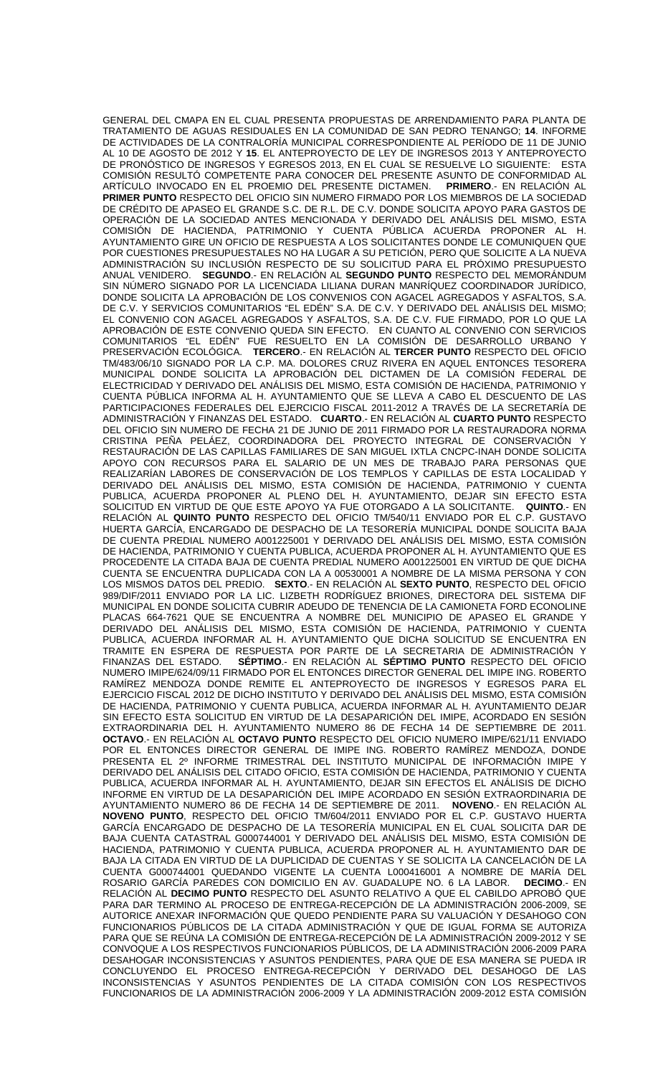GENERAL DEL CMAPA EN EL CUAL PRESENTA PROPUESTAS DE ARRENDAMIENTO PARA PLANTA DE TRATAMIENTO DE AGUAS RESIDUALES EN LA COMUNIDAD DE SAN PEDRO TENANGO; **14**. INFORME DE ACTIVIDADES DE LA CONTRALORÍA MUNICIPAL CORRESPONDIENTE AL PERÍODO DE 11 DE JUNIO AL 10 DE AGOSTO DE 2012 Y **15**. EL ANTEPROYECTO DE LEY DE INGRESOS 2013 Y ANTEPROYECTO DE PRONÓSTICO DE INGRESOS Y EGRESOS 2013, EN EL CUAL SE RESUELVE LO SIGUIENTE: ESTA COMISIÓN RESULTÓ COMPETENTE PARA CONOCER DEL PRESENTE ASUNTO DE CONFORMIDAD AL<br>ARTÍCULO INVOCADO EN EL PROEMIO DEL PRESENTE DICTAMEN. PRIMERO.- EN RELACIÓN AL ARTÍCULO INVOCADO EN EL PROEMIO DEL PRESENTE DICTAMEN. **PRIMER PUNTO** RESPECTO DEL OFICIO SIN NUMERO FIRMADO POR LOS MIEMBROS DE LA SOCIEDAD DE CRÉDITO DE APASEO EL GRANDE S.C. DE R.L. DE C.V. DONDE SOLICITA APOYO PARA GASTOS DE OPERACIÓN DE LA SOCIEDAD ANTES MENCIONADA Y DERIVADO DEL ANÁLISIS DEL MISMO, ESTA COMISIÓN DE HACIENDA, PATRIMONIO Y CUENTA PÚBLICA ACUERDA PROPONER AL H. AYUNTAMIENTO GIRE UN OFICIO DE RESPUESTA A LOS SOLICITANTES DONDE LE COMUNIQUEN QUE POR CUESTIONES PRESUPUESTALES NO HA LUGAR A SU PETICIÓN, PERO QUE SOLICITE A LA NUEVA ADMINISTRACIÓN SU INCLUSIÓN RESPECTO DE SU SOLICITUD PARA EL PRÓXIMO PRESUPUESTO ANUAL VENIDERO. **SEGUNDO**.- EN RELACIÓN AL **SEGUNDO PUNTO** RESPECTO DEL MEMORÁNDUM SIN NÚMERO SIGNADO POR LA LICENCIADA LILIANA DURAN MANRÍQUEZ COORDINADOR JURÍDICO, DONDE SOLICITA LA APROBACIÓN DE LOS CONVENIOS CON AGACEL AGREGADOS Y ASFALTOS, S.A. DE C.V. Y SERVICIOS COMUNITARIOS "EL EDÉN" S.A. DE C.V. Y DERIVADO DEL ANÁLISIS DEL MISMO; EL CONVENIO CON AGACEL AGREGADOS Y ASFALTOS, S.A. DE C.V. FUE FIRMADO, POR LO QUE LA APROBACIÓN DE ESTE CONVENIO QUEDA SIN EFECTO. EN CUANTO AL CONVENIO CON SERVICIOS COMUNITARIOS "EL EDÉN" FUE RESUELTO EN LA COMISIÓN DE DESARROLLO URBANO Y PRESERVACIÓN ECOLÓGICA. **TERCERO**.- EN RELACIÓN AL **TERCER PUNTO** RESPECTO DEL OFICIO TM/483/06/10 SIGNADO POR LA C.P. MA. DOLORES CRUZ RIVERA EN AQUEL ENTONCES TESORERA MUNICIPAL DONDE SOLICITA LA APROBACIÓN DEL DICTAMEN DE LA COMISIÓN FEDERAL DE ELECTRICIDAD Y DERIVADO DEL ANÁLISIS DEL MISMO, ESTA COMISIÓN DE HACIENDA, PATRIMONIO Y CUENTA PÚBLICA INFORMA AL H. AYUNTAMIENTO QUE SE LLEVA A CABO EL DESCUENTO DE LAS PARTICIPACIONES FEDERALES DEL EJERCICIO FISCAL 2011-2012 A TRAVÉS DE LA SECRETARÍA DE ADMINISTRACIÓN Y FINANZAS DEL ESTADO. **CUARTO**.- EN RELACIÓN AL **CUARTO PUNTO** RESPECTO DEL OFICIO SIN NUMERO DE FECHA 21 DE JUNIO DE 2011 FIRMADO POR LA RESTAURADORA NORMA CRISTINA PEÑA PELÁEZ, COORDINADORA DEL PROYECTO INTEGRAL DE CONSERVACIÓN Y RESTAURACIÓN DE LAS CAPILLAS FAMILIARES DE SAN MIGUEL IXTLA CNCPC-INAH DONDE SOLICITA APOYO CON RECURSOS PARA EL SALARIO DE UN MES DE TRABAJO PARA PERSONAS QUE REALIZARÍAN LABORES DE CONSERVACIÓN DE LOS TEMPLOS Y CAPILLAS DE ESTA LOCALIDAD Y DERIVADO DEL ANÁLISIS DEL MISMO, ESTA COMISIÓN DE HACIENDA, PATRIMONIO Y CUENTA PUBLICA, ACUERDA PROPONER AL PLENO DEL H. AYUNTAMIENTO, DEJAR SIN EFECTO ESTA SOLICITUD EN VIRTUD DE QUE ESTE APOYO YA FUE OTORGADO A LA SOLICITANTE. **QUINTO**.- EN RELACIÓN AL **QUINTO PUNTO** RESPECTO DEL OFICIO TM/540/11 ENVIADO POR EL C.P. GUSTAVO HUERTA GARCÍA, ENCARGADO DE DESPACHO DE LA TESORERÍA MUNICIPAL DONDE SOLICITA BAJA DE CUENTA PREDIAL NUMERO A001225001 Y DERIVADO DEL ANÁLISIS DEL MISMO, ESTA COMISIÓN DE HACIENDA, PATRIMONIO Y CUENTA PUBLICA, ACUERDA PROPONER AL H. AYUNTAMIENTO QUE ES PROCEDENTE LA CITADA BAJA DE CUENTA PREDIAL NUMERO A001225001 EN VIRTUD DE QUE DICHA CUENTA SE ENCUENTRA DUPLICADA CON LA A 00530001 A NOMBRE DE LA MISMA PERSONA Y CON LOS MISMOS DATOS DEL PREDIO. **SEXTO**.- EN RELACIÓN AL **SEXTO PUNTO**, RESPECTO DEL OFICIO 989/DIF/2011 ENVIADO POR LA LIC. LIZBETH RODRÍGUEZ BRIONES, DIRECTORA DEL SISTEMA DIF MUNICIPAL EN DONDE SOLICITA CUBRIR ADEUDO DE TENENCIA DE LA CAMIONETA FORD ECONOLINE PLACAS 664-7621 QUE SE ENCUENTRA A NOMBRE DEL MUNICIPIO DE APASEO EL GRANDE Y DERIVADO DEL ANÁLISIS DEL MISMO, ESTA COMISIÓN DE HACIENDA, PATRIMONIO Y CUENTA PUBLICA, ACUERDA INFORMAR AL H. AYUNTAMIENTO QUE DICHA SOLICITUD SE ENCUENTRA EN TRAMITE EN ESPERA DE RESPUESTA POR PARTE DE LA SECRETARIA DE ADMINISTRACIÓN Y FINANZAS DEL ESTADO. **SÉPTIMO**.- EN RELACIÓN AL **SÉPTIMO PUNTO** RESPECTO DEL OFICIO NUMERO IMIPE/624/09/11 FIRMADO POR EL ENTONCES DIRECTOR GENERAL DEL IMIPE ING. ROBERTO RAMÍREZ MENDOZA DONDE REMITE EL ANTEPROYECTO DE INGRESOS Y EGRESOS PARA EL EJERCICIO FISCAL 2012 DE DICHO INSTITUTO Y DERIVADO DEL ANÁLISIS DEL MISMO, ESTA COMISIÓN DE HACIENDA, PATRIMONIO Y CUENTA PUBLICA, ACUERDA INFORMAR AL H. AYUNTAMIENTO DEJAR SIN EFECTO ESTA SOLICITUD EN VIRTUD DE LA DESAPARICIÓN DEL IMIPE, ACORDADO EN SESIÓN EXTRAORDINARIA DEL H. AYUNTAMIENTO NUMERO 86 DE FECHA 14 DE SEPTIEMBRE DE 2011. **OCTAVO**.- EN RELACIÓN AL **OCTAVO PUNTO** RESPECTO DEL OFICIO NUMERO IMIPE/621/11 ENVIADO POR EL ENTONCES DIRECTOR GENERAL DE IMIPE ING. ROBERTO RAMÍREZ MENDOZA, DONDE PRESENTA EL 2º INFORME TRIMESTRAL DEL INSTITUTO MUNICIPAL DE INFORMACIÓN IMIPE Y DERIVADO DEL ANÁLISIS DEL CITADO OFICIO, ESTA COMISIÓN DE HACIENDA, PATRIMONIO Y CUENTA PUBLICA, ACUERDA INFORMAR AL H. AYUNTAMIENTO, DEJAR SIN EFECTOS EL ANÁLISIS DE DICHO INFORME EN VIRTUD DE LA DESAPARICIÓN DEL IMIPE ACORDADO EN SESIÓN EXTRAORDINARIA DE AYUNTAMIENTO NUMERO 86 DE FECHA 14 DE SEPTIEMBRE DE 2011. **NOVENO**.- EN RELACIÓN AL **NOVENO PUNTO**, RESPECTO DEL OFICIO TM/604/2011 ENVIADO POR EL C.P. GUSTAVO HUERTA GARCÍA ENCARGADO DE DESPACHO DE LA TESORERÍA MUNICIPAL EN EL CUAL SOLICITA DAR DE BAJA CUENTA CATASTRAL G000744001 Y DERIVADO DEL ANÁLISIS DEL MISMO, ESTA COMISIÓN DE HACIENDA, PATRIMONIO Y CUENTA PUBLICA, ACUERDA PROPONER AL H. AYUNTAMIENTO DAR DE BAJA LA CITADA EN VIRTUD DE LA DUPLICIDAD DE CUENTAS Y SE SOLICITA LA CANCELACIÓN DE LA CUENTA G000744001 QUEDANDO VIGENTE LA CUENTA L000416001 A NOMBRE DE MARÍA DEL ROSARIO GARCÍA PAREDES CON DOMICILIO EN AV. GUADALUPE NO. 6 LA LABOR. **DECIMO**.- EN RELACIÓN AL **DECIMO PUNTO** RESPECTO DEL ASUNTO RELATIVO A QUE EL CABILDO APROBÓ QUE PARA DAR TERMINO AL PROCESO DE ENTREGA-RECEPCIÓN DE LA ADMINISTRACIÓN 2006-2009, SE AUTORICE ANEXAR INFORMACIÓN QUE QUEDO PENDIENTE PARA SU VALUACIÓN Y DESAHOGO CON FUNCIONARIOS PÚBLICOS DE LA CITADA ADMINISTRACIÓN Y QUE DE IGUAL FORMA SE AUTORIZA PARA QUE SE REÚNA LA COMISIÓN DE ENTREGA-RECEPCIÓN DE LA ADMINISTRACIÓN 2009-2012 Y SE CONVOQUE A LOS RESPECTIVOS FUNCIONARIOS PÚBLICOS, DE LA ADMINISTRACIÓN 2006-2009 PARA DESAHOGAR INCONSISTENCIAS Y ASUNTOS PENDIENTES, PARA QUE DE ESA MANERA SE PUEDA IR CONCLUYENDO EL PROCESO ENTREGA-RECEPCIÓN Y DERIVADO DEL DESAHOGO DE LAS INCONSISTENCIAS Y ASUNTOS PENDIENTES DE LA CITADA COMISIÓN CON LOS RESPECTIVOS FUNCIONARIOS DE LA ADMINISTRACIÓN 2006-2009 Y LA ADMINISTRACIÓN 2009-2012 ESTA COMISIÓN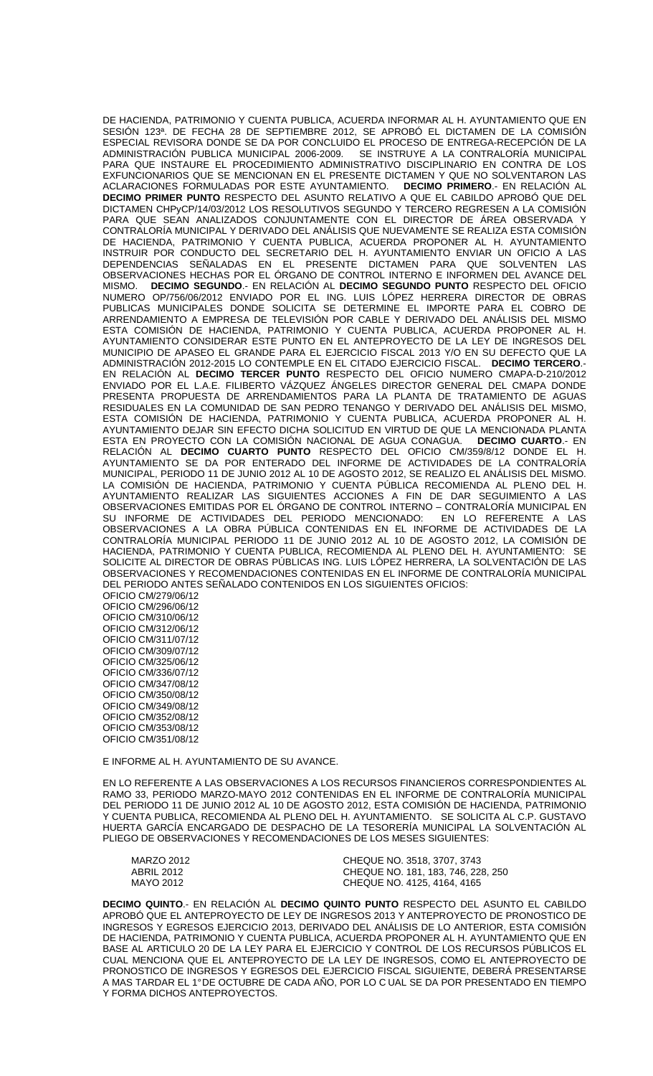DE HACIENDA, PATRIMONIO Y CUENTA PUBLICA, ACUERDA INFORMAR AL H. AYUNTAMIENTO QUE EN SESIÓN 123ª. DE FECHA 28 DE SEPTIEMBRE 2012, SE APROBÓ EL DICTAMEN DE LA COMISIÓN ESPECIAL REVISORA DONDE SE DA POR CONCLUIDO EL PROCESO DE ENTREGA-RECEPCIÓN DE LA ADMINISTRACIÓN PUBLICA MUNICIPAL 2006-2009. SE INSTRUYE A LA CONTRALORÍA MUNICIPAL PARA QUE INSTAURE EL PROCEDIMIENTO ADMINISTRATIVO DISCIPLINARIO EN CONTRA DE LOS EXFUNCIONARIOS QUE SE MENCIONAN EN EL PRESENTE DICTAMEN Y QUE NO SOLVENTARON LAS ACLARACIONES FORMULADAS POR ESTE AYUNTAMIENTO. **DECIMO PRIMERO**.- EN RELACIÓN AL **DECIMO PRIMER PUNTO** RESPECTO DEL ASUNTO RELATIVO A QUE EL CABILDO APROBÓ QUE DEL DICTAMEN CHPyCP/14/03/2012 LOS RESOLUTIVOS SEGUNDO Y TERCERO REGRESEN A LA COMISIÓN PARA QUE SEAN ANALIZADOS CONJUNTAMENTE CON EL DIRECTOR DE ÁREA OBSERVADA Y CONTRALORÍA MUNICIPAL Y DERIVADO DEL ANÁLISIS QUE NUEVAMENTE SE REALIZA ESTA COMISIÓN DE HACIENDA, PATRIMONIO Y CUENTA PUBLICA, ACUERDA PROPONER AL H. AYUNTAMIENTO INSTRUIR POR CONDUCTO DEL SECRETARIO DEL H. AYUNTAMIENTO ENVIAR UN OFICIO A LAS DEPENDENCIAS SEÑALADAS EN EL PRESENTE DICTAMEN PARA QUE SOLVENTEN LAS OBSERVACIONES HECHAS POR EL ÓRGANO DE CONTROL INTERNO E INFORMEN DEL AVANCE DEL MISMO. **DECIMO SEGUNDO**.- EN RELACIÓN AL **DECIMO SEGUNDO PUNTO** RESPECTO DEL OFICIO NUMERO OP/756/06/2012 ENVIADO POR EL ING. LUIS LÓPEZ HERRERA DIRECTOR DE OBRAS PUBLICAS MUNICIPALES DONDE SOLICITA SE DETERMINE EL IMPORTE PARA EL COBRO DE ARRENDAMIENTO A EMPRESA DE TELEVISIÓN POR CABLE Y DERIVADO DEL ANÁLISIS DEL MISMO ESTA COMISIÓN DE HACIENDA, PATRIMONIO Y CUENTA PUBLICA, ACUERDA PROPONER AL H. AYUNTAMIENTO CONSIDERAR ESTE PUNTO EN EL ANTEPROYECTO DE LA LEY DE INGRESOS DEL MUNICIPIO DE APASEO EL GRANDE PARA EL EJERCICIO FISCAL 2013 Y/O EN SU DEFECTO QUE LA ADMINISTRACIÓN 2012-2015 LO CONTEMPLE EN EL CITADO EJERCICIO FISCAL. **DECIMO TERCERO**.- EN RELACIÓN AL **DECIMO TERCER PUNTO** RESPECTO DEL OFICIO NUMERO CMAPA-D-210/2012 ENVIADO POR EL L.A.E. FILIBERTO VÁZQUEZ ÁNGELES DIRECTOR GENERAL DEL CMAPA DONDE PRESENTA PROPUESTA DE ARRENDAMIENTOS PARA LA PLANTA DE TRATAMIENTO DE AGUAS RESIDUALES EN LA COMUNIDAD DE SAN PEDRO TENANGO Y DERIVADO DEL ANÁLISIS DEL MISMO, ESTA COMISIÓN DE HACIENDA, PATRIMONIO Y CUENTA PUBLICA, ACUERDA PROPONER AL H. AYUNTAMIENTO DEJAR SIN EFECTO DICHA SOLICITUD EN VIRTUD DE QUE LA MENCIONADA PLANTA<br>ESTA EN PROYECTO CON LA COMISIÓN NACIONAL DE AGUA CONAGUA. DECIMO CUARTO.- EN ESTA EN PROYECTO CON LA COMISIÓN NACIONAL DE AGUA CONAGUA. **DECIMO CUARTO**.- EN RELACIÓN AL **DECIMO CUARTO PUNTO** RESPECTO DEL OFICIO CM/359/8/12 DONDE EL H. AYUNTAMIENTO SE DA POR ENTERADO DEL INFORME DE ACTIVIDADES DE LA CONTRALORÍA MUNICIPAL, PERIODO 11 DE JUNIO 2012 AL 10 DE AGOSTO 2012, SE REALIZO EL ANÁLISIS DEL MISMO. LA COMISION DE HACIENDA, PATRIMONIO Y CUENTA PUBLICA RECOMIENDA AL PLENO DEL H. AYUNTAMIENTO REALIZAR LAS SIGUIENTES ACCIONES A FIN DE DAR SEGUIMIENTO A LAS OBSERVACIONES EMITIDAS POR EL ÓRGANO DE CONTROL INTERNO – CONTRALORÍA MUNICIPAL EN SU INFORME DE ACTIVIDADES DEL PERIODO MENCIONADO: EN LO REFERENTE A LAS OBSERVACIONES A LA OBRA PÚBLICA CONTENIDAS EN EL INFORME DE ACTIVIDADES DE LA CONTRALORÍA MUNICIPAL PERIODO 11 DE JUNIO 2012 AL 10 DE AGOSTO 2012, LA COMISIÓN DE HACIENDA, PATRIMONIO Y CUENTA PUBLICA, RECOMIENDA AL PLENO DEL H. AYUNTAMIENTO: SE SOLICITE AL DIRECTOR DE OBRAS PÚBLICAS ING. LUIS LÓPEZ HERRERA, LA SOLVENTACIÓN DE LAS OBSERVACIONES Y RECOMENDACIONES CONTENIDAS EN EL INFORME DE CONTRALORÍA MUNICIPAL DEL PERIODO ANTES SEÑALADO CONTENIDOS EN LOS SIGUIENTES OFICIOS: OFICIO CM/279/06/12 OFICIO CM/296/06/12 OFICIO CM/310/06/12

OFICIO CM/312/06/12 OFICIO CM/311/07/12 OFICIO CM/309/07/12 OFICIO CM/325/06/12 OFICIO CM/336/07/12 OFICIO CM/347/08/12 OFICIO CM/350/08/12 OFICIO CM/349/08/12 OFICIO CM/352/08/12 OFICIO CM/353/08/12 OFICIO CM/351/08/12

E INFORME AL H. AYUNTAMIENTO DE SU AVANCE.

EN LO REFERENTE A LAS OBSERVACIONES A LOS RECURSOS FINANCIEROS CORRESPONDIENTES AL RAMO 33, PERIODO MARZO-MAYO 2012 CONTENIDAS EN EL INFORME DE CONTRALORÍA MUNICIPAL DEL PERIODO 11 DE JUNIO 2012 AL 10 DE AGOSTO 2012, ESTA COMISIÓN DE HACIENDA, PATRIMONIO Y CUENTA PUBLICA, RECOMIENDA AL PLENO DEL H. AYUNTAMIENTO. SE SOLICITA AL C.P. GUSTAVO HUERTA GARCÍA ENCARGADO DE DESPACHO DE LA TESORERÍA MUNICIPAL LA SOLVENTACIÓN AL PLIEGO DE OBSERVACIONES Y RECOMENDACIONES DE LOS MESES SIGUIENTES:

| MARZO 2012 | CHEQUE NO. 3518, 3707, 3743        |
|------------|------------------------------------|
| ABRIL 2012 | CHEQUE NO. 181, 183, 746, 228, 250 |
| MAYO 2012  | CHEQUE NO. 4125, 4164, 4165        |

**DECIMO QUINTO**.- EN RELACIÓN AL **DECIMO QUINTO PUNTO** RESPECTO DEL ASUNTO EL CABILDO APROBÓ QUE EL ANTEPROYECTO DE LEY DE INGRESOS 2013 Y ANTEPROYECTO DE PRONOSTICO DE INGRESOS Y EGRESOS EJERCICIO 2013, DERIVADO DEL ANÁLISIS DE LO ANTERIOR, ESTA COMISIÓN DE HACIENDA, PATRIMONIO Y CUENTA PUBLICA, ACUERDA PROPONER AL H. AYUNTAMIENTO QUE EN BASE AL ARTICULO 20 DE LA LEY PARA EL EJERCICIO Y CONTROL DE LOS RECURSOS PÚBLICOS EL CUAL MENCIONA QUE EL ANTEPROYECTO DE LA LEY DE INGRESOS, COMO EL ANTEPROYECTO DE PRONOSTICO DE INGRESOS Y EGRESOS DEL EJERCICIO FISCAL SIGUIENTE, DEBERÁ PRESENTARSE A MAS TARDAR EL 1° DE OCTUBRE DE CADA AÑO, POR LO C UAL SE DA POR PRESENTADO EN TIEMPO Y FORMA DICHOS ANTEPROYECTOS.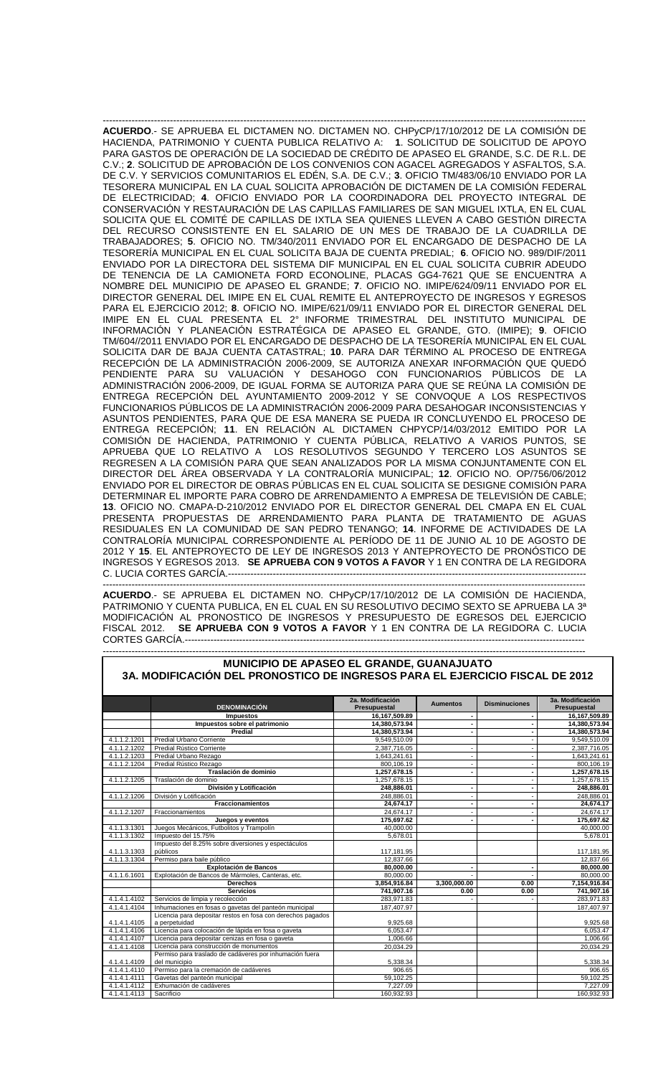------------------------------------------------------------------------------------------------------------------------------------------------------- **ACUERDO**.- SE APRUEBA EL DICTAMEN NO. DICTAMEN NO. CHPyCP/17/10/2012 DE LA COMISIÓN DE HACIENDA, PATRIMONIO Y CUENTA PUBLICA RELATIVO A: **1**. SOLICITUD DE SOLICITUD DE APOYO PARA GASTOS DE OPERACIÓN DE LA SOCIEDAD DE CRÉDITO DE APASEO EL GRANDE, S.C. DE R.L. DE C.V.; **2**. SOLICITUD DE APROBACIÓN DE LOS CONVENIOS CON AGACEL AGREGADOS Y ASFALTOS, S.A. DE C.V. Y SERVICIOS COMUNITARIOS EL EDÉN, S.A. DE C.V.; **3**. OFICIO TM/483/06/10 ENVIADO POR LA TESORERA MUNICIPAL EN LA CUAL SOLICITA APROBACIÓN DE DICTAMEN DE LA COMISIÓN FEDERAL DE ELECTRICIDAD; **4**. OFICIO ENVIADO POR LA COORDINADORA DEL PROYECTO INTEGRAL DE CONSERVACIÓN Y RESTAURACIÓN DE LAS CAPILLAS FAMILIARES DE SAN MIGUEL IXTLA, EN EL CUAL SOLICITA QUE EL COMITÉ DE CAPILLAS DE IXTLA SEA QUIENES LLEVEN A CABO GESTIÓN DIRECTA DEL RECURSO CONSISTENTE EN EL SALARIO DE UN MES DE TRABAJO DE LA CUADRILLA DE TRABAJADORES; **5**. OFICIO NO. TM/340/2011 ENVIADO POR EL ENCARGADO DE DESPACHO DE LA TESORERÍA MUNICIPAL EN EL CUAL SOLICITA BAJA DE CUENTA PREDIAL; **6**. OFICIO NO. 989/DIF/2011 ENVIADO POR LA DIRECTORA DEL SISTEMA DIF MUNICIPAL EN EL CUAL SOLICITA CUBRIR ADEUDO DE TENENCIA DE LA CAMIONETA FORD ECONOLINE, PLACAS GG4-7621 QUE SE ENCUENTRA A NOMBRE DEL MUNICIPIO DE APASEO EL GRANDE; **7**. OFICIO NO. IMIPE/624/09/11 ENVIADO POR EL DIRECTOR GENERAL DEL IMIPE EN EL CUAL REMITE EL ANTEPROYECTO DE INGRESOS Y EGRESOS PARA EL EJERCICIO 2012; **8**. OFICIO NO. IMIPE/621/09/11 ENVIADO POR EL DIRECTOR GENERAL DEL IMIPE EN EL CUAL PRESENTA EL 2° INFORME TRIMESTRAL DEL INSTITUTO MUNICIPAL DE INFORMACIÓN Y PLANEACIÓN ESTRATÉGICA DE APASEO EL GRANDE, GTO. (IMIPE); **9**. OFICIO TM/604//2011 ENVIADO POR EL ENCARGADO DE DESPACHO DE LA TESORERÍA MUNICIPAL EN EL CUAL SOLICITA DAR DE BAJA CUENTA CATASTRAL; **10**. PARA DAR TÉRMINO AL PROCESO DE ENTREGA RECEPCIÓN DE LA ADMINISTRACIÓN 2006-2009, SE AUTORIZA ANEXAR INFORMACIÓN QUE QUEDÓ PENDIENTE PARA SU VALUACIÓN Y DESAHOGO CON FUNCIONARIOS PÚBLICOS DE LA ADMINISTRACIÓN 2006-2009, DE IGUAL FORMA SE AUTORIZA PARA QUE SE REÚNA LA COMISIÓN DE ENTREGA RECEPCIÓN DEL AYUNTAMIENTO 2009-2012 Y SE CONVOQUE A LOS RESPECTIVOS FUNCIONARIOS PÚBLICOS DE LA ADMINISTRACIÓN 2006-2009 PARA DESAHOGAR INCONSISTENCIAS Y ASUNTOS PENDIENTES, PARA QUE DE ESA MANERA SE PUEDA IR CONCLUYENDO EL PROCESO DE ENTREGA RECEPCIÓN; **11**. EN RELACIÓN AL DICTAMEN CHPYCP/14/03/2012 EMITIDO POR LA COMISIÓN DE HACIENDA, PATRIMONIO Y CUENTA PÚBLICA, RELATIVO A VARIOS PUNTOS, SE APRUEBA QUE LO RELATIVO A LOS RESOLUTIVOS SEGUNDO Y TERCERO LOS ASUNTOS SE REGRESEN A LA COMISIÓN PARA QUE SEAN ANALIZADOS POR LA MISMA CONJUNTAMENTE CON EL DIRECTOR DEL ÁREA OBSERVADA Y LA CONTRALORÍA MUNICIPAL; **12**. OFICIO NO. OP/756/06/2012 ENVIADO POR EL DIRECTOR DE OBRAS PÚBLICAS EN EL CUAL SOLICITA SE DESIGNE COMISIÓN PARA DETERMINAR EL IMPORTE PARA COBRO DE ARRENDAMIENTO A EMPRESA DE TELEVISIÓN DE CABLE; **13**. OFICIO NO. CMAPA-D-210/2012 ENVIADO POR EL DIRECTOR GENERAL DEL CMAPA EN EL CUAL PRESENTA PROPUESTAS DE ARRENDAMIENTO PARA PLANTA DE TRATAMIENTO DE AGUAS RESIDUALES EN LA COMUNIDAD DE SAN PEDRO TENANGO; **14**. INFORME DE ACTIVIDADES DE LA CONTRALORÍA MUNICIPAL CORRESPONDIENTE AL PERÍODO DE 11 DE JUNIO AL 10 DE AGOSTO DE 2012 Y **15**. EL ANTEPROYECTO DE LEY DE INGRESOS 2013 Y ANTEPROYECTO DE PRONÓSTICO DE INGRESOS Y EGRESOS 2013. **SE APRUEBA CON 9 VOTOS A FAVOR** Y 1 EN CONTRA DE LA REGIDORA C. LUCIA CORTES GARCÍA.----------------------------------------------------------------------------------------------------------------

------------------------------------------------------------------------------------------------------------------------------------------------------- **ACUERDO**.- SE APRUEBA EL DICTAMEN NO. CHPyCP/17/10/2012 DE LA COMISIÓN DE HACIENDA, PATRIMONIO Y CUENTA PUBLICA, EN EL CUAL EN SU RESOLUTIVO DECIMO SEXTO SE APRUEBA LA 3ª MODIFICACIÓN AL PRONOSTICO DE INGRESOS Y PRESUPUESTO DE EGRESOS DEL EJERCICIO FISCAL 2012. **SE APRUEBA CON 9 VOTOS A FAVOR** Y 1 EN CONTRA DE LA REGIDORA C. LUCIA CORTES GARCÍA.---

------------------------------------------------------------------------------------------------------------------------------------------------------- **MUNICIPIO DE APASEO EL GRANDE, GUANAJUATO 3A. MODIFICACIÓN DEL PRONOSTICO DE INGRESOS PARA EL EJERCICIO FISCAL DE 2012**

|              | <b>DENOMINACIÓN</b>                                             | 2a. Modificación<br>Presupuestal | <b>Aumentos</b> | <b>Disminuciones</b> | 3a. Modificación<br>Presupuestal |
|--------------|-----------------------------------------------------------------|----------------------------------|-----------------|----------------------|----------------------------------|
|              | <b>Impuestos</b>                                                | 16,167,509.89                    | $\blacksquare$  |                      | 16,167,509.89                    |
|              | Impuestos sobre el patrimonio                                   | 14.380.573.94                    |                 |                      | 14.380.573.94                    |
|              | Predial                                                         | 14,380,573.94                    |                 |                      | 14,380,573.94                    |
| 4.1.1.2.1201 | <b>Predial Urbano Corriente</b>                                 | 9,549,510.09                     |                 |                      | 9,549,510.09                     |
| 4.1.1.2.1202 | Predial Rústico Corriente                                       | 2,387,716.05                     |                 |                      | 2,387,716.05                     |
| 4.1.1.2.1203 | Predial Urbano Rezago                                           | 1,643,241.61                     |                 |                      | 1,643,241.61                     |
| 4.1.1.2.1204 | Predial Rústico Rezago                                          | 800,106.19                       |                 |                      | 800,106.19                       |
|              | Traslación de dominio                                           | 1,257,678.15                     |                 |                      | 1,257,678.15                     |
| 4.1.1.2.1205 | Traslación de dominio                                           | 1,257,678.15                     |                 |                      | 1,257,678.15                     |
|              | División y Lotificación                                         | 248,886.01                       | $\blacksquare$  |                      | 248,886.01                       |
| 4.1.1.2.1206 | División y Lotificación                                         | 248.886.01                       | $\sim$          |                      | 248.886.01                       |
|              | <b>Fraccionamientos</b>                                         | 24,674.17                        |                 |                      | 24,674.17                        |
| 4.1.1.2.1207 | Fraccionamientos                                                | 24.674.17                        |                 |                      | 24,674.17                        |
|              | Juegos y eventos                                                | 175,697.62                       |                 |                      | 175,697.62                       |
| 4.1.1.3.1301 | Juegos Mecánicos, Futbolitos y Trampolín                        | 40,000.00                        |                 |                      | 40,000.00                        |
| 4.1.1.3.1302 | Impuesto del 15.75%                                             | 5,678.01                         |                 |                      | 5,678.01                         |
| 4.1.1.3.1303 | Impuesto del 8.25% sobre diversiones y espectáculos<br>públicos | 117,181.95                       |                 |                      | 117,181.95                       |
| 4.1.1.3.1304 | Permiso para baile público                                      | 12,837.66                        |                 |                      | 12,837.66                        |
|              | Explotación de Bancos                                           | 80.000.00                        |                 |                      | 80,000.00                        |
| 4.1.1.6.1601 | Explotación de Bancos de Mármoles, Canteras, etc.               | 80,000.00                        |                 |                      | 80,000.00                        |
|              | <b>Derechos</b>                                                 | 3,854,916.84                     | 3,300,000.00    | 0.00                 | 7,154,916.84                     |
|              | <b>Servicios</b>                                                | 741,907.16                       | 0.00            | 0.00                 | 741,907.16                       |
| 4.1.4.1.4102 | Servicios de limpia y recolección                               | 283,971.83                       |                 |                      | 283,971.83                       |
| 4.1.4.1.4104 | Inhumaciones en fosas o gavetas del panteón municipal           | 187,407.97                       |                 |                      | 187,407.97                       |
|              | Licencia para depositar restos en fosa con derechos pagados     |                                  |                 |                      |                                  |
| 4.1.4.1.4105 | a perpetuidad                                                   | 9,925.68                         |                 |                      | 9,925.68                         |
| 4.1.4.1.4106 | Licencia para colocación de lápida en fosa o gaveta             | 6,053.47                         |                 |                      | 6,053.47                         |
| 4.1.4.1.4107 | Licencia para depositar cenizas en fosa o gaveta                | 1,006.66                         |                 |                      | 1,006.66                         |
| 4.1.4.1.4108 | Licencia para construcción de monumentos                        | 20,034.29                        |                 |                      | 20,034.29                        |
|              | Permiso para traslado de cadáveres por inhumación fuera         |                                  |                 |                      |                                  |
| 4.1.4.1.4109 | del municipio                                                   | 5,338.34                         |                 |                      | 5,338.34                         |
| 4.1.4.1.4110 | Permiso para la cremación de cadáveres                          | 906.65                           |                 |                      | 906.65                           |
| 4.1.4.1.4111 | Gavetas del panteón municipal                                   | 59,102.25                        |                 |                      | 59,102.25                        |
| 4.1.4.1.4112 | Exhumación de cadáveres                                         | 7,227.09                         |                 |                      | 7,227.09                         |
| 4.1.4.1.4113 | Sacrificio                                                      | 160,932.93                       |                 |                      | 160,932.93                       |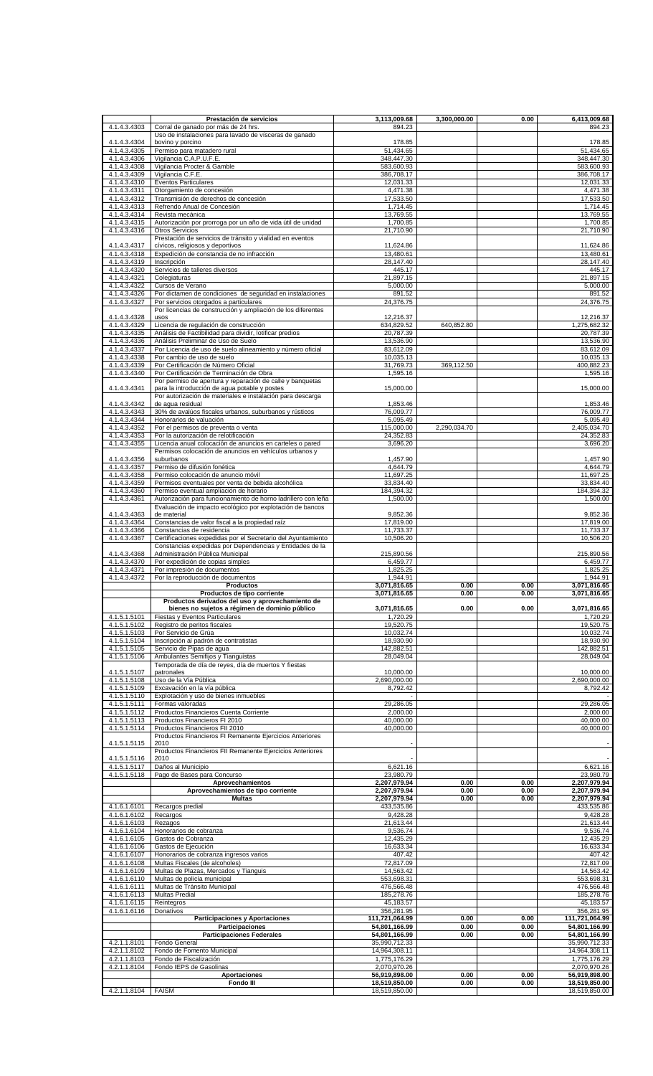|                              | Prestación de servicios                                                                   | 3,113,009.68                   | 3.300.000.00 | 0.00 | 6,413,009.68                   |
|------------------------------|-------------------------------------------------------------------------------------------|--------------------------------|--------------|------|--------------------------------|
| 4.1.4.3.4303                 | Corral de ganado por más de 24 hrs.                                                       | 894.23                         |              |      | 894.23                         |
|                              | Uso de instalaciones para lavado de vísceras de ganado                                    |                                |              |      |                                |
| 4.1.4.3.4304                 | bovino y porcino                                                                          | 178.85                         |              |      | 178.85                         |
| 4.1.4.3.4305                 | Permiso para matadero rural                                                               | $\overline{51,434.65}$         |              |      | 51,434.65                      |
| 4.1.4.3.4306                 | Vigilancia C.A.P.U.F.E.                                                                   | 348,447.30                     |              |      | 348,447.30                     |
| 4.1.4.3.4308                 | Vigilancia Procter & Gamble                                                               | 583,600.93                     |              |      | 583,600.93                     |
| 4.1.4.3.4309                 | Vigilancia C.F.E.                                                                         | 386,708.17                     |              |      | 386,708.17                     |
| 4.1.4.3.4310                 | <b>Eventos Particulares</b>                                                               | 12,031.33                      |              |      | 12,031.33                      |
| 4.1.4.3.4311                 | Otorgamiento de concesión                                                                 | 4,471.38                       |              |      | 4,471.38                       |
|                              |                                                                                           | 17,533.50                      |              |      |                                |
| 4.1.4.3.4312                 | Transmisión de derechos de concesión                                                      |                                |              |      | 17,533.50                      |
| 4.1.4.3.4313                 | Refrendo Anual de Concesión                                                               | 1,714.45                       |              |      | 1,714.45                       |
| 4.1.4.3.4314                 | Revista mecánica                                                                          | 13,769.55                      |              |      | 13,769.55                      |
| 4.1.4.3.4315                 | Autorización por prorroga por un año de vida útil de unidad                               | 1,700.85                       |              |      | 1,700.85                       |
| 4.1.4.3.4316                 | <b>Otros Servicios</b>                                                                    | 21,710.90                      |              |      | 21,710.90                      |
|                              | Prestación de servicios de tránsito y vialidad en eventos                                 |                                |              |      |                                |
| 4.1.4.3.4317                 | cívicos, religiosos y deportivos                                                          | 11,624.86                      |              |      | 11,624.86                      |
| 4.1.4.3.4318                 | Expedición de constancia de no infracción                                                 | 13.480.61                      |              |      | 13,480.61                      |
| 4.1.4.3.4319                 | Inscripción                                                                               | 28,147.40                      |              |      | 28,147.40                      |
| 4.1.4.3.4320                 | Servicios de talleres diversos                                                            | 445.17                         |              |      | 445.17                         |
| 4.1.4.3.4321                 | Colegiaturas                                                                              | 21,897.15                      |              |      | 21,897.15                      |
| 4.1.4.3.4322                 | Cursos de Verano                                                                          | 5,000.00                       |              |      | 5,000.00                       |
| 4.1.4.3.4326                 | Por dictamen de condiciones de seguridad en instalaciones                                 | 891.52                         |              |      | 891.52                         |
| 4.1.4.3.4327                 | Por servicios otorgados a particulares                                                    | 24,376.75                      |              |      | 24,376.75                      |
|                              | Por licencias de construcción y ampliación de los diferentes                              |                                |              |      |                                |
| 4.1.4.3.4328                 | usos                                                                                      | 12,216.37                      |              |      | 12,216.37                      |
| 4.1.4.3.4329                 | Licencia de regulación de construcción                                                    | 634,829.52                     | 640,852.80   |      | 1,275,682.32                   |
| 4.1.4.3.4335                 | Análisis de Factibilidad para dividir, lotificar predios                                  | 20,787.39                      |              |      | 20,787.39                      |
| 4.1.4.3.4336                 | Análisis Preliminar de Uso de Suelo                                                       | 13,536.90                      |              |      | 13,536.90                      |
|                              |                                                                                           |                                |              |      |                                |
| 4.1.4.3.4337<br>4.1.4.3.4338 | Por Licencia de uso de suelo alineamiento y número oficial                                | 83,612.09                      |              |      | 83,612.09                      |
|                              | Por cambio de uso de suelo<br>Por Certificación de Número Oficial                         | 10,035.13                      |              |      | 10,035.13                      |
| 4.1.4.3.4339                 |                                                                                           | 31,769.73                      | 369,112.50   |      | 400,882.23                     |
| 4.1.4.3.4340                 | Por Certificación de Terminación de Obra                                                  | 1,595.16                       |              |      | 1,595.16                       |
|                              | Por permiso de apertura y reparación de calle y banquetas                                 |                                |              |      |                                |
| 4.1.4.3.4341                 | para la introducción de agua potable y postes                                             | 15,000.00                      |              |      | 15,000.00                      |
|                              | Por autorización de materiales e instalación para descarga                                |                                |              |      |                                |
| 4.1.4.3.4342                 | de aqua residual                                                                          | 1,853.46                       |              |      | 1,853.46                       |
| 4.1.4.3.4343                 | 30% de avalúos fiscales urbanos, suburbanos y rústicos                                    | 76,009.77                      |              |      | 76,009.77                      |
| 4.1.4.3.4344                 | Honorarios de valuación                                                                   | 5,095.49                       |              |      | 5,095.49                       |
| 4.1.4.3.4352                 | Por el permisos de preventa o venta                                                       | 115,000.00                     | 2,290,034.70 |      | 2,405,034.70                   |
| 4.1.4.3.4353                 | Por la autorización de relotificación                                                     | 24,352.83                      |              |      | 24,352.83                      |
| 4.1.4.3.4355                 | Licencia anual colocación de anuncios en carteles o pared                                 | 3,696.20                       |              |      | 3,696.20                       |
|                              | Permisos colocación de anuncios en vehículos urbanos y                                    |                                |              |      |                                |
| 4.1.4.3.4356                 | suburbanos                                                                                | 1,457.90                       |              |      | 1,457.90                       |
| 4.1.4.3.4357                 | Permiso de difusión fonética                                                              | 4,644.79                       |              |      | 4,644.79                       |
| 4.1.4.3.4358                 | Permiso colocación de anuncio móvil                                                       | 11,697.25                      |              |      | 11,697.25                      |
| 4.1.4.3.4359                 | Permisos eventuales por venta de bebida alcohólica                                        | 33,834.40                      |              |      | 33,834.40                      |
| 4.1.4.3.4360                 | Permiso eventual ampliación de horario                                                    | 184,394.32                     |              |      | 184,394.32                     |
| 4.1.4.3.4361                 | Autorización para funcionamiento de horno ladrillero con leña                             | 1,500.00                       |              |      | 1,500.00                       |
|                              |                                                                                           |                                |              |      |                                |
|                              | Evaluación de impacto ecológico por explotación de bancos                                 |                                |              |      |                                |
| 4.1.4.3.4363                 | de material                                                                               | 9,852.36                       |              |      | 9,852.36                       |
| 4.1.4.3.4364                 | Constancias de valor fiscal a la propiedad raíz                                           | 17,819.00                      |              |      | 17,819.00                      |
| 4.1.4.3.4366                 | Constancias de residencia                                                                 | 11,733.37                      |              |      | 11,733.37                      |
| 4.1.4.3.4367                 | Certificaciones expedidas por el Secretario del Ayuntamiento                              | 10,506.20                      |              |      | 10,506.20                      |
|                              | Constancias expedidas por Dependencias y Entidades de la                                  |                                |              |      |                                |
| 4.1.4.3.4368                 | Administración Pública Municipal                                                          | 215,890.56                     |              |      | 215,890.56                     |
|                              |                                                                                           |                                |              |      |                                |
| 4.1.4.3.4370                 | Por expedición de copias simples                                                          | 6,459.77                       |              |      | 6,459.77                       |
| 4.1.4.3.4371                 | Por impresión de documentos                                                               | 1,825.25                       |              |      | 1,825.25                       |
| 4.1.4.3.4372                 | Por la reproducción de documentos                                                         | 1,944.91                       |              |      | 1.944.91                       |
|                              | <b>Productos</b>                                                                          | 3,071,816.65                   | 0.00         | 0.00 | 3,071,816.65                   |
|                              | Productos de tipo corriente                                                               | 3,071,816.65                   | 0.00         | 0.00 | 3,071,816.65                   |
|                              | Productos derivados del uso y aprovechamiento de                                          |                                |              |      |                                |
|                              | bienes no sujetos a régimen de dominio público                                            | 3,071,816.65                   | 0.00         | 0.00 | 3,071,816.65                   |
| 4.1.5.1.5101                 | Fiestas y Eventos Particulares                                                            | 1,720.29                       |              |      | 1,720.29                       |
| 4.1.5.1.5102                 | Registro de peritos fiscales                                                              | 19,520.75                      |              |      | 19,520.75                      |
| 4.1.5.1.5103                 | Por Servicio de Grúa                                                                      | 10,032.74                      |              |      | 10,032.74                      |
| 4.1.5.1.5104                 | Inscripción al padrón de contratistas                                                     | 18,930.90                      |              |      | 18,930.90                      |
| 4.1.5.1.5105                 | Servicio de Pipas de agua                                                                 | 142,882.51                     |              |      | 142,882.51                     |
|                              |                                                                                           |                                |              |      |                                |
| 4.1.5.1.5106                 | Ambulantes Semifijos y Tianguistas<br>Temporada de día de reyes, día de muertos Y fiestas | 28,049.04                      |              |      | 28,049.04                      |
|                              |                                                                                           |                                |              |      |                                |
| 4.1.5.1.5107<br>4.1.5.1.5108 | patronales<br>Uso de la Vía Pública                                                       | 10,000.00<br>2,690,000.00      |              |      | 10,000.00<br>2,690,000.00      |
|                              |                                                                                           |                                |              |      |                                |
| 4.1.5.1.5109                 | Excavación en la vía pública                                                              | 8,792.42                       |              |      | 8,792.42                       |
| 4.1.5.1.5110                 | Explotación y uso de bienes inmuebles                                                     |                                |              |      |                                |
| 4.1.5.1.5111                 | Formas valoradas                                                                          | 29,286.05                      |              |      | 29,286.05                      |
| 4.1.5.1.5112                 | Productos Financieros Cuenta Corriente                                                    | 2,000.00                       |              |      | 2.000.00                       |
| 4.1.5.1.5113                 | Productos Financieros FI 2010                                                             | 40,000.00                      |              |      | 40,000.00                      |
| 4.1.5.1.5114                 | Productos Financieros FII 2010                                                            | 40,000.00                      |              |      | 40,000.00                      |
|                              | Productos Financieros FI Remanente Ejercicios Anteriores                                  |                                |              |      |                                |
| 4.1.5.1.5115                 | 2010                                                                                      |                                |              |      |                                |
|                              | Productos Financieros FII Remanente Ejercicios Anteriores                                 |                                |              |      |                                |
| 4.1.5.1.5116                 | 2010                                                                                      |                                |              |      |                                |
| 4.1.5.1.5117                 | Daños al Municipio                                                                        | 6,621.16                       |              |      | 6,621.16                       |
| 4.1.5.1.5118                 | Pago de Bases para Concurso                                                               | 23,980.79                      |              |      | 23,980.79                      |
|                              | Aprovechamientos                                                                          | 2,207,979.94                   | 0.00         | 0.00 | 2,207,979.94                   |
|                              | Aprovechamientos de tipo corriente                                                        | 2,207,979.94                   | 0.00         | 0.00 | 2,207,979.94                   |
|                              | <b>Multas</b>                                                                             | 2,207,979.94                   | 0.00         | 0.00 | 2,207,979.94                   |
| 4.1.6.1.6101                 | Recargos predial                                                                          | 433,535.86                     |              |      | 433,535.86                     |
| 4.1.6.1.6102                 | Recargos                                                                                  | 9,428.28                       |              |      | 9,428.28                       |
| 4.1.6.1.6103                 | Rezagos                                                                                   | 21,613.44                      |              |      | 21,613.44                      |
| 4.1.6.1.6104                 | Honorarios de cobranza                                                                    | 9,536.74                       |              |      | 9,536.74                       |
| 4.1.6.1.6105                 | Gastos de Cobranza                                                                        | 12,435.29                      |              |      | 12,435.29                      |
| 4.1.6.1.6106                 | Gastos de Ejecución                                                                       | 16,633.34                      |              |      | 16,633.34                      |
| 4.1.6.1.6107                 | Honorarios de cobranza ingresos varios                                                    | 407.42                         |              |      | 407.42                         |
|                              |                                                                                           |                                |              |      |                                |
| 4.1.6.1.6108<br>4.1.6.1.6109 | Multas Fiscales (de alcoholes)<br>Multas de Plazas, Mercados y Tianguis                   | 72,817.09<br>14,563.42         |              |      | 72,817.09<br>14,563.42         |
|                              |                                                                                           |                                |              |      |                                |
| 4.1.6.1.6110                 | Multas de policía municipal                                                               | 553,698.31                     |              |      | 553,698.31                     |
| 4.1.6.1.6111                 | Multas de Tránsito Municipal                                                              | 476,566.48                     |              |      | 476,566.48                     |
| 4.1.6.1.6113                 | Multas Predial                                                                            | 185,278.76                     |              |      | 185,278.76                     |
| 4.1.6.1.6115                 | Reintegros                                                                                | 45,183.57                      |              |      | 45,183.57                      |
| 4.1.6.1.6116                 | Donativos                                                                                 | 356,281.95                     |              |      | 356,281.95                     |
|                              | <b>Participaciones y Aportaciones</b>                                                     | 111,721,064.99                 | 0.00         | 0.00 | 111,721,064.99                 |
|                              | Participaciones                                                                           | 54,801,166.99                  | 0.00         | 0.00 | 54,801,166.99                  |
|                              | <b>Participaciones Federales</b>                                                          | 54,801,166.99                  | 0.00         | 0.00 | 54,801,166.99                  |
| 4.2.1.1.8101                 | Fondo General                                                                             | 35,990,712.33                  |              |      | 35,990,712.33                  |
| 4.2.1.1.8102                 | Fondo de Fomento Municipal                                                                | 14,964,308.11                  |              |      | 14,964,308.11                  |
| 4.2.1.1.8103                 | Fondo de Fiscalización                                                                    | 1,775,176.29                   |              |      | 1,775,176.29                   |
| 4.2.1.1.8104                 | Fondo IEPS de Gasolinas                                                                   | 2,070,970.26                   |              |      | 2,070,970.26                   |
|                              | <b>Aportaciones</b>                                                                       | 56,919,898.00                  | 0.00         | 0.00 | 56,919,898.00                  |
| 4.2.1.1.8104   FAISM         | <b>Fondo III</b>                                                                          | 18,519,850.00<br>18,519,850.00 | 0.00         | 0.00 | 18,519,850.00<br>18,519,850.00 |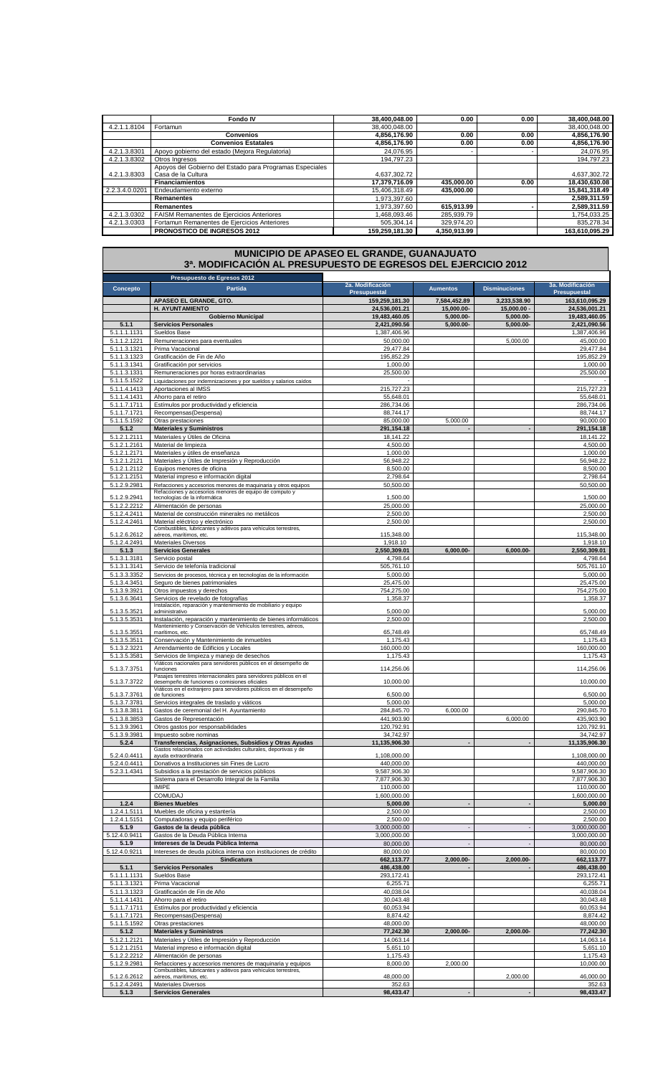|                | Fondo IV                                                 | 38,400,048.00  | 0.00         | 0.00 | 38,400,048.00  |
|----------------|----------------------------------------------------------|----------------|--------------|------|----------------|
| 4.2.1.1.8104   | Fortamun                                                 | 38.400.048.00  |              |      | 38.400.048.00  |
|                | <b>Convenios</b>                                         | 4,856,176.90   | 0.00         | 0.00 | 4,856,176.90   |
|                | <b>Convenios Estatales</b>                               | 4,856,176.90   | 0.00         | 0.00 | 4,856,176.90   |
| 4.2.1.3.8301   | Apoyo gobierno del estado (Mejora Regulatoria)           | 24.076.95      |              |      | 24.076.95      |
| 4.2.1.3.8302   | Otros Ingresos                                           | 194.797.23     |              |      | 194.797.23     |
|                | Apoyos del Gobierno del Estado para Programas Especiales |                |              |      |                |
| 4.2.1.3.8303   | Casa de la Cultura                                       | 4.637.302.72   |              |      | 4,637,302.72   |
|                | <b>Financiamientos</b>                                   | 17,379,716.09  | 435,000.00   | 0.00 | 18,430,630.08  |
| 2.2.3.4.0.0201 | Endeudamiento externo                                    | 15.406.318.49  | 435.000.00   |      | 15.841.318.49  |
|                | <b>Remanentes</b>                                        | 1.973.397.60   |              |      | 2,589,311.59   |
|                | <b>Remanentes</b>                                        | 1.973.397.60   | 615,913.99   |      | 2,589,311.59   |
| 4.2.1.3.0302   | FAISM Remanentes de Ejercicios Anteriores                | .468.093.46    | 285.939.79   |      | 1.754.033.25   |
| 4.2.1.3.0303   | Fortamun Remanentes de Ejercicios Anteriores             | 505,304.14     | 329.974.20   |      | 835,278.34     |
|                | <b>PRONOSTICO DE INGRESOS 2012</b>                       | 159.259.181.30 | 4.350.913.99 |      | 163.610.095.29 |

|                              | MUNICIPIO DE APASEO EL GRANDE, GUANAJUATO<br>3ª. MODIFICACIÓN AL PRESUPUESTO DE EGRESOS DEL EJERCICIO 2012                  |                                       |                          |                      |                                       |
|------------------------------|-----------------------------------------------------------------------------------------------------------------------------|---------------------------------------|--------------------------|----------------------|---------------------------------------|
| Concepto                     | Presupuesto de Egresos 2012<br>Partida                                                                                      | 2a. Modificación                      | <b>Aumentos</b>          | <b>Disminuciones</b> | 3a. Modificación                      |
|                              | APASEO EL GRANDE, GTO.                                                                                                      | <b>Presupuestal</b><br>159,259,181.30 | 7,584,452.89             | 3,233,538.90         | <b>Presupuestal</b><br>163,610,095.29 |
|                              | H. AYUNTAMIENTO                                                                                                             | 24,536,001.21                         | 15.000.00-               | $15,000.00 -$        | 24,536,001.21                         |
|                              | <b>Gobierno Municipal</b>                                                                                                   | 19,483,460.05                         | 5,000.00-                | 5,000.00-            | 19,483,460.05                         |
| 5.1.1<br>5.1.1.1.1131        | <b>Servicios Personales</b><br>Sueldos Base                                                                                 | 2,421,090.56<br>1,387,406.96          | $5,000.00-$              | 5,000.00-            | 2,421,090.56<br>1,387,406.96          |
| 5.1.1.2.1221                 | Remuneraciones para eventuales                                                                                              | 50,000.00                             |                          | 5,000.00             | 45,000.00                             |
| 5.1.1.3.1321                 | Prima Vacacional                                                                                                            | 29,477.84                             |                          |                      | 29,477.84                             |
| 5.1.1.3.1323                 | Gratificación de Fin de Año                                                                                                 | 195,852.29                            |                          |                      | 195,852.29                            |
| 5.1.1.3.1341<br>5.1.1.3.1331 | Gratificación por servicios<br>Remuneraciones por horas extraordinarias                                                     | 1,000.00<br>25,500.00                 |                          |                      | 1,000.00<br>25,500.00                 |
| 5.1.1.5.1522                 | Liquidaciones por indemnizaciones y por sueldos y salarios caídos                                                           |                                       |                          |                      |                                       |
| 5.1.1.4.1413                 | Aportaciones al IMSS                                                                                                        | 215,727.23                            |                          |                      | 215,727.23                            |
| 5.1.1.4.1431                 | Ahorro para el retiro                                                                                                       | 55,648.01                             |                          |                      | 55,648.01                             |
| 5.1.1.7.1711<br>5.1.1.7.1721 | Estímulos por productividad y eficiencia<br>Recompensas(Despensa)                                                           | 286,734.06<br>88,744.17               |                          |                      | 286,734.06<br>88,744.17               |
| 5.1.1.5.1592                 | Otras prestaciones                                                                                                          | 85,000.00                             | 5,000.00                 |                      | 90,000.00                             |
| 5.1.2                        | <b>Materiales y Suministros</b>                                                                                             | 291,154.18                            |                          |                      | 291,154.18                            |
| 5.1.2.1.2111                 | Materiales y Útiles de Oficina                                                                                              | 18,141.22                             |                          |                      | 18,141.22<br>4,500.00                 |
| 5.1.2.1.2161<br>5.1.2.1.2171 | Material de limpieza<br>Materiales y útiles de enseñanza                                                                    | 4,500.00<br>1,000.00                  |                          |                      | 1,000.00                              |
| 5.1.2.1.2121                 | Materiales y Útiles de Impresión y Reproducción                                                                             | 56,948.22                             |                          |                      | 56,948.22                             |
| 5.1.2.1.2112                 | Equipos menores de oficina                                                                                                  | 8,500.00                              |                          |                      | 8,500.00                              |
| 5.1.2.1.2151                 | Material impreso e información digital                                                                                      | 2,798.64                              |                          |                      | 2,798.64                              |
| 5.1.2.9.2981                 | Refacciones y accesorios menores de maquinaria y otros equipos<br>Refacciones y accesorios menores de equipo de computo y   | 50,500.00                             |                          |                      | 50,500.00                             |
| 5.1.2.9.2941                 | tecnologías de la informática                                                                                               | 1,500.00                              |                          |                      | 1,500.00                              |
| 5.1.2.2.2212                 | Alimentación de personas                                                                                                    | 25,000.00                             |                          |                      | 25,000.00                             |
| 5.1.2.4.2411<br>5.1.2.4.2461 | Material de construcción minerales no metálicos<br>Material eléctrico y electrónico                                         | 2,500.00<br>2,500.00                  |                          |                      | 2,500.00<br>2,500.00                  |
|                              | Combustibles, lubricantes y aditivos para vehículos terrestres,                                                             |                                       |                          |                      |                                       |
| 5.1.2.6.2612<br>5.1.2.4.2491 | aéreos, marítimos, etc.<br>Materiales Diversos                                                                              | 115,348.00<br>1,918.10                |                          |                      | 115,348.00<br>1,918.10                |
| 5.1.3                        | <b>Servicios Generales</b>                                                                                                  | 2,550,309.01                          | 6,000.00-                | 6.000.00-            | 2,550,309.01                          |
| 5.1.3.1.3181                 | Servicio postal                                                                                                             | 4,798.64                              |                          |                      | 4,798.64                              |
| 5.1.3.1.3141                 | Servicio de telefonía tradicional                                                                                           | 505,761.10                            |                          |                      | 505,761.10                            |
| 5.1.3.3.3352<br>5.1.3.4.3451 | Servicios de procesos, técnica y en tecnologías de la información<br>Seguro de bienes patrimoniales                         | 5,000.00<br>25,475.00                 |                          |                      | 5,000.00<br>25,475.00                 |
| 5.1.3.9.3921                 | Otros impuestos y derechos                                                                                                  | 754,275.00                            |                          |                      | 754,275.00                            |
| 5.1.3.6.3641                 | Servicios de revelado de fotografías                                                                                        | 1,358.37                              |                          |                      | 1,358.37                              |
| 5.1.3.5.3521                 | Instalación, reparación y mantenimiento de mobiliario y equipo<br>administrativo                                            | 5,000.00                              |                          |                      | 5,000.00                              |
| 5.1.3.5.3531                 | Instalación, reparación y mantenimiento de bienes informáticos                                                              | 2,500.00                              |                          |                      | 2,500.00                              |
| 5.1.3.5.3551                 | Mantenimiento y Conservación de Vehículos terrestres, aéreos,<br>marítimos, etc.                                            | 65,748.49                             |                          |                      | 65,748.49                             |
| 5.1.3.5.3511                 | Conservación y Mantenimiento de inmuebles                                                                                   | 1,175.43                              |                          |                      | 1,175.43                              |
| 5.1.3.2.3221                 | Arrendamiento de Edificios y Locales                                                                                        | 160,000.00                            |                          |                      | 160,000.00                            |
| 5.1.3.5.3581                 | Servicios de limpieza y manejo de desechos                                                                                  | 1,175.43                              |                          |                      | 1,175.43                              |
| 5.1.3.7.3751                 | Viáticos nacionales para servidores públicos en el desempeño de<br>funciones                                                | 114,256.06                            |                          |                      | 114,256.06                            |
| 5.1.3.7.3722                 | Pasajes terrestres internacionales para servidores públicos en el<br>desempeño de funciones o comisiones oficiales          | 10,000.00                             |                          |                      | 10,000.00                             |
|                              | Viáticos en el extranjero para servidores públicos en el desempeño                                                          |                                       |                          |                      |                                       |
| 5.1.3.7.3761<br>5.1.3.7.3781 | de funciones<br>Servicios integrales de traslado y viáticos                                                                 | 6,500.00<br>5.000.00                  |                          |                      | 6,500.00<br>5,000.00                  |
| 5.1.3.8.3811                 | Gastos de ceremonial del H. Ayuntamiento                                                                                    | 284,845.70                            | 6,000.00                 |                      | 290,845.70                            |
| 5.1.3.8.3853                 | Gastos de Representación                                                                                                    | 441,903.90                            |                          | 6,000.00             | 435,903.90                            |
| 5.1.3.9.3961                 | Otros gastos por responsabilidades                                                                                          | 120,792.91                            |                          |                      | 120,792.91                            |
| 5.1.3.9.3981<br>5.2.4        | Impuesto sobre nominas<br>Transferencias, Asignaciones, Subsidios y Otras Ayudas                                            | 34,742.97<br>11,135,906.30            |                          |                      | 34,742.97<br>11,135,906.30            |
|                              | Gastos relacionados con actividades culturales, deportivas y de                                                             |                                       |                          |                      |                                       |
| 5.2.4.0.4411                 | ayuda extraordinaria                                                                                                        | 1,108,000.00                          |                          |                      | 1,108,000.00                          |
| 5.2.4.0.4411<br>5.2.3.1.4341 | Donativos a Instituciones sin Fines de Lucro<br>Subsidios a la prestación de servicios públicos                             | 440,000.00<br>9,587,906.30            |                          |                      | 440,000.00<br>9,587,906.30            |
|                              | Sistema para el Desarrollo Integral de la Familia                                                                           | 7,877,906.30                          |                          |                      | 7,877,906.30                          |
|                              | <b>IMIPE</b>                                                                                                                | 110,000.00                            |                          |                      | 110,000.00                            |
|                              | <b>COMUDAJ</b>                                                                                                              | 1,600,000.00                          |                          |                      | 1,600,000.00                          |
| 1.2.4<br>1.2.4.1.5111        | <b>Bienes Muebles</b><br>Muebles de oficina y estantería                                                                    | 5,000.00<br>2,500.00                  |                          |                      | 5,000.00<br>2,500.00                  |
| 1.2.4.1.5151                 | Computadoras y equipo periférico                                                                                            | 2,500.00                              |                          |                      | 2,500.00                              |
| 5.1.9                        | Gastos de la deuda pública                                                                                                  | 3,000,000.00                          | $\overline{\phantom{a}}$ |                      | 3,000,000.00                          |
| 5.12.4.0.9411                | Gastos de la Deuda Pública Interna                                                                                          | 3,000,000.00                          |                          |                      | 3,000,000.00                          |
| 5.1.9<br>5.12.4.0.9211       | Intereses de la Deuda Pública Interna<br>Intereses de deuda pública interna con instituciones de crédito                    | 80,000.00<br>80,000.00                |                          |                      | 80,000.00<br>80,000.00                |
|                              | Sindicatura                                                                                                                 | 662,113.77                            | 2,000.00-                | 2,000.00-            | 662,113.77                            |
| 5.1.1                        | <b>Servicios Personales</b>                                                                                                 | 486,438.00                            |                          |                      | 486,438.00                            |
| 5.1.1.1.1131                 | Sueldos Base                                                                                                                | 293,172.41                            |                          |                      | 293,172.41                            |
| 5.1.1.3.1321<br>5.1.1.3.1323 | Prima Vacacional<br>Gratificación de Fin de Año                                                                             | 6,255.71<br>40,038.04                 |                          |                      | 6,255.71<br>40,038.04                 |
| 5.1.1.4.1431                 | Ahorro para el retiro                                                                                                       | 30,043.48                             |                          |                      | 30,043.48                             |
| 5.1.1.7.1711                 | Estímulos por productividad y eficiencia                                                                                    | 60,053.94                             |                          |                      | 60,053.94                             |
| 5.1.1.7.1721                 | Recompensas(Despensa)                                                                                                       | 8,874.42                              |                          |                      | 8,874.42                              |
| 5.1.1.5.1592<br>5.1.2        | Otras prestaciones<br><b>Materiales y Suministros</b>                                                                       | 48,000.00<br>77,242.30                | 2,000.00-                | 2,000.00-            | 48,000.00<br>77,242.30                |
| 5.1.2.1.2121                 | Materiales y Útiles de Impresión y Reproducción                                                                             | 14,063.14                             |                          |                      | 14,063.14                             |
| 5.1.2.1.2151                 | Material impreso e información digital                                                                                      | 5,651.10                              |                          |                      | 5,651.10                              |
| 5.1.2.2.2212                 | Alimentación de personas                                                                                                    | 1,175.43                              |                          |                      | 1,175.43                              |
| 5.1.2.9.2981                 | Refacciones y accesorios menores de maquinaria y equipos<br>Combustibles, lubricantes y aditivos para vehículos terrestres, | 8,000.00                              | 2,000.00                 |                      | 10,000.00                             |
| 5.1.2.6.2612                 | aéreos, marítimos, etc.                                                                                                     | 48,000.00                             |                          | 2,000.00             | 46,000.00                             |
| 5.1.2.4.2491<br>5.1.3        | Materiales Diversos<br><b>Servicios Generales</b>                                                                           | 352.63<br>98,433.47                   |                          |                      | 352.63<br>98,433.47                   |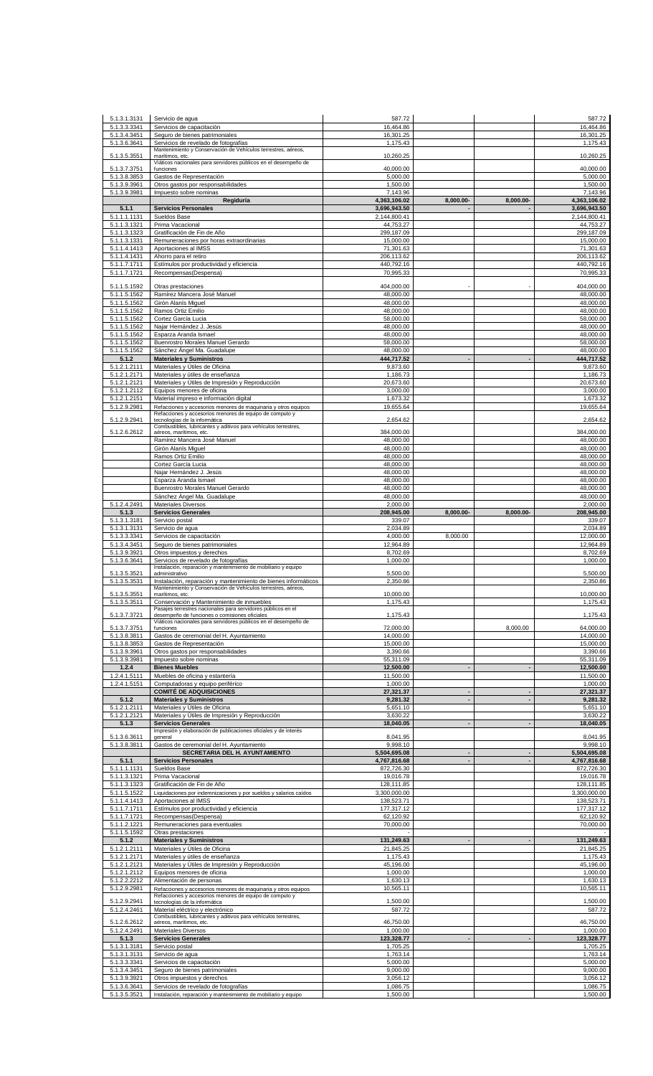| 5.1.3.1.3131                 | Servicio de aqua                                                                                                 | 587.72                     |                |                | 587.72                     |
|------------------------------|------------------------------------------------------------------------------------------------------------------|----------------------------|----------------|----------------|----------------------------|
| 5.1.3.3.3341                 | Servicios de capacitación                                                                                        | 16,464.86                  |                |                | 16,464.86                  |
| 5.1.3.4.3451                 | Seguro de bienes patrimoniales                                                                                   | 16,301.25                  |                |                | 16,301.25                  |
| 5.1.3.6.3641                 | Servicios de revelado de fotografías<br>Mantenimiento y Conservación de Vehículos terrestres, aéreos,            | 1,175.43                   |                |                | 1,175.43                   |
| 5.1.3.5.3551                 | marítimos, etc.                                                                                                  | 10,260.25                  |                |                | 10,260.25                  |
| 5.1.3.7.3751                 | Viáticos nacionales para servidores públicos en el desempeño de<br>funciones                                     | 40,000.00                  |                |                | 40,000.00                  |
| 5.1.3.8.3853                 | Gastos de Representación                                                                                         | 5,000.00                   |                |                | 5.000.00                   |
| 5.1.3.9.3961                 | Otros gastos por responsabilidades                                                                               | 1,500.00                   |                |                | 1,500.00                   |
| 5.1.3.9.3981                 | Impuesto sobre nominas<br>Regiduría                                                                              | 7,143.96<br>4,363,106.02   | 8,000.00-      | 8,000.00-      | 7,143.96<br>4,363,106.02   |
| 5.1.1                        | <b>Servicios Personales</b>                                                                                      | 3,696,943.50               |                |                | 3,696,943.50               |
| 5.1.1.1.1131                 | Sueldos Base                                                                                                     | 2,144,800.41               |                |                | 2,144,800.41               |
| 5.1.1.3.1321                 | Prima Vacacional                                                                                                 | 44,753.27                  |                |                | 44,753.27                  |
| 5.1.1.3.1323<br>5.1.1.3.1331 | Gratificación de Fin de Año<br>Remuneraciones por horas extraordinarias                                          | 299,187.09<br>15,000.00    |                |                | 299,187.09<br>15,000.00    |
| 5.1.1.4.1413                 | Aportaciones al IMSS                                                                                             | 71,301.63                  |                |                | 71,301.63                  |
| 5.1.1.4.1431                 | Ahorro para el retiro                                                                                            | 206,113.62                 |                |                | 206,113.62                 |
| 5.1.1.7.1711                 | Estímulos por productividad y eficiencia                                                                         | 440,792.16                 |                |                | 440,792.16                 |
| 5.1.1.7.1721                 | Recompensas(Despensa)                                                                                            | 70,995.33                  |                |                | 70,995.33                  |
| 5.1.1.5.1592                 | Otras prestaciones                                                                                               | 404,000.00                 |                |                | 404,000.00                 |
| 5.1.1.5.1562                 | Ramírez Mancera José Manuel                                                                                      | 48,000.00                  |                |                | 48,000.00                  |
| 5.1.1.5.1562<br>5.1.1.5.1562 | Girón Alanís Miguel<br>Ramos Ortiz Emilio                                                                        | 48,000.00<br>48,000.00     |                |                | 48,000.00<br>48,000.00     |
| 5.1.1.5.1562                 | Cortez García Lucia                                                                                              | 58,000.00                  |                |                | 58,000.00                  |
| 5.1.1.5.1562                 | Najar Hernández J. Jesús                                                                                         | 48,000.00                  |                |                | 48,000.00                  |
| 5.1.1.5.1562                 | Esparza Aranda Ismael                                                                                            | 48,000.00                  |                |                | 48,000.00                  |
| 5.1.1.5.1562                 | Buenrostro Morales Manuel Gerardo                                                                                | 58,000.00                  |                |                | 58,000.00                  |
| 5.1.1.5.1562<br>5.1.2        | Sánchez Ángel Ma. Guadalupe<br><b>Materiales y Suministros</b>                                                   | 48,000.00<br>444,717.52    |                |                | 48,000.00<br>444,717.52    |
| 5.1.2.1.2111                 | Materiales y Útiles de Oficina                                                                                   | 9,873.60                   |                |                | 9,873.60                   |
| 5.1.2.1.2171                 | Materiales y útiles de enseñanza                                                                                 | 1,186.73                   |                |                | 1,186.73                   |
| 5.1.2.1.2121                 | Materiales y Útiles de Impresión y Reproducción                                                                  | 20,673.60                  |                |                | 20,673.60                  |
| 5.1.2.1.2112<br>5.1.2.1.2151 | Equipos menores de oficina<br>Material impreso e información digital                                             | 3,000.00<br>1,673.32       |                |                | 3,000.00<br>1,673.32       |
| 5.1.2.9.2981                 | Refacciones y accesorios menores de maquinaria y otros equipos                                                   | 19,655.64                  |                |                | 19,655.64                  |
|                              | Refacciones y accesorios menores de equipo de computo y<br>tecnologías de la informática                         | 2,654.62                   |                |                | 2,654.62                   |
| 5.1.2.9.2941                 | Combustibles, lubricantes y aditivos para vehículos terrestres,                                                  |                            |                |                |                            |
| 5.1.2.6.2612                 | aéreos, marítimos, etc.                                                                                          | 384,000.00                 |                |                | 384,000.00                 |
|                              | Ramírez Mancera José Manuel<br>Girón Alanís Miguel                                                               | 48,000.00<br>48,000.00     |                |                | 48,000.00<br>48,000.00     |
|                              | Ramos Ortiz Emilio                                                                                               | 48,000.00                  |                |                | 48,000.00                  |
|                              | Cortez García Lucia                                                                                              | 48,000.00                  |                |                | 48,000.00                  |
|                              | Najar Hernández J. Jesús                                                                                         | 48,000.00                  |                |                | 48,000.00                  |
|                              | Esparza Aranda Ismael                                                                                            | 48,000.00                  |                |                | 48,000.00                  |
|                              | Buenrostro Morales Manuel Gerardo<br>Sánchez Ángel Ma. Guadalupe                                                 | 48,000.00<br>48,000.00     |                |                | 48,000.00<br>48,000.00     |
| 5.1.2.4.2491                 | <b>Materiales Diversos</b>                                                                                       | 2,000.00                   |                |                | 2,000.00                   |
| 5.1.3                        | <b>Servicios Generales</b>                                                                                       | 208,945.00                 | 8,000.00-      | 8,000.00-      | 208,945.00                 |
| 5.1.3.1.3181                 | Servicio postal                                                                                                  | 339.07                     |                |                | 339.07                     |
| 5.1.3.1.3131<br>5.1.3.3.3341 | Servicio de agua<br>Servicios de capacitación                                                                    | 2,034.89<br>4,000.00       | 8,000.00       |                | 2,034.89<br>12,000.00      |
| 5.1.3.4.3451                 | Seguro de bienes patrimoniales                                                                                   | 12,964.89                  |                |                | 12,964.89                  |
| 5.1.3.9.3921                 | Otros impuestos y derechos                                                                                       | 8,702.69                   |                |                | 8,702.69                   |
| 5.1.3.6.3641                 | Servicios de revelado de fotografías                                                                             | 1,000.00                   |                |                | 1,000.00                   |
| 5.1.3.5.3521                 | Instalación, reparación y mantenimiento de mobiliario y equipo<br>administrativo                                 | 5,500.00                   |                |                | 5,500.00                   |
| 5.1.3.5.3531                 | Instalación, reparación y mantenimiento de bienes informáticos                                                   | 2.350.86                   |                |                | 2,350.86                   |
|                              |                                                                                                                  |                            |                |                | 10,000.00                  |
|                              | Mantenimiento y Conservación de Vehículos terrestres, aéreos,                                                    |                            |                |                |                            |
| 5.1.3.5.3551<br>5.1.3.5.3511 | marítimos, etc.<br>Conservación y Mantenimiento de inmuebles                                                     | 10,000.00<br>1,175.43      |                |                | 1,175.43                   |
|                              | Pasajes terrestres nacionales para servidores públicos en el                                                     |                            |                |                |                            |
| 5.1.3.7.3721                 | desempeño de funciones o comisiones oficiales<br>Viáticos nacionales para servidores públicos en el desempeño de | 1,175.43                   |                |                | 1,175.43                   |
| 5.1.3.7.3751                 | funciones                                                                                                        | 72,000.00                  |                | 8,000.00       | 64,000.00                  |
| 5.1.3.8.3811                 | Gastos de ceremonial del H. Ayuntamiento                                                                         | 14.000.00                  |                |                | 14,000.00                  |
| 5.1.3.8.3853<br>5.1.3.9.3961 | Gastos de Representación<br>Otros gastos por responsabilidades                                                   | 15,000.00<br>3,390.66      |                |                | 15,000.00<br>3,390.66      |
| 5.1.3.9.3981                 | Impuesto sobre nominas                                                                                           | 55.311.09                  |                |                | 55,311.09                  |
| 1.2.4                        | <b>Bienes Muebles</b>                                                                                            | 12,500.00                  | $\blacksquare$ |                | 12,500.00                  |
| 1.2.4.1.5111                 | Muebles de oficina y estantería                                                                                  | 11,500.00                  |                |                | 11,500.00                  |
| 1.2.4.1.5151                 | Computadoras y equipo periférico<br><b>COMITÉ DE ADQUISICIONES</b>                                               | 1,000.00<br>27,321.37      | $\blacksquare$ |                | 1,000.00<br>27,321.37      |
| 5.1.2                        | <b>Materiales y Suministros</b>                                                                                  | 9,281.32                   | $\blacksquare$ | $\blacksquare$ | 9,281.32                   |
| 5.1.2.1.2111                 | Materiales y Útiles de Oficina                                                                                   | 5,651.10                   |                |                | 5,651.10                   |
| 5.1.2.1.2121                 | Materiales y Útiles de Impresión y Reproducción<br><b>Servicios Generales</b>                                    | 3,630.22<br>18,040.05      |                |                | 3,630.22                   |
| 5.1.3                        | Impresión y elaboración de publicaciones oficiales y de interés                                                  |                            |                |                | 18,040.05                  |
| 5.1.3.6.3611                 | general                                                                                                          | 8,041.95                   |                |                | 8,041.95                   |
| 5.1.3.8.3811                 | Gastos de ceremonial del H. Ayuntamiento<br>SECRETARIA DEL H. AYUNTAMIENTO                                       | 9,998.10<br>5,504,695.08   | $\blacksquare$ |                | 9,998.10<br>5,504,695.08   |
| 5.1.1                        | <b>Servicios Personales</b>                                                                                      | 4,767,816.68               | $\blacksquare$ | $\blacksquare$ | 4,767,816.68               |
| 5.1.1.1.1131                 | Sueldos Base                                                                                                     | 872,726.30                 |                |                | 872,726.30                 |
| 5.1.1.3.1321                 | Prima Vacacional                                                                                                 | 19,016.78                  |                |                | 19,016.78                  |
| 5.1.1.3.1323<br>5.1.1.5.1522 | Gratificación de Fin de Año<br>Liquidaciones por indemnizaciones y por sueldos y salarios caídos                 | 128,111.85<br>3,300,000.00 |                |                | 128,111.85<br>3,300,000.00 |
| 5.1.1.4.1413                 | Aportaciones al IMSS                                                                                             | 138,523.71                 |                |                | 138,523.71                 |
| 5.1.1.7.1711                 | Estímulos por productividad y eficiencia                                                                         | 177,317.12                 |                |                | 177,317.12                 |
| 5.1.1.7.1721                 | Recompensas(Despensa)                                                                                            | 62,120.92                  |                |                | 62,120.92                  |
| 5.1.1.2.1221                 | Remuneraciones para eventuales                                                                                   | 70,000.00                  |                |                | 70,000.00                  |
| 5.1.1.5.1592<br>5.1.2        | Otras prestaciones<br><b>Materiales y Suministros</b>                                                            | 131,249.63                 | $\blacksquare$ | $\blacksquare$ | 131,249.63                 |
| 5.1.2.1.2111                 | Materiales y Útiles de Oficina                                                                                   | 21,845.25                  |                |                | 21,845.25                  |
| 5.1.2.1.2171                 | Materiales y útiles de enseñanza                                                                                 | 1,175.43                   |                |                | 1,175.43                   |
| 5.1.2.1.2121                 | Materiales y Útiles de Impresión y Reproducción                                                                  | 45,196.00                  |                |                | 45,196.00                  |
| 5.1.2.1.2112<br>5.1.2.2.2212 | Equipos menores de oficina<br>Alimentación de personas                                                           | 1,000.00<br>1,630.13       |                |                | 1,000.00<br>1,630.13       |
| 5.1.2.9.2981                 | Refacciones y accesorios menores de maquinaria y otros equipos                                                   | 10,565.11                  |                |                | 10,565.11                  |
| 5.1.2.9.2941                 | Refacciones y accesorios menores de equipo de computo y                                                          | 1,500.00                   |                |                | 1,500.00                   |
| 5.1.2.4.2461                 | tecnologías de la informática<br>Material eléctrico y electrónico                                                | 587.72                     |                |                | 587.72                     |
|                              | Combustibles, lubricantes y aditivos para vehículos terrestres,                                                  |                            |                |                |                            |
| 5.1.2.6.2612<br>5.1.2.4.2491 | aéreos, marítimos, etc.<br>Materiales Diversos                                                                   | 46,750.00<br>1,000.00      |                |                | 46,750.00<br>1,000.00      |
| 5.1.3                        | <b>Servicios Generales</b>                                                                                       | 123,328.77                 |                |                | 123,328.77                 |
| 5.1.3.1.3181                 | Servicio postal                                                                                                  | 1,705.25                   |                |                | 1,705.25                   |
| 5.1.3.1.3131                 | Servicio de agua                                                                                                 | 1,763.14                   |                |                | 1,763.14                   |
| 5.1.3.3.3341<br>5.1.3.4.3451 | Servicios de capacitación<br>Seguro de bienes patrimoniales                                                      | 5,000.00<br>9,000.00       |                |                | 5,000.00<br>9.000.00       |
| 5.1.3.9.3921                 | Otros impuestos y derechos                                                                                       | 3,056.12                   |                |                | 3,056.12                   |
| 5.1.3.6.3641<br>5.1.3.5.3521 | Servicios de revelado de fotografías<br>Instalación, reparación y mantenimiento de mobiliario y equipo           | 1,086.75<br>1,500.00       |                |                | 1,086.75<br>1,500.00       |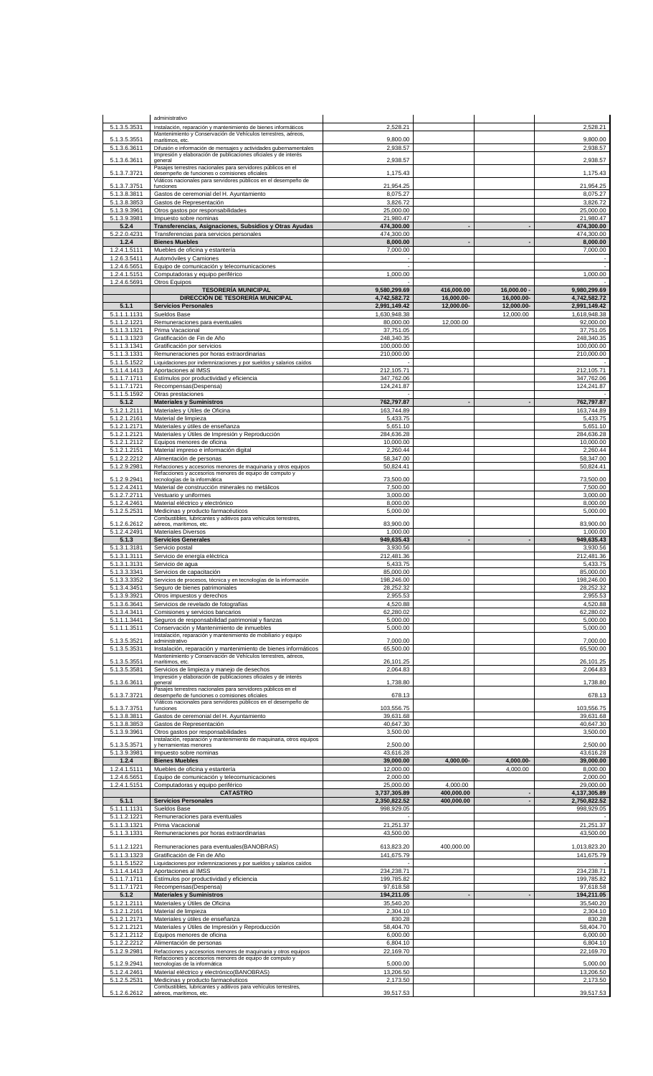|              | administrativo                                                                             |              |                          |                          |              |
|--------------|--------------------------------------------------------------------------------------------|--------------|--------------------------|--------------------------|--------------|
| 5.1.3.5.3531 | Instalación, reparación y mantenimiento de bienes informáticos                             | 2,528.21     |                          |                          | 2,528.21     |
|              | Mantenimiento y Conservación de Vehículos terrestres, aéreos,                              |              |                          |                          |              |
| 5.1.3.5.3551 | marítimos, etc.                                                                            | 9,800.00     |                          |                          | 9,800.00     |
| 5.1.3.6.3611 | Difusión e información de mensajes y actividades gubernamentales                           | 2,938.57     |                          |                          | 2,938.57     |
|              | Impresión y elaboración de publicaciones oficiales y de interés                            |              |                          |                          |              |
| 5.1.3.6.3611 | general<br>Pasajes terrestres nacionales para servidores públicos en el                    | 2,938.57     |                          |                          | 2,938.57     |
| 5.1.3.7.3721 | desempeño de funciones o comisiones oficiales                                              | 1,175.43     |                          |                          | 1,175.43     |
|              | Viáticos nacionales para servidores públicos en el desempeño de                            |              |                          |                          |              |
| 5.1.3.7.3751 | funciones                                                                                  | 21,954.25    |                          |                          | 21,954.25    |
| 5.1.3.8.3811 | Gastos de ceremonial del H. Ayuntamiento                                                   | 8,075.27     |                          |                          | 8,075.27     |
| 5.1.3.8.3853 | Gastos de Representación                                                                   | 3,826.72     |                          |                          | 3,826.72     |
| 5.1.3.9.3961 | Otros gastos por responsabilidades                                                         | 25,000.00    |                          |                          | 25,000.00    |
| 5.1.3.9.3981 | Impuesto sobre nominas                                                                     | 21,980.47    |                          |                          | 21,980.47    |
| 5.2.4        | Transferencias, Asignaciones, Subsidios y Otras Ayudas                                     | 474,300.00   | $\blacksquare$           |                          | 474,300.00   |
| 5.2.2.0.4231 | Transferencias para servicios personales                                                   | 474,300.00   |                          |                          | 474,300.00   |
| 1.2.4        | <b>Bienes Muebles</b>                                                                      | 8,000.00     |                          |                          | 8,000.00     |
|              |                                                                                            |              |                          |                          |              |
| 1.2.4.1.5111 | Muebles de oficina y estantería                                                            | 7,000.00     |                          |                          | 7,000.00     |
| 1.2.6.3.5411 | Automóviles y Camiones                                                                     |              |                          |                          |              |
| 1.2.4.6.5651 | Equipo de comunicación y telecomunicaciones                                                |              |                          |                          |              |
| 1.2.4.1.5151 | Computadoras y equipo periférico                                                           | 1,000.00     |                          |                          | 1,000.00     |
| 1.2.4.6.5691 | Otros Equipos                                                                              |              |                          |                          |              |
|              | <b>TESORERÍA MUNICIPAL</b>                                                                 | 9,580,299.69 | 416,000.00               | $16,000.00 -$            | 9,980,299.69 |
|              | DIRECCIÓN DE TESORERÍA MUNICIPAL                                                           | 4,742,582.72 | 16,000.00-               | 16,000.00-               | 4,742,582.72 |
| 5.1.1        | <b>Servicios Personales</b>                                                                | 2,991,149.42 | 12,000.00-               | 12,000.00-               | 2,991,149.42 |
| 5.1.1.1.1131 | Sueldos Base                                                                               | 1,630,948.38 |                          | 12,000.00                | 1,618,948.38 |
| 5.1.1.2.1221 | Remuneraciones para eventuales                                                             | 80,000.00    | 12,000.00                |                          | 92,000.00    |
| 5.1.1.3.1321 | Prima Vacacional                                                                           | 37,751.05    |                          |                          | 37,751.05    |
| 5.1.1.3.1323 | Gratificación de Fin de Año                                                                | 248,340.35   |                          |                          | 248.340.35   |
| 5.1.1.3.1341 | Gratificación por servicios                                                                | 100,000.00   |                          |                          | 100,000.00   |
| 5.1.1.3.1331 |                                                                                            | 210,000.00   |                          |                          | 210,000.00   |
|              | Remuneraciones por horas extraordinarias                                                   |              |                          |                          |              |
| 5.1.1.5.1522 | Liquidaciones por indemnizaciones y por sueldos y salarios caídos                          |              |                          |                          |              |
| 5.1.1.4.1413 | Aportaciones al IMSS                                                                       | 212,105.71   |                          |                          | 212,105.71   |
| 5.1.1.7.1711 | Estímulos por productividad y eficiencia                                                   | 347,762.06   |                          |                          | 347,762.06   |
| 5.1.1.7.1721 | Recompensas(Despensa)                                                                      | 124.241.87   |                          |                          | 124,241.87   |
| 5.1.1.5.1592 | Otras prestaciones                                                                         |              |                          |                          |              |
| 5.1.2        | <b>Materiales y Suministros</b>                                                            | 762,797.87   | $\overline{\phantom{a}}$ |                          | 762,797.87   |
| 5.1.2.1.2111 | Materiales y Útiles de Oficina                                                             | 163,744.89   |                          |                          | 163,744.89   |
| 5.1.2.1.2161 | Material de limpieza                                                                       | 5,433.75     |                          |                          | 5,433.75     |
| 5.1.2.1.2171 | Materiales y útiles de enseñanza                                                           | 5,651.10     |                          |                          | 5,651.10     |
|              |                                                                                            |              |                          |                          | 284,636.28   |
| 5.1.2.1.2121 | Materiales y Útiles de Impresión y Reproducción                                            | 284,636.28   |                          |                          |              |
| 5.1.2.1.2112 | Equipos menores de oficina                                                                 | 10,000.00    |                          |                          | 10,000.00    |
| 5.1.2.1.2151 | Material impreso e información digital                                                     | 2,260.44     |                          |                          | 2,260.44     |
| 5.1.2.2.2212 | Alimentación de personas                                                                   | 58,347.00    |                          |                          | 58,347.00    |
| 5.1.2.9.2981 | Refacciones y accesorios menores de maquinaria y otros equipos                             | 50,824.41    |                          |                          | 50,824.41    |
|              | Refacciones y accesorios menores de equipo de computo y                                    |              |                          |                          |              |
| 5.1.2.9.2941 | tecnologías de la informática                                                              | 73,500.00    |                          |                          | 73,500.00    |
| 5.1.2.4.2411 | Material de construcción minerales no metálicos                                            | 7,500.00     |                          |                          | 7,500.00     |
| 5.1.2.7.2711 | Vestuario y uniformes                                                                      | 3,000.00     |                          |                          | 3,000.00     |
| 5.1.2.4.2461 | Material eléctrico y electrónico                                                           | 8,000.00     |                          |                          | 8,000.00     |
| 5.1.2.5.2531 | Medicinas y producto farmacéuticos                                                         | 5,000.00     |                          |                          | 5,000.00     |
|              | Combustibles, lubricantes y aditivos para vehículos terrestres,                            |              |                          |                          |              |
| 5.1.2.6.2612 | aéreos, marítimos, etc.                                                                    | 83,900.00    |                          |                          | 83,900.00    |
| 5.1.2.4.2491 | <b>Materiales Diversos</b>                                                                 | 1,000.00     |                          |                          | 1,000.00     |
| 5.1.3        | <b>Servicios Generales</b>                                                                 | 949,635.43   |                          |                          | 949,635.43   |
| 5.1.3.1.3181 | Servicio postal                                                                            | 3,930.56     |                          |                          | 3,930.56     |
| 5.1.3.1.3111 | Servicio de energía eléctrica                                                              | 212,481.36   |                          |                          | 212,481.36   |
| 5.1.3.1.3131 | Servicio de agua                                                                           | 5,433.75     |                          |                          | 5,433.75     |
| 5.1.3.3.3341 | Servicios de capacitación                                                                  | 85,000.00    |                          |                          | 85,000.00    |
|              |                                                                                            |              |                          |                          |              |
|              |                                                                                            |              |                          |                          |              |
| 5.1.3.3.3352 | Servicios de procesos, técnica y en tecnologías de la información                          | 198,246.00   |                          |                          | 198,246.00   |
| 5.1.3.4.3451 | Seguro de bienes patrimoniales                                                             | 28,252.32    |                          |                          | 28,252.32    |
| 5.1.3.9.3921 | Otros impuestos y derechos                                                                 | 2,955.53     |                          |                          | 2,955.53     |
| 5.1.3.6.3641 | Servicios de revelado de fotografías                                                       | 4,520.88     |                          |                          | 4,520.88     |
| 5.1.3.4.3411 | Comisiones y servicios bancarios                                                           | 62,280.02    |                          |                          | 62,280.02    |
| 5.1.1.1.3441 | Seguros de responsabilidad patrimonial y fianzas                                           | 5,000.00     |                          |                          | 5,000.00     |
| 5.1.1.1.3511 | Conservación y Mantenimiento de inmuebles                                                  | 5,000.00     |                          |                          | 5,000.00     |
|              | Instalación, reparación y mantenimiento de mobiliario y equipo                             |              |                          |                          |              |
| 5.1.3.5.3521 | administrativo                                                                             | 7,000.00     |                          |                          | 7,000.00     |
| 5.1.3.5.3531 | Instalación, reparación y mantenimiento de bienes informáticos                             | 65,500.00    |                          |                          | 65,500.00    |
|              | Mantenimiento y Conservación de Vehículos terrestres, aéreos,                              |              |                          |                          |              |
| 5.1.3.5.3551 | marítimos, etc.                                                                            | 26,101.25    |                          |                          | 26,101.25    |
| 5.1.3.5.3581 | Servicios de limpieza y manejo de desechos                                                 | 2,064.83     |                          |                          | 2,064.83     |
|              | Impresión y elaboración de publicaciones oficiales y de interés                            |              |                          |                          |              |
| 5.1.3.6.3611 | general<br>Pasajes terrestres nacionales para servidores públicos en el                    | 1,738.80     |                          |                          | 1,738.80     |
| 5.1.3.7.3721 | desempeño de funciones o comisiones oficiales                                              | 678.13       |                          |                          | 678.13       |
|              | Viáticos nacionales para servidores públicos en el desempeño de                            |              |                          |                          |              |
| 5.1.3.7.3751 | funciones                                                                                  | 103,556.75   |                          |                          | 103,556.75   |
| 5.1.3.8.3811 | Gastos de ceremonial del H. Ayuntamiento                                                   | 39,631.68    |                          |                          | 39,631.68    |
| 5.1.3.8.3853 | Gastos de Representación                                                                   | 40,647.30    |                          |                          | 40.647.30    |
| 5.1.3.9.3961 | Otros gastos por responsabilidades                                                         | 3,500.00     |                          |                          | 3,500.00     |
|              | Instalación, reparación y mantenimiento de maquinaria, otros equipos                       |              |                          |                          |              |
| 5.1.3.5.3571 | y herramientas menores                                                                     | 2,500.00     |                          |                          | 2,500.00     |
| 5.1.3.9.3981 | Impuesto sobre nominas                                                                     | 43,616.28    |                          |                          | 43,616.28    |
| 1.2.4        | <b>Bienes Muebles</b>                                                                      | 39,000.00    | 4,000.00-                | 4,000.00-                | 39,000.00    |
| 1.2.4.1.5111 | Muebles de oficina y estantería                                                            | 12,000.00    |                          | 4,000.00                 | 8,000.00     |
| 1.2.4.6.5651 | Equipo de comunicación y telecomunicaciones                                                | 2,000.00     |                          |                          | 2,000.00     |
| 1.2.4.1.5151 | Computadoras y equipo periférico                                                           | 25,000.00    | 4,000.00                 |                          | 29,000.00    |
|              | <b>CATASTRO</b>                                                                            | 3,737,305.89 | 400,000.00               |                          | 4,137,305.89 |
| 5.1.1        | <b>Servicios Personales</b>                                                                | 2,350,822.52 | 400,000.00               | $\overline{\phantom{a}}$ | 2,750,822.52 |
|              |                                                                                            |              |                          |                          |              |
| 5.1.1.1.1131 | Sueldos Base                                                                               | 998,929.05   |                          |                          | 998,929.05   |
| 5.1.1.2.1221 | Remuneraciones para eventuales                                                             |              |                          |                          |              |
| 5.1.1.3.1321 | Prima Vacacional                                                                           | 21,251.37    |                          |                          | 21,251.37    |
| 5.1.1.3.1331 | Remuneraciones por horas extraordinarias                                                   | 43,500.00    |                          |                          | 43,500.00    |
|              |                                                                                            |              |                          |                          |              |
| 5.1.1.2.1221 | Remuneraciones para eventuales (BANOBRAS)                                                  | 613,823.20   | 400,000.00               |                          | 1,013,823.20 |
| 5.1.1.3.1323 | Gratificación de Fin de Año                                                                | 141,675.79   |                          |                          | 141,675.79   |
| 5.1.1.5.1522 | Liquidaciones por indemnizaciones y por sueldos y salarios caídos                          |              |                          |                          |              |
| 5.1.1.4.1413 | Aportaciones al IMSS                                                                       | 234,238.71   |                          |                          | 234,238.71   |
| 5.1.1.7.1711 | Estímulos por productividad y eficiencia                                                   | 199,785.82   |                          |                          | 199,785.82   |
| 5.1.1.7.1721 | Recompensas(Despensa)                                                                      | 97,618.58    |                          |                          | 97,618.58    |
| 5.1.2        | <b>Materiales y Suministros</b>                                                            | 194,211.05   |                          |                          | 194,211.05   |
| 5.1.2.1.2111 | Materiales y Útiles de Oficina                                                             | 35,540.20    |                          |                          | 35,540.20    |
|              |                                                                                            |              |                          |                          |              |
| 5.1.2.1.2161 | Material de limpieza                                                                       | 2,304.10     |                          |                          | 2,304.10     |
| 5.1.2.1.2171 | Materiales y útiles de enseñanza                                                           | 830.28       |                          |                          | 830.28       |
| 5.1.2.1.2121 | Materiales y Útiles de Impresión y Reproducción                                            | 58,404.70    |                          |                          | 58,404.70    |
| 5.1.2.1.2112 | Equipos menores de oficina                                                                 | 6,000.00     |                          |                          | 6.000.00     |
| 5.1.2.2.2212 | Alimentación de personas                                                                   | 6,804.10     |                          |                          | 6,804.10     |
| 5.1.2.9.2981 | Refacciones y accesorios menores de maquinaria y otros equipos                             | 22,169.70    |                          |                          | 22,169.70    |
|              | Refacciones y accesorios menores de equipo de computo y                                    |              |                          |                          |              |
| 5.1.2.9.2941 | tecnologías de la informática                                                              | 5,000.00     |                          |                          | 5,000.00     |
| 5.1.2.4.2461 | Material eléctrico y electrónico(BANOBRAS)                                                 | 13,206.50    |                          |                          | 13,206.50    |
| 5.1.2.5.2531 | Medicinas y producto farmacéuticos                                                         | 2,173.50     |                          |                          | 2,173.50     |
| 5.1.2.6.2612 | Combustibles, lubricantes y aditivos para vehículos terrestres,<br>aéreos, marítimos, etc. | 39,517.53    |                          |                          | 39,517.53    |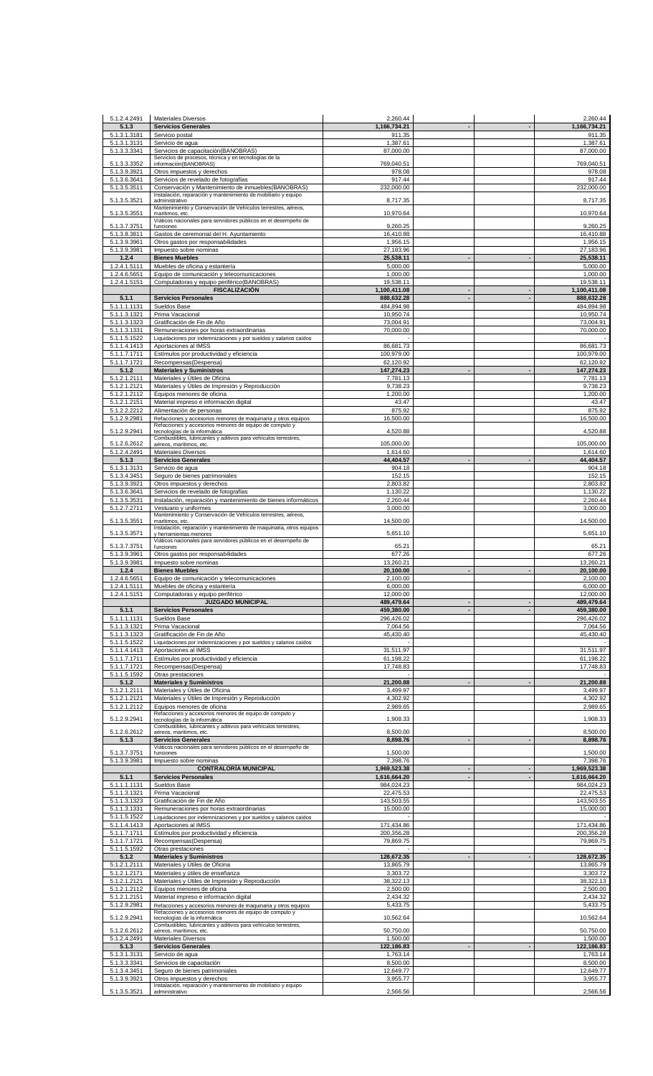| 5.1.2.4.2491                 | <b>Materiales Diversos</b>                                                                                                | 2,260.44                 |                                |                | 2.260.44                 |
|------------------------------|---------------------------------------------------------------------------------------------------------------------------|--------------------------|--------------------------------|----------------|--------------------------|
| 5.1.3                        | <b>Servicios Generales</b>                                                                                                | 1,166,734.21             |                                |                | 1,166,734.21             |
| 5.1.3.1.3181                 | Servicio postal                                                                                                           | 911.35                   |                                |                | 911.35                   |
| 5.1.3.1.3131                 | Servicio de agua                                                                                                          | 1,387.61                 |                                |                | 1,387.61                 |
| 5.1.3.3.3341                 | Servicios de capacitación (BANOBRAS)<br>Servicios de procesos, técnica y en tecnologías de la                             | 87,000.00                |                                |                | 87.000.00                |
| 5.1.3.3.3352                 | información(BANOBRAS)                                                                                                     | 769,040.51               |                                |                | 769,040.51               |
| 5.1.3.9.3921                 | Otros impuestos y derechos                                                                                                | 978.08                   |                                |                | 978.08                   |
| 5.1.3.6.3641                 | Servicios de revelado de fotografías                                                                                      | 917.44                   |                                |                | 917.44                   |
| 5.1.3.5.3511                 | Conservación y Mantenimiento de inmuebles(BANOBRAS)<br>Instalación, reparación y mantenimiento de mobiliario y equipo     | 232,000.00               |                                |                | 232,000.00               |
| 5.1.3.5.3521                 | administrativo                                                                                                            | 8,717.35                 |                                |                | 8,717.35                 |
| 5.1.3.5.3551                 | Mantenimiento y Conservación de Vehículos terrestres, aéreos,<br>marítimos, etc.                                          | 10,970.64                |                                |                | 10,970.64                |
|                              | Viáticos nacionales para servidores públicos en el desempeño de                                                           |                          |                                |                |                          |
| 5.1.3.7.3751                 | funciones                                                                                                                 | 9,260.25                 |                                |                | 9,260.25                 |
| 5.1.3.8.3811<br>5.1.3.9.3961 | Gastos de ceremonial del H. Ayuntamiento<br>Otros gastos por responsabilidades                                            | 16,410.88                |                                |                | 16,410.88                |
| 5.1.3.9.3981                 | Impuesto sobre nominas                                                                                                    | 1,956.15<br>27,183.96    |                                |                | 1,956.15<br>27.183.96    |
| 1.2.4                        | <b>Bienes Muebles</b>                                                                                                     | 25,538.11                | $\overline{\phantom{a}}$       | $\blacksquare$ | 25,538.11                |
| 1.2.4.1.5111                 | Muebles de oficina y estantería                                                                                           | 5,000.00                 |                                |                | 5,000.00                 |
| 1.2.4.6.5651                 | Equipo de comunicación y telecomunicaciones                                                                               | 1,000.00                 |                                |                | 1,000.00                 |
| 1.2.4.1.5151                 | Computadoras y equipo periférico(BANOBRAS)                                                                                | 19,538.11                |                                |                | 19,538.11                |
|                              | <b>FISCALIZACIÓN</b>                                                                                                      | 1,100,411.08             | $\overline{\phantom{a}}$<br>÷, | $\blacksquare$ | 1,100,411.08             |
| 5.1.1<br>5.1.1.1.1131        | <b>Servicios Personales</b><br>Sueldos Base                                                                               | 888,632.28<br>484,894.98 |                                |                | 888,632.28<br>484,894.98 |
| 5.1.1.3.1321                 | Prima Vacacional                                                                                                          | 10,950.74                |                                |                | 10,950.74                |
| 5.1.1.3.1323                 | Gratificación de Fin de Año                                                                                               | 73,004.91                |                                |                | 73,004.91                |
| 5.1.1.3.1331                 | Remuneraciones por horas extraordinarias                                                                                  | 70,000.00                |                                |                | 70,000.00                |
| 5.1.1.5.1522                 | Liquidaciones por indemnizaciones y por sueldos y salarios caídos                                                         |                          |                                |                |                          |
| 5.1.1.4.1413                 | Aportaciones al IMSS                                                                                                      | 86,681.73                |                                |                | 86,681.73                |
| 5.1.1.7.1711<br>5.1.1.7.1721 | Estímulos por productividad y eficiencia                                                                                  | 100,979.00<br>62,120.92  |                                |                | 100.979.00<br>62,120.92  |
| 5.1.2                        | Recompensas(Despensa)<br><b>Materiales y Suministros</b>                                                                  | 147,274.23               |                                |                | 147,274.23               |
| 5.1.2.1.2111                 | Materiales y Útiles de Oficina                                                                                            | 7,781.13                 |                                |                | 7,781.13                 |
| 5.1.2.1.2121                 | Materiales y Útiles de Impresión y Reproducción                                                                           | 9,738.23                 |                                |                | 9,738.23                 |
| 5.1.2.1.2112                 | Equipos menores de oficina                                                                                                | 1.200.00                 |                                |                | 1,200.00                 |
| 5.1.2.1.2151                 | Material impreso e información digital                                                                                    | 43.47                    |                                |                | 43.47                    |
| 5.1.2.2.2212                 | Alimentación de personas                                                                                                  | 875.92                   |                                |                | 875.92<br>16,500.00      |
| 5.1.2.9.2981                 | Refacciones y accesorios menores de maquinaria y otros equipos<br>Refacciones y accesorios menores de equipo de computo y | 16,500.00                |                                |                |                          |
| 5.1.2.9.2941                 | tecnologías de la informática                                                                                             | 4,520.88                 |                                |                | 4,520.88                 |
| 5.1.2.6.2612                 | Combustibles, lubricantes y aditivos para vehículos terrestres,<br>aéreos, marítimos, etc.                                | 105,000.00               |                                |                | 105,000.00               |
| 5.1.2.4.2491                 | <b>Materiales Diversos</b>                                                                                                | 1,614.60                 |                                |                | 1,614.60                 |
| 5.1.3                        | <b>Servicios Generales</b>                                                                                                | 44,404.57                |                                |                | 44,404.57                |
| 5.1.3.1.3131                 | Servicio de agua                                                                                                          | 904.18                   |                                |                | 904.18                   |
| 5.1.3.4.3451                 | Seguro de bienes patrimoniales                                                                                            | 152.15                   |                                |                | 152.15                   |
| 5.1.3.9.3921                 | Otros impuestos y derechos                                                                                                | 2,803.82                 |                                |                | 2,803.82                 |
| 5.1.3.6.3641<br>5.1.3.5.3531 | Servicios de revelado de fotografías<br>Instalación, reparación y mantenimiento de bienes informáticos                    | 1,130.22<br>2,260.44     |                                |                | 1,130.22<br>2,260.44     |
| 5.1.2.7.2711                 | Vestuario y uniformes                                                                                                     | 3,000.00                 |                                |                | 3,000.00                 |
|                              | Mantenimiento y Conservación de Vehículos terrestres, aéreos,                                                             |                          |                                |                |                          |
| 5.1.3.5.3551                 | marítimos, etc.<br>Instalación, reparación y mantenimiento de maquinaria, otros equipos                                   | 14,500.00                |                                |                | 14,500.00                |
| 5.1.3.5.3571                 | y herramientas menores                                                                                                    | 5,651.10                 |                                |                | 5,651.10                 |
| 5.1.3.7.3751                 | Viáticos nacionales para servidores públicos en el desempeño de<br>funciones                                              |                          |                                |                | 65.21                    |
| 5.1.3.9.3961                 | Otros gastos por responsabilidades                                                                                        | 65.21<br>677.26          |                                |                | 677.26                   |
| 5.1.3.9.3981                 | Impuesto sobre nominas                                                                                                    | 13,260.21                |                                |                | 13,260.21                |
| 1.2.4                        | <b>Bienes Muebles</b>                                                                                                     | 20,100.00                | $\overline{\phantom{a}}$       |                | 20,100.00                |
| 1.2.4.6.5651                 | Equipo de comunicación y telecomunicaciones                                                                               | 2,100.00                 |                                |                | 2,100.00                 |
| 1.2.4.1.5111                 | Muebles de oficina y estantería                                                                                           | 6,000.00                 |                                |                | 6,000.00                 |
| 1.2.4.1.5151                 | Computadoras y equipo periférico<br><b>JUZGADO MUNICIPAL</b>                                                              | 12,000.00<br>489,479.64  |                                |                | 12,000.00<br>489,479.64  |
| 5.1.1                        | <b>Servicios Personales</b>                                                                                               | 459,380.00               | $\blacksquare$                 | $\blacksquare$ | 459,380.00               |
| 5.1.1.1.1131                 | Sueldos Base                                                                                                              | 296,426.02               |                                |                | 296,426.02               |
| 5.1.1.3.1321                 | Prima Vacacional                                                                                                          | 7.064.56                 |                                |                | 7,064.56                 |
| 5.1.1.3.1323                 | Gratificación de Fin de Año                                                                                               | 45,430.40                |                                |                | 45,430.40                |
| 5.1.1.5.1522                 | Liquidaciones por indemnizaciones y por sueldos y salarios caídos                                                         |                          |                                |                |                          |
| 5.1.1.4.1413                 | Aportaciones al IMSS                                                                                                      | 31,511.97                |                                |                | 31,511.97                |
| 5.1.1.7.1711<br>5.1.1.7.1721 | Estímulos por productividad y eficiencia<br>Recompensas(Despensa)                                                         | 61,198.22<br>17,748.83   |                                |                | 61,198.22<br>17,748.83   |
| 5.1.1.5.1592                 | Otras prestaciones                                                                                                        |                          |                                |                |                          |
| 5.1.2                        | <b>Materiales y Suministros</b>                                                                                           | 21,200.88                |                                |                | 21,200.88                |
| 5.1.2.1.2111                 | Materiales y Útiles de Oficina                                                                                            | 3.499.97                 |                                |                | 3,499.97                 |
| 5.1.2.1.2121                 | Materiales y Útiles de Impresión y Reproducción                                                                           | 4,302.92                 |                                |                | 4,302.92                 |
| 5.1.2.1.2112                 | Equipos menores de oficina<br>Refacciones y accesorios menores de equipo de computo y                                     | 2,989.65                 |                                |                | 2,989.65                 |
| 5.1.2.9.2941                 | tecnologías de la informática                                                                                             | 1,908.33                 |                                |                | 1,908.33                 |
| 5.1.2.6.2612                 | Combustibles, lubricantes y aditivos para vehículos terrestres,<br>aéreos, marítimos, etc.                                | 8,500.00                 |                                |                | 8,500.00                 |
| 5.1.3                        | <b>Servicios Generales</b>                                                                                                | 8,898.76                 | $\overline{\phantom{a}}$       | $\blacksquare$ | 8,898.76                 |
|                              | Viáticos nacionales para servidores públicos en el desempeño de                                                           |                          |                                |                |                          |
| 5.1.3.7.3751                 | funciones                                                                                                                 | 1,500.00<br>7,398.76     |                                |                | 1,500.00<br>7,398.76     |
| 5.1.3.9.3981                 | Impuesto sobre nominas<br><b>CONTRALORÍA MUNICIPAL</b>                                                                    | 1,969,523.38             | $\overline{\phantom{a}}$       |                | 1,969,523.38             |
| 5.1.1                        | <b>Servicios Personales</b>                                                                                               | 1,616,664.20             | $\blacksquare$                 | $\blacksquare$ | 1,616,664.20             |
| 5.1.1.1.1131                 | Sueldos Base                                                                                                              | 984,024.23               |                                |                | 984,024.23               |
| 5.1.1.3.1321                 | Prima Vacacional                                                                                                          | 22,475.53                |                                |                | 22,475.53                |
| 5.1.1.3.1323                 | Gratificación de Fin de Año                                                                                               | 143,503.55               |                                |                | 143,503.55               |
| 5.1.1.3.1331<br>5.1.1.5.1522 | Remuneraciones por horas extraordinarias<br>Liquidaciones por indemnizaciones y por sueldos y salarios caídos             | 15,000.00                |                                |                | 15,000.00                |
| 5.1.1.4.1413                 | Aportaciones al IMSS                                                                                                      | 171,434.86               |                                |                | 171,434.86               |
| 5.1.1.7.1711                 | Estímulos por productividad y eficiencia                                                                                  | 200,356.28               |                                |                | 200,356.28               |
| 5.1.1.7.1721                 | Recompensas(Despensa)                                                                                                     | 79,869.75                |                                |                | 79,869.75                |
| 5.1.1.5.1592                 | Otras prestaciones                                                                                                        |                          |                                |                |                          |
| 5.1.2                        | <b>Materiales y Suministros</b>                                                                                           | 128,672.35               |                                |                | 128,672.35               |
| 5.1.2.1.2111<br>5.1.2.1.2171 | Materiales y Útiles de Oficina<br>Materiales y útiles de enseñanza                                                        | 13,865.79<br>3,303.72    |                                |                | 13,865.79<br>3,303.72    |
| 5.1.2.1.2121                 | Materiales y Útiles de Impresión y Reproducción                                                                           | 38,322.13                |                                |                | 38,322.13                |
| 5.1.2.1.2112                 | Equipos menores de oficina                                                                                                | 2,500.00                 |                                |                | 2,500.00                 |
| 5.1.2.1.2151                 | Material impreso e información digital                                                                                    | 2,434.32                 |                                |                | 2,434.32                 |
| 5.1.2.9.2981                 | Refacciones y accesorios menores de maquinaria y otros equipos                                                            | 5,433.75                 |                                |                | 5,433.75                 |
| 5.1.2.9.2941                 | Refacciones y accesorios menores de equipo de computo y<br>tecnologías de la informática                                  | 10,562.64                |                                |                | 10,562.64                |
|                              | Combustibles, lubricantes y aditivos para vehículos terrestres,                                                           |                          |                                |                |                          |
| 5.1.2.6.2612<br>5.1.2.4.2491 | aéreos, marítimos, etc.<br>Materiales Diversos                                                                            | 50,750.00<br>1.500.00    |                                |                | 50,750.00<br>1,500.00    |
| 5.1.3                        | <b>Servicios Generales</b>                                                                                                | 122,186.83               |                                |                | 122,186.83               |
| 5.1.3.1.3131                 | Servicio de agua                                                                                                          | 1,763.14                 |                                |                | 1,763.14                 |
| 5.1.3.3.3341                 | Servicios de capacitación                                                                                                 | 8,500.00                 |                                |                | 8,500.00                 |
| 5.1.3.4.3451                 | Seguro de bienes patrimoniales                                                                                            | 12,649.77                |                                |                | 12,649.77                |
| 5.1.3.9.3921                 | Otros impuestos y derechos<br>Instalación, reparación y mantenimiento de mobiliario y equipo                              | 3,955.77                 |                                |                | 3,955.77                 |
| 5.1.3.5.3521                 | administrativo                                                                                                            | 2,566.56                 |                                |                | 2,566.56                 |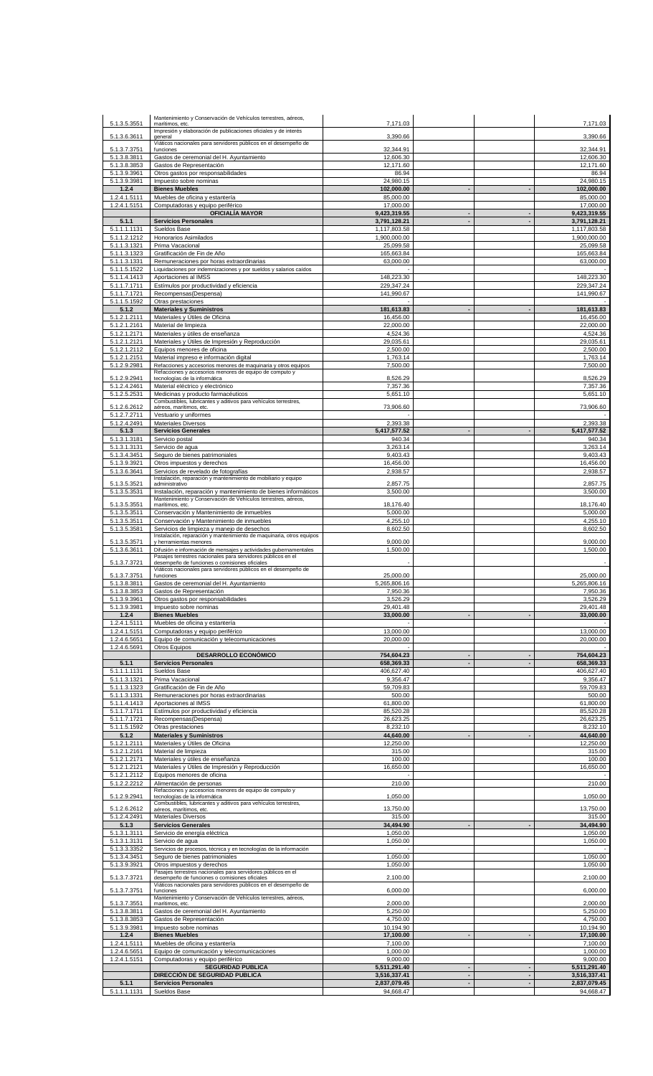|                              | Mantenimiento y Conservación de Vehículos terrestres, aéreos,                                                                    |                              |                                  |                                            |                                                                                                                          |
|------------------------------|----------------------------------------------------------------------------------------------------------------------------------|------------------------------|----------------------------------|--------------------------------------------|--------------------------------------------------------------------------------------------------------------------------|
| 5.1.3.5.3551                 | marítimos, etc.<br>Impresión y elaboración de publicaciones oficiales y de interés                                               | 7,171.03                     |                                  |                                            | 7,171.03                                                                                                                 |
| 5.1.3.6.3611                 | general                                                                                                                          | 3,390.66                     |                                  |                                            | 3,390.66                                                                                                                 |
| 5.1.3.7.3751                 | Viáticos nacionales para servidores públicos en el desempeño de<br>funciones                                                     | 32,344.91                    |                                  |                                            | 32.344.91                                                                                                                |
| 5.1.3.8.3811                 | Gastos de ceremonial del H. Ayuntamiento                                                                                         | 12,606.30                    |                                  |                                            | 12,606.30                                                                                                                |
| 5.1.3.8.3853                 | Gastos de Representación                                                                                                         | 12,171.60                    |                                  |                                            | 12,171.60                                                                                                                |
| 5.1.3.9.3961                 | Otros gastos por responsabilidades                                                                                               | 86.94                        |                                  |                                            | 86.94                                                                                                                    |
| 5.1.3.9.3981<br>1.2.4        | Impuesto sobre nominas<br><b>Bienes Muebles</b>                                                                                  | 24,980.15<br>102,000.00      |                                  |                                            | 24,980.15<br>102,000.00                                                                                                  |
| 1.2.4.1.5111                 | Muebles de oficina y estantería                                                                                                  | 85,000.00                    |                                  |                                            | 85,000.00                                                                                                                |
| 1.2.4.1.5151                 | Computadoras y equipo periférico                                                                                                 | 17,000.00                    |                                  |                                            | 17,000.00                                                                                                                |
|                              | <b>OFICIALÍA MAYOR</b>                                                                                                           | 9,423,319.55                 | $\blacksquare$                   |                                            | 9,423,319.55                                                                                                             |
| 5.1.1<br>5.1.1.1.1131        | <b>Servicios Personales</b><br>Sueldos Base                                                                                      | 3,791,128.21<br>1,117,803.58 |                                  |                                            | 3,791,128.21<br>1,117,803.58                                                                                             |
| 5.1.1.2.1212                 | Honorarios Asimilados                                                                                                            | 1,900,000.00                 |                                  |                                            | 1,900,000.00                                                                                                             |
| 5.1.1.3.1321                 | Prima Vacacional                                                                                                                 | 25.099.58                    |                                  |                                            | 25.099.58                                                                                                                |
| 5.1.1.3.1323                 | Gratificación de Fin de Año                                                                                                      | 165,663.84                   |                                  |                                            | 165,663.84                                                                                                               |
| 5.1.1.3.1331<br>5.1.1.5.1522 | Remuneraciones por horas extraordinarias<br>Liquidaciones por indemnizaciones y por sueldos y salarios caídos                    | 63,000.00                    |                                  |                                            | 63,000.00                                                                                                                |
| 5.1.1.4.1413                 | Aportaciones al IMSS                                                                                                             | 148,223.30                   |                                  |                                            | 148,223.30                                                                                                               |
| 5.1.1.7.1711                 | Estímulos por productividad y eficiencia                                                                                         | 229,347.24                   |                                  |                                            | 229,347.24                                                                                                               |
| 5.1.1.7.1721                 | Recompensas(Despensa)                                                                                                            | 141,990.67                   |                                  |                                            | 141,990.67                                                                                                               |
| 5.1.1.5.1592<br>5.1.2        | Otras prestaciones<br><b>Materiales y Suministros</b>                                                                            | 181,613.83                   |                                  |                                            | 181,613.83                                                                                                               |
| 5.1.2.1.2111                 | Materiales y Útiles de Oficina                                                                                                   | 16,456.00                    |                                  |                                            | 16,456.00                                                                                                                |
| 5.1.2.1.2161                 | Material de limpieza                                                                                                             | 22,000.00                    |                                  |                                            | 22.000.00                                                                                                                |
| 5.1.2.1.2171                 | Materiales y útiles de enseñanza                                                                                                 | 4,524.36                     |                                  |                                            | 4,524.36                                                                                                                 |
| 5.1.2.1.2121                 | Materiales y Útiles de Impresión y Reproducción                                                                                  | 29,035.61                    |                                  |                                            | 29,035.61                                                                                                                |
| 5.1.2.1.2112<br>5.1.2.1.2151 | Equipos menores de oficina<br>Material impreso e información digital                                                             | 2,500.00<br>1,763.14         |                                  |                                            | 2,500.00<br>1,763.14                                                                                                     |
| 5.1.2.9.2981                 | Refacciones y accesorios menores de maquinaria y otros equipos                                                                   | 7,500.00                     |                                  |                                            | 7,500.00                                                                                                                 |
| 5.1.2.9.2941                 | Refacciones y accesorios menores de equipo de computo y<br>tecnologías de la informática                                         | 8,526.29                     |                                  |                                            | 8,526.29                                                                                                                 |
| 5.1.2.4.2461                 | Material eléctrico y electrónico                                                                                                 | 7,357.36                     |                                  |                                            | 7,357.36                                                                                                                 |
| 5.1.2.5.2531                 | Medicinas y producto farmacéuticos                                                                                               | 5,651.10                     |                                  |                                            | 5,651.10                                                                                                                 |
| 5.1.2.6.2612                 | Combustibles, lubricantes y aditivos para vehículos terrestres,<br>aéreos, marítimos, etc.                                       | 73,906.60                    |                                  |                                            | 73,906.60                                                                                                                |
| 5.1.2.7.2711                 | Vestuario y uniformes                                                                                                            |                              |                                  |                                            |                                                                                                                          |
| 5.1.2.4.2491                 | Materiales Diversos                                                                                                              | 2,393.38                     |                                  |                                            | 2,393.38                                                                                                                 |
| 5.1.3                        | <b>Servicios Generales</b>                                                                                                       | 5,417,577.52                 |                                  |                                            | 5,417,577.52                                                                                                             |
| 5.1.3.1.3181<br>5.1.3.1.3131 | Servicio postal<br>Servicio de agua                                                                                              | 940.34<br>3,263.14           |                                  |                                            | 940.34<br>3,263.14                                                                                                       |
| 5.1.3.4.3451                 | Seguro de bienes patrimoniales                                                                                                   | 9,403.43                     |                                  |                                            | 9,403.43                                                                                                                 |
| 5.1.3.9.3921                 | Otros impuestos y derechos                                                                                                       | 16,456.00                    |                                  |                                            | 16,456.00                                                                                                                |
| 5.1.3.6.3641                 | Servicios de revelado de fotografías<br>Instalación, reparación y mantenimiento de mobiliario y equipo                           | 2,938.57                     |                                  |                                            | 2,938.57                                                                                                                 |
| 5.1.3.5.3521                 | administrativo                                                                                                                   | 2,857.75                     |                                  |                                            | 2,857.75                                                                                                                 |
| 5.1.3.5.3531                 | Instalación, reparación y mantenimiento de bienes informáticos                                                                   | 3,500.00                     |                                  |                                            | 3,500.00                                                                                                                 |
| 5.1.3.5.3551                 | Mantenimiento y Conservación de Vehículos terrestres, aéreos,<br>marítimos, etc.                                                 | 18,176.40                    |                                  |                                            | 18,176.40                                                                                                                |
| 5.1.3.5.3511                 | Conservación y Mantenimiento de inmuebles                                                                                        | 5,000.00                     |                                  |                                            | 5,000.00                                                                                                                 |
| 5.1.3.5.3511                 | Conservación y Mantenimiento de inmuebles                                                                                        | 4,255.10                     |                                  |                                            | 4,255.10                                                                                                                 |
| 5.1.3.5.3581                 | Servicios de limpieza y manejo de desechos<br>Instalación, reparación y mantenimiento de maquinaria, otros equipos               | 8,602.50                     |                                  |                                            | 8,602.50                                                                                                                 |
| 5.1.3.5.3571                 | y herramientas menores                                                                                                           | 9,000.00                     |                                  |                                            | 9,000.00                                                                                                                 |
| 5.1.3.6.3611                 | Difusión e información de mensajes y actividades gubernamentales<br>Pasajes terrestres nacionales para servidores públicos en el | 1,500.00                     |                                  |                                            | 1,500.00                                                                                                                 |
| 5.1.3.7.3721                 | desempeño de funciones o comisiones oficiales                                                                                    |                              |                                  |                                            |                                                                                                                          |
| 5.1.3.7.3751                 | Viáticos nacionales para servidores públicos en el desempeño de<br>funciones                                                     | 25,000.00                    |                                  |                                            | 25,000.00                                                                                                                |
| 5.1.3.8.3811                 | Gastos de ceremonial del H. Ayuntamiento                                                                                         | 5,265,806.16                 |                                  |                                            | 5,265,806.16                                                                                                             |
| 5.1.3.8.3853                 | Gastos de Representación                                                                                                         | 7,950.36                     |                                  |                                            | 7,950.36                                                                                                                 |
| 5.1.3.9.3961                 | Otros gastos por responsabilidades                                                                                               | 3,526.29                     |                                  |                                            | 3,526.29                                                                                                                 |
| 5.1.3.9.3981<br>1.2.4        | Impuesto sobre nominas<br><b>Bienes Muebles</b>                                                                                  | 29,401.48<br>33,000.00       |                                  |                                            | 29,401.48<br>33,000.00                                                                                                   |
| 1.2.4.1.5111                 |                                                                                                                                  |                              |                                  |                                            |                                                                                                                          |
|                              | Muebles de oficina y estantería                                                                                                  |                              |                                  |                                            |                                                                                                                          |
| 1.2.4.1.5151                 | Computadoras y equipo periférico                                                                                                 | 13,000.00                    |                                  |                                            | 13,000.00                                                                                                                |
| 1.2.4.6.5651                 | Equipo de comunicación y telecomunicaciones                                                                                      | 20.000.00                    |                                  |                                            |                                                                                                                          |
| 1.2.4.6.5691                 | Otros Equipos                                                                                                                    |                              | $\blacksquare$                   | $\blacksquare$                             |                                                                                                                          |
| 5.1.1                        | <b>DESARROLLO ECONÓMICO</b><br><b>Servicios Personales</b>                                                                       | 754,604.23<br>658,369.33     |                                  |                                            | 754,604.23<br>658,369.33                                                                                                 |
| 5.1.1.1.1131                 | Sueldos Base                                                                                                                     | 406,627.40                   |                                  |                                            | 406,627.40                                                                                                               |
| 5.1.1.3.1321                 | Prima Vacacional                                                                                                                 | 9,356.47                     |                                  |                                            | 9,356.47                                                                                                                 |
| 5.1.1.3.1323                 | Gratificación de Fin de Año                                                                                                      | 59,709.83                    |                                  |                                            | 59,709.83                                                                                                                |
| 5.1.1.3.1331<br>5.1.1.4.1413 | Remuneraciones por horas extraordinarias<br>Aportaciones al IMSS                                                                 | 500.00<br>61,800.00          |                                  |                                            | 500.00<br>61,800.00                                                                                                      |
| 5.1.1.7.1711                 | Estímulos por productividad y eficiencia                                                                                         | 85,520.28                    |                                  |                                            | 85,520.28                                                                                                                |
| 5.1.1.7.1721                 | Recompensas(Despensa)                                                                                                            | 26,623.25                    |                                  |                                            |                                                                                                                          |
| 5.1.1.5.1592<br>5.1.2        | Otras prestaciones<br><b>Materiales y Suministros</b>                                                                            | 8,232.10<br>44,640.00        |                                  |                                            | 8,232.10<br>44,640.00                                                                                                    |
| 5.1.2.1.2111                 | Materiales y Útiles de Oficina                                                                                                   | 12,250.00                    |                                  |                                            | 12,250.00                                                                                                                |
| 5.1.2.1.2161                 | Material de limpieza                                                                                                             | 315.00                       |                                  |                                            |                                                                                                                          |
| 5.1.2.1.2171                 | Materiales y útiles de enseñanza                                                                                                 | 100.00                       |                                  |                                            | 100.00                                                                                                                   |
| 5.1.2.1.2121<br>5.1.2.1.2112 | Materiales y Útiles de Impresión y Reproducción<br>Equipos menores de oficina                                                    | 16,650.00                    |                                  |                                            |                                                                                                                          |
| 5.1.2.2.2212                 | Alimentación de personas                                                                                                         | 210.00                       |                                  |                                            |                                                                                                                          |
|                              | Refacciones y accesorios menores de equipo de computo y                                                                          |                              |                                  |                                            |                                                                                                                          |
| 5.1.2.9.2941                 | tecnologías de la informática<br>Combustibles, lubricantes y aditivos para vehículos terrestres,                                 | 1,050.00                     |                                  |                                            |                                                                                                                          |
| 5.1.2.6.2612                 | aéreos, marítimos, etc.                                                                                                          | 13,750.00                    |                                  |                                            | 13,750.00                                                                                                                |
| 5.1.2.4.2491                 | Materiales Diversos                                                                                                              | 315.00                       |                                  |                                            | 315.00                                                                                                                   |
| 5.1.3<br>5.1.3.1.3111        | <b>Servicios Generales</b><br>Servicio de energía eléctrica                                                                      | 34,494.90<br>1,050.00        |                                  |                                            | 1,050.00                                                                                                                 |
| 5.1.3.1.3131                 | Servicio de agua                                                                                                                 | 1,050.00                     |                                  |                                            |                                                                                                                          |
| 5.1.3.3.3352                 | Servicios de procesos, técnica y en tecnologías de la información                                                                |                              |                                  |                                            |                                                                                                                          |
| 5.1.3.4.3451<br>5.1.3.9.3921 | Seguro de bienes patrimoniales<br>Otros impuestos y derechos                                                                     | 1,050.00<br>1,050.00         |                                  |                                            | 1,050.00                                                                                                                 |
|                              | Pasajes terrestres nacionales para servidores públicos en el                                                                     |                              |                                  |                                            |                                                                                                                          |
| 5.1.3.7.3721                 | desempeño de funciones o comisiones oficiales<br>Viáticos nacionales para servidores públicos en el desempeño de                 | 2,100.00                     |                                  |                                            | 2,100.00                                                                                                                 |
| 5.1.3.7.3751                 | funciones                                                                                                                        | 6,000.00                     |                                  |                                            | 6,000.00                                                                                                                 |
| 5.1.3.7.3551                 | Mantenimiento y Conservación de Vehículos terrestres, aéreos,<br>marítimos, etc.                                                 | 2,000.00                     |                                  |                                            | 2,000.00                                                                                                                 |
| 5.1.3.8.3811                 | Gastos de ceremonial del H. Ayuntamiento                                                                                         | 5,250.00                     |                                  |                                            | 5,250.00                                                                                                                 |
| 5.1.3.8.3853                 | Gastos de Representación                                                                                                         | 4,750.00                     |                                  |                                            | 4,750.00                                                                                                                 |
| 5.1.3.9.3981                 | Impuesto sobre nominas                                                                                                           | 10,194.90                    |                                  |                                            | 10,194.90                                                                                                                |
| 1.2.4<br>1.2.4.1.5111        | <b>Bienes Muebles</b><br>Muebles de oficina y estantería                                                                         | 17,100.00<br>7,100.00        |                                  |                                            | 17,100.00<br>7,100.00                                                                                                    |
| 1.2.4.6.5651                 | Equipo de comunicación y telecomunicaciones                                                                                      | 1,000.00                     |                                  |                                            | 1,000.00                                                                                                                 |
| 1.2.4.1.5151                 | Computadoras y equipo periférico                                                                                                 | 9,000.00                     |                                  |                                            | 9,000.00                                                                                                                 |
|                              | <b>SEGURIDAD PUBLICA</b>                                                                                                         | 5,511,291.40                 | $\overline{a}$                   | $\blacksquare$<br>$\overline{\phantom{a}}$ | 20,000.00<br>26,623.25<br>315.00<br>16,650.00<br>210.00<br>1,050.00<br>34,494.90<br>1,050.00<br>1,050.00<br>5,511,291.40 |
| 5.1.1                        | DIRECCIÓN DE SEGURIDAD PUBLICA<br><b>Servicios Personales</b>                                                                    | 3,516,337.41<br>2,837,079.45 | $\blacksquare$<br>$\blacksquare$ | $\blacksquare$                             | 3,516,337.41<br>2,837,079.45                                                                                             |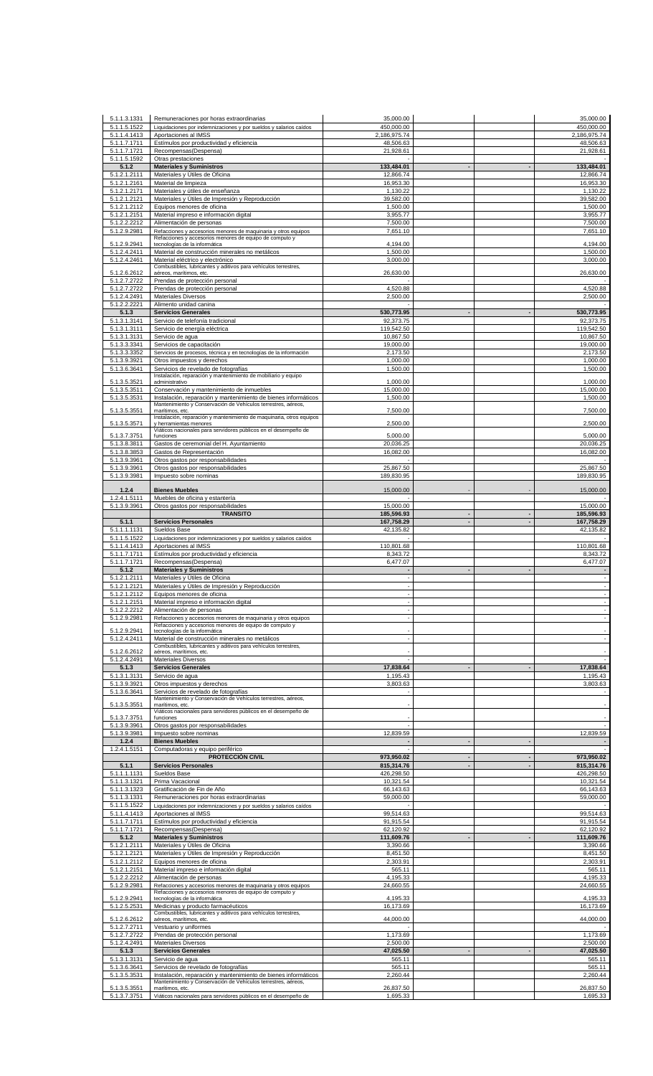| 5.1.1.3.1331                 | Remuneraciones por horas extraordinarias                                                                                  | 35,000.00                  |                                  |                          | 35,000.00                  |
|------------------------------|---------------------------------------------------------------------------------------------------------------------------|----------------------------|----------------------------------|--------------------------|----------------------------|
| 5.1.1.5.1522<br>5.1.1.4.1413 | Liquidaciones por indemnizaciones y por sueldos y salarios caídos<br>Aportaciones al IMSS                                 | 450,000.00<br>2,186,975.74 |                                  |                          | 450,000.00<br>2,186,975.74 |
| 5.1.1.7.1711                 | Estímulos por productividad y eficiencia                                                                                  | 48,506.63                  |                                  |                          | 48,506.63                  |
| 5.1.1.7.1721<br>5.1.1.5.1592 | Recompensas(Despensa)                                                                                                     | 21,928.61                  |                                  |                          | 21,928.61                  |
| 5.1.2                        | Otras prestaciones<br><b>Materiales y Suministros</b>                                                                     | 133,484.01                 | $\overline{\phantom{a}}$         |                          | 133,484.01                 |
| 5.1.2.1.2111                 | Materiales y Útiles de Oficina                                                                                            | 12,866.74                  |                                  |                          | 12,866.74                  |
| 5.1.2.1.2161<br>5.1.2.1.2171 | Material de limpieza<br>Materiales y útiles de enseñanza                                                                  | 16,953.30<br>1,130.22      |                                  |                          | 16,953.30<br>1,130.22      |
| 5.1.2.1.2121                 | Materiales y Útiles de Impresión y Reproducción                                                                           | 39,582.00                  |                                  |                          | 39,582.00                  |
| 5.1.2.1.2112<br>5.1.2.1.2151 | Equipos menores de oficina<br>Material impreso e información digital                                                      | 1,500.00<br>3,955.77       |                                  |                          | 1,500.00<br>3,955.77       |
| 5.1.2.2.2212                 | Alimentación de personas                                                                                                  | 7,500.00                   |                                  |                          | 7,500.00                   |
| 5.1.2.9.2981                 | Refacciones y accesorios menores de maquinaria y otros equipos<br>Refacciones y accesorios menores de equipo de computo y | 7,651.10                   |                                  |                          | 7,651.10                   |
| 5.1.2.9.2941                 | tecnologías de la informática                                                                                             | 4,194.00                   |                                  |                          | 4,194.00                   |
| 5.1.2.4.2411<br>5.1.2.4.2461 | Material de construcción minerales no metálicos<br>Material eléctrico y electrónico                                       | 1,500.00<br>3,000.00       |                                  |                          | 1,500.00<br>3,000.00       |
| 5.1.2.6.2612                 | Combustibles, lubricantes y aditivos para vehículos terrestres,<br>aéreos, marítimos, etc.                                | 26,630.00                  |                                  |                          | 26,630.00                  |
| 5.1.2.7.2722                 | Prendas de protección personal                                                                                            |                            |                                  |                          |                            |
| 5.1.2.7.2722                 | Prendas de protección personal                                                                                            | 4,520.88                   |                                  |                          | 4,520.88                   |
| 5.1.2.4.2491<br>5.1.2.2.2221 | <b>Materiales Diversos</b><br>Alimento unidad canina                                                                      | 2,500.00                   |                                  |                          | 2,500.00                   |
| 5.1.3                        | <b>Servicios Generales</b>                                                                                                | 530,773.95                 |                                  |                          | 530,773.95                 |
| 5.1.3.1.3141<br>5.1.3.1.3111 | Servicio de telefonía tradicional<br>Servicio de energía eléctrica                                                        | 92,373.75<br>119,542.50    |                                  |                          | 92,373.75<br>119,542.50    |
| 5.1.3.1.3131                 | Servicio de agua                                                                                                          | 10,867.50                  |                                  |                          | 10.867.50                  |
| 5.1.3.3.3341<br>5.1.3.3.3352 | Servicios de capacitación<br>Servicios de procesos, técnica y en tecnologías de la información                            | 19,000.00<br>2,173.50      |                                  |                          | 19,000.00<br>2,173.50      |
| 5.1.3.9.3921                 | Otros impuestos y derechos                                                                                                | 1,000.00                   |                                  |                          | 1,000.00                   |
| 5.1.3.6.3641                 | Servicios de revelado de fotografías<br>Instalación, reparación y mantenimiento de mobiliario y equipo                    | 1,500.00                   |                                  |                          | 1,500.00                   |
| 5.1.3.5.3521                 | administrativo                                                                                                            | 1,000.00                   |                                  |                          | 1,000.00                   |
| 5.1.3.5.3511<br>5.1.3.5.3531 | Conservación y mantenimiento de inmuebles<br>Instalación, reparación y mantenimiento de bienes informáticos               | 15,000.00<br>1,500.00      |                                  |                          | 15,000.00<br>1,500.00      |
|                              | Mantenimiento y Conservación de Vehículos terrestres, aéreos,                                                             |                            |                                  |                          |                            |
| 5.1.3.5.3551                 | marítimos, etc.<br>Instalación, reparación y mantenimiento de maquinaria, otros equipos                                   | 7,500.00                   |                                  |                          | 7,500.00                   |
| 5.1.3.5.3571                 | y herramientas menores<br>Viáticos nacionales para servidores públicos en el desempeño de                                 | 2,500.00                   |                                  |                          | 2,500.00                   |
| 5.1.3.7.3751<br>5.1.3.8.3811 | funciones<br>Gastos de ceremonial del H. Ayuntamiento                                                                     | 5,000.00<br>20,036.25      |                                  |                          | 5,000.00<br>20,036.25      |
| 5.1.3.8.3853                 | Gastos de Representación                                                                                                  | 16,082.00                  |                                  |                          | 16,082.00                  |
| 5.1.3.9.3961                 | Otros gastos por responsabilidades                                                                                        |                            |                                  |                          |                            |
| 5.1.3.9.3961<br>5.1.3.9.3981 | Otros gastos por responsabilidades<br>Impuesto sobre nominas                                                              | 25,867.50<br>189,830.95    |                                  |                          | 25,867.50<br>189,830.95    |
| 1.2.4                        | <b>Bienes Muebles</b>                                                                                                     |                            |                                  |                          |                            |
| 1.2.4.1.5111                 | Muebles de oficina y estantería                                                                                           | 15,000.00                  |                                  |                          | 15,000.00                  |
| 5.1.3.9.3961                 | Otros gastos por responsabilidades                                                                                        | 15,000.00                  |                                  |                          | 15,000.00                  |
| 5.1.1                        | <b>TRANSITO</b><br><b>Servicios Personales</b>                                                                            | 185,596.93<br>167,758.29   | $\blacksquare$<br>$\blacksquare$ | $\overline{\phantom{a}}$ | 185,596.93<br>167,758.29   |
| 5.1.1.1.1131                 | Sueldos Base                                                                                                              | 42,135.82                  |                                  |                          | 42,135.82                  |
| 5.1.1.5.1522<br>5.1.1.4.1413 | Liquidaciones por indemnizaciones y por sueldos y salarios caídos<br>Aportaciones al IMSS                                 | 110,801.68                 |                                  |                          | 110,801.68                 |
|                              | Estímulos por productividad y eficiencia                                                                                  |                            |                                  |                          | 8,343.72                   |
| 5.1.1.7.1711                 |                                                                                                                           | 8,343.72                   |                                  |                          |                            |
| 5.1.1.7.1721                 | Recompensas(Despensa)                                                                                                     | 6,477.07                   |                                  |                          | 6,477.07                   |
| 5.1.2<br>5.1.2.1.2111        | <b>Materiales y Suministros</b><br>Materiales y Utiles de Oficina                                                         | $\sim$                     |                                  |                          | $\overline{\phantom{a}}$   |
| 5.1.2.1.2121                 | Materiales y Útiles de Impresión y Reproducción                                                                           |                            |                                  |                          | $\Box$                     |
| 5.1.2.1.2112                 | Equipos menores de oficina                                                                                                |                            |                                  |                          | ÷,                         |
| 5.1.2.1.2151<br>5.1.2.2.2212 | Material impreso e información digital<br>Alimentación de personas                                                        |                            |                                  |                          | $\sim$                     |
| 5.1.2.9.2981                 | Refacciones y accesorios menores de maquinaria y otros equipos                                                            |                            |                                  |                          | $\Box$                     |
| 5.1.2.9.2941                 | Refacciones y accesorios menores de equipo de computo y<br>tecnologías de la informática                                  |                            |                                  |                          |                            |
| 5.1.2.4.2411                 | Material de construcción minerales no metálicos<br>Combustibles, lubricantes y aditivos para vehículos terrestres,        |                            |                                  |                          | $\overline{\phantom{a}}$   |
| 5.1.2.6.2612                 | aéreos, marítimos, etc.                                                                                                   |                            |                                  |                          | $\sim$                     |
| 5.1.2.4.2491<br>5.1.3        | Materiales Diversos<br><b>Servicios Generales</b>                                                                         | 17,838.64                  |                                  |                          | 17,838.64                  |
| 5.1.3.1.3131                 | Servicio de agua                                                                                                          | 1,195.43                   |                                  |                          | 1,195.43                   |
| 5.1.3.9.3921<br>5.1.3.6.3641 | Otros impuestos y derechos<br>Servicios de revelado de fotografías                                                        | 3,803.63                   |                                  |                          | 3,803.63                   |
|                              | Mantenimiento y Conservación de Vehículos terrestres, aéreos,<br>marítimos, etc.                                          |                            |                                  |                          |                            |
| 5.1.3.5.3551                 | Viáticos nacionales para servidores públicos en el desempeño de                                                           |                            |                                  |                          |                            |
| 5.1.3.7.3751<br>5.1.3.9.3961 | funciones<br>Otros gastos por responsabilidades                                                                           |                            |                                  |                          | $\overline{\phantom{a}}$   |
| 5.1.3.9.3981                 | Impuesto sobre nominas                                                                                                    | 12,839.59                  |                                  |                          | 12,839.59                  |
| 1.2.4                        | <b>Bienes Muebles</b>                                                                                                     |                            |                                  |                          |                            |
| 1.2.4.1.5151                 | Computadoras y equipo periférico<br>PROTECCIÓN CIVIL                                                                      | 973,950.02                 | $\overline{\phantom{a}}$         | $\blacksquare$           | 973,950.02                 |
| 5.1.1                        | <b>Servicios Personales</b>                                                                                               | 815,314.76                 |                                  |                          | 815,314.76                 |
| 5.1.1.1.1131<br>5.1.1.3.1321 | Sueldos Base<br>Prima Vacacional                                                                                          | 426,298.50<br>10,321.54    |                                  |                          | 426,298.50<br>10,321.54    |
| 5.1.1.3.1323                 | Gratificación de Fin de Año                                                                                               | 66,143.63                  |                                  |                          | 66,143.63                  |
| 5.1.1.3.1331<br>5.1.1.5.1522 | Remuneraciones por horas extraordinarias<br>Liquidaciones por indemnizaciones y por sueldos y salarios caídos             | 59,000.00                  |                                  |                          | 59,000.00                  |
| 5.1.1.4.1413                 | Aportaciones al IMSS                                                                                                      | 99,514.63                  |                                  |                          | 99,514.63                  |
| 5.1.1.7.1711                 | Estímulos por productividad y eficiencia                                                                                  | 91,915.54                  |                                  |                          | 91,915.54                  |
| 5.1.1.7.1721<br>5.1.2        | Recompensas(Despensa)<br><b>Materiales y Suministros</b>                                                                  | 62,120.92<br>111,609.76    |                                  |                          | 62,120.92<br>111,609.76    |
| 5.1.2.1.2111                 | Materiales y Útiles de Oficina                                                                                            | 3,390.66                   |                                  |                          | 3,390.66                   |
| 5.1.2.1.2121<br>5.1.2.1.2112 | Materiales y Útiles de Impresión y Reproducción<br>Equipos menores de oficina                                             | 8,451.50<br>2,303.91       |                                  |                          | 8,451.50<br>2,303.91       |
| 5.1.2.1.2151                 | Material impreso e información digital                                                                                    | 565.11                     |                                  |                          | 565.11                     |
| 5.1.2.2.2212                 | Alimentación de personas                                                                                                  | 4,195.33                   |                                  |                          | 4,195.33                   |
| 5.1.2.9.2981                 | Refacciones y accesorios menores de maquinaria y otros equipos<br>Refacciones y accesorios menores de equipo de computo y | 24,660.55                  |                                  |                          | 24,660.55                  |
| 5.1.2.9.2941<br>5.1.2.5.2531 | tecnologías de la informática<br>Medicinas y producto farmacéuticos                                                       | 4,195.33<br>16,173.69      |                                  |                          | 4,195.33<br>16,173.69      |
| 5.1.2.6.2612                 | Combustibles, lubricantes y aditivos para vehículos terrestres,<br>aéreos, marítimos, etc.                                | 44,000.00                  |                                  |                          | 44,000.00                  |
| 5.1.2.7.2711                 | Vestuario y uniformes                                                                                                     |                            |                                  |                          |                            |
| 5.1.2.7.2722                 | Prendas de protección personal                                                                                            | 1,173.69                   |                                  |                          | 1,173.69                   |
| 5.1.2.4.2491<br>5.1.3        | Materiales Diversos<br><b>Servicios Generales</b>                                                                         | 2,500.00<br>47,025.50      |                                  |                          | 2,500.00<br>47,025.50      |
| 5.1.3.1.3131                 | Servicio de agua                                                                                                          | 565.11                     |                                  |                          | 565.11                     |
| 5.1.3.6.3641<br>5.1.3.5.3531 | Servicios de revelado de fotografías<br>Instalación, reparación y mantenimiento de bienes informáticos                    | 565.11<br>2,260.44         |                                  |                          | 565.11<br>2,260.44         |
| 5.1.3.5.3551                 | Mantenimiento y Conservación de Vehículos terrestres, aéreos,<br>marítimos, etc.                                          | 26,837.50                  |                                  |                          | 26,837.50                  |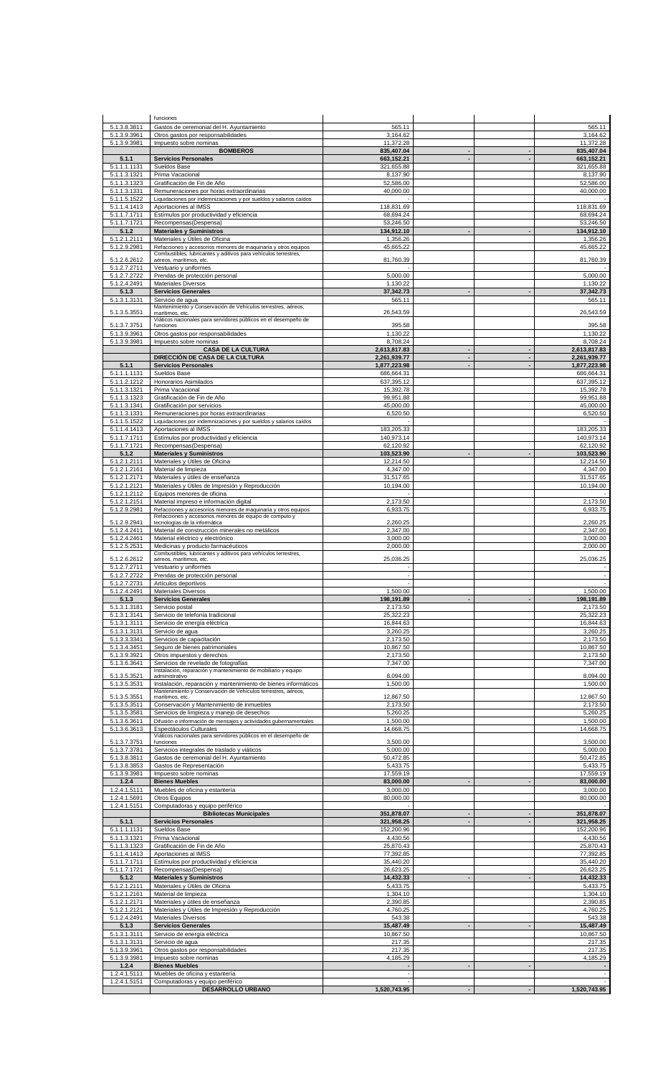|                              | funciones                                                                                                                       |                              |                          |                |                              |
|------------------------------|---------------------------------------------------------------------------------------------------------------------------------|------------------------------|--------------------------|----------------|------------------------------|
| 5.1.3.8.3811                 | Gastos de ceremonial del H. Ayuntamiento                                                                                        | 565.11                       |                          |                | 565.11                       |
| 5.1.3.9.3961                 | Otros gastos por responsabilidades                                                                                              | 3,164.62                     |                          |                | 3,164.62                     |
| 5.1.3.9.3981                 | Impuesto sobre nominas                                                                                                          | 11.372.28                    |                          |                | 11,372.28                    |
|                              | <b>BOMBEROS</b>                                                                                                                 | 835,407.04                   |                          |                | 835,407.04                   |
| 5.1.1                        | <b>Servicios Personales</b>                                                                                                     | 663,152.21                   |                          |                | 663,152.21                   |
| 5.1.1.1.1131                 | Sueldos Base                                                                                                                    | 321,655.88                   |                          |                | 321,655.88                   |
| 5.1.1.3.1321<br>5.1.1.3.1323 | Prima Vacacional<br>Gratificación de Fin de Año                                                                                 | 8,137.90<br>52,586.00        |                          |                | 8,137.90<br>52,586.00        |
| 5.1.1.3.1331                 | Remuneraciones por horas extraordinarias                                                                                        | 40,000.00                    |                          |                | 40,000.00                    |
| 5.1.1.5.1522                 | Liquidaciones por indemnizaciones y por sueldos y salarios caídos                                                               |                              |                          |                |                              |
| 5.1.1.4.1413                 | Aportaciones al IMSS                                                                                                            | 118,831.69                   |                          |                | 118,831.69                   |
| 5.1.1.7.1711                 | Estímulos por productividad y eficiencia                                                                                        | 68,694.24                    |                          |                | 68,694.24                    |
| 5.1.1.7.1721                 | Recompensas(Despensa)                                                                                                           | 53,246.50                    |                          |                | 53,246.50                    |
| 5.1.2                        | <b>Materiales y Suministros</b>                                                                                                 | 134,912.10                   |                          |                | 134,912.10                   |
| 5.1.2.1.2111                 | Materiales y Útiles de Oficina                                                                                                  | 1,356.26                     |                          |                | 1,356.26                     |
| 5.1.2.9.2981                 | Refacciones y accesorios menores de maquinaria y otros equipos                                                                  | 45,665.22                    |                          |                | 45,665.22                    |
| 5.1.2.6.2612                 | Combustibles, lubricantes y aditivos para vehículos terrestres,<br>aéreos, marítimos, etc.                                      | 81,760.39                    |                          |                | 81,760.39                    |
| 5.1.2.7.2711                 | Vestuario y uniformes                                                                                                           |                              |                          |                |                              |
| 5.1.2.7.2722                 | Prendas de protección personal                                                                                                  | 5,000.00                     |                          |                | 5,000.00                     |
| 5.1.2.4.2491                 | <b>Materiales Diversos</b>                                                                                                      | 1,130.22                     |                          |                | 1,130.22                     |
| 5.1.3                        | <b>Servicios Generales</b>                                                                                                      | 37,342.73                    |                          |                | 37,342.73                    |
| 5.1.3.1.3131                 | Servicio de aqua                                                                                                                | 565.11                       |                          |                | 565.11                       |
| 5.1.3.5.3551                 | Mantenimiento y Conservación de Vehículos terrestres, aéreos,<br>marítimos, etc.                                                | 26,543.59                    |                          |                | 26,543.59                    |
|                              | Viáticos nacionales para servidores públicos en el desempeño de                                                                 |                              |                          |                |                              |
| 5.1.3.7.3751                 | funciones                                                                                                                       | 395.58                       |                          |                | 395.58                       |
| 5.1.3.9.3961                 | Otros gastos por responsabilidades                                                                                              | 1,130.22                     |                          |                | 1,130.22                     |
| 5.1.3.9.3981                 | Impuesto sobre nominas                                                                                                          | 8,708.24                     |                          |                | 8,708.24                     |
|                              | <b>CASA DE LA CULTURA</b><br>DIRECCIÓN DE CASA DE LA CULTURA                                                                    | 2,613,817.83<br>2,261,939.77 | $\blacksquare$           | $\blacksquare$ | 2,613,817.83<br>2,261,939.77 |
| 5.1.1                        | <b>Servicios Personales</b>                                                                                                     | 1,877,223.98                 | $\blacksquare$           |                | 1,877,223.98                 |
| 5.1.1.1.1131                 | Sueldos Base                                                                                                                    | 686,664.31                   |                          |                | 686,664.31                   |
| 5.1.1.2.1212                 | Honorarios Asimilados                                                                                                           | 637,395.12                   |                          |                | 637,395.12                   |
| 5.1.1.3.1321                 | Prima Vacacional                                                                                                                | 15,392.78                    |                          |                | 15.392.78                    |
| 5.1.1.3.1323                 | Gratificación de Fin de Año                                                                                                     | 99,951.88                    |                          |                | 99,951.88                    |
| 5.1.1.3.1341                 | Gratificación por servicios                                                                                                     | 45,000.00                    |                          |                | 45,000.00                    |
| 5.1.1.3.1331                 | Remuneraciones por horas extraordinarias                                                                                        | 6,520.50                     |                          |                | 6,520.50                     |
| 5.1.1.5.1522                 | Liquidaciones por indemnizaciones y por sueldos y salarios caídos                                                               |                              |                          |                |                              |
| 5.1.1.4.1413                 | Aportaciones al IMSS                                                                                                            | 183,205.33                   |                          |                | 183,205.33                   |
| 5.1.1.7.1711                 | Estímulos por productividad y eficiencia                                                                                        | 140,973.14                   |                          |                | 140,973.14                   |
| 5.1.1.7.1721                 | Recompensas(Despensa)                                                                                                           | 62,120.92                    |                          |                | 62,120.92                    |
| 5.1.2                        | <b>Materiales y Suministros</b>                                                                                                 | 103,523.90                   | $\blacksquare$           |                | 103,523.90                   |
| 5.1.2.1.2111                 | Materiales y Útiles de Oficina                                                                                                  | 12,214.50                    |                          |                | 12,214.50                    |
| 5.1.2.1.2161<br>5.1.2.1.2171 | Material de limpieza<br>Materiales y útiles de enseñanza                                                                        | 4,347.00<br>31,517.65        |                          |                | 4,347.00<br>31,517.65        |
| 5.1.2.1.2121                 | Materiales y Útiles de Impresión y Reproducción                                                                                 | 10,194.00                    |                          |                | 10,194.00                    |
| 5.1.2.1.2112                 | Equipos menores de oficina                                                                                                      |                              |                          |                |                              |
| 5.1.2.1.2151                 | Material impreso e información digital                                                                                          | 2,173.50                     |                          |                | 2,173.50                     |
| 5.1.2.9.2981                 | Refacciones y accesorios menores de maquinaria y otros equipos                                                                  | 6,933.75                     |                          |                | 6,933.75                     |
|                              | Refacciones y accesorios menores de equipo de computo y                                                                         |                              |                          |                |                              |
| 5.1.2.9.2941                 | tecnologías de la informática                                                                                                   | 2,260.25                     |                          |                | 2,260.25                     |
| 5.1.2.4.2411<br>5.1.2.4.2461 | Material de construcción minerales no metálicos<br>Material eléctrico y electrónico                                             | 2,347.00<br>3,000.00         |                          |                | 2,347.00<br>3,000.00         |
| 5.1.2.5.2531                 | Medicinas y producto farmacéuticos                                                                                              | 2,000.00                     |                          |                | 2,000.00                     |
|                              | Combustibles, lubricantes y aditivos para vehículos terrestres,                                                                 |                              |                          |                |                              |
| 5.1.2.6.2612                 | aéreos, marítimos, etc.                                                                                                         | 25,036.25                    |                          |                | 25,036.25                    |
| 5.1.2.7.2711                 | Vestuario y uniformes                                                                                                           |                              |                          |                |                              |
|                              | Prendas de protección personal                                                                                                  |                              |                          |                |                              |
| 5.1.2.7.2722                 |                                                                                                                                 | $\sim$                       |                          |                |                              |
| 5.1.2.7.2731                 | Artículos deportivos                                                                                                            | ÷.                           |                          |                | ×                            |
| 5.1.2.4.2491                 | Materiales Diversos                                                                                                             | 1.500.00                     |                          |                | 1.500.00                     |
| 5.1.3                        | <b>Servicios Generales</b>                                                                                                      | 198,191.89                   |                          |                | 198,191.89                   |
| 5.1.3.1.3181                 | Servicio postal                                                                                                                 | 2,173.50                     |                          |                | 2,173.50                     |
| 5.1.3.1.3141                 | Servicio de telefonía tradicional                                                                                               | 25,322.23                    |                          |                | 25,322.23<br>16.844.63       |
| 5.1.3.1.3111                 | Servicio de energía eléctrica                                                                                                   | 16,844.63                    |                          |                |                              |
| 5.1.3.1.3131<br>5.1.3.3.3341 | Servicio de agua<br>Servicios de capacitación                                                                                   | 3,260.25<br>2,173.50         |                          |                | 3,260.25<br>2,173.50         |
| 5.1.3.4.3451                 | Seguro de bienes patrimoniales                                                                                                  | 10,867.50                    |                          |                | 10,867.50                    |
| 5.1.3.9.3921                 | Otros impuestos y derechos                                                                                                      | 2,173.50                     |                          |                | 2,173.50                     |
| 5.1.3.6.3641                 | Servicios de revelado de fotografías                                                                                            | 7,347.00                     |                          |                | 7,347.00                     |
|                              | Instalación, reparación y mantenimiento de mobiliario y equipo                                                                  |                              |                          |                |                              |
| 5.1.3.5.3521                 | administrativo                                                                                                                  | 8,094.00                     |                          |                | 8.094.00                     |
| 5.1.3.5.3531                 | Instalación, reparación y mantenimiento de bienes informáticos<br>Mantenimiento y Conservación de Vehículos terrestres, aéreos, | 1,500.00                     |                          |                | 1,500.00                     |
| 5.1.3.5.3551                 | marítimos, etc.                                                                                                                 | 12,867.50                    |                          |                | 12,867.50                    |
| 5.1.3.5.3511                 | Conservación y Mantenimiento de inmuebles                                                                                       | 2,173.50                     |                          |                | 2,173.50                     |
| 5.1.3.5.3581                 | Servicios de limpieza y manejo de desechos                                                                                      | 5,260.25                     |                          |                | 5,260.25                     |
| 5.1.3.6.3611                 | Difusión e información de mensajes y actividades gubernamentales                                                                | 1,500.00                     |                          |                | 1,500.00                     |
| 5.1.3.6.3613                 | Espectáculos Culturales                                                                                                         | 14,668.75                    |                          |                | 14,668.75                    |
| 5.1.3.7.3751                 | Viáticos nacionales para servidores públicos en el desempeño de<br>funciones                                                    | 3,500.00                     |                          |                | 3,500.00                     |
| 5.1.3.7.3781                 | Servicios integrales de traslado y viáticos                                                                                     | 5,000.00                     |                          |                | 5,000.00                     |
| 5.1.3.8.3811                 | Gastos de ceremonial del H. Ayuntamiento                                                                                        | 50,472.85                    |                          |                | 50,472.85                    |
| 5.1.3.8.3853                 | Gastos de Representación                                                                                                        | 5,433.75                     |                          |                | 5,433.75                     |
| 5.1.3.9.3981                 | Impuesto sobre nominas                                                                                                          | 17,559.19                    |                          |                | 17,559.19                    |
| 1.2.4                        | <b>Bienes Muebles</b>                                                                                                           | 83,000.00                    |                          |                | 83,000.00                    |
| 1.2.4.1.5111                 | Muebles de oficina y estantería                                                                                                 | 3,000.00                     |                          |                | 3,000.00                     |
| 1.2.4.1.5691                 | Otros Equipos                                                                                                                   | 80,000.00                    |                          |                | 80,000.00                    |
| 1.2.4.1.5151                 | Computadoras y equipo periférico                                                                                                |                              | $\overline{\phantom{a}}$ |                |                              |
|                              | <b>Bibliotecas Municipales</b>                                                                                                  | 351,878.07                   | $\blacksquare$           |                | 351,878.07                   |
| 5.1.1                        | <b>Servicios Personales</b>                                                                                                     | 321,958.25                   |                          |                | 321,958.25                   |
| 5.1.1.1.1131<br>5.1.1.3.1321 | Sueldos Base<br>Prima Vacacional                                                                                                | 152,200.96<br>4,430.56       |                          |                | 152,200.96<br>4,430.56       |
| 5.1.1.3.1323                 | Gratificación de Fin de Año                                                                                                     | 25,870.43                    |                          |                | 25,870.43                    |
| 5.1.1.4.1413                 | Aportaciones al IMSS                                                                                                            | 77,392.85                    |                          |                | 77,392.85                    |
| 5.1.1.7.1711                 | Estímulos por productividad y eficiencia                                                                                        | 35,440.20                    |                          |                | 35,440.20                    |
| 5.1.1.7.1721                 | Recompensas(Despensa)                                                                                                           | 26,623.25                    |                          |                | 26,623.25                    |
| 5.1.2                        | <b>Materiales y Suministros</b>                                                                                                 | 14,432.33                    |                          |                | 14,432.33                    |
| 5.1.2.1.2111                 | Materiales y Útiles de Oficina                                                                                                  | 5,433.75                     |                          |                | 5,433.75                     |
| 5.1.2.1.2161                 | Material de limpieza                                                                                                            | 1,304.10                     |                          |                | 1,304.10                     |
| 5.1.2.1.2171                 | Materiales y útiles de enseñanza                                                                                                | 2,390.85                     |                          |                | 2,390.85                     |
| 5.1.2.1.2121                 | Materiales y Útiles de Impresión y Reproducción                                                                                 | 4,760.25                     |                          |                | 4,760.25                     |
| 5.1.2.4.2491                 | <b>Materiales Diversos</b>                                                                                                      | 543.38                       |                          |                | 543.38                       |
| 5.1.3                        | <b>Servicios Generales</b>                                                                                                      | 15,487.49                    |                          |                | 15,487.49                    |
| 5.1.3.1.3111                 | Servicio de energía eléctrica                                                                                                   | 10,867.50                    |                          |                | 10,867.50                    |
| 5.1.3.1.3131                 | Servicio de agua                                                                                                                | 217.35                       |                          |                | 217.35                       |
| 5.1.3.9.3961<br>5.1.3.9.3981 | Otros gastos por responsabilidades<br>Impuesto sobre nominas                                                                    | 217.35<br>4,185.29           |                          |                | 217.35<br>4,185.29           |
| 1.2.4                        | <b>Bienes Muebles</b>                                                                                                           |                              | $\blacksquare$           |                |                              |
| 1.2.4.1.5111                 | Muebles de oficina y estantería                                                                                                 | $\sim$                       |                          |                |                              |
| 1.2.4.1.5151                 | Computadoras y equipo periférico                                                                                                | 1,520,743.95                 |                          |                |                              |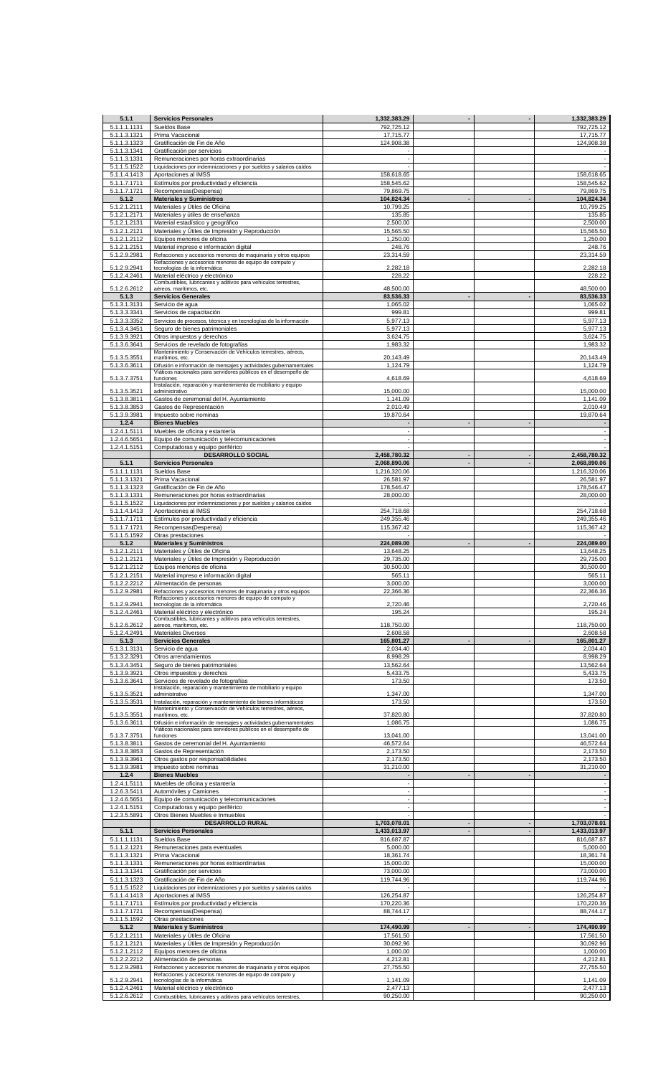| 5.1.1                        | <b>Servicios Personales</b>                                                                                                         | 1,332,383.29             |                          | 1,332,383.29                                         |
|------------------------------|-------------------------------------------------------------------------------------------------------------------------------------|--------------------------|--------------------------|------------------------------------------------------|
| 5.1.1.1.1131<br>5.1.1.3.1321 | Sueldos Base<br>Prima Vacacional                                                                                                    | 792,725.12<br>17,715.77  |                          | 792,725.12<br>17,715.77                              |
| 5.1.1.3.1323                 | Gratificación de Fin de Año                                                                                                         | 124,908.38               |                          | 124,908.38                                           |
| 5.1.1.3.1341                 | Gratificación por servicios                                                                                                         |                          |                          |                                                      |
| 5.1.1.3.1331<br>5.1.1.5.1522 | Remuneraciones por horas extraordinarias<br>Liquidaciones por indemnizaciones y por sueldos y salarios caídos                       |                          |                          | $\overline{\phantom{a}}$                             |
| 5.1.1.4.1413                 | Aportaciones al IMSS                                                                                                                | 158,618.65               |                          | 158,618.65                                           |
| 5.1.1.7.1711                 | Estímulos por productividad y eficiencia                                                                                            | 158,545.62               |                          | 158,545.62                                           |
| 5.1.1.7.1721<br>5.1.2        | Recompensas(Despensa)<br><b>Materiales y Suministros</b>                                                                            | 79,869.75<br>104,824.34  |                          | 79.869.75<br>104,824.34                              |
| 5.1.2.1.2111                 | Materiales y Útiles de Oficina                                                                                                      | 10,799.25                |                          | 10,799.25                                            |
| 5.1.2.1.2171                 | Materiales y útiles de enseñanza                                                                                                    | 135.85                   |                          | 135.85                                               |
| 5.1.2.1.2131<br>5.1.2.1.2121 | Material estadístico y geográfico<br>Materiales y Útiles de Impresión y Reproducción                                                | 2,500.00<br>15,565.50    |                          | 2,500.00<br>15,565.50                                |
| 5.1.2.1.2112                 | Equipos menores de oficina                                                                                                          | 1,250.00                 |                          | 1,250.00                                             |
| 5.1.2.1.2151                 | Material impreso e información digital                                                                                              | 248.76                   |                          | 248.76                                               |
| 5.1.2.9.2981                 | Refacciones y accesorios menores de maquinaria y otros equipos<br>Refacciones y accesorios menores de equipo de computo y           | 23,314.59                |                          | 23,314.59                                            |
| 5.1.2.9.2941                 | tecnologías de la informática                                                                                                       | 2,282.18                 |                          | 2,282.18                                             |
| 5.1.2.4.2461                 | Material eléctrico y electrónico<br>Combustibles, lubricantes y aditivos para vehículos terrestres,                                 | 228.22                   |                          | 228.22                                               |
| 5.1.2.6.2612                 | aéreos, marítimos, etc.                                                                                                             | 48,500.00                |                          | 48,500.00                                            |
| 5.1.3<br>5.1.3.1.3131        | <b>Servicios Generales</b><br>Servicio de agua                                                                                      | 83,536.33<br>1,065.02    |                          | 83,536.33<br>1,065.02                                |
| 5.1.3.3.3341                 | Servicios de capacitación                                                                                                           | 999.81                   |                          | 999.81                                               |
| 5.1.3.3.3352                 | Servicios de procesos, técnica y en tecnologías de la información                                                                   | 5,977.13                 |                          | 5,977.13                                             |
| 5.1.3.4.3451<br>5.1.3.9.3921 | Seguro de bienes patrimoniales<br>Otros impuestos y derechos                                                                        | 5,977.13<br>3,624.75     |                          | 5,977.13<br>3,624.75                                 |
| 5.1.3.6.3641                 | Servicios de revelado de fotografías                                                                                                | 1,983.32                 |                          | 1,983.32                                             |
| 5.1.3.5.3551                 | Mantenimiento y Conservación de Vehículos terrestres, aéreos,<br>marítimos, etc.                                                    | 20,143.49                |                          | 20,143.49                                            |
| 5.1.3.6.3611                 | Difusión e información de mensajes y actividades gubernamentales                                                                    | 1,124.79                 |                          | 1,124.79                                             |
| 5.1.3.7.3751                 | Viáticos nacionales para servidores públicos en el desempeño de<br>funciones                                                        | 4,618.69                 |                          | 4,618.69                                             |
| 5.1.3.5.3521                 | Instalación, reparación y mantenimiento de mobiliario y equipo<br>administrativo                                                    | 15,000.00                |                          | 15,000.00                                            |
| 5.1.3.8.3811                 | Gastos de ceremonial del H. Ayuntamiento                                                                                            | 1,141.09                 |                          | 1,141.09                                             |
| 5.1.3.8.3853                 | Gastos de Representación                                                                                                            | 2,010.49                 |                          | 2,010.49                                             |
| 5.1.3.9.3981<br>1.2.4        | Impuesto sobre nominas<br><b>Bienes Muebles</b>                                                                                     | 19,870.64                | $\blacksquare$           | 19,870.64                                            |
| 1.2.4.1.5111                 | Muebles de oficina y estantería                                                                                                     |                          |                          | $\overline{\phantom{a}}$                             |
| 1.2.4.6.5651                 | Equipo de comunicación y telecomunicaciones                                                                                         |                          |                          |                                                      |
| 1.2.4.1.5151                 | Computadoras y equipo periférico<br><b>DESARROLLO SOCIAL</b>                                                                        | 2,458,780.32             | $\overline{\phantom{a}}$ | 2,458,780.32                                         |
| 5.1.1                        | <b>Servicios Personales</b>                                                                                                         | 2,068,890.06             | $\blacksquare$           | 2,068,890.06                                         |
| 5.1.1.1.1131                 | Sueldos Base                                                                                                                        | 1,216,320.06             |                          | 1,216,320.06                                         |
| 5.1.1.3.1321<br>5.1.1.3.1323 | Prima Vacacional<br>Gratificación de Fin de Año                                                                                     | 26,581.97<br>178,546.47  |                          | 26,581.97<br>178,546.47                              |
| 5.1.1.3.1331                 | Remuneraciones por horas extraordinarias                                                                                            | 28,000.00                |                          | 28,000.00                                            |
| 5.1.1.5.1522                 | Liquidaciones por indemnizaciones y por sueldos y salarios caídos                                                                   |                          |                          |                                                      |
| 5.1.1.4.1413<br>5.1.1.7.1711 | Aportaciones al IMSS<br>Estímulos por productividad y eficiencia                                                                    | 254,718.68<br>249,355.46 |                          | 254,718.68<br>249,355.46                             |
| 5.1.1.7.1721                 | Recompensas(Despensa)                                                                                                               | 115,367.42               |                          | 115,367.42                                           |
| 5.1.1.5.1592                 | Otras prestaciones                                                                                                                  |                          |                          |                                                      |
| 5.1.2<br>5.1.2.1.2111        | <b>Materiales y Suministros</b><br>Materiales y Útiles de Oficina                                                                   | 224,089.00               |                          | 224,089.00<br>13,648.25                              |
| 5.1.2.1.2121                 | Materiales y Útiles de Impresión y Reproducción                                                                                     | 13,648.25<br>29,735.00   |                          | 29,735.00                                            |
| 5.1.2.1.2112                 | Equipos menores de oficina                                                                                                          | 30,500.00                |                          | 30,500.00                                            |
| 5.1.2.1.2151                 | Material impreso e información digital                                                                                              | 565.11                   |                          | 565.11                                               |
| 5.1.2.2.2212<br>5.1.2.9.2981 | Alimentación de personas<br>Refacciones y accesorios menores de maquinaria y otros equipos                                          | 3,000.00<br>22,366.36    |                          | 3,000.00<br>22,366.36                                |
|                              | Refacciones y accesorios menores de equipo de computo y                                                                             |                          |                          |                                                      |
| 5.1.2.9.2941<br>5.1.2.4.2461 | tecnologías de la informática<br>Material eléctrico y electrónico                                                                   | 2,720.46<br>195.24       |                          | 2,720.46<br>195.24                                   |
| 5.1.2.6.2612                 | Combustibles, lubricantes y aditivos para vehículos terrestres,                                                                     | 118,750.00               |                          | 118,750.00                                           |
| 5.1.2.4.2491                 | aéreos, marítimos, etc.<br>Materiales Diversos                                                                                      | 2,608.58                 |                          | 2,608.58                                             |
| 5.1.3                        | <b>Servicios Generales</b>                                                                                                          | 165,801.27               |                          | 165,801.27                                           |
| 5.1.3.1.3131<br>5.1.3.2.3291 | Servicio de agua<br>Otros arrendamientos                                                                                            | 2,034.40<br>8,998.29     |                          | 2,034.40<br>8,998.29                                 |
| 5.1.3.4.3451                 | Seguro de bienes patrimoniales                                                                                                      | 13,562.64                |                          | 13,562.64                                            |
| 5.1.3.9.3921                 | Otros impuestos y derechos                                                                                                          | 5,433.75                 |                          | 5,433.75                                             |
| 5.1.3.6.3641                 | Servicios de revelado de fotografías<br>Instalación, reparación y mantenimiento de mobiliario y equipo                              | 173.50                   |                          | 173.50                                               |
| 5.1.3.5.3521                 | administrativo                                                                                                                      | 1,347.00                 |                          | 1,347.00                                             |
| 5.1.3.5.3531                 | Instalación, reparación y mantenimiento de bienes informáticos<br>Mantenimiento y Conservación de Vehículos terrestres, aéreos,     | 173.50                   |                          | 173.50                                               |
| 5.1.3.5.3551                 | marítimos, etc.                                                                                                                     | 37,820.80                |                          | 37,820.80                                            |
| 5.1.3.6.3611                 | Difusión e información de mensajes y actividades gubernamentales<br>Viáticos nacionales para servidores públicos en el desempeño de | 1,086.75                 |                          | 1,086.75                                             |
| 5.1.3.7.3751                 | funciones                                                                                                                           | 13,041.00                |                          | 13,041.00                                            |
| 5.1.3.8.3811<br>5.1.3.8.3853 | Gastos de ceremonial del H. Ayuntamiento<br>Gastos de Representación                                                                | 46,572.64<br>2,173.50    |                          | 46,572.64<br>2,173.50                                |
| 5.1.3.9.3961                 | Otros gastos por responsabilidades                                                                                                  | 2,173.50                 |                          | 2,173.50                                             |
| 5.1.3.9.3981                 | Impuesto sobre nominas                                                                                                              | 31,210.00                |                          | 31,210.00                                            |
| 1.2.4<br>1.2.4.1.5111        | <b>Bienes Muebles</b><br>Muebles de oficina y estantería                                                                            |                          |                          | $\overline{\phantom{a}}$<br>$\overline{\phantom{a}}$ |
| 1.2.6.3.5411                 | Automóviles y Camiones                                                                                                              | ÷.                       |                          | $\overline{\phantom{a}}$                             |
| 1.2.4.6.5651                 | Equipo de comunicación y telecomunicaciones                                                                                         |                          |                          | $\blacksquare$                                       |
| 1.2.4.1.5151<br>1.2.3.5.5891 | Computadoras y equipo periférico<br>Otros Bienes Muebles e Inmuebles                                                                |                          |                          | $\blacksquare$<br>$\overline{\phantom{a}}$           |
|                              | <b>DESARROLLO RURAL</b>                                                                                                             | 1,703,078.01             |                          | 1,703,078.01                                         |
| 5.1.1                        | <b>Servicios Personales</b>                                                                                                         | 1,433,013.97             |                          | 1,433,013.97                                         |
| 5.1.1.1.1131<br>5.1.1.2.1221 | Sueldos Base<br>Remuneraciones para eventuales                                                                                      | 816,687.87<br>5,000.00   |                          | 816,687.87<br>5,000.00                               |
| 5.1.1.3.1321                 | Prima Vacacional                                                                                                                    | 18,361.74                |                          | 18,361.74                                            |
| 5.1.1.3.1331                 | Remuneraciones por horas extraordinarias                                                                                            | 15,000.00                |                          | 15,000.00                                            |
| 5.1.1.3.1341<br>5.1.1.3.1323 | Gratificación por servicios<br>Gratificación de Fin de Año                                                                          | 73,000.00<br>119,744.96  |                          | 73,000.00<br>119,744.96                              |
| 5.1.1.5.1522                 | Liquidaciones por indemnizaciones y por sueldos y salarios caídos                                                                   |                          |                          |                                                      |
| 5.1.1.4.1413                 | Aportaciones al IMSS                                                                                                                | 126,254.87               |                          | 126,254.87                                           |
| 5.1.1.7.1711<br>5.1.1.7.1721 | Estímulos por productividad y eficiencia<br>Recompensas(Despensa)                                                                   | 170,220.36<br>88,744.17  |                          | 170,220.36<br>88,744.17                              |
| 5.1.1.5.1592                 |                                                                                                                                     |                          |                          |                                                      |
|                              | Otras prestaciones                                                                                                                  |                          |                          |                                                      |
| 5.1.2                        | <b>Materiales y Suministros</b>                                                                                                     | 174,490.99               |                          | 174,490.99                                           |
| 5.1.2.1.2111                 | Materiales y Útiles de Oficina                                                                                                      | 17,561.50                |                          | 17,561.50                                            |
| 5.1.2.1.2121<br>5.1.2.1.2112 | Materiales y Útiles de Impresión y Reproducción<br>Equipos menores de oficina                                                       | 30,092.96<br>1,000.00    |                          | 30,092.96<br>1,000.00                                |
| 5.1.2.2.2212                 | Alimentación de personas                                                                                                            | 4,212.81                 |                          | 4,212.81                                             |
| 5.1.2.9.2981                 | Refacciones y accesorios menores de maquinaria y otros equipos                                                                      | 27,755.50                |                          | 27,755.50                                            |
| 5.1.2.9.2941                 | Refacciones y accesorios menores de equipo de computo y<br>tecnologías de la informática                                            | 1,141.09                 |                          | 1,141.09                                             |
| 5.1.2.4.2461<br>5.1.2.6.2612 | Material eléctrico y electrónico<br>Combustibles, lubricantes y aditivos para vehículos terrestres,                                 | 2,477.13<br>90,250.00    |                          | 2,477.13<br>90,250.00                                |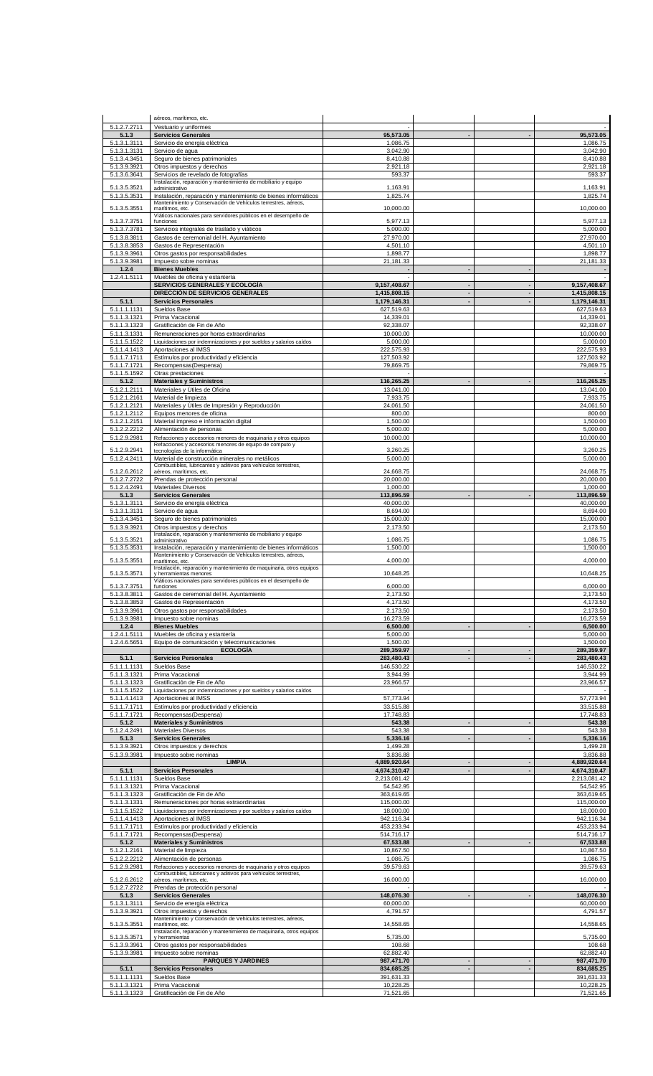|                              | aéreos, marítimos, etc.                                                                                                           |                              |                                            |                          |                              |
|------------------------------|-----------------------------------------------------------------------------------------------------------------------------------|------------------------------|--------------------------------------------|--------------------------|------------------------------|
| 5.1.2.7.2711<br>5.1.3        | Vestuario y uniformes<br><b>Servicios Generales</b>                                                                               | 95,573.05                    | $\overline{\phantom{a}}$                   |                          | 95,573.05                    |
| 5.1.3.1.3111                 | Servicio de energía eléctrica                                                                                                     | 1,086.75                     |                                            |                          | 1.086.75                     |
| 5.1.3.1.3131<br>5.1.3.4.3451 | Servicio de agua<br>Seguro de bienes patrimoniales                                                                                | 3,042.90<br>8,410.88         |                                            |                          | 3,042.90<br>8,410.88         |
| 5.1.3.9.3921                 | Otros impuestos y derechos                                                                                                        | 2,921.18                     |                                            |                          | 2,921.18                     |
| 5.1.3.6.3641                 | Servicios de revelado de fotografías<br>Instalación, reparación y mantenimiento de mobiliario y equipo                            | 593.37                       |                                            |                          | 593.37                       |
| 5.1.3.5.3521                 | administrativo                                                                                                                    | 1,163.91                     |                                            |                          | 1,163.91                     |
| 5.1.3.5.3531                 | Instalación, reparación y mantenimiento de bienes informáticos<br>Mantenimiento y Conservación de Vehículos terrestres, aéreos,   | 1,825.74                     |                                            |                          | 1,825.74                     |
| 5.1.3.5.3551                 | marítimos, etc.<br>Viáticos nacionales para servidores públicos en el desempeño de                                                | 10,000.00                    |                                            |                          | 10,000.00                    |
| 5.1.3.7.3751                 | funciones                                                                                                                         | 5,977.13                     |                                            |                          | 5,977.13                     |
| 5.1.3.7.3781<br>5.1.3.8.3811 | Servicios integrales de traslado y viáticos<br>Gastos de ceremonial del H. Ayuntamiento                                           | 5,000.00<br>27,970.00        |                                            |                          | 5,000.00<br>27,970.00        |
| 5.1.3.8.3853                 | Gastos de Representación                                                                                                          | 4,501.10                     |                                            |                          | 4,501.10                     |
| 5.1.3.9.3961<br>5.1.3.9.3981 | Otros gastos por responsabilidades<br>Impuesto sobre nominas                                                                      | 1,898.77<br>21,181.33        |                                            |                          | 1,898.77<br>21,181.33        |
| 1.2.4                        | <b>Bienes Muebles</b>                                                                                                             |                              | $\overline{a}$                             | $\overline{\phantom{a}}$ | $\blacksquare$               |
| 1.2.4.1.5111                 | Muebles de oficina y estantería<br>SERVICIOS GENERALES Y ECOLOGÍA                                                                 | 9,157,408.67                 |                                            |                          | 9,157,408.67                 |
|                              | DIRECCIÓN DE SERVICIOS GENERALES                                                                                                  | 1,415,808.15                 | $\blacksquare$                             | $\blacksquare$           | 1,415,808.15                 |
| 5.1.1<br>5.1.1.1.1131        | <b>Servicios Personales</b><br>Sueldos Base                                                                                       | 1,179,146.31<br>627,519.63   | $\overline{a}$                             |                          | 1,179,146.31<br>627,519.63   |
| 5.1.1.3.1321                 | Prima Vacacional                                                                                                                  | 14,339.01                    |                                            |                          | 14,339.01                    |
| 5.1.1.3.1323                 | Gratificación de Fin de Año                                                                                                       | 92,338.07                    |                                            |                          | 92,338.07                    |
| 5.1.1.3.1331<br>5.1.1.5.1522 | Remuneraciones por horas extraordinarias<br>Liquidaciones por indemnizaciones y por sueldos y salarios caídos                     | 10,000.00<br>5,000.00        |                                            |                          | 10,000.00<br>5,000.00        |
| 5.1.1.4.1413                 | Aportaciones al IMSS                                                                                                              | 222,575.93                   |                                            |                          | 222,575.93                   |
| 5.1.1.7.1711<br>5.1.1.7.1721 | Estímulos por productividad y eficiencia<br>Recompensas(Despensa)                                                                 | 127,503.92<br>79,869.75      |                                            |                          | 127,503.92<br>79,869.75      |
| 5.1.1.5.1592                 | Otras prestaciones                                                                                                                |                              |                                            |                          |                              |
| 5.1.2<br>5.1.2.1.2111        | <b>Materiales y Suministros</b><br>Materiales y Útiles de Oficina                                                                 | 116,265.25<br>13,041.00      |                                            |                          | 116.265.25<br>13,041.00      |
| 5.1.2.1.2161                 | Material de limpieza                                                                                                              | 7,933.75                     |                                            |                          | 7,933.75                     |
| 5.1.2.1.2121<br>5.1.2.1.2112 | Materiales y Útiles de Impresión y Reproducción<br>Equipos menores de oficina                                                     | 24,061.50<br>800.00          |                                            |                          | 24,061.50<br>800.00          |
| 5.1.2.1.2151                 | Material impreso e información digital                                                                                            | 1,500.00                     |                                            |                          | 1,500.00                     |
| 5.1.2.2.2212                 | Alimentación de personas                                                                                                          | 5,000.00                     |                                            |                          | 5,000.00                     |
| 5.1.2.9.2981                 | Refacciones y accesorios menores de maquinaria y otros equipos<br>Refacciones y accesorios menores de equipo de computo y         | 10,000.00                    |                                            |                          | 10,000.00                    |
| 5.1.2.9.2941<br>5.1.2.4.2411 | tecnologías de la informática<br>Material de construcción minerales no metálicos                                                  | 3,260.25<br>5,000.00         |                                            |                          | 3,260.25<br>5,000.00         |
| 5.1.2.6.2612                 | Combustibles, lubricantes y aditivos para vehículos terrestres,                                                                   | 24,668.75                    |                                            |                          | 24,668.75                    |
| 5.1.2.7.2722                 | aéreos, marítimos, etc.<br>Prendas de protección personal                                                                         | 20,000.00                    |                                            |                          | 20,000.00                    |
| 5.1.2.4.2491                 | Materiales Diversos                                                                                                               | 1,000.00                     | $\overline{\phantom{a}}$                   |                          | 1,000.00                     |
| 5.1.3<br>5.1.3.1.3111        | <b>Servicios Generales</b><br>Servicio de energía eléctrica                                                                       | 113,896.59<br>40,000.00      |                                            |                          | 113,896.59<br>40,000.00      |
| 5.1.3.1.3131                 | Servicio de agua                                                                                                                  | 8,694.00                     |                                            |                          | 8,694.00                     |
| 5.1.3.4.3451<br>5.1.3.9.3921 | Seguro de bienes patrimoniales<br>Otros impuestos y derechos                                                                      | 15,000.00<br>2,173.50        |                                            |                          | 15,000.00<br>2,173.50        |
| 5.1.3.5.3521                 | Instalación, reparación y mantenimiento de mobiliario y equipo<br>administrativo                                                  | 1,086.75                     |                                            |                          | 1,086.75                     |
| 5.1.3.5.3531                 | Instalación, reparación y mantenimiento de bienes informáticos                                                                    | 1,500.00                     |                                            |                          | 1,500.00                     |
| 5.1.3.5.3551                 | Mantenimiento y Conservación de Vehículos terrestres, aéreos,<br>marítimos, etc.                                                  | 4,000.00                     |                                            |                          | 4,000.00                     |
| 5.1.3.5.3571                 | Instalación, reparación y mantenimiento de maquinaria, otros equipos<br>y herramientas menores                                    | 10,648.25                    |                                            |                          | 10,648.25                    |
| 5.1.3.7.3751                 | Viáticos nacionales para servidores públicos en el desempeño de<br>funciones                                                      | 6,000.00                     |                                            |                          | 6,000.00                     |
| 5.1.3.8.3811                 | Gastos de ceremonial del H. Ayuntamiento                                                                                          | 2,173.50                     |                                            |                          | 2,173.50                     |
| 5.1.3.8.3853                 | Gastos de Representación                                                                                                          | 4,173.50                     |                                            |                          | 4,173.50                     |
| 5.1.3.9.3961<br>5.1.3.9.3981 | Otros gastos por responsabilidades<br>Impuesto sobre nominas                                                                      | 2,173.50<br>16,273.59        |                                            |                          | 2,173.50<br>16,273.59        |
| 1.2.4                        | <b>Bienes Muebles</b>                                                                                                             | 6,500.00                     | ÷,                                         |                          | 6,500.00                     |
| 1.2.4.1.5111<br>1.2.4.6.5651 | Muebles de oficina y estantería<br>Equipo de comunicación y telecomunicaciones                                                    | 5,000.00<br>1,500.00         |                                            |                          | 5,000.00<br>1,500.00         |
|                              | <b>ECOLOGÍA</b>                                                                                                                   | 289,359.97                   |                                            |                          | 289,359.97                   |
| 5.1.1<br>5.1.1.1.1131        | <b>Servicios Personales</b><br>Sueldos Base                                                                                       | 283,480.43<br>146,530.22     | $\overline{\phantom{a}}$                   |                          | 283,480.43<br>146,530.22     |
| 5.1.1.3.1321                 | Prima Vacacional                                                                                                                  | 3,944.99                     |                                            |                          | 3,944.99                     |
| 5.1.1.3.1323<br>5.1.1.5.1522 | Gratificación de Fin de Año<br>Liquidaciones por indemnizaciones y por sueldos y salarios caídos                                  | 23,966.57                    |                                            |                          | 23,966.57                    |
| 5.1.1.4.1413                 | Aportaciones al IMSS                                                                                                              | 57,773.94                    |                                            |                          | 57,773.94                    |
| 5.1.1.7.1711<br>5.1.1.7.1721 | Estímulos por productividad y eficiencia<br>Recompensas(Despensa)                                                                 | 33,515.88<br>17,748.83       |                                            |                          | 33,515.88<br>17,748.83       |
| 5.1.2                        | <b>Materiales y Suministros</b>                                                                                                   | 543.38                       | ÷,                                         |                          | 543.38                       |
| 5.1.2.4.2491                 | <b>Materiales Diversos</b>                                                                                                        | 543.38                       | $\blacksquare$                             |                          | 543.38                       |
| 5.1.3<br>5.1.3.9.3921        | <b>Servicios Generales</b><br>Otros impuestos y derechos                                                                          | 5,336.16<br>1,499.28         |                                            |                          | 5,336.16<br>1,499.28         |
| 5.1.3.9.3981                 | Impuesto sobre nominas                                                                                                            | 3,836.88                     |                                            |                          | 3,836.88                     |
| 5.1.1                        | <b>LIMPIA</b><br><b>Servicios Personales</b>                                                                                      | 4,889,920.64<br>4,674,310.47 | $\blacksquare$<br>$\blacksquare$           | $\overline{\phantom{a}}$ | 4,889,920.64<br>4,674,310.47 |
| 5.1.1.1.1131                 | Sueldos Base                                                                                                                      | 2,213,081.42                 |                                            |                          | 2,213,081.42                 |
| 5.1.1.3.1321<br>5.1.1.3.1323 | Prima Vacacional<br>Gratificación de Fin de Año                                                                                   | 54,542.95<br>363,619.65      |                                            |                          | 54,542.95<br>363,619.65      |
| 5.1.1.3.1331                 | Remuneraciones por horas extraordinarias                                                                                          | 115,000.00                   |                                            |                          | 115,000.00                   |
| 5.1.1.5.1522                 | Liquidaciones por indemnizaciones y por sueldos y salarios caídos                                                                 | 18,000.00                    |                                            |                          | 18,000.00                    |
| 5.1.1.4.1413<br>5.1.1.7.1711 | Aportaciones al IMSS<br>Estímulos por productividad y eficiencia                                                                  | 942,116.34<br>453,233.94     |                                            |                          | 942,116.34<br>453,233.94     |
| 5.1.1.7.1721                 | Recompensas(Despensa)                                                                                                             | 514,716.17                   |                                            |                          | 514,716.17                   |
| 5.1.2<br>5.1.2.1.2161        | <b>Materiales y Suministros</b><br>Material de limpieza                                                                           | 67,533.88<br>10,867.50       |                                            |                          | 67,533.88<br>10,867.50       |
| 5.1.2.2.2212                 | Alimentación de personas                                                                                                          | 1,086.75                     |                                            |                          | 1,086.75                     |
| 5.1.2.9.2981                 | Refacciones y accesorios menores de maquinaria y otros equipos<br>Combustibles, lubricantes y aditivos para vehículos terrestres, | 39,579.63                    |                                            |                          | 39,579.63                    |
| 5.1.2.6.2612<br>5.1.2.7.2722 | aéreos, marítimos, etc.<br>Prendas de protección personal                                                                         | 16,000.00                    |                                            |                          | 16,000.00                    |
| 5.1.3                        | <b>Servicios Generales</b>                                                                                                        | 148,076.30                   |                                            |                          | 148,076.30                   |
| 5.1.3.1.3111                 | Servicio de energía eléctrica                                                                                                     | 60,000.00                    |                                            |                          | 60,000.00                    |
| 5.1.3.9.3921                 | Otros impuestos y derechos<br>Mantenimiento y Conservación de Vehículos terrestres, aéreos,                                       | 4,791.57                     |                                            |                          | 4,791.57                     |
| 5.1.3.5.3551                 | marítimos, etc.<br>Instalación, reparación y mantenimiento de maquinaria, otros equipos                                           | 14,558.65                    |                                            |                          | 14,558.65                    |
| 5.1.3.5.3571<br>5.1.3.9.3961 | y herramientas<br>Otros gastos por responsabilidades                                                                              | 5,735.00<br>108.68           |                                            |                          | 5,735.00<br>108.68           |
| 5.1.3.9.3981                 | Impuesto sobre nominas                                                                                                            | 62,882.40                    |                                            |                          | 62,882.40                    |
|                              | <b>PARQUES Y JARDINES</b><br><b>Servicios Personales</b>                                                                          | 987,471.70                   | $\overline{\phantom{a}}$<br>$\blacksquare$ |                          | 987,471.70                   |
| 5.1.1<br>5.1.1.1.1131        | Sueldos Base                                                                                                                      | 834,685.25<br>391,631.33     |                                            |                          | 834,685.25<br>391,631.33     |
| 5.1.1.3.1321<br>5.1.1.3.1323 | Prima Vacacional<br>Gratificación de Fin de Año                                                                                   | 10,228.25<br>71,521.65       |                                            |                          | 10,228.25<br>71,521.65       |
|                              |                                                                                                                                   |                              |                                            |                          |                              |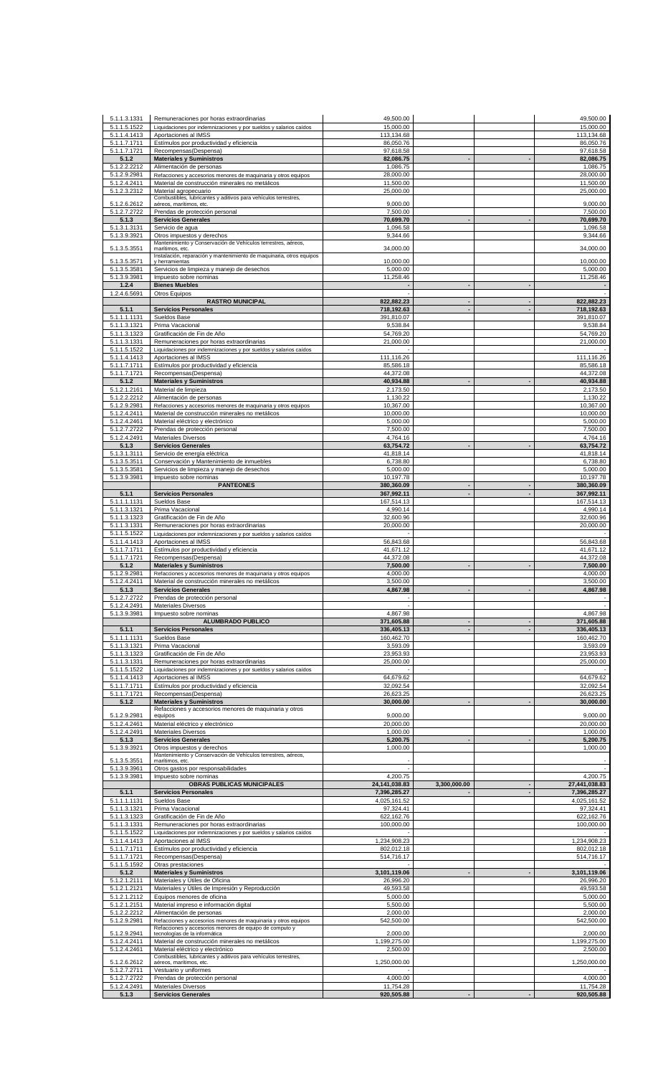| 5.1.1.3.1331                 | Remuneraciones por horas extraordinarias                                                                          | 49,500.00                       |                                  |                          | 49,500.00                     |
|------------------------------|-------------------------------------------------------------------------------------------------------------------|---------------------------------|----------------------------------|--------------------------|-------------------------------|
| 5.1.1.5.1522<br>5.1.1.4.1413 | Liquidaciones por indemnizaciones y por sueldos y salarios caídos<br>Aportaciones al IMSS                         | 15,000.00<br>113,134.68         |                                  |                          | 15,000.00<br>113,134.68       |
| 5.1.1.7.1711                 | Estímulos por productividad y eficiencia                                                                          | 86,050.76                       |                                  |                          | 86,050.76                     |
| 5.1.1.7.1721<br>5.1.2        | Recompensas(Despensa)<br><b>Materiales y Suministros</b>                                                          | 97,618.58<br>82,086.75          |                                  |                          | 97,618.58<br>82,086.75        |
| 5.1.2.2.2212                 | Alimentación de personas                                                                                          | 1,086.75                        |                                  |                          | 1,086.75                      |
| 5.1.2.9.2981<br>5.1.2.4.2411 | Refacciones y accesorios menores de maquinaria y otros equipos<br>Material de construcción minerales no metálicos | 28,000.00<br>11,500.00          |                                  |                          | 28,000.00<br>11,500.00        |
| 5.1.2.3.2312                 | Material agropecuario                                                                                             | 25,000.00                       |                                  |                          | 25,000.00                     |
| 5.1.2.6.2612                 | Combustibles, lubricantes y aditivos para vehículos terrestres,<br>aéreos, marítimos, etc.                        | 9,000.00                        |                                  |                          | 9,000.00                      |
| 5.1.2.7.2722                 | Prendas de protección personal                                                                                    | 7,500.00                        |                                  |                          | 7,500.00                      |
| 5.1.3<br>5.1.3.1.3131        | <b>Servicios Generales</b><br>Servicio de agua                                                                    | 70,699.70<br>1,096.58           |                                  | $\overline{\phantom{a}}$ | 70,699.70<br>1,096.58         |
| 5.1.3.9.3921                 | Otros impuestos y derechos                                                                                        | 9,344.66                        |                                  |                          | 9,344.66                      |
| 5.1.3.5.3551                 | Mantenimiento y Conservación de Vehículos terrestres, aéreos,<br>marítimos, etc.                                  | 34,000.00                       |                                  |                          | 34,000.00                     |
| 5.1.3.5.3571                 | Instalación, reparación y mantenimiento de maquinaria, otros equipos<br>y herramientas                            | 10,000.00                       |                                  |                          | 10,000.00                     |
| 5.1.3.5.3581                 | Servicios de limpieza y manejo de desechos                                                                        | 5,000.00                        |                                  |                          | 5,000.00                      |
| 5.1.3.9.3981<br>1.2.4        | Impuesto sobre nominas<br><b>Bienes Muebles</b>                                                                   | 11,258.46                       | $\blacksquare$                   |                          | 11,258.46                     |
| 1.2.4.6.5691                 | Otros Equipos                                                                                                     |                                 |                                  |                          |                               |
| 5.1.1                        | <b>RASTRO MUNICIPAL</b><br><b>Servicios Personales</b>                                                            | 822,882.23<br>718,192.63        | $\blacksquare$<br>$\blacksquare$ | $\overline{\phantom{a}}$ | 822,882.23<br>718,192.63      |
| 5.1.1.1.1131                 | Sueldos Base                                                                                                      | 391,810.07                      |                                  |                          | 391,810.07                    |
| 5.1.1.3.1321<br>5.1.1.3.1323 | Prima Vacacional<br>Gratificación de Fin de Año                                                                   | 9,538.84<br>54,769.20           |                                  |                          | 9,538.84<br>54,769.20         |
| 5.1.1.3.1331                 | Remuneraciones por horas extraordinarias                                                                          | 21,000.00                       |                                  |                          | 21,000.00                     |
| 5.1.1.5.1522<br>5.1.1.4.1413 | Liquidaciones por indemnizaciones y por sueldos y salarios caídos<br>Aportaciones al IMSS                         | 111,116.26                      |                                  |                          | 111,116.26                    |
| 5.1.1.7.1711                 | Estímulos por productividad y eficiencia                                                                          | 85,586.18                       |                                  |                          | 85,586.18                     |
| 5.1.1.7.1721<br>5.1.2        | Recompensas(Despensa)<br><b>Materiales y Suministros</b>                                                          | 44,372.08<br>40,934.88          |                                  |                          | 44,372.08<br>40,934.88        |
| 5.1.2.1.2161                 | Material de limpieza                                                                                              | 2,173.50                        |                                  |                          | 2,173.50                      |
| 5.1.2.2.2212                 | Alimentación de personas                                                                                          | 1,130.22                        |                                  |                          | 1,130.22                      |
| 5.1.2.9.2981<br>5.1.2.4.2411 | Refacciones y accesorios menores de maquinaria y otros equipos<br>Material de construcción minerales no metálicos | 10,367.00<br>10,000.00          |                                  |                          | 10,367.00<br>10,000.00        |
| 5.1.2.4.2461                 | Material eléctrico y electrónico                                                                                  | 5,000.00                        |                                  |                          | 5,000.00                      |
| 5.1.2.7.2722<br>5.1.2.4.2491 | Prendas de protección personal<br><b>Materiales Diversos</b>                                                      | 7,500.00<br>4,764.16            |                                  |                          | 7,500.00<br>4,764.16          |
| 5.1.3                        | <b>Servicios Generales</b>                                                                                        | 63,754.72                       |                                  |                          | 63,754.72                     |
| 5.1.3.1.3111<br>5.1.3.5.3511 | Servicio de energía eléctrica<br>Conservación y Mantenimiento de inmuebles                                        | 41,818.14<br>6,738.80           |                                  |                          | 41,818.14<br>6,738.80         |
| 5.1.3.5.3581                 | Servicios de limpieza y manejo de desechos                                                                        | 5,000.00                        |                                  |                          | 5,000.00                      |
| 5.1.3.9.3981                 | Impuesto sobre nominas<br><b>PANTEONES</b>                                                                        | 10,197.78<br>380,360.09         |                                  | $\overline{\phantom{a}}$ | 10,197.78<br>380,360.09       |
| 5.1.1                        | <b>Servicios Personales</b>                                                                                       | 367,992.11                      | $\overline{a}$                   |                          | 367,992.11                    |
| 5.1.1.1.1131<br>5.1.1.3.1321 | Sueldos Base<br>Prima Vacacional                                                                                  | 167,514.13<br>4,990.14          |                                  |                          | 167,514.13<br>4,990.14        |
| 5.1.1.3.1323                 | Gratificación de Fin de Año                                                                                       | 32,600.96                       |                                  |                          | 32,600.96                     |
| 5.1.1.3.1331<br>5.1.1.5.1522 | Remuneraciones por horas extraordinarias<br>Liquidaciones por indemnizaciones y por sueldos y salarios caídos     | 20,000.00                       |                                  |                          | 20,000.00                     |
| 5.1.1.4.1413                 | Aportaciones al IMSS                                                                                              | 56,843.68                       |                                  |                          | 56,843.68                     |
| 5.1.1.7.1711                 | Estímulos por productividad y eficiencia                                                                          | 41,671.12                       |                                  |                          | 41,671.12                     |
| 5.1.1.7.1721<br>5.1.2        | Recompensas(Despensa)<br><b>Materiales y Suministros</b>                                                          | 44,372.08<br>7,500.00           |                                  |                          | 44,372.08<br>7,500.00         |
| 5.1.2.9.2981                 | Refacciones y accesorios menores de maquinaria y otros equipos                                                    | 4,000.00                        |                                  |                          | 4,000.00                      |
| 5.1.2.4.2411<br>5.1.3        | Material de construcción minerales no metálicos<br><b>Servicios Generales</b>                                     | 3,500.00<br>4,867.98            |                                  |                          | 3,500.00<br>4,867.98          |
| 5.1.2.7.2722                 | Prendas de protección personal                                                                                    |                                 |                                  |                          | $\overline{\phantom{a}}$      |
| 5.1.2.4.2491<br>5.1.3.9.3981 | Materiales Diversos<br>Impuesto sobre nominas                                                                     | 4,867.98                        |                                  |                          | 4,867.98                      |
|                              | <b>ALUMBRADO PUBLICO</b>                                                                                          | 371,605.88                      | $\overline{a}$                   | $\blacksquare$           | 371,605.88                    |
| 5.1.1<br>5.1.1.1.1131        | <b>Servicios Personales</b><br>Sueldos Base                                                                       | 336,405.13<br>160,462.70        | $\blacksquare$                   | ÷,                       | 336,405.13<br>160,462.70      |
| 5.1.1.3.1321                 | Prima Vacacional                                                                                                  | 3,593.09                        |                                  |                          | 3,593.09                      |
| 5.1.1.3.1323<br>5.1.1.3.1331 | Gratificación de Fin de Año<br>Remuneraciones por horas extraordinarias                                           | 23,953.93<br>25,000.00          |                                  |                          | 23,953.93<br>25,000.00        |
| 5.1.1.5.1522                 | Liquidaciones por indemnizaciones y por sueldos y salarios caídos                                                 |                                 |                                  |                          |                               |
| 5.1.1.4.1413<br>5.1.1.7.1711 | Aportaciones al IMSS<br>Estímulos por productividad y eficiencia                                                  | 64,679.62<br>32,092.54          |                                  |                          | 64,679.62<br>32,092.54        |
| 5.1.1.7.1721                 | Recompensas(Despensa)                                                                                             | 26,623.25                       |                                  |                          | 26,623.25                     |
| 5.1.2                        | <b>Materiales y Suministros</b><br>Refacciones y accesorios menores de maquinaria y otros                         | 30,000.00                       |                                  |                          | 30,000.00                     |
| 5.1.2.9.2981                 | equipos                                                                                                           | 9,000.00                        |                                  |                          | 9,000.00                      |
| 5.1.2.4.2461<br>5.1.2.4.2491 | Material eléctrico y electrónico<br>Materiales Diversos                                                           | 20,000.00<br>1,000.00           |                                  |                          | 20,000.00<br>1,000.00         |
| 5.1.3                        | <b>Servicios Generales</b>                                                                                        | 5,200.75                        | $\blacksquare$                   | ÷,                       | 5,200.75                      |
| 5.1.3.9.3921                 | Otros impuestos y derechos<br>Mantenimiento y Conservación de Vehículos terrestres, aéreos,                       | 1,000.00                        |                                  |                          | 1,000.00                      |
| 5.1.3.5.3551<br>5.1.3.9.3961 | marítimos, etc.<br>Otros gastos por responsabilidades                                                             |                                 |                                  |                          |                               |
| 5.1.3.9.3981                 | Impuesto sobre nominas                                                                                            | 4,200.75                        |                                  |                          | 4,200.75                      |
| 5.1.1                        | OBRAS PUBLICAS MUNICIPALES<br><b>Servicios Personales</b>                                                         | 24, 141, 038.83<br>7,396,285.27 | 3,300,000.00                     | ÷,                       | 27,441,038.83<br>7,396,285.27 |
| 5.1.1.1.1131                 | Sueldos Base                                                                                                      | 4,025,161.52                    |                                  |                          | 4,025,161.52                  |
| 5.1.1.3.1321<br>5.1.1.3.1323 | Prima Vacacional<br>Gratificación de Fin de Año                                                                   | 97,324.41<br>622,162.76         |                                  |                          | 97,324.41<br>622,162.76       |
| 5.1.1.3.1331                 | Remuneraciones por horas extraordinarias                                                                          | 100,000.00                      |                                  |                          | 100,000.00                    |
| 5.1.1.5.1522<br>5.1.1.4.1413 | Liquidaciones por indemnizaciones y por sueldos y salarios caídos<br>Aportaciones al IMSS                         | 1,234,908.23                    |                                  |                          | 1,234,908.23                  |
| 5.1.1.7.1711                 | Estímulos por productividad y eficiencia                                                                          | 802,012.18                      |                                  |                          | 802,012.18                    |
| 5.1.1.7.1721                 | Recompensas(Despensa)                                                                                             | 514,716.17                      |                                  |                          | 514,716.17                    |
| 5.1.1.5.1592<br>5.1.2        | Otras prestaciones<br><b>Materiales y Suministros</b>                                                             | 3,101,119.06                    |                                  |                          | 3,101,119.06                  |
| 5.1.2.1.2111                 | Materiales y Útiles de Oficina                                                                                    | 26,996.20                       |                                  |                          | 26,996.20                     |
| 5.1.2.1.2121<br>5.1.2.1.2112 | Materiales y Útiles de Impresión y Reproducción<br>Equipos menores de oficina                                     | 49,593.58<br>5,000.00           |                                  |                          | 49,593.58<br>5,000.00         |
| 5.1.2.1.2151                 | Material impreso e información digital                                                                            | 5,500.00                        |                                  |                          | 5,500.00                      |
| 5.1.2.2.2212<br>5.1.2.9.2981 | Alimentación de personas<br>Refacciones y accesorios menores de maquinaria y otros equipos                        | 2,000.00<br>542,500.00          |                                  |                          | 2,000.00<br>542,500.00        |
| 5.1.2.9.2941                 | Refacciones y accesorios menores de equipo de computo y<br>tecnologías de la informática                          | 2,000.00                        |                                  |                          | 2,000.00                      |
| 5.1.2.4.2411                 | Material de construcción minerales no metálicos                                                                   | 1,199,275.00                    |                                  |                          | 1,199,275.00                  |
| 5.1.2.4.2461                 | Material eléctrico y electrónico<br>Combustibles, lubricantes y aditivos para vehículos terrestres,               | 2,500.00                        |                                  |                          | 2,500.00                      |
| 5.1.2.6.2612                 | aéreos, marítimos, etc.                                                                                           | 1,250,000.00                    |                                  |                          | 1,250,000.00                  |
| 5.1.2.7.2711<br>5.1.2.7.2722 | Vestuario y uniformes<br>Prendas de protección personal                                                           | 4,000.00                        |                                  |                          | 4.000.00                      |
| 5.1.2.4.2491                 | Materiales Diversos                                                                                               | 11,754.28                       |                                  |                          | 11,754.28                     |
| 5.1.3                        | <b>Servicios Generales</b>                                                                                        | 920,505.88                      |                                  |                          | 920,505.88                    |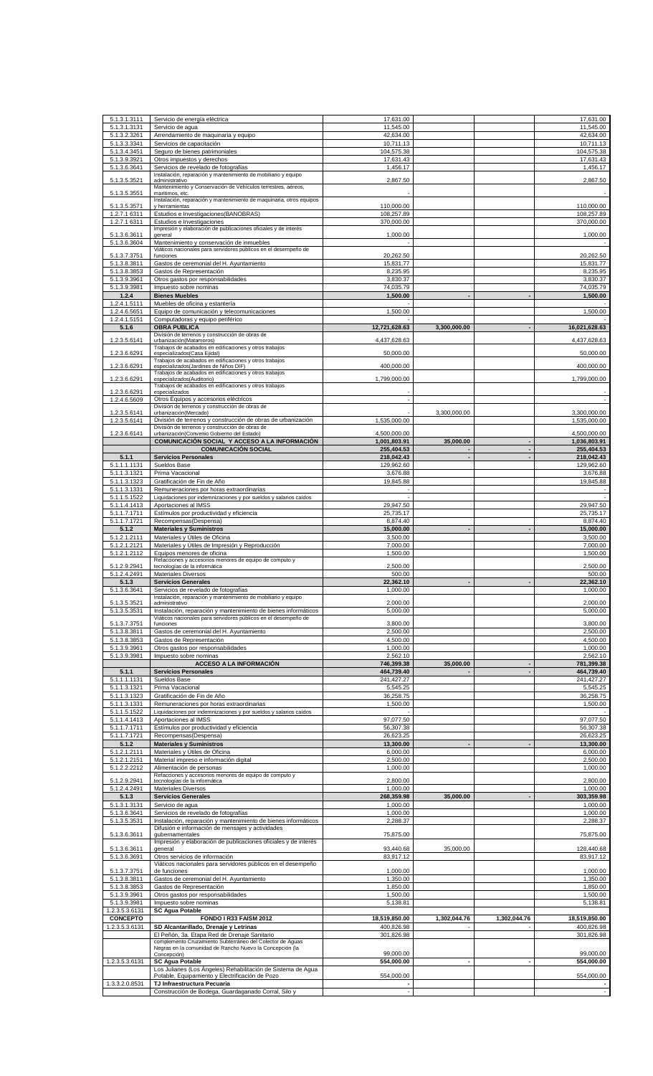| 5.1.3.1.3111                      |                                                                                                           | 17,631.00              |              |              | 17,631.00            |
|-----------------------------------|-----------------------------------------------------------------------------------------------------------|------------------------|--------------|--------------|----------------------|
|                                   | Servicio de energía eléctrica                                                                             |                        |              |              | 11,545.00            |
| 5.1.3.1.3131<br>5.1.3.2.3261      | Servicio de agua<br>Arrendamiento de maquinaria y equipo                                                  | 11,545.00<br>42,634.00 |              |              | 42,634.00            |
| 5.1.3.3.3341                      | Servicios de capacitación                                                                                 | 10,711.13              |              |              | 10.711.13            |
| 5.1.3.4.3451                      | Seguro de bienes patrimoniales                                                                            | 104,575.38             |              |              | 104,575.38           |
| 5.1.3.9.3921                      | Otros impuestos y derechos                                                                                | 17,631.43              |              |              | 17,631.43            |
| 5.1.3.6.3641                      | Servicios de revelado de fotografías                                                                      | 1,456.17               |              |              | 1,456.17             |
|                                   | Instalación, reparación y mantenimiento de mobiliario y equipo                                            |                        |              |              |                      |
| 5.1.3.5.3521                      | administrativo                                                                                            | 2,867.50               |              |              | 2,867.50             |
| 5.1.3.5.3551                      | Mantenimiento y Conservación de Vehículos terrestres, aéreos,<br>marítimos, etc.                          |                        |              |              |                      |
|                                   | Instalación, reparación y mantenimiento de maquinaria, otros equipos                                      |                        |              |              |                      |
| 5.1.3.5.3571                      | y herramientas                                                                                            | 110,000.00             |              |              | 110,000.00           |
| 1.2.7.1 6311                      | Estudios e Investigaciones(BANOBRAS)                                                                      | 108,257.89             |              |              | 108,257.89           |
| 1.2.7.1 6311                      | Estudios e Investigaciones                                                                                | 370,000.00             |              |              | 370,000.00           |
|                                   | Impresión y elaboración de publicaciones oficiales y de interés                                           |                        |              |              |                      |
| 5.1.3.6.3611                      | general                                                                                                   | 1,000.00               |              |              | 1,000.00             |
| 5.1.3.6.3604                      | Mantenimiento y conservación de inmuebles                                                                 |                        |              |              |                      |
| 5.1.3.7.3751                      | Viáticos nacionales para servidores públicos en el desempeño de<br>funciones                              | 20,262.50              |              |              | 20,262.50            |
| 5.1.3.8.3811                      | Gastos de ceremonial del H. Ayuntamiento                                                                  | 15,831.77              |              |              | 15,831.77            |
| 5.1.3.8.3853                      | Gastos de Representación                                                                                  | 8,235.95               |              |              | 8,235.95             |
| 5.1.3.9.3961                      | Otros gastos por responsabilidades                                                                        | 3,830.37               |              |              | 3,830.37             |
| 5.1.3.9.3981                      |                                                                                                           | 74,035.79              |              |              | 74,035.79            |
|                                   | Impuesto sobre nominas                                                                                    |                        |              |              |                      |
| 1.2.4                             | <b>Bienes Muebles</b>                                                                                     | 1,500.00               |              |              | 1,500.00             |
| 1.2.4.1.5111                      | Muebles de oficina y estantería                                                                           |                        |              |              |                      |
| 1.2.4.6.5651                      | Equipo de comunicación y telecomunicaciones                                                               | 1,500.00               |              |              | 1,500.00             |
| 1.2.4.1.5151                      | Computadoras y equipo periférico<br><b>OBRA PUBLICA</b>                                                   |                        |              |              |                      |
| 5.1.6                             | División de terrenos y construcción de obras de                                                           | 12,721,628.63          | 3,300,000.00 |              | 16,021,628.63        |
| 1.2.3.5.6141                      | urbanización(Matamoros)                                                                                   | 4,437,628.63           |              |              | 4,437,628.63         |
|                                   | Trabajos de acabados en edificaciones y otros trabajos                                                    |                        |              |              |                      |
| 1.2.3.6.6291                      | especializados(Casa Ejidal)                                                                               | 50,000.00              |              |              | 50,000.00            |
| 1.2.3.6.6291                      | Trabajos de acabados en edificaciones y otros trabajos                                                    | 400,000.00             |              |              | 400,000.00           |
|                                   | especializados(Jardines de Niños DIF)<br>Trabajos de acabados en edificaciones y otros trabajos           |                        |              |              |                      |
| 1.2.3.6.6291                      | especializados(Auditorio)                                                                                 | 1,799,000.00           |              |              | 1,799,000.00         |
|                                   | Trabajos de acabados en edificaciones y otros trabajos                                                    |                        |              |              |                      |
| 1.2.3.6.6291                      | especializados                                                                                            |                        |              |              |                      |
| 1.2.4.6.5609                      | Otros Equipos y accesorios eléctricos                                                                     | ÷,                     |              |              |                      |
| 1.2.3.5.6141                      | División de terrenos y construcción de obras de                                                           |                        | 3,300,000.00 |              | 3,300,000.00         |
| 1.2.3.5.6141                      | urbanización(Mercado)<br>División de terrenos y construcción de obras de urbanización                     | 1,535,000.00           |              |              | 1,535,000.00         |
|                                   | División de terrenos y construcción de obras de                                                           |                        |              |              |                      |
| 1.2.3.6.6141                      | urbanización(Convenio Gobierno del Estado)                                                                | 4,500,000.00           |              |              | 4,500,000.00         |
|                                   | COMUNICACIÓN SOCIAL Y ACCESO A LA INFORMACIÓN                                                             | 1,001,803.91           | 35,000.00    |              | 1,036,803.91         |
|                                   | <b>COMUNICACIÓN SOCIAL</b>                                                                                | 255,404.53             |              |              | 255,404.53           |
| 5.1.1                             | <b>Servicios Personales</b>                                                                               | 218,042.43             |              |              | 218,042.43           |
| 5.1.1.1.1131                      | Sueldos Base                                                                                              | 129,962.60             |              |              | 129,962.60           |
| 5.1.1.3.1321                      | Prima Vacacional                                                                                          | 3,676.88               |              |              | 3,676.88             |
| 5.1.1.3.1323                      | Gratificación de Fin de Año                                                                               | 19,845.88              |              |              | 19,845.88            |
| 5.1.1.3.1331                      | Remuneraciones por horas extraordinarias                                                                  |                        |              |              |                      |
| 5.1.1.5.1522                      | Liquidaciones por indemnizaciones y por sueldos y salarios caídos                                         |                        |              |              |                      |
| 5.1.1.4.1413                      | Aportaciones al IMSS                                                                                      | 29,947.50              |              |              | 29,947.50            |
| 5.1.1.7.1711                      | Estímulos por productividad y eficiencia                                                                  | 25,735.17              |              |              | 25,735.17            |
| 5.1.1.7.1721                      | Recompensas(Despensa)                                                                                     | 8,874.40               |              |              | 8,874.40             |
| 5.1.2                             | <b>Materiales y Suministros</b>                                                                           | 15,000.00              |              |              | 15,000.00            |
| 5.1.2.1.2111                      | Materiales y Útiles de Oficina                                                                            | 3,500.00               |              |              | 3,500.00             |
| 5.1.2.1.2121                      | Materiales y Útiles de Impresión y Reproducción                                                           | 7,000.00               |              |              | 7,000.00             |
| 5.1.2.1.2112                      | Equipos menores de oficina                                                                                | 1,500.00               |              |              | 1,500.00             |
|                                   | Refacciones y accesorios menores de equipo de computo y                                                   |                        |              |              |                      |
| 5.1.2.9.2941                      | tecnologías de la informática                                                                             | 2,500.00               |              |              | 2,500.00             |
| 5.1.2.4.2491                      | Materiales Diversos                                                                                       | 500.00                 |              |              | 500.00               |
| 5.1.3                             | <b>Servicios Generales</b>                                                                                | 22,362.10              |              |              | 22,362.10            |
|                                   | Servicios de revelado de fotografías                                                                      | 1,000.00               |              |              | 1,000.00             |
|                                   |                                                                                                           |                        |              |              |                      |
| 5.1.3.6.3641                      | Instalación, reparación y mantenimiento de mobiliario y equipo                                            |                        |              |              |                      |
| 5.1.3.5.3521                      | administrativo                                                                                            | 2,000.00               |              |              | 2,000.00             |
| 5.1.3.5.3531                      | Instalación, reparación y mantenimiento de bienes informáticos                                            | 5,000.00               |              |              | 5,000.00             |
|                                   | Viáticos nacionales para servidores públicos en el desempeño de                                           |                        |              |              |                      |
| 5.1.3.7.3751                      | funciones                                                                                                 | 3,800.00               |              |              | 3,800.00             |
| 5.1.3.8.3811                      | Gastos de ceremonial del H. Ayuntamiento                                                                  | 2,500.00               |              |              | 2.500.00             |
| 5.1.3.8.3853                      | Gastos de Representación                                                                                  | 4,500.00               |              |              | 4,500.00             |
| 5.1.3.9.3961                      | Otros gastos por responsabilidades                                                                        | 1,000.00               |              |              | 1,000.00             |
| 5.1.3.9.3981                      | Impuesto sobre nominas                                                                                    | 2,562.10               |              |              | 2,562.10             |
|                                   | <b>ACCESO A LA INFORMACIÓN</b>                                                                            | 746,399.38             | 35,000.00    |              | 781,399.38           |
| 5.1.1                             | <b>Servicios Personales</b>                                                                               | 464.739.40             |              |              | 464,739.40           |
| 5.1.1.1.1131                      | Sueldos Base                                                                                              | 241.427.27             |              |              | 241,427.27           |
| 5.1.1.3.1321                      | Prima Vacacional                                                                                          | 5,545.25               |              |              | 5,545.25             |
| 5.1.1.3.1323                      | Gratificación de Fin de Año                                                                               | 36,258.75              |              |              | 36,258.75            |
| 5.1.1.3.1331                      | Remuneraciones por horas extraordinarias                                                                  | 1.500.00               |              |              | 1,500.00             |
| 5.1.1.5.1522                      | Liquidaciones por indemnizaciones y por sueldos y salarios caídos                                         |                        |              |              |                      |
| 5.1.1.4.1413                      | Aportaciones al IMSS                                                                                      | 97.077.50              |              |              | 97,077.50            |
| 5.1.1.7.1711                      | Estímulos por productividad y eficiencia                                                                  | 56,307.38              |              |              | 56,307.38            |
| 5.1.1.7.1721                      | Recompensas(Despensa)                                                                                     | 26,623.25              |              |              | 26,623.25            |
| 5.1.2                             | <b>Materiales y Suministros</b>                                                                           | 13,300.00              |              |              | 13,300.00            |
| 5.1.2.1.2111                      | Materiales y Útiles de Oficina                                                                            | 6,000.00               |              |              | 6,000.00             |
| 5.1.2.1.2151                      | Material impreso e información digital                                                                    | 2,500.00               |              |              | 2,500.00             |
| 5.1.2.2.2212                      | Alimentación de personas                                                                                  | 1,000.00               |              |              | 1,000.00             |
|                                   | Refacciones y accesorios menores de equipo de computo y                                                   |                        |              |              |                      |
| 5.1.2.9.2941                      | tecnologías de la informática                                                                             | 2,800.00               |              |              | 2,800.00             |
| 5.1.2.4.2491                      | <b>Materiales Diversos</b>                                                                                | 1,000.00               |              |              | 1,000.00             |
| 5.1.3                             | <b>Servicios Generales</b>                                                                                | 268,359.98             | 35,000.00    |              | 303,359.98           |
| 5.1.3.1.3131                      | Servicio de agua                                                                                          | 1,000.00               |              |              | 1,000.00             |
| 5.1.3.6.3641                      | Servicios de revelado de fotografías                                                                      | 1,000.00               |              |              | 1,000.00             |
| 5.1.3.5.3531                      | Instalación, reparación y mantenimiento de bienes informáticos                                            | 2,288.37               |              |              | 2,288.37             |
|                                   | Difusión e información de mensajes y actividades                                                          |                        |              |              |                      |
| 5.1.3.6.3611                      | qubernamentales                                                                                           | 75,875.00              |              |              | 75,875.00            |
|                                   | Impresión y elaboración de publicaciones oficiales y de interés                                           |                        |              |              |                      |
| 5.1.3.6.3611                      | qeneral                                                                                                   | 93,440.68              | 35,000.00    |              | 128,440.68           |
| 5.1.3.6.3691                      | Otros servicios de información<br>Viáticos nacionales para servidores públicos en el desempeño            | 83,917.12              |              |              | 83,917.12            |
| 5.1.3.7.3751                      | de funciones                                                                                              | 1,000.00               |              |              | 1,000.00             |
| 5.1.3.8.3811                      | Gastos de ceremonial del H. Ayuntamiento                                                                  | 1,350.00               |              |              | 1,350.00             |
| 5.1.3.8.3853                      | Gastos de Representación                                                                                  | 1,850.00               |              |              | 1,850.00             |
|                                   |                                                                                                           |                        |              |              |                      |
| 5.1.3.9.3961<br>5.1.3.9.3981      | Otros gastos por responsabilidades<br>Impuesto sobre nominas                                              | 1,500.00<br>5,138.81   |              |              | 1,500.00<br>5,138.81 |
|                                   |                                                                                                           |                        |              |              |                      |
| 1.2.3.5.3.6131<br><b>CONCEPTO</b> | <b>SC Agua Potable</b><br>FONDO I R33 FAISM 2012                                                          |                        |              |              |                      |
|                                   |                                                                                                           | 18,519,850.00          | 1,302,044.76 | 1,302,044.76 | 18,519,850.00        |
| 1.2.3.5.3.6131                    | SD Alcantarillado, Drenaje y Letrinas                                                                     | 400,826.98             |              |              | 400,826.98           |
|                                   | El Peñón, 3a. Etapa Red de Drenaje Sanitario<br>complemento Cruzamiento Subterráneo del Colector de Aquas | 301,826.98             |              |              | 301,826.98           |
|                                   | Negras en la comunidad de Rancho Nuevo la Concepción (la                                                  |                        |              |              |                      |
|                                   | Concepción)                                                                                               | 99,000.00              |              |              | 99,000.00            |
| 1.2.3.5.3.6131                    | <b>SC Agua Potable</b>                                                                                    | 554.000.00             |              |              | 554,000.00           |
|                                   | Los Julianes (Los Ángeles) Rehabilitación de Sistema de Agua                                              |                        |              |              |                      |
|                                   | Potable, Equipamiento y Electrificación de Pozo                                                           | 554.000.00             |              |              | 554,000.00           |
| 1.3.3.2.0.8531                    | TJ Infraestructura Pecuaria<br>Construcción de Bodega, Guardaganado Corral, Silo y                        | $\sim$                 |              |              |                      |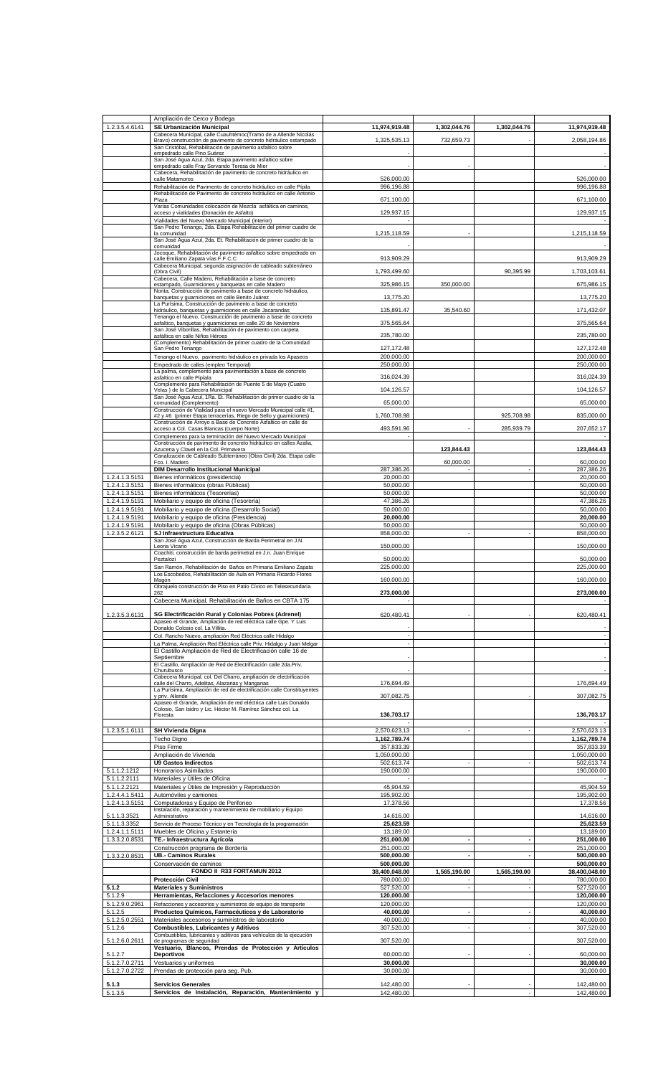|                                  | Ampliación de Cerco y Bodega                                                                                                              |                            |                          |                |                            |
|----------------------------------|-------------------------------------------------------------------------------------------------------------------------------------------|----------------------------|--------------------------|----------------|----------------------------|
| 1.2.3.5.4.6141                   | SE Urbanización Municipal<br>Cabecera Municipal, calle Cuauhtémoc(Tramo de a Allende Nicolás                                              | 11,974,919.48              | 1,302,044.76             | 1,302,044.76   | 11,974,919.48              |
|                                  | Bravo) construcción de pavimento de concreto hidráulico estampado                                                                         | 1,325,535.13               | 732,659.73               |                | 2,058,194.86               |
|                                  | San Cristóbal, Rehabilitación de pavimento asfaltico sobre<br>empedrado calle Pino Suárez                                                 |                            |                          |                |                            |
|                                  | San José Agua Azul, 2da. Etapa pavimento asfaltico sobre                                                                                  |                            |                          |                |                            |
|                                  | empedrado calle Fray Servando Teresa de Mier<br>Cabecera, Rehabilitación de pavimento de concreto hidráulico en                           |                            |                          |                |                            |
|                                  | calle Matamoros                                                                                                                           | 526,000.00                 |                          |                | 526,000.00                 |
|                                  | Rehabilitación de Pavimento de concreto hidráulico en calle Pípila<br>Rehabilitación de Pavimento de concreto hidráulico en calle Antonio | 996,196.88                 |                          |                | 996.196.88                 |
|                                  | Plaza<br>Varias Comunidades colocación de Mezcla asfáltica en caminos,                                                                    | 671,100.00                 |                          |                | 671,100.00                 |
|                                  | acceso y vialidades (Donación de Asfalto)                                                                                                 | 129,937.15                 |                          |                | 129,937.15                 |
|                                  | Vialidades del Nuevo Mercado Municipal (interior)                                                                                         |                            |                          |                |                            |
|                                  | San Pedro Tenango, 2da. Etapa Rehabilitación del primer cuadro de<br>la comunidad                                                         | 1,215,118.59               |                          |                | 1,215,118.59               |
|                                  | San José Agua Azul, 2da. Et. Rehabilitación de primer cuadro de la<br>comunidad                                                           |                            |                          |                |                            |
|                                  | Jocoque, Rehabilitación de pavimento asfaltico sobre empedrado en                                                                         |                            |                          |                |                            |
|                                  | calle Emiliano Zapata vías F.F.C.C<br>Cabecera Municipal, segunda asignación de cableado subterráneo                                      | 913,909.29                 |                          |                | 913,909.29                 |
|                                  | (Obra Civil)<br>Cabecera, Calle Madero, Rehabilitación a base de concreto                                                                 | 1,793,499.60               |                          | 90,395.99      | 1,703,103.61               |
|                                  | estampado, Guarniciones y banquetas en calle Madero                                                                                       | 325,986.15                 | 350,000.00               |                | 675,986.15                 |
|                                  | Norita, Construcción de pavimento a base de concreto hidráulico,<br>banquetas y guarniciones en calle Benito Juárez                       | 13,775.20                  |                          |                | 13,775.20                  |
|                                  | La Purísima, Construcción de pavimento a base de concreto                                                                                 |                            |                          |                |                            |
|                                  | hidráulico, banquetas y guarniciones en calle Jacarandas<br>Tenango el Nuevo, Construcción de pavimento a base de concreto                | 135,891.47                 | 35,540.60                |                | 171,432.07                 |
|                                  | asfaltico, banquetas y guarniciones en calle 20 de Noviembre<br>San José Viborillas, Rehabilitación de pavimento con carpeta              | 375,565.64                 |                          |                | 375,565.64                 |
|                                  | asfáltica en calle Niños Héroes                                                                                                           | 235.780.00                 |                          |                | 235,780.00                 |
|                                  | (Complemento) Rehabilitación de primer cuadro de la Comunidad<br>San Pedro Tenango                                                        | 127.172.48                 |                          |                | 127, 172.48                |
|                                  | Tenango el Nuevo, pavimento hidráulico en privada los Apaseos                                                                             | 200,000.00                 |                          |                | 200,000.00                 |
|                                  | Empedrado de calles (empleo Temporal)                                                                                                     | 250,000.00                 |                          |                | 250,000.00                 |
|                                  | La palma, complemento para pavimentación a base de concreto<br>asfaltico en calle Pipíala                                                 | 316,024.39                 |                          |                | 316,024.39                 |
|                                  | Complemento para Rehabilitación de Puente 5 de Mayo (Cuatro<br>Velas) de la Cabecera Municipal                                            | 104,126.57                 |                          |                | 104,126.57                 |
|                                  | San José Agua Azul, 1Ra. Et. Rehabilitación de primer cuadro de la                                                                        |                            |                          |                |                            |
|                                  | comunidad (Complemento)<br>Construcción de Vialidad para el nuevo Mercado Municipal calle #1,                                             | 65,000.00                  |                          |                | 65,000.00                  |
|                                  | #2 y #6 (primer Etapa terracerías, Riego de Sello y guarniciones)<br>Construcción de Arroyo a Base de Concreto Asfaltico en calle de      | 1,760,708.98               |                          | 925,708.98     | 835,000.00                 |
|                                  | acceso a Col. Casas Blancas (cuerpo Norte)                                                                                                | 493,591.96                 |                          | 285,939.79     | 207,652.17                 |
|                                  | Complemento para la terminación del Nuevo Mercado Municipal<br>Construcción de pavimento de concreto hidráulico en calles Azalia,         |                            |                          |                |                            |
|                                  | Azucena y Clavel en la Col. Primavera                                                                                                     |                            | 123,844.43               |                | 123,844.43                 |
|                                  | Canalización de Cableado Subterráneo (Obra Civil) 2da. Etapa calle<br>Fco. I. Madero                                                      |                            | 60,000.00                |                | 60,000.00                  |
|                                  | <b>DIM Desarrollo Institucional Municipal</b>                                                                                             | 287,386.26                 | $\sim$                   |                | 287,386.26                 |
| 1.2.4.1.3.5151                   | Bienes informáticos (presidencia)                                                                                                         | 20,000.00                  |                          |                | 20,000.00                  |
| 1.2.4.1.3.5151<br>1.2.4.1.3.5151 | Bienes informáticos (obras Públicas)<br>Bienes informáticos (Tesorerías)                                                                  | 50,000.00<br>50,000.00     |                          |                | 50,000.00<br>50,000.00     |
| 1.2.4.1.9.5191                   | Mobiliario y equipo de oficina (Tesorería)                                                                                                | 47,386.26                  |                          |                | 47,386.26                  |
| 1.2.4.1.9.5191                   | Mobiliario y equipo de oficina (Desarrollo Social)                                                                                        | 50,000.00                  |                          |                | 50,000.00                  |
| 1.2.4.1.9.5191<br>1.2.4.1.9.5191 | Mobiliario y equipo de oficina (Presidencia)<br>Mobiliario y equipo de oficina (Obras Públicas)                                           | 20,000.00<br>50,000.00     |                          |                | 20,000.00<br>50,000.00     |
| 1.2.3.5.2.6121                   | SJ Infraestructura Educativa                                                                                                              | 858,000.00                 | ä,                       |                | 858,000.00                 |
|                                  | San José Agua Azul, Construcción de Barda Perimetral en J.N.<br>Leona Vicario                                                             | 150,000.00                 |                          |                | 150,000.00                 |
|                                  | Coachiti, construcción de barda perimetral en J.n. Juan Enrique                                                                           |                            |                          |                |                            |
|                                  | Peztalozi                                                                                                                                 | 50,000.00                  |                          |                | 50,000.00                  |
|                                  | San Ramón, Rehabilitación de Baños en Primaria Emiliano Zapata<br>Los Escobedos, Rehabilitación de Aula en Primaria Ricardo Flores        | 225,000.00                 |                          |                | 225,000.00                 |
|                                  | Magón<br>Obrajuelo construcción de Piso en Patio Cívico en Telesecundaria                                                                 | 160,000.00                 |                          |                | 160,000.00                 |
|                                  |                                                                                                                                           | 273,000.00                 |                          |                | 273,000.00                 |
|                                  | Cabecera Municipal, Rehabilitación de Baños en CBTA 175                                                                                   |                            |                          |                |                            |
| 1.2.3.5.3.6131                   | SG Electrificación Rural y Colonias Pobres (Adrenel)                                                                                      | 620,480.41                 |                          |                | 620,480.41                 |
|                                  | Apaseo el Grande, Ampliación de red eléctrica calle Gpe. Y Luis<br>Donaldo Colosio col. La Villita.                                       |                            |                          |                |                            |
|                                  | Col. Rancho Nuevo, ampliación Red Eléctrica calle Hidalgo                                                                                 | ×,                         |                          |                | $\overline{\phantom{a}}$   |
|                                  | La Palma, Ampliación Red Eléctrica calle Priv. Hidalgo y Juan Melgar                                                                      | $\sim$                     |                          |                | ×                          |
|                                  | El Castillo Ampliación de Red de Electrificación calle 16 de<br>Septiembre                                                                |                            |                          |                |                            |
|                                  | El Castillo, Ampliación de Red de Electrificación calle 2da.Priv.<br>Churubusco                                                           |                            |                          |                |                            |
|                                  | Cabecera Municipal, col. Del Charro, ampliación de electrificación                                                                        |                            |                          |                |                            |
|                                  | calle del Charro, Adelitas, Alazanas y Manganas<br>La Purísima. Ampliación de red de electrificación calle Constituventes                 | 176,694.49                 |                          |                | 176,694.49                 |
|                                  | y priv. Allende                                                                                                                           | 307,082.75                 |                          |                | 307,082.75                 |
|                                  | Apaseo el Grande, Ampliación de red eléctrica calle Luis Donaldo<br>Colosio, San Isidro y Lic. Héctor M. Ramírez Sánchez col. La          |                            |                          |                |                            |
|                                  | Floresta                                                                                                                                  | 136,703.17                 |                          |                | 136,703.17                 |
| 1.2.3.5.1.6111                   | <b>SH Vivienda Digna</b>                                                                                                                  | 2,570,623.13               |                          |                | 2,570,623.13               |
|                                  | Techo Digno                                                                                                                               | 1,162,789.74               |                          |                | 1,162,789.74               |
|                                  | Piso Firme                                                                                                                                | 357,833.39                 |                          |                | 357,833.39                 |
|                                  | Ampliación de Vivienda<br><b>U9 Gastos Indirectos</b>                                                                                     | 1,050,000.00<br>502,613.74 |                          |                | 1,050,000.00<br>502,613.74 |
| 5.1.1.2.1212                     | Honorarios Asimilados                                                                                                                     | 190,000.00                 |                          |                | 190,000.00                 |
| 5.1.1.2.2111                     | Materiales y Útiles de Oficina                                                                                                            |                            |                          |                |                            |
| 5.1.1.2.2121                     | Materiales y Útiles de Impresión y Reproducción                                                                                           | 45,904.59                  |                          |                | 45,904.59                  |
| 1.2.4.4.1.5411<br>1.2.4.1.3.5151 | Automóviles y camiones<br>Computadoras y Equipo de Perifoneo                                                                              | 195,902.00<br>17,378.56    |                          |                | 195,902.00<br>17,378.56    |
|                                  | Instalación, reparación y mantenimiento de mobiliario y Equipo                                                                            |                            |                          |                |                            |
| 5.1.1.3.3521<br>5.1.1.3.3352     | Administrativo<br>Servicio de Proceso Técnico y en Tecnología de la programación                                                          | 14,616.00<br>25,623.59     |                          |                | 14,616.00<br>25,623.59     |
| 1.2.4.1.1.5111                   | Muebles de Oficina y Estantería                                                                                                           | 13,189.00                  |                          |                | 13,189.00                  |
| 1.3.3.2.0.8531                   | TE.- Infraestructura Agrícola                                                                                                             | 251,000.00                 | $\overline{\phantom{a}}$ |                | 251,000.00                 |
| 1.3.3.2.0.8531                   | Construcción programa de Bordería<br><b>UB.- Caminos Rurales</b>                                                                          | 251,000.00<br>500,000.00   | $\overline{\phantom{a}}$ |                | 251,000.00<br>500,000.00   |
|                                  | Conservación de caminos                                                                                                                   | 500,000.00                 |                          |                | 500,000.00                 |
|                                  | FONDO II R33 FORTAMUN 2012                                                                                                                | 38,400,048.00              | 1,565,190.00             | 1,565,190.00   | 38,400,048.00              |
| 5.1.2                            | <b>Protección Civil</b><br><b>Materiales y Suministros</b>                                                                                | 780,000.00<br>527,520.00   | ×,                       |                | 780,000.00<br>527,520.00   |
| 5.1.2.9                          | Herramientas, Refacciones y Accesorios menores                                                                                            | 120,000.00                 |                          |                | 120,000.00                 |
| 5.1.2.9.0.2961                   | Refacciones y accesorios y suministros de equipo de transporte                                                                            | 120,000.00                 |                          |                | 120,000.00                 |
| 5.1.2.5                          | Productos Químicos, Farmacéuticos y de Laboratorio                                                                                        | 40,000.00                  | $\blacksquare$           | $\blacksquare$ | 40,000.00                  |
| 5.1.2.5.0.2551<br>5.1.2.6        | Materiales accesorios y suministros de laboratorio<br><b>Combustibles, Lubricantes y Aditivos</b>                                         | 40,000.00<br>307,520.00    | ÷,                       |                | 40,000.00<br>307,520.00    |
|                                  | Combustibles, lubricantes y aditivos para vehículos de la ejecución                                                                       |                            |                          |                |                            |
| 5.1.2.6.0.2611                   | de programas de seguridad<br>Vestuario, Blancos, Prendas de Protección y Artículos                                                        | 307,520.00                 |                          |                | 307,520.00                 |
| 5.1.2.7                          | <b>Deportivos</b>                                                                                                                         | 60,000.00                  |                          |                | 60,000.00                  |
| 5.1.2.7.0.2711<br>5.1.2.7.0.2722 | Vestuarios y uniformes<br>Prendas de protección para seg. Pub.                                                                            | 30,000.00<br>30,000.00     |                          |                | 30,000.00<br>30,000.00     |
|                                  |                                                                                                                                           |                            |                          |                |                            |
| 5.1.3                            | <b>Servicios Generales</b>                                                                                                                | 142,480.00                 |                          |                | 142,480.00                 |
| 5.1.3.5                          | Servicios de Instalación, Reparación, Mantenimiento y                                                                                     | 142,480.00                 |                          |                | 142,480.00                 |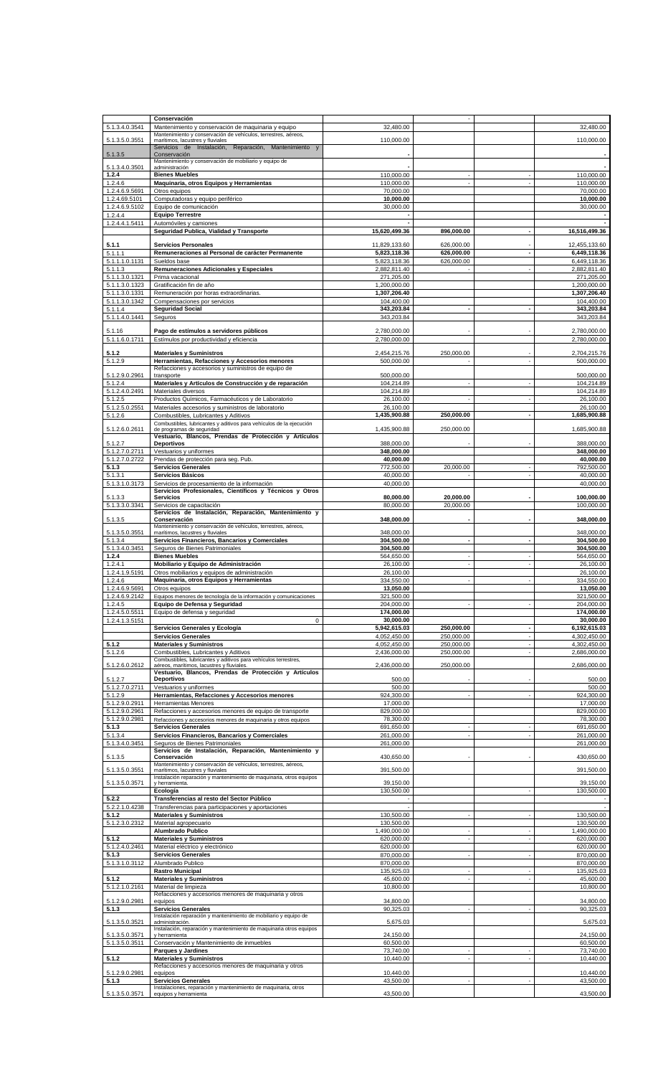|                               | Conservación                                                                                                          |                           |                      |                |                            |
|-------------------------------|-----------------------------------------------------------------------------------------------------------------------|---------------------------|----------------------|----------------|----------------------------|
| 5.1.3.4.0.3541                | Mantenimiento y conservación de maquinaria y equipo                                                                   | 32,480.00                 |                      |                | 32,480.00                  |
| 5.1.3.5.0.3551                | Mantenimiento y conservación de vehículos, terrestres, aéreos,                                                        | 110,000.00                |                      |                | 110,000.00                 |
|                               | marítimos, lacustres y fluviales<br>Servicios de Instalación, Reparación, Mantenimiento y                             |                           |                      |                |                            |
| 5.1.3.5                       | Conservación                                                                                                          |                           |                      |                |                            |
|                               | Mantenimiento y conservación de mobiliario y equipo de                                                                |                           |                      |                |                            |
| 5.1.3.4.0.3501<br>1.2.4       | administración<br><b>Bienes Muebles</b>                                                                               | 110,000.00                |                      |                | 110,000.00                 |
| 1.2.4.6                       | Maquinaria, otros Equipos y Herramientas                                                                              | 110,000.00                |                      |                | 110,000.00                 |
| 1.2.4.6.9.5691                | Otros equipos                                                                                                         | 70.000.00                 |                      |                | 70,000.00                  |
| 1.2.4.69.5101                 | Computadoras y equipo periférico                                                                                      | 10,000.00                 |                      |                | 10,000.00                  |
| 1.2.4.6.9.5102                | Equipo de comunicación                                                                                                | 30,000.00                 |                      |                | 30,000.00                  |
| 1.2.4.4                       | <b>Equipo Terrestre</b>                                                                                               |                           |                      |                |                            |
| 1.2.4.4.1.5411                | Automóviles y camiones                                                                                                |                           |                      |                |                            |
|                               | Seguridad Publica, Vialidad y Transporte                                                                              | 15,620,499.36             | 896,000.00           |                | 16.516.499.36              |
| 5.1.1                         | <b>Servicios Personales</b>                                                                                           | 11,829,133.60             | 626,000.00           |                | 12,455,133.60              |
| 5.1.1.1                       | Remuneraciones al Personal de carácter Permanente                                                                     | 5,823,118.36              | 626,000.00           |                | 6,449,118.36               |
| 5.1.1.1.0.1131                | Sueldos base                                                                                                          | 5,823,118.36              | 626,000.00           |                | 6,449,118.36               |
| 5.1.1.3                       | Remuneraciones Adicionales y Especiales                                                                               | 2,882,811.40              |                      |                | 2,882,811.40               |
| 5.1.1.3.0.1321                | Prima vacacional                                                                                                      | 271,205.00                |                      |                | 271,205.00                 |
| 5.1.1.3.0.1323                | Gratificación fin de año                                                                                              | 1,200,000.00              |                      |                | 1,200,000.00               |
| 5.1.1.3.0.1331                | Remuneración por horas extraordinarias.                                                                               | 1,307,206.40              |                      |                | 1,307,206.40               |
| 5.1.1.3.0.1342                | Compensaciones por servicios                                                                                          | 104,400.00                |                      |                | 104,400.00                 |
| 5.1.1.4<br>5.1.1.4.0.1441     | <b>Seguridad Social</b><br>Seguros                                                                                    | 343,203.84<br>343,203.84  | $\blacksquare$       |                | 343,203.84<br>343,203.84   |
|                               |                                                                                                                       |                           |                      |                |                            |
| 5.1.16                        | Pago de estímulos a servidores públicos                                                                               | 2,780,000.00              |                      |                | 2,780,000.00               |
| 5.1.1.6.0.1711                | Estímulos por productividad y eficiencia                                                                              | 2,780,000.00              |                      |                | 2,780,000.00               |
| 5.1.2                         | <b>Materiales y Suministros</b>                                                                                       | 2,454,215.76              | 250,000.00           |                |                            |
| 5.1.2.9                       | Herramientas, Refacciones y Accesorios menores                                                                        | 500,000.00                |                      |                | 2,704,215.76<br>500,000.00 |
|                               | Refacciones y accesorios y suministros de equipo de                                                                   |                           |                      |                |                            |
| 5.1.2.9.0.2961                | transporte                                                                                                            | 500,000.00                |                      |                | 500,000.00                 |
| 5.1.2.4                       | Materiales y Artículos de Construcción y de reparación                                                                | 104,214.89                |                      |                | 104,214.89                 |
| 5.1.2.4.0.2491                | Materiales diversos                                                                                                   | 104,214.89                |                      |                | 104,214.89                 |
| 5.1.2.5                       | Productos Químicos, Farmacéuticos y de Laboratorio                                                                    | 26,100.00                 |                      |                | 26,100.00                  |
| 5.1.2.5.0.2551                | Materiales accesorios y suministros de laboratorio                                                                    | 26,100.00<br>1.435.900.88 |                      |                | 26,100.00                  |
| 5.1.2.6                       | Combustibles, Lubricantes y Aditivos<br>Combustibles, lubricantes y aditivos para vehículos de la ejecución           |                           | 250,000.00           |                | 1,685,900.88               |
| 5.1.2.6.0.2611                | de programas de seguridad                                                                                             | 1,435,900.88              | 250,000.00           |                | 1,685,900.88               |
|                               | Vestuario, Blancos, Prendas de Protección y Artículos                                                                 |                           |                      |                |                            |
| 5.1.2.7                       | <b>Deportivos</b>                                                                                                     | 388,000.00                |                      |                | 388,000.00                 |
| 5.1.2.7.0.2711                | Vestuarios y uniformes                                                                                                | 348,000.00                |                      |                | 348,000.00                 |
| 5.1.2.7.0.2722                | Prendas de protección para seg. Pub.                                                                                  | 40,000.00                 |                      |                | 40,000.00                  |
| 5.1.3<br>$5.1.3.\overline{1}$ | <b>Servicios Generales</b><br>Servicios Básicos                                                                       | 772,500.00<br>40,000.00   | 20,000.00            |                | 792,500.00<br>40,000.00    |
| 5.1.3.1.0.3173                | Servicios de procesamiento de la información                                                                          | 40,000.00                 |                      |                | 40,000.00                  |
|                               | Servicios Profesionales, Científicos y Técnicos y Otros                                                               |                           |                      |                |                            |
| 5.1.3.3                       | <b>Servicios</b>                                                                                                      | 80,000.00                 | 20,000.00            |                | 100,000.00                 |
| 5.1.3.3.0.3341                | Servicios de capacitación                                                                                             | 80,000.00                 | 20,000.00            |                | 100,000.00                 |
| 5.1.3.5                       | Servicios de Instalación, Reparación, Mantenimiento y<br>Conservación                                                 | 348,000.00                |                      |                | 348,000.00                 |
|                               | Mantenimiento y conservación de vehículos, terrestres, aéreos,                                                        |                           |                      |                |                            |
| 5.1.3.5.0.3551                | marítimos, lacustres y fluviales                                                                                      | 348,000.00                |                      |                | 348,000.00                 |
| $5.1.3.\overline{4}$          | Servicios Financieros, Bancarios y Comerciales                                                                        | 304,500.00                | $\blacksquare$       | $\blacksquare$ | 304.500.00                 |
| 5.1.3.4.0.3451                | Seguros de Bienes Patrimoniales                                                                                       | 304,500.00                |                      |                | 304,500.00                 |
| 1.2.4                         | <b>Bienes Muebles</b>                                                                                                 | 564.650.00                | ä,<br>$\blacksquare$ |                | 564,650.00                 |
| 1.2.4.1<br>1.2.4.1.9.5191     | Mobiliario y Equipo de Administración<br>Otros mobiliarios y equipos de administración                                | 26,100.00<br>26,100.00    |                      |                | 26,100.00<br>26,100.00     |
| 1.2.4.6                       | Maquinaria, otros Equipos y Herramientas                                                                              | 334,550.00                |                      |                | 334.550.00                 |
| 1.2.4.6.9.5691                | Otros equipos                                                                                                         | 13,050.00                 |                      |                | 13,050.00                  |
| 1.2.4.6.9.2142                | Equipos menores de tecnología de la información y comunicaciones                                                      | 321,500.00                |                      |                | 321,500.00                 |
| 1.2.4.5                       | Equipo de Defensa y Seguridad                                                                                         | 204,000.00                |                      |                | 204,000.00                 |
| 1.2.4.5.0.5511                | Equipo de defensa y seguridad                                                                                         | 174,000.00                |                      |                | 174,000.00                 |
| 1.2.4.1.3.5151                | $\mathbf 0$                                                                                                           | 30,000.00                 |                      |                | 30.000.00                  |
|                               | Servicios Generales y Ecología                                                                                        | 5,942,615.03              | 250,000.00           |                | 6,192,615.03               |
|                               | <b>Servicios Generales</b>                                                                                            | 4,052,450.00              | 250,000.00           |                | 4,302,450.00               |
| 5.1.2                         | <b>Materiales y Suministros</b>                                                                                       | 4,052,450.00              | 250,000.00           | ä,             | 4,302,450.00               |
| 5.1.2.6                       | Combustibles, Lubricantes y Aditivos<br>Combustibles, lubricantes y aditivos para vehículos terrestres,               | 2,436,000.00              | 250,000.00           |                | 2,686,000.00               |
| 5.1.2.6.0.2612                | aéreos, marítimos, lacustres y fluviales.                                                                             | 2,436,000.00              | 250,000.00           |                | 2,686,000.00               |
|                               | Vestuario, Blancos, Prendas de Protección y Artículos                                                                 |                           |                      |                |                            |
| 5.1.2.7<br>5.1.2.7.0.2711     | <b>Deportivos</b><br>Vestuarios y uniformes                                                                           | 500.00<br>500.00          |                      |                | 500.00<br>500.00           |
| 5.1.2.9                       | Herramientas, Refacciones y Accesorios menores                                                                        | 924,300.00                |                      |                | 924,300.00                 |
| 5.1.2.9.0.2911                | <b>Herramientas Menores</b>                                                                                           | 17,000.00                 |                      |                | 17.000.00                  |
| 5.1.2.9.0.2961                | Refacciones y accesorios menores de equipo de transporte                                                              | 829,000.00                |                      |                | 829,000.00                 |
| 5.1.2.9.0.2981                | Refacciones y accesorios menores de maquinaria y otros equipos                                                        | 78,300.00                 |                      |                | 78,300.00                  |
| 5.1.3                         | <b>Servicios Generales</b>                                                                                            | 691,650.00                |                      |                | 691,650.00                 |
| 5.1.3.4                       | Servicios Financieros, Bancarios y Comerciales                                                                        | 261,000.00                |                      |                | 261,000.00                 |
| 5.1.3.4.0.3451                | Seguros de Bienes Patrimoniales                                                                                       | 261,000.00                |                      |                | 261,000.00                 |
| 5.1.3.5                       | Servicios de Instalación, Reparación, Mantenimiento y<br>Conservación                                                 | 430,650.00                |                      |                | 430,650.00                 |
|                               | Mantenimiento y conservación de vehículos, terrestres, aéreos,                                                        |                           |                      |                |                            |
| 5.1.3.5.0.3551                | marítimos, lacustres y fluviales                                                                                      | 391,500.00                |                      |                | 391,500.00                 |
| 5.1.3.5.0.3571                | Instalación reparación y mantenimiento de maquinaria, otros equipos<br>y herramienta.                                 | 39,150.00                 |                      |                | 39,150.00                  |
|                               |                                                                                                                       |                           |                      |                | 130,500.00                 |
| 5.2.2                         | Ecología                                                                                                              | 130,500.00                |                      |                |                            |
| 5.2.2.1.0.4238                | Transferencias al resto del Sector Público                                                                            |                           |                      |                |                            |
| 5.1.2                         | Transferencias para participaciones y aportaciones                                                                    |                           |                      |                |                            |
|                               | <b>Materiales y Suministros</b>                                                                                       | 130,500.00                |                      |                | 130,500.00                 |
| 5.1.2.3.0.2312                | Material agropecuario                                                                                                 | 130,500.00                |                      |                | 130,500.00                 |
|                               | Alumbrado Publico                                                                                                     | 1,490,000.00              | ٠<br>ä,              |                | 1,490,000.00               |
| 5.1.2                         | <b>Materiales y Suministros</b>                                                                                       | 620,000.00                |                      |                | 620,000.00                 |
| 5.1.2.4.0.2461<br>5.1.3       | Material eléctrico y electrónico<br><b>Servicios Generales</b>                                                        | 620,000.00<br>870,000.00  |                      |                | 620,000.00<br>870,000.00   |
| 5.1.3.1.0.3112                | Alumbrado Publico                                                                                                     | 870,000.00                |                      |                | 870,000.00                 |
|                               | <b>Rastro Municipal</b>                                                                                               | 135,925.03                |                      |                | 135,925.03                 |
| 5.1.2                         | <b>Materiales y Suministros</b>                                                                                       | 45,600.00                 | ä,                   | ä,             | 45,600.00                  |
| 5.1.2.1.0.2161                | Material de limpieza                                                                                                  | 10,800.00                 |                      |                | 10,800.00                  |
|                               | Refacciones y accesorios menores de maquinaria y otros                                                                |                           |                      |                |                            |
| 5.1.2.9.0.2981                | equipos                                                                                                               | 34,800.00                 |                      |                | 34,800.00                  |
| 5.1.3                         | <b>Servicios Generales</b><br>Instalación reparación y mantenimiento de mobiliario y equipo de                        | 90,325.03                 |                      |                | 90,325.03                  |
| 5.1.3.5.0.3521                | administración.                                                                                                       | 5,675.03                  |                      |                | 5,675.03                   |
| 5.1.3.5.0.3571                | Instalación, reparación y mantenimiento de maquinaria otros equipos<br>y herramienta                                  | 24,150.00                 |                      |                | 24,150.00                  |
| 5.1.3.5.0.3511                | Conservación y Mantenimiento de inmuebles                                                                             | 60,500.00                 |                      |                | 60,500.00                  |
|                               | Parques y Jardines                                                                                                    | 73,740.00                 |                      |                | 73,740.00                  |
| 5.1.2                         | <b>Materiales y Suministros</b>                                                                                       | 10,440.00                 | ä,                   |                | 10,440.00                  |
|                               | Refacciones y accesorios menores de maquinaria y otros                                                                |                           |                      |                |                            |
| 5.1.2.9.0.2981                | equipos                                                                                                               | 10,440.00                 |                      |                | 10,440.00                  |
| 5.1.3<br>5.1.3.5.0.3571       | <b>Servicios Generales</b><br>Instalaciones, reparación y mantenimiento de maquinaria, otros<br>equipos y herramienta | 43,500.00<br>43,500.00    |                      |                | 43,500.00<br>43,500.00     |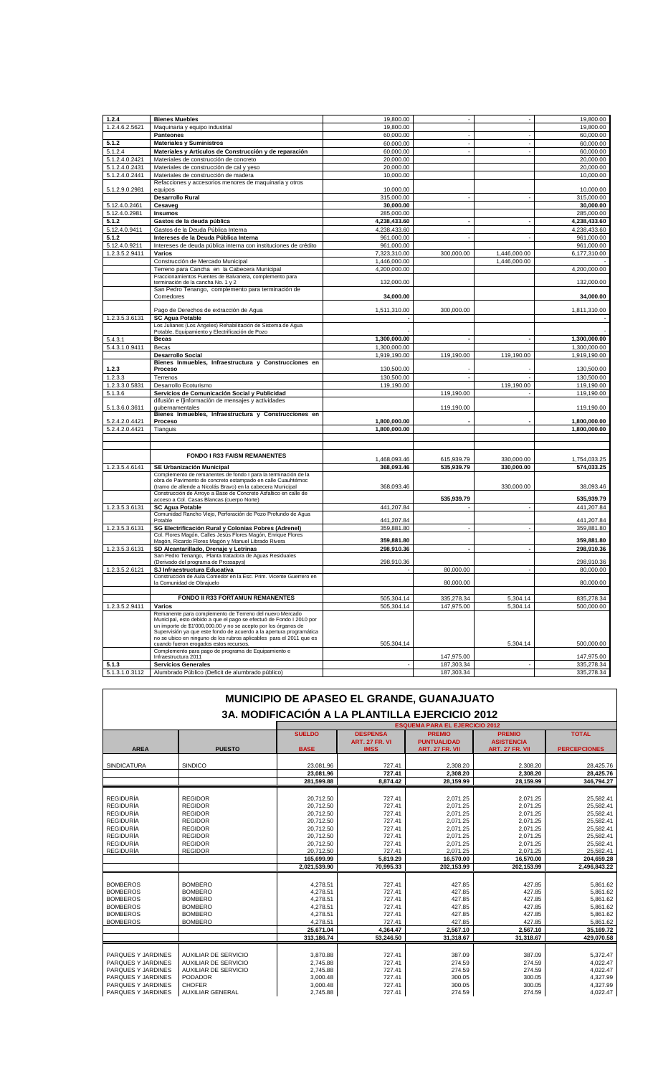| 1.2.4          | <b>Bienes Muebles</b>                                                                           | 19,800.00    |                          |                          | 19,800.00                |
|----------------|-------------------------------------------------------------------------------------------------|--------------|--------------------------|--------------------------|--------------------------|
| 1.2.4.6.2.5621 | Maquinaria y equipo industrial                                                                  | 19,800.00    |                          |                          | 19,800.00                |
|                | <b>Panteones</b>                                                                                | 60,000.00    |                          |                          | 60,000.00                |
| 5.1.2          | <b>Materiales y Suministros</b>                                                                 | 60,000.00    | $\overline{\phantom{a}}$ | ×,                       | 60,000.00                |
| 5.1.2.4        | Materiales y Artículos de Construcción y de reparación                                          | 60,000.00    | $\sim$                   |                          | 60,000.00                |
| 5.1.2.4.0.2421 | Materiales de construcción de concreto                                                          | 20,000.00    |                          |                          | 20,000.00                |
|                |                                                                                                 |              |                          |                          |                          |
| 5.1.2.4.0.2431 | Materiales de construcción de cal y yeso                                                        | 20,000.00    |                          |                          | 20,000.00                |
| 5.1.2.4.0.2441 | Materiales de construcción de madera                                                            | 10,000.00    |                          |                          | 10,000.00                |
|                | Refacciones y accesorios menores de maquinaria y otros                                          |              |                          |                          |                          |
| 5.1.2.9.0.2981 | equipos                                                                                         | 10,000.00    |                          |                          | 10,000.00                |
|                | <b>Desarrollo Rural</b>                                                                         | 315,000.00   | ä,                       |                          | 315,000.00               |
| 5.12.4.0.2461  | Cesaveg                                                                                         | 30,000.00    |                          |                          | 30,000.00                |
| 5.12.4.0.2981  | Insumos                                                                                         | 285,000.00   |                          |                          | 285,000.00               |
| 5.1.2          | Gastos de la deuda pública                                                                      | 4,238,433.60 | $\blacksquare$           | $\blacksquare$           | 4,238,433.60             |
| 5.12.4.0.9411  | Gastos de la Deuda Pública Interna                                                              | 4,238,433.60 |                          |                          | 4,238,433.60             |
| 5.1.2          | Intereses de la Deuda Pública Interna                                                           | 961,000.00   | $\epsilon$               |                          | 961,000.00               |
|                |                                                                                                 |              |                          |                          |                          |
| 5.12.4.0.9211  | Intereses de deuda pública interna con instituciones de crédito                                 | 961,000.00   |                          |                          | 961,000.00               |
| 1.2.3.5.2.9411 | Varios                                                                                          | 7,323,310.00 | 300,000.00               | 1,446,000.00             | 6,177,310.00             |
|                | Construcción de Mercado Municipal                                                               | 1,446,000.00 |                          | 1,446,000.00             |                          |
|                | Terreno para Cancha en la Cabecera Municipal                                                    | 4,200,000.00 |                          |                          | 4,200,000.00             |
|                | Fraccionamientos Fuentes de Balvanera, complemento para                                         |              |                          |                          |                          |
|                | terminación de la cancha No. 1 y 2                                                              | 132,000.00   |                          |                          | 132,000.00               |
|                | San Pedro Tenango, complemento para terminación de                                              |              |                          |                          |                          |
|                | Comedores                                                                                       | 34,000.00    |                          |                          | 34,000.00                |
|                |                                                                                                 |              |                          |                          |                          |
|                | Pago de Derechos de extracción de Agua                                                          | 1,511,310.00 | 300,000.00               |                          | 1,811,310.00             |
| 1.2.3.5.3.6131 | <b>SC Agua Potable</b>                                                                          |              |                          |                          |                          |
|                | Los Julianes (Los Ángeles) Rehabilitación de Sistema de Agua                                    |              |                          |                          |                          |
|                | Potable, Equipamiento y Electrificación de Pozo                                                 |              |                          |                          |                          |
| 5.4.3.1        | <b>Becas</b>                                                                                    | 1,300,000.00 |                          |                          | 1,300,000.00             |
| 5.4.3.1.0.9411 | Becas                                                                                           | 1,300,000.00 |                          |                          | 1,300,000.00             |
|                | <b>Desarrollo Social</b>                                                                        | 1,919,190.00 | 119,190.00               | 119,190.00               | 1,919,190.00             |
|                | Bienes Inmuebles, Infraestructura y Construcciones en                                           |              |                          |                          |                          |
| 1.2.3          | Proceso                                                                                         | 130,500.00   |                          |                          | 130,500.00               |
| 1.2.3.3        | Terrenos                                                                                        | 130,500.00   |                          |                          | 130,500.00               |
| 1.2.3.3.0.5831 | Desarrollo Ecoturismo                                                                           | 119,190.00   |                          | 119,190.00               | 119,190.00               |
| 5.1.3.6        | Servicios de Comunicación Social y Publicidad                                                   |              | 119,190.00               |                          | 119,190.00               |
|                | difusión e I]información de mensajes y actividades                                              |              |                          |                          |                          |
| 5.1.3.6.0.3611 | qubernamentales                                                                                 |              | 119,190.00               |                          | 119,190.00               |
|                | Bienes Inmuebles, Infraestructura y Construcciones en                                           |              |                          |                          |                          |
|                |                                                                                                 |              |                          |                          |                          |
| 5.2.4.2.0.4421 | Proceso                                                                                         | 1,800,000.00 |                          |                          | 1,800,000.00             |
| 5.2.4.2.0.4421 | Tianguis                                                                                        | 1,800,000.00 |                          |                          | 1,800,000.00             |
|                |                                                                                                 |              |                          |                          |                          |
|                |                                                                                                 |              |                          |                          |                          |
|                |                                                                                                 |              |                          |                          |                          |
|                | <b>FONDO I R33 FAISM REMANENTES</b>                                                             | 1,468,093.46 | 615,939.79               | 330,000.00               | 1,754,033.25             |
| 1.2.3.5.4.6141 | SE Urbanización Municipal                                                                       | 368,093.46   | 535,939.79               | 330,000.00               | 574,033.25               |
|                | Complemento de remanentes de fondo I para la terminación de la                                  |              |                          |                          |                          |
|                | obra de Pavimento de concreto estampado en calle Cuauhtémoc                                     |              |                          |                          |                          |
|                | (tramo de allende a Nicolás Bravo) en la cabecera Municipal                                     | 368,093.46   |                          | 330,000.00               | 38,093.46                |
|                | Construcción de Arroyo a Base de Concreto Asfaltico en calle de                                 |              |                          |                          |                          |
|                | acceso a Col. Casas Blancas (cuerpo Norte)                                                      |              | 535,939.79               |                          | 535,939.79               |
| 1.2.3.5.3.6131 | <b>SC Agua Potable</b>                                                                          | 441,207.84   |                          |                          | 441,207.84               |
|                | Comunidad Rancho Viejo, Perforación de Pozo Profundo de Agua                                    |              |                          |                          |                          |
|                | Potable                                                                                         | 441,207.84   |                          |                          | 441,207.84               |
| 1.2.3.5.3.6131 | SG Electrificación Rural y Colonias Pobres (Adrenel)                                            | 359,881.80   | ÷,                       |                          | 359,881.80               |
|                | Col. Flores Magón, Calles Jesús Flores Magón, Enrique Flores                                    |              |                          |                          |                          |
|                | Magón, Ricardo Flores Magón y Manuel Librado Rivera                                             | 359,881.80   | $\blacksquare$           | $\overline{\phantom{a}}$ | 359,881.80               |
| 1.2.3.5.3.6131 | SD Alcantarillado, Drenaje y Letrinas                                                           | 298,910.36   |                          |                          | 298,910.36               |
|                | San Pedro Tenango, Planta tratadora de Aguas Residuales<br>(Derivado del programa de Prossapys) | 298,910.36   |                          |                          | 298,910.36               |
| 1.2.3.5.2.6121 | SJ Infraestructura Educativa                                                                    |              | 80,000.00                |                          | 80,000.00                |
|                | Construcción de Aula Comedor en la Esc. Prim. Vicente Guerrero en                               |              |                          |                          |                          |
|                | la Comunidad de Obrajuelo                                                                       |              | 80,000.00                |                          | 80,000.00                |
|                |                                                                                                 |              |                          |                          |                          |
|                | FONDO II R33 FORTAMUN REMANENTES                                                                | 505,304.14   | 335,278.34               | 5,304.14                 | 835,278.34               |
| 1.2.3.5.2.9411 | Varios                                                                                          | 505,304.14   | 147,975.00               | 5,304.14                 |                          |
|                | Remanente para complemento de Terreno del nuevo Mercado                                         |              |                          |                          |                          |
|                | Municipal, esto debido a que el pago se efectuó de Fondo I 2010 por                             |              |                          |                          |                          |
|                | un importe de \$1'000,000.00 y no se acepto por los órganos de                                  |              |                          |                          |                          |
|                | Supervisión ya que este fondo de acuerdo a la apertura programática                             |              |                          |                          | 500,000.00               |
|                | no se ubico en ninguno de los rubros aplicables para el 2011 que es                             | 505.304.14   |                          | 5,304.14                 | 500,000.00               |
|                | cuando fueron erogados estos recursos.<br>Complemento para pago de programa de Equipamiento e   |              |                          |                          |                          |
|                | Infraestructura 2011                                                                            |              | 147,975.00               |                          |                          |
| 5.1.3          | <b>Servicios Generales</b>                                                                      |              | 187,303.34               |                          | 147,975.00<br>335,278.34 |

|                    | MUNICIPIO DE APASEO EL GRANDE, GUANAJUATO      |               |                                          |                                     |                                    |                     |  |
|--------------------|------------------------------------------------|---------------|------------------------------------------|-------------------------------------|------------------------------------|---------------------|--|
|                    | 3A. MODIFICACIÓN A LA PLANTILLA EJERCICIO 2012 |               |                                          |                                     |                                    |                     |  |
|                    | <b>ESQUEMA PARA EL EJERCICIO 2012</b>          |               |                                          |                                     |                                    |                     |  |
|                    |                                                | <b>SUELDO</b> | <b>DESPENSA</b><br><b>ART. 27 FR. VI</b> | <b>PREMIO</b><br><b>PUNTUALIDAD</b> | <b>PREMIO</b><br><b>ASISTENCIA</b> | <b>TOTAL</b>        |  |
| <b>AREA</b>        | <b>PUESTO</b>                                  | <b>BASE</b>   | <b>IMSS</b>                              | <b>ART. 27 FR. VII</b>              | <b>ART. 27 FR. VII</b>             | <b>PERCEPCIONES</b> |  |
| <b>SINDICATURA</b> | <b>SINDICO</b>                                 | 23.081.96     | 727.41                                   | 2.308.20                            | 2.308.20                           | 28.425.76           |  |
|                    |                                                | 23.081.96     | 727.41                                   | 2.308.20                            | 2.308.20                           | 28.425.76           |  |
|                    |                                                | 281.599.88    | 8.874.42                                 | 28.159.99                           | 28.159.99                          | 346.794.27          |  |
|                    |                                                |               |                                          |                                     |                                    |                     |  |
| <b>REGIDURÍA</b>   | <b>REGIDOR</b>                                 | 20,712.50     | 727.41                                   | 2.071.25                            | 2.071.25                           | 25,582.41           |  |
| REGIDURÍA          | <b>REGIDOR</b>                                 | 20,712.50     | 727.41                                   | 2,071.25                            | 2,071.25                           | 25,582.41           |  |
| <b>REGIDURÍA</b>   | <b>REGIDOR</b>                                 | 20,712.50     | 727.41                                   | 2,071.25                            | 2,071.25                           | 25,582.41           |  |
| <b>REGIDURÍA</b>   | <b>REGIDOR</b>                                 | 20,712.50     | 727.41                                   | 2,071.25                            | 2,071.25                           | 25,582.41           |  |
| <b>REGIDURÍA</b>   | <b>REGIDOR</b>                                 | 20,712.50     | 727.41                                   | 2,071.25                            | 2,071.25                           | 25,582.41           |  |
| <b>REGIDURÍA</b>   | <b>REGIDOR</b>                                 | 20,712.50     | 727.41                                   | 2,071.25                            | 2,071.25                           | 25,582.41           |  |
| REGIDURÍA          | <b>REGIDOR</b>                                 | 20,712.50     | 727.41                                   | 2,071.25                            | 2,071.25                           | 25,582.41           |  |
| <b>REGIDURÍA</b>   | <b>REGIDOR</b>                                 | 20,712.50     | 727.41                                   | 2,071.25                            | 2.071.25                           | 25.582.41           |  |
|                    |                                                | 165.699.99    | 5,819.29                                 | 16.570.00                           | 16,570.00                          | 204,659.28          |  |
|                    |                                                | 2,021,539.90  | 70,995.33                                | 202,153.99                          | 202,153.99                         | 2,496,843.22        |  |
|                    |                                                |               |                                          |                                     |                                    |                     |  |
| <b>BOMBEROS</b>    | <b>BOMBERO</b>                                 | 4,278.51      | 727.41                                   | 427.85                              | 427.85                             | 5,861.62            |  |
| <b>BOMBEROS</b>    | <b>BOMBERO</b>                                 | 4,278.51      | 727.41                                   | 427.85                              | 427.85                             | 5,861.62            |  |
| <b>BOMBEROS</b>    | <b>BOMBERO</b>                                 | 4,278.51      | 727.41                                   | 427.85                              | 427.85                             | 5,861.62            |  |
| <b>BOMBEROS</b>    | <b>BOMBERO</b>                                 | 4,278.51      | 727.41                                   | 427.85                              | 427.85                             | 5,861.62            |  |
| <b>BOMBEROS</b>    | <b>BOMBERO</b>                                 | 4,278.51      | 727.41                                   | 427.85                              | 427.85                             | 5,861.62            |  |
| <b>BOMBEROS</b>    | <b>BOMBERO</b>                                 | 4,278.51      | 727.41                                   | 427.85                              | 427.85                             | 5,861.62            |  |
|                    |                                                | 25,671.04     | 4,364.47                                 | 2,567.10                            | 2,567.10                           | 35,169.72           |  |
|                    |                                                | 313.186.74    | 53.246.50                                | 31.318.67                           | 31,318.67                          | 429.070.58          |  |
|                    |                                                |               |                                          |                                     |                                    |                     |  |
| PARQUES Y JARDINES | <b>AUXILIAR DE SERVICIO</b>                    | 3.870.88      | 727.41                                   | 387.09                              | 387.09                             | 5,372.47            |  |
| PARQUES Y JARDINES | <b>AUXILIAR DE SERVICIO</b>                    | 2,745.88      | 727.41                                   | 274.59                              | 274.59                             | 4,022.47            |  |
| PARQUES Y JARDINES | AUXILIAR DE SERVICIO                           | 2,745.88      | 727.41                                   | 274.59                              | 274.59                             | 4,022.47            |  |
| PARQUES Y JARDINES | <b>PODADOR</b>                                 | 3,000.48      | 727.41                                   | 300.05                              | 300.05                             | 4.327.99            |  |
| PARQUES Y JARDINES | <b>CHOFER</b>                                  | 3,000.48      | 727.41                                   | 300.05                              | 300.05                             | 4.327.99            |  |
| PARQUES Y JARDINES | <b>AUXILIAR GENERAL</b>                        | 2,745.88      | 727.41                                   | 274.59                              | 274.59                             | 4,022.47            |  |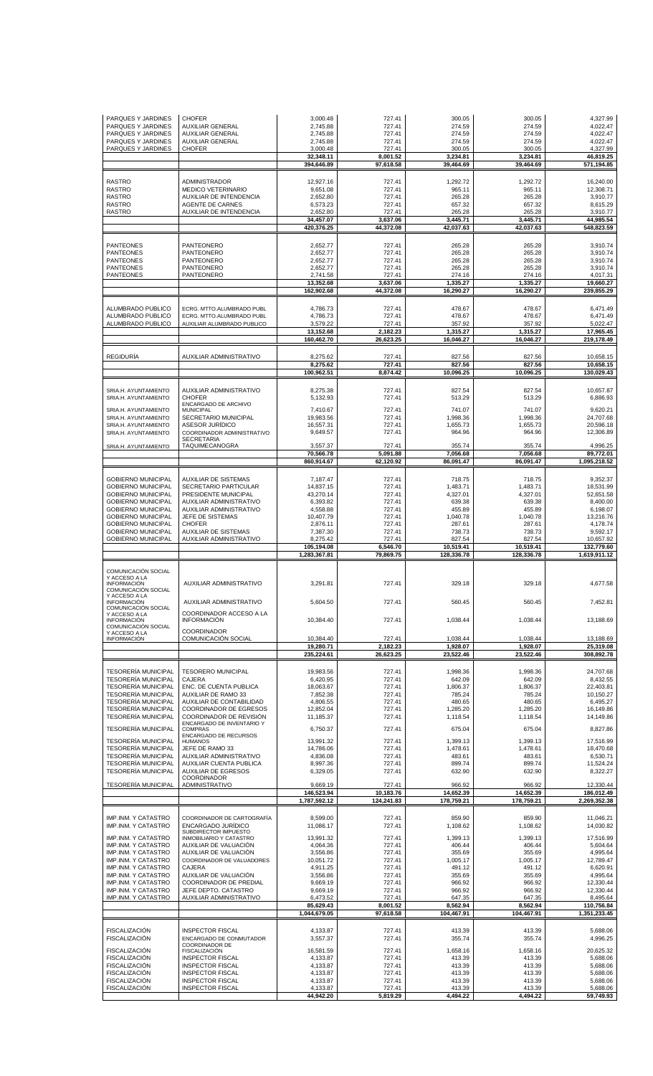| PARQUES Y JARDINES<br>PARQUES Y JARDINES<br>PARQUES Y JARDINES<br>PARQUES Y JARDINES               | <b>CHOFER</b><br><b>AUXILIAR GENERAL</b><br><b>AUXILIAR GENERAL</b><br><b>AUXILIAR GENERAL</b> | 3,000.48<br>2,745.88<br>2,745.88<br>2,745.88 | 727.41<br>727.41<br>727.41<br>727.41 | 300.05<br>274.59<br>274.59<br>274.59 | 300.05<br>274.59<br>274.59<br>274.59 | 4,327.99<br>4,022.47<br>4,022.47<br>4,022.47 |
|----------------------------------------------------------------------------------------------------|------------------------------------------------------------------------------------------------|----------------------------------------------|--------------------------------------|--------------------------------------|--------------------------------------|----------------------------------------------|
| PARQUES Y JARDINES                                                                                 | <b>CHOFER</b>                                                                                  | 3,000.48<br>32,348.11                        | 727.41<br>8,001.52                   | 300.05<br>3,234.81                   | 300.05<br>3,234.81                   | 4,327.99<br>46,819.25                        |
|                                                                                                    |                                                                                                | 394,646.89                                   | 97,618.58                            | 39,464.69                            | 39,464.69                            | 571,194.85                                   |
| <b>RASTRO</b><br><b>RASTRO</b>                                                                     | <b>ADMINISTRADOR</b><br><b>MEDICO VETERINARIO</b>                                              | 12,927.16<br>9,651.08                        | 727.41<br>727.41                     | 1,292.72<br>965.11                   | 1,292.72<br>965.11                   | 16,240.00<br>12,308.71                       |
| <b>RASTRO</b><br><b>RASTRO</b>                                                                     | AUXILIAR DE INTENDENCIA<br>AGENTE DE CARNES                                                    | 2,652.80<br>6,573.23                         | 727.41<br>727.41                     | 265.28<br>657.32                     | 265.28<br>657.32                     | 3,910.77<br>8,615.29                         |
| <b>RASTRO</b>                                                                                      | AUXILIAR DE INTENDENCIA                                                                        | 2,652.80<br>34,457.07                        | 727.41<br>3,637.06                   | 265.28<br>3,445.71                   | 265.28<br>3,445.71                   | 3,910.77<br>44,985.54                        |
|                                                                                                    |                                                                                                | 420,376.25                                   | 44,372.08                            | 42,037.63                            | 42,037.63                            | 548,823.59                                   |
| <b>PANTEONES</b><br><b>PANTEONES</b>                                                               | PANTEONERO<br>PANTEONERO                                                                       | 2,652.77<br>2,652.77                         | 727.41<br>727.41                     | 265.28<br>265.28                     | 265.28<br>265.28                     | 3,910.74<br>3,910.74                         |
| <b>PANTEONES</b><br><b>PANTEONES</b>                                                               | PANTEONERO<br>PANTEONERO                                                                       | 2,652.77<br>2,652.77                         | 727.41<br>727.41                     | 265.28<br>265.28                     | 265.28<br>265.28                     | 3,910.74<br>3,910.74                         |
| PANTEONES                                                                                          | PANTEONERO                                                                                     | 2,741.58<br>13,352.68                        | 727.41<br>3,637.06                   | 274.16<br>1,335.27                   | 274.16<br>1,335.27                   | 4,017.31<br>19,660.27                        |
|                                                                                                    |                                                                                                | 162,902.68                                   | 44,372.08                            | 16,290.27                            | 16,290.27                            | 239,855.29                                   |
| ALUMBRADO PUBLICO<br>ALUMBRADO PUBLICO                                                             | ECRG. MTTO.ALUMBRADO PUBL<br>ECRG. MTTO.ALUMBRADO PUBL                                         | 4,786.73<br>4,786.73                         | 727.41<br>727.41                     | 478.67<br>478.67                     | 478.67<br>478.67                     | 6,471.49<br>6,471.49                         |
| ALUMBRADO PUBLICO                                                                                  | AUXILIAR ALUMBRADO PUBLICO                                                                     | 3,579.22<br>13,152.68                        | 727.41<br>2,182.23                   | 357.92<br>1,315.27                   | 357.92<br>1,315.27                   | 5,022.47<br>17,965.45                        |
|                                                                                                    |                                                                                                | 160,462.70                                   | 26,623.25                            | 16,046.27                            | 16,046.27                            | 219.178.49                                   |
| <b>REGIDURIA</b>                                                                                   | AUXILIAR ADMINISTRATIVO                                                                        | 8,275.62                                     | 727.41                               | 827.56                               | 827.56                               | 10,658.15                                    |
|                                                                                                    |                                                                                                | 8,275.62<br>100,962.51                       | 727.41<br>8,874.42                   | 827.56<br>10,096.25                  | 827.56<br>10,096.25                  | 10,658.15<br>130,029.43                      |
| SRIA.H. AYUNTAMIENTO                                                                               | AUXILIAR ADMINISTRATIVO                                                                        | 8,275.38                                     | 727.41                               | 827.54                               | 827.54                               | 10,657.87                                    |
| SRIA.H. AYUNTAMIENTO                                                                               | <b>CHOFER</b><br>ENCARGADO DE ARCHIVO                                                          | 5,132.93                                     | 727.41                               | 513.29                               | 513.29                               | 6,886.93                                     |
| SRIA.H. AYUNTAMIENTO<br>SRIA.H. AYUNTAMIENTO                                                       | <b>MUNICIPAL</b><br><b>SECRETARIO MUNICIPAL</b>                                                | 7,410.67<br>19.983.56                        | 727.41<br>727.41                     | 741.07<br>1,998.36                   | 741.07<br>1,998.36                   | 9,620.21<br>24,707.68                        |
| SRIA.H. AYUNTAMIENTO<br>SRIA.H. AYUNTAMIENTO                                                       | <b>ASESOR JURÍDICO</b><br>COORDINADOR ADMINISTRATIVO                                           | 16,557.31<br>9,649.57                        | 727.41<br>727.41                     | 1,655.73<br>964.96                   | 1,655.73<br>964.96                   | 20,596.18<br>12,306.89                       |
| SRIA.H. AYUNTAMIENTO                                                                               | <b>SECRETARIA</b><br>TAQUIMECANOGRA                                                            | 3,557.37                                     | 727.41                               | 355.74                               | 355.74                               | 4,996.25                                     |
|                                                                                                    |                                                                                                | 70,566.78<br>860,914.67                      | 5,091.88<br>62,120.92                | 7,056.68<br>86,091.47                | 7,056.68<br>86,091.47                | 89,772.01<br>1,095,218.52                    |
| <b>GOBIERNO MUNICIPAL</b>                                                                          | AUXILIAR DE SISTEMAS                                                                           | 7,187.47                                     | 727.41                               | 718.75                               | 718.75                               | 9,352.37                                     |
| <b>GOBIERNO MUNICIPAL</b><br><b>GOBIERNO MUNICIPAL</b>                                             | <b>SECRETARIO PARTICULAR</b><br>PRESIDENTE MUNICIPAL                                           | 14,837.15<br>43,270.14                       | 727.41<br>727.41                     | 1,483.71<br>4,327.01                 | 1,483.71<br>4,327.01                 | 18,531.99<br>52,651.58                       |
| <b>GOBIERNO MUNICIPAL</b>                                                                          | AUXILIAR ADMINISTRATIVO                                                                        | 6,393.82                                     | 727.41                               | 639.38                               | 639.38                               | 8,400.00                                     |
| <b>GOBIERNO MUNICIPAL</b><br><b>GOBIERNO MUNICIPAL</b>                                             | AUXILIAR ADMINISTRATIVO<br>JEFE DE SISTEMAS                                                    | 4,558.88<br>10,407.79                        | 727.41<br>727.41                     | 455.89<br>1,040.78                   | 455.89<br>1,040.78                   | 6,198.07<br>13,216.76                        |
| <b>GOBIERNO MUNICIPAL</b><br><b>GOBIERNO MUNICIPAL</b>                                             | <b>CHOFER</b><br><b>AUXILIAR DE SISTEMAS</b>                                                   | 2,876.11<br>7,387.30                         | 727.41<br>727.41                     | 287.61<br>738.73                     | 287.61<br>738.73                     | 4,178.74<br>9,592.17                         |
| <b>GOBIERNO MUNICIPAL</b>                                                                          | AUXILIAR ADMINISTRATIVO                                                                        | 8,275.42<br>105,194.08                       | 727.41<br>6,546.70                   | 827.54<br>10,519.41                  | 827.54<br>10,519.41                  | 10,657.92<br>132,779.60                      |
|                                                                                                    |                                                                                                | 1,283,367.81                                 | 79,869.75                            | 128,336.78                           | 128,336.78                           | 1,619,911.12                                 |
| COMUNICACIÓN SOCIAL<br>Y ACCESO A LA<br><b>INFORMACIÓN</b><br>COMUNICACIÓN SOCIAL<br>Y ACCESO A LA | AUXILIAR ADMINISTRATIVO                                                                        | 3,291.81                                     | 727.41                               | 329.18                               | 329.18                               | 4,677.58                                     |
| <b>INFORMACIÓN</b><br>COMUNICACIÓN SOCIAL                                                          | AUXILIAR ADMINISTRATIVO                                                                        | 5.604.50                                     | 727.41                               | 560.45                               | 560.45                               | 7,452.81                                     |
| Y ACCESO A LA<br><b>INFORMACIÓN</b><br>COMUNICACIÓN SOCIAL<br>Y ACCESO A LA                        | COORDINADOR ACCESO A LA<br><b>INFORMACIÓN</b><br>COORDINADOR                                   | 10,384.40                                    | 727.41                               | 1,038.44                             | 1,038.44                             | 13,188.69                                    |
| <b>INFORMACIÓN</b>                                                                                 | COMUNICACIÓN SOCIAL                                                                            | 10,384.40<br>19,280.71                       | 727.41<br>2,182.23                   | 1.038.44<br>1,928.07                 | 1,038.44<br>1,928.07                 | 13.188.69<br>25,319.08                       |
|                                                                                                    |                                                                                                | 235,224.61                                   | 26.623.25                            | 23,522.46                            | 23,522.46                            | 308.892.78                                   |
| <b>TESORERÍA MUNICIPAL</b>                                                                         | <b>TESORERO MUNICIPAL</b>                                                                      | 19,983.56                                    | 727.41                               | 1,998.36                             | 1,998.36                             | 24,707.68                                    |
| <b>TESORERÍA MUNICIPAL</b><br><b>TESORERÍA MUNICIPAL</b>                                           | CAJERA<br>ENC. DE CUENTA PUBLICA                                                               | 6,420.95<br>18,063.67                        | 727.41<br>727.41                     | 642.09                               | 642.09                               | 8,432.55                                     |
| <b>TESORERÍA MUNICIPAL</b><br><b>TESORERÍA MUNICIPAL</b>                                           | AUXILIAR DE RAMO 33<br>AUXILIAR DE CONTABILIDAD                                                | 7,852.38                                     |                                      | 1,806.37                             | 1.806.37                             | 22,403.81                                    |
| <b>TESORERÍA MUNICIPAL</b>                                                                         |                                                                                                | 4,806.55                                     | 727.41<br>727.41                     | 785.24<br>480.65                     | 785.24<br>480.65                     | 10,150.27<br>6,495.27                        |
| <b>TESORERÍA MUNICIPAL</b>                                                                         | COORDINADOR DE EGRESOS<br>COORDINADOR DE REVISIÓN                                              | 12,852.04<br>11,185.37                       | 727.41<br>727.41                     | 1,285.20<br>1,118.54                 | 1,285.20<br>1,118.54                 | 16.149.86<br>14,149.86                       |
| <b>TESORERÍA MUNICIPAL</b>                                                                         | ENCARGADO DE INVENTARIO Y<br><b>COMPRAS</b>                                                    | 6,750.37                                     | 727.41                               | 675.04                               | 675.04                               | 8,827.86                                     |
| <b>TESORERÍA MUNICIPAL</b>                                                                         | ENCARGADO DE RECURSOS<br><b>HUMANOS</b>                                                        | 13,991.32                                    | 727.41                               | 1,399.13                             | 1,399.13                             | 17,516.99                                    |
| <b>TESORERÍA MUNICIPAL</b><br><b>TESORERÍA MUNICIPAL</b>                                           | JEFE DE RAMO 33<br>AUXILIAR ADMINISTRATIVO                                                     | 14,786.06<br>4,836.08                        | 727.41<br>727.41                     | 1,478.61<br>483.61                   | 1,478.61<br>483.61                   | 18,470.68<br>6,530.71                        |
| <b>TESORERÍA MUNICIPAL</b><br><b>TESORERÍA MUNICIPAL</b>                                           | AUXILIAR CUENTA PUBLICA<br>AUXILIAR DE EGRESOS                                                 | 8,997.36<br>6,329.05                         | 727.41<br>727.41                     | 899.74<br>632.90                     | 899.74<br>632.90                     | 11,524.24<br>8,322.27                        |
| TESORERÍA MUNICIPAL                                                                                | <b>COORDINADOR</b><br>ADMINISTRATIVO                                                           | 9,669.19                                     | 727.41                               | 966.92                               | 966.92                               | 12,330.44                                    |
|                                                                                                    |                                                                                                | 146,523.94<br>1,787,592.12                   | 10,183.76<br>124,241.83              | 14,652.39<br>178,759.21              | 14,652.39<br>178,759.21              | 186,012.49<br>2,269,352.38                   |
| IMP.INM. Y CATASTRO<br>IMP.INM. Y CATASTRO                                                         | COORDINADOR DE CARTOGRAFÍA<br><b>ENCARGADO JURÍDICO</b><br>SUBDIRECTOR IMPUESTO                | 8,599.00<br>11,086.17                        | 727.41<br>727.41                     | 859.90<br>1,108.62                   | 859.90<br>1,108.62                   | 11,046.21<br>14,030.82                       |
| IMP.INM. Y CATASTRO<br>IMP.INM. Y CATASTRO                                                         | INMOBILIARIO Y CATASTRO<br>AUXILIAR DE VALUACION                                               | 13,991.32<br>4,064.36                        | 727.41<br>727.41                     | 1,399.13<br>406.44                   | 1,399.13<br>406.44                   | 17,516.99<br>5,604.64                        |
| IMP.INM. Y CATASTRO<br>IMP.INM. Y CATASTRO                                                         | AUXILIAR DE VALUACIÓN<br>COORDINADOR DE VALUADORES                                             | 3,556.86<br>10,051.72                        | 727.41<br>727.41                     | 355.69<br>1,005.17                   | 355.69<br>1,005.17                   | 4,995.64<br>12,789.47                        |
| IMP.INM. Y CATASTRO<br>IMP.INM. Y CATASTRO                                                         | CAJERA<br>AUXILIAR DE VALUACIÓN                                                                | 4,911.25<br>3,556.86                         | 727.41<br>727.41                     | 491.12<br>355.69                     | 491.12<br>355.69                     | 6,620.91<br>4,995.64                         |
| IMP.INM. Y CATASTRO<br>IMP.INM. Y CATASTRO                                                         | COORDINADOR DE PREDIAL<br>JEFE DEPTO. CATASTRO                                                 | 9,669.19<br>9,669.19                         | 727.41<br>727.41                     | 966.92<br>966.92                     | 966.92<br>966.92                     | 12,330.44<br>12,330.44                       |
| IMP.INM. Y CATASTRO                                                                                | AUXILIAR ADMINISTRATIVO                                                                        | 6,473.52                                     | 727.41                               | 647.35                               | 647.35                               | 8,495.64                                     |
|                                                                                                    |                                                                                                | 85,629.43<br>1,044,679.05                    | 8,001.52<br>97,618.58                | 8,562.94<br>104,467.91               | 8,562.94<br>104,467.91               | 110,756.84<br>1,351,233.45                   |
| <b>FISCALIZACIÓN</b><br><b>FISCALIZACIÓN</b>                                                       | <b>INSPECTOR FISCAL</b><br>ENCARGADO DE CONMUTADOR<br>COORDINADOR DE                           | 4,133.87<br>3,557.37                         | 727.41<br>727.41                     | 413.39<br>355.74                     | 413.39<br>355.74                     | 5,688.06<br>4,996.25                         |
| <b>FISCALIZACION</b><br><b>FISCALIZACIÓN</b>                                                       | <b>FISCALIZACIÓN</b><br><b>INSPECTOR FISCAL</b>                                                | 16,581.59<br>4,133.87                        | 727.41<br>727.41                     | 1,658.16<br>413.39                   | 1,658.16<br>413.39                   | 20,625.32<br>5,688.06                        |
| <b>FISCALIZACIÓN</b><br><b>FISCALIZACIÓN</b>                                                       | <b>INSPECTOR FISCAL</b><br><b>INSPECTOR FISCAL</b>                                             | 4,133.87<br>4,133.87                         | 727.41<br>727.41                     | 413.39<br>413.39                     | 413.39<br>413.39                     | 5,688.06<br>5,688.06                         |
| <b>FISCALIZACIÓN</b><br><b>FISCALIZACIÓN</b>                                                       | <b>INSPECTOR FISCAL</b><br><b>INSPECTOR FISCAL</b>                                             | 4,133.87<br>4,133.87                         | 727.41<br>727.41                     | 413.39<br>413.39                     | 413.39<br>413.39                     | 5,688.06<br>5,688.06                         |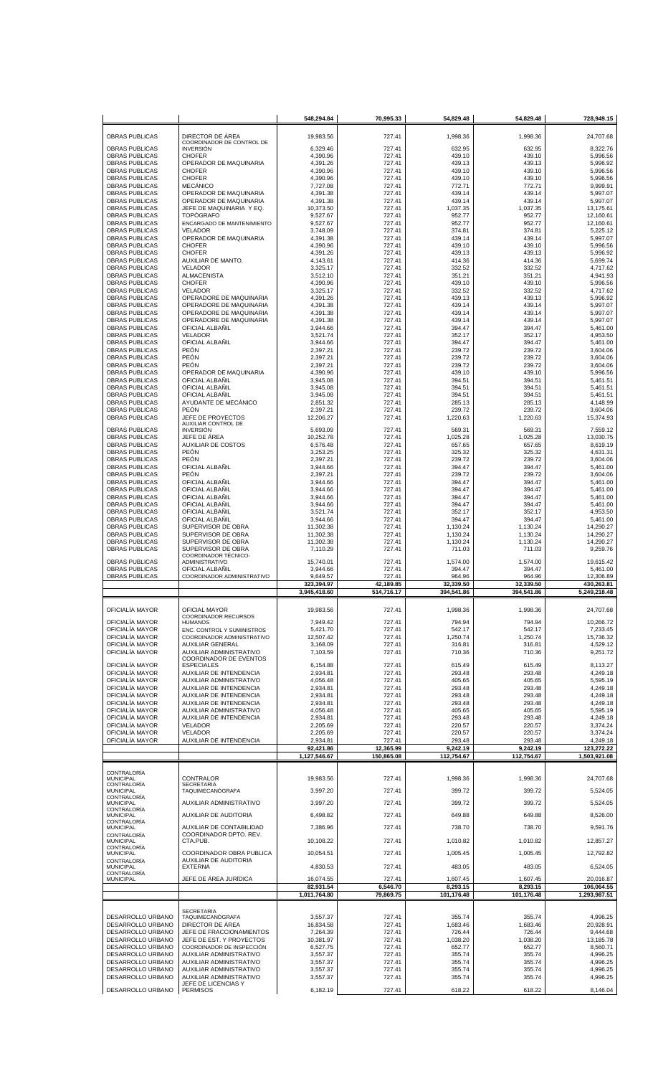|                                                |                                                       | 548.294.84             | 70,995.33           | 54,829.48           | 54,829.48           | 728,949.15              |
|------------------------------------------------|-------------------------------------------------------|------------------------|---------------------|---------------------|---------------------|-------------------------|
|                                                |                                                       |                        |                     |                     |                     |                         |
| <b>OBRAS PUBLICAS</b>                          | DIRECTOR DE ÁREA<br>COORDINADOR DE CONTROL DE         | 19.983.56              | 727.41              | 1,998.36            | 1.998.36            | 24,707.68               |
| <b>OBRAS PUBLICAS</b>                          | <b>INVERSIÓN</b>                                      | 6.329.46               | 727.41              | 632.95              | 632.95              | 8,322.76                |
| <b>OBRAS PUBLICAS</b>                          | <b>CHOFER</b>                                         | 4,390.96               | 727.41              | 439.10              | 439.10              | 5,996.56                |
| <b>OBRAS PUBLICAS</b><br><b>OBRAS PUBLICAS</b> | OPERADOR DE MAQUINARIA<br><b>CHOFER</b>               | 4,391.26<br>4.390.96   | 727.41<br>727.41    | 439.13<br>439.10    | 439.13<br>439.10    | 5,996.92<br>5,996.56    |
| <b>OBRAS PUBLICAS</b>                          | <b>CHOFER</b>                                         | 4,390.96               | 727.41              | 439.10              | 439.10              | 5,996.56                |
| <b>OBRAS PUBLICAS</b>                          | <b>MECÁNICO</b>                                       | 7,727.08               | 727.41              | 772.71              | 772.71              | 9,999.91                |
| <b>OBRAS PUBLICAS</b>                          | OPERADOR DE MAQUINARIA                                | 4,391.38               | 727.41              | 439.14              | 439.14              | 5.997.07                |
| <b>OBRAS PUBLICAS</b><br><b>OBRAS PUBLICAS</b> | OPERADOR DE MAQUINARIA<br>JEFE DE MAQUINARIA Y EQ.    | 4,391.38<br>10,373.50  | 727.41<br>727.41    | 439.14<br>1,037.35  | 439.14<br>1,037.35  | 5,997.07<br>13,175.61   |
| <b>OBRAS PUBLICAS</b>                          | <b>TOPOGRAFO</b>                                      | 9,527.67               | 727.41              | 952.77              | 952.77              | 12,160.61               |
| <b>OBRAS PUBLICAS</b>                          | ENCARGADO DE MANTENIMIENTO                            | 9,527.67               | 727.41              | 952.77              | 952.77              | 12,160.61               |
| <b>OBRAS PUBLICAS</b>                          | <b>VELADOR</b>                                        | 3,748.09               | 727.41              | 374.81              | 374.81              | 5,225.12                |
| <b>OBRAS PUBLICAS</b><br><b>OBRAS PUBLICAS</b> | OPERADOR DE MAQUINARIA<br><b>CHOFER</b>               | 4,391.38               | 727.41              | 439.14              | 439.14              | 5,997.07                |
| <b>OBRAS PUBLICAS</b>                          | <b>CHOFER</b>                                         | 4,390.96<br>4,391.26   | 727.41<br>727.41    | 439.10<br>439.13    | 439.10<br>439.13    | 5,996.56<br>5,996.92    |
| <b>OBRAS PUBLICAS</b>                          | AUXILIAR DE MANTO.                                    | 4,143.61               | 727.41              | 414.36              | 414.36              | 5.699.74                |
| <b>OBRAS PUBLICAS</b>                          | <b>VELADOR</b>                                        | 3,325.17               | 727.41              | 332.52              | 332.52              | 4,717.62                |
| <b>OBRAS PUBLICAS</b>                          | <b>ALMACENISTA</b>                                    | 3,512.10               | 727.41              | 351.21              | 351.21              | 4,941.93                |
| <b>OBRAS PUBLICAS</b><br><b>OBRAS PUBLICAS</b> | <b>CHOFER</b><br><b>VELADOR</b>                       | 4,390.96<br>3,325.17   | 727.41<br>727.41    | 439.10<br>332.52    | 439.10<br>332.52    | 5,996.56<br>4,717.62    |
| <b>OBRAS PUBLICAS</b>                          | OPERADORE DE MAQUINARIA                               | 4,391.26               | 727.41              | 439.13              | 439.13              | 5,996.92                |
| <b>OBRAS PUBLICAS</b>                          | OPERADORE DE MAQUINARIA                               | 4,391.38               | 727.41              | 439.14              | 439.14              | 5,997.07                |
| <b>OBRAS PUBLICAS</b>                          | OPERADORE DE MAQUINARIA                               | 4,391.38               | 727.41              | 439.14              | 439.14              | 5,997.07                |
| <b>OBRAS PUBLICAS</b><br><b>OBRAS PUBLICAS</b> | OPERADORE DE MAQUINARIA<br>OFICIAL ALBANIL            | 4,391.38<br>3.944.66   | 727.41<br>727.41    | 439.14<br>394.47    | 439.14<br>394.47    | 5,997.07<br>5,461.00    |
| <b>OBRAS PUBLICAS</b>                          | <b>VELADOR</b>                                        | 3,521.74               | 727.41              | 352.17              | 352.17              | 4,953.50                |
| <b>OBRAS PUBLICAS</b>                          | OFICIAL ALBAÑIL                                       | 3,944.66               | 727.41              | 394.47              | 394.47              | 5,461.00                |
| <b>OBRAS PUBLICAS</b>                          | PEÓN                                                  | 2,397.21               | 727.41              | 239.72              | 239.72              | 3,604.06                |
| <b>OBRAS PUBLICAS</b><br><b>OBRAS PUBLICAS</b> | <b>PEÓN</b><br>PEÓN                                   | 2,397.21               | 727.41              | 239.72<br>239.72    | 239.72<br>239.72    | 3,604.06                |
| <b>OBRAS PUBLICAS</b>                          | OPERADOR DE MAQUINARIA                                | 2,397.21<br>4,390.96   | 727.41<br>727.41    | 439.10              | 439.10              | 3,604.06<br>5,996.56    |
| <b>OBRAS PUBLICAS</b>                          | OFICIAL ALBAÑIL                                       | 3,945.08               | 727.41              | 394.51              | 394.51              | 5,461.51                |
| <b>OBRAS PUBLICAS</b>                          | OFICIAL ALBAÑIL                                       | 3,945.08               | 727.41              | 394.51              | 394.51              | 5,461.51                |
| <b>OBRAS PUBLICAS</b>                          | OFICIAL ALBAÑIL                                       | 3,945.08               | 727.41              | 394.51              | 394.51              | 5,461.51                |
| <b>OBRAS PUBLICAS</b><br><b>OBRAS PUBLICAS</b> | AYUDANTE DE MECÁNICO<br>PEÓN                          | 2,851.32<br>2,397.21   | 727.41<br>727.41    | 285.13<br>239.72    | 285.13<br>239.72    | 4,148.99<br>3,604.06    |
| <b>OBRAS PUBLICAS</b>                          | JEFE DE PROYECTOS                                     | 12,206.27              | 727.41              | 1,220.63            | 1,220.63            | 15,374.93               |
|                                                | AUXILIAR CONTROL DE                                   |                        |                     |                     |                     |                         |
| <b>OBRAS PUBLICAS</b><br><b>OBRAS PUBLICAS</b> | <b>INVERSIÓN</b><br>JEFE DE ÁREA                      | 5,693.09<br>10,252.78  | 727.41<br>727.41    | 569.31<br>1,025.28  | 569.31<br>1,025.28  | 7,559.12<br>13,030.75   |
| <b>OBRAS PUBLICAS</b>                          | <b>AUXILIAR DE COSTOS</b>                             | 6,576.48               | 727.41              | 657.65              | 657.65              | 8,619.19                |
| <b>OBRAS PUBLICAS</b>                          | PEÓN                                                  | 3,253.25               | 727.41              | 325.32              | 325.32              | 4,631.31                |
| <b>OBRAS PUBLICAS</b>                          | <b>PEÓN</b>                                           | 2,397.21               | 727.41              | 239.72              | 239.72              | 3,604.06                |
| <b>OBRAS PUBLICAS</b><br><b>OBRAS PUBLICAS</b> | OFICIAL ALBANIL<br>PEÓN                               | 3,944.66<br>2,397.21   | 727.41<br>727.41    | 394.47<br>239.72    | 394.47<br>239.72    | 5,461.00<br>3,604.06    |
| <b>OBRAS PUBLICAS</b>                          | OFICIAL ALBAÑIL                                       | 3,944.66               | 727.41              | 394.47              | 394.47              | 5,461.00                |
| <b>OBRAS PUBLICAS</b>                          | OFICIAL ALBANIL                                       | 3,944.66               | 727.41              | 394.47              | 394.47              | 5,461.00                |
| <b>OBRAS PUBLICAS</b>                          | OFICIAL ALBAÑIL                                       | 3,944.66               | 727.41              | 394.47              | 394.47              | 5,461.00                |
| <b>OBRAS PUBLICAS</b>                          | OFICIAL ALBAÑIL                                       | 3,944.66               | 727.41              | 394.47              | 394.47              | 5,461.00                |
| <b>OBRAS PUBLICAS</b><br><b>OBRAS PUBLICAS</b> | OFICIAL ALBANIL<br>OFICIAL ALBANIL                    | 3,521.74<br>3,944.66   | 727.41<br>727.41    | 352.17<br>394.47    | 352.17<br>394.47    | 4,953.50<br>5,461.00    |
| <b>OBRAS PUBLICAS</b>                          | SUPERVISOR DE OBRA                                    | 11,302.38              | 727.41              | 1,130.24            | 1,130.24            | 14,290.27               |
| <b>OBRAS PUBLICAS</b>                          | SUPERVISOR DE OBRA                                    | 11,302.38              | 727.41              | 1,130.24            | 1,130.24            | 14,290.27               |
| <b>OBRAS PUBLICAS</b>                          | SUPERVISOR DE OBRA                                    | 11,302.38              | 727.41              | 1,130.24            | 1,130.24            | 14,290.27               |
| <b>OBRAS PUBLICAS</b>                          | SUPERVISOR DE OBRA<br>COORDINADOR TÉCNICO-            | 7,110.29               | 727.41              | 711.03              | 711.03              | 9,259.76                |
|                                                |                                                       |                        |                     |                     |                     |                         |
| <b>OBRAS PUBLICAS</b>                          | <b>ADMINISTRATIVO</b>                                 | 15,740.01              | 727.41              | 1,574.00            | 1,574.00            | 19,615.42               |
| <b>OBRAS PUBLICAS</b>                          | <b>OFICIAL ALBANIL</b>                                | 3,944.66               | 727.41              | 394.47              | 394.47              | 5,461.00                |
| <b>OBRAS PUBLICAS</b>                          | COORDINADOR ADMINISTRATIVO                            | 9,649.57<br>323,394.97 | 727.41<br>42,189.85 | 964.96<br>32,339.50 | 964.96<br>32,339.50 | 12,306.89<br>430,263.81 |
|                                                |                                                       | 3,945,418.60           | 514,716.17          | 394,541.86          | 394,541.86          | 5,249,218.48            |
|                                                |                                                       |                        |                     |                     |                     |                         |
| OFICIALÍA MAYOR                                | OFICIAL MAYOR<br>COORDINADOR RECURSOS                 | 19,983.56              | 727.41              | 1.998.36            | 1,998.36            | 24.707.68               |
| OFICIALÍA MAYOR                                | <b>HUMANOS</b>                                        | 7,949.42               | 727.41              | 794.94              | 794.94              | 10,266.72               |
| OFICIALÍA MAYOR                                | ENC. CONTROL Y SUMINISTROS                            | 5,421.70               | 727.41              | 542.17              | 542.17              | 7.233.45                |
| OFICIALÍA MAYOR<br>OFICIALÍA MAYOR             | COORDINADOR ADMINISTRATIVO<br><b>AUXILIAR GENERAL</b> | 12,507.42<br>3,168.09  | 727.41<br>727.41    | 1,250.74<br>316.81  | 1,250.74<br>316.81  | 15,736.32<br>4,529.12   |
| OFICIALÍA MAYOR                                | AUXILIAR ADMINISTRATIVO                               | 7,103.59               | 727.41              | 710.36              | 710.36              | 9,251.72                |
|                                                | <b>COORDINADOR DE EVENTOS</b>                         |                        |                     |                     |                     |                         |
| OFICIALÍA MAYOR<br>OFICIALÍA MAYOR             | <b>ESPECIALES</b><br>AUXILIAR DE INTENDENCIA          | 6,154.88<br>2,934.81   | 727.41<br>727.41    | 615.49<br>293.48    | 615.49<br>293.48    | 8,113.27<br>4,249.18    |
| OFICIALÍA MAYOR                                | <b>AUXILIAR ADMINISTRATIVO</b>                        | 4,056.48               | 727.41              | 405.65              | 405.65              | 5,595.19                |
| OFICIALÍA MAYOR                                | AUXILIAR DE INTENDENCIA                               | 2,934.81               | 727.41              | 293.48              | 293.48              | 4,249.18                |
| OFICIALÍA MAYOR                                | AUXILIAR DE INTENDENCIA                               | 2,934.81               | 727.41              | 293.48              | 293.48              | 4,249.18                |
| OFICIALÍA MAYOR<br>OFICIALÍA MAYOR             | AUXILIAR DE INTENDENCIA<br>AUXILIAR ADMINISTRATIVO    | 2,934.81<br>4,056.48   | 727.41<br>727.41    | 293.48<br>405.65    | 293.48<br>405.65    | 4,249.18<br>5,595.19    |
| OFICIALÍA MAYOR                                | AUXILIAR DE INTENDENCIA                               | 2,934.81               | 727.41              | 293.48              | 293.48              | 4,249.18                |
| OFICIALÍA MAYOR                                | <b>VELADOR</b>                                        | 2,205.69               | 727.41              | 220.57              | 220.57              | 3,374.24                |
| OFICIALÍA MAYOR                                | <b>VELADOR</b>                                        | 2,205.69               | 727.41              | 220.57              | 220.57              | 3,374.24                |
| OFICIALÍA MAYOR                                | AUXILIAR DE INTENDENCIA                               | 2,934.81<br>92,421.86  | 727.41<br>12,365.99 | 293.48<br>9,242.19  | 293.48<br>9,242.19  | 4,249.18<br>123,272.22  |
|                                                |                                                       | 1,127,546.67           | 150,865.08          | 112,754.67          | 112,754.67          | 1,503,921.08            |
|                                                |                                                       |                        |                     |                     |                     |                         |
| CONTRALORÍA<br><b>MUNICIPAL</b>                | CONTRALOR                                             | 19,983.56              | 727.41              | 1,998.36            | 1,998.36            | 24,707.68               |
| CONTRALORÍA                                    | <b>SECRETARIA</b>                                     |                        |                     |                     |                     |                         |
| <b>MUNICIPAL</b><br>CONTRALORÍA                | TAQUIMECANÓGRAFA                                      | 3,997.20               | 727.41              | 399.72              | 399.72              | 5,524.05                |
| MUNICIPAL<br>CONTRALORÍA                       | AUXILIAR ADMINISTRATIVO                               | 3,997.20               | 727.41              | 399.72              | 399.72              | 5,524.05                |
| MUNICIPAL                                      | AUXILIAR DE AUDITORIA                                 | 6,498.82               | 727.41              | 649.88              | 649.88              | 8,526.00                |
| CONTRALORÍA<br><b>MUNICIPAL</b>                | AUXILIAR DE CONTABILIDAD                              | 7,386.96               | 727.41              | 738.70              | 738.70              | 9,591.76                |
| CONTRALORÍA                                    | COORDINADOR DPTO. REV.                                |                        |                     |                     |                     |                         |
| MUNICIPAL                                      | CTA.PUB.                                              | 10,108.22              | 727.41              | 1,010.82            | 1,010.82            | 12,857.27               |
| CONTRALORÍA<br><b>MUNICIPAL</b>                | COORDINADOR OBRA PUBLICA                              | 10,054.51              | 727.41              | 1,005.45            | 1,005.45            | 12,792.82               |
| CONTRALORÍA                                    | AUXILIAR DE AUDITORIA                                 |                        |                     |                     |                     |                         |
| MUNICIPAL<br>CONTRALORÍA                       | <b>EXTERNA</b>                                        | 4,830.53               | 727.41              | 483.05              | 483.05              | 6,524.05                |
| <b>MUNICIPAL</b>                               | JEFE DE ÁREA JURÍDICA                                 | 16,074.55              | 727.41              | 1,607.45            | 1,607.45            | 20,016.87               |
|                                                |                                                       | 82,931.54              | 6,546.70            | 8,293.15            | 8,293.15            | 106,064.55              |
|                                                |                                                       | 1,011,764.80           | 79,869.75           | 101,176.48          | 101,176.48          | 1,293,987.51            |
|                                                | <b>SECRETARIA</b>                                     |                        |                     |                     |                     |                         |
| DESARROLLO URBANO                              | TAQUIMECANÓGRAFA                                      | 3,557.37               | 727.41              | 355.74              | 355.74              | 4,996.25                |
| DESARROLLO URBANO<br>DESARROLLO URBANO         | DIRECTOR DE ÁREA<br>JEFE DE FRACCIONAMIENTOS          | 16,834.58<br>7,264.39  | 727.41<br>727.41    | 1,683.46<br>726.44  | 1,683.46<br>726.44  | 20,928.91<br>9,444.68   |
| DESARROLLO URBANO                              | JEFE DE EST. Y PROYECTOS                              | 10,381.97              | 727.41              | 1,038.20            | 1.038.20            | 13,185.78               |
| DESARROLLO URBANO                              | COORDINADOR DE INSPECCIÓN                             | 6,527.75               | 727.41              | 652.77              | 652.77              | 8.560.71                |
| DESARROLLO URBANO                              | AUXILIAR ADMINISTRATIVO                               | 3,557.37               | 727.41              | 355.74              | 355.74              | 4.996.25                |
| DESARROLLO URBANO<br>DESARROLLO URBANO         | AUXILIAR ADMINISTRATIVO<br>AUXILIAR ADMINISTRATIVO    | 3,557.37<br>3,557.37   | 727.41<br>727.41    | 355.74<br>355.74    | 355.74<br>355.74    | 4.996.25<br>4.996.25    |
| DESARROLLO URBANO                              | AUXILIAR ADMINISTRATIVO                               | 3,557.37               | 727.41              | 355.74              | 355.74              | 4,996.25                |
| DESARROLLO URBANO                              | JEFE DE LICENCIAS Y<br><b>PERMISOS</b>                | 6,182.19               | 727.41              | 618.22              | 618.22              | 8,146.04                |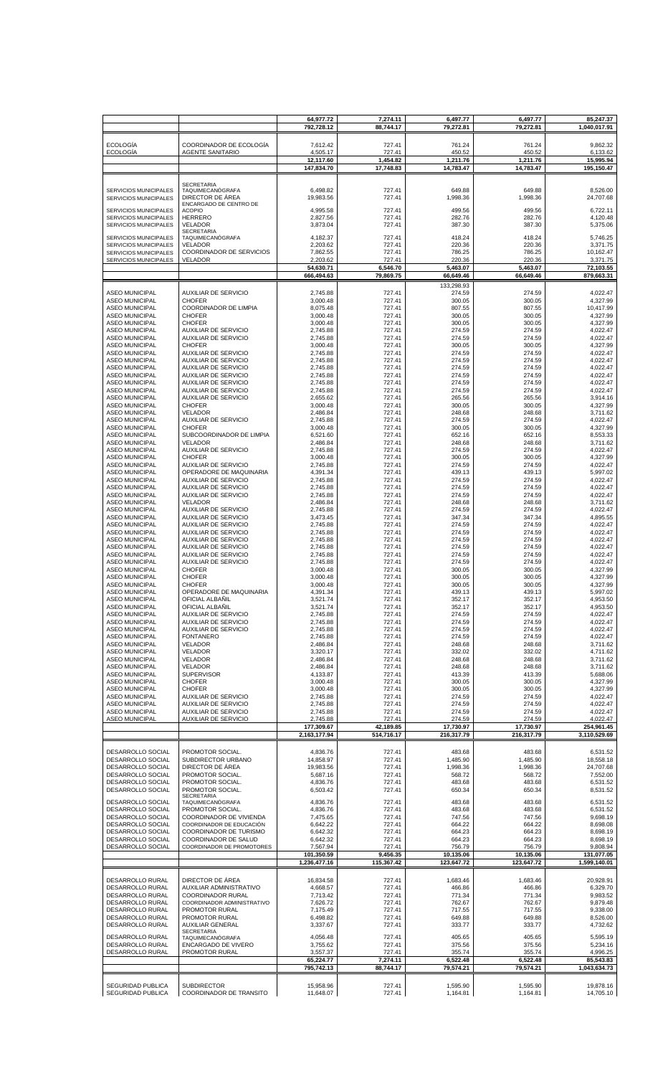|                                                       |                                                            | 64,977.72<br>792,728.12    | 7,274.11<br>88,744.17   | 6,497.77<br>79,272.81   | 6,497.77<br>79,272.81   | 85,247.37<br>1,040,017.91  |
|-------------------------------------------------------|------------------------------------------------------------|----------------------------|-------------------------|-------------------------|-------------------------|----------------------------|
|                                                       |                                                            |                            |                         |                         |                         |                            |
| <b>ECOLOGÍA</b><br><b>ECOLOGÍA</b>                    | COORDINADOR DE ECOLOGIA<br><b>AGENTE SANITARIO</b>         | 7,612.42<br>4,505.17       | 727.41<br>727.41        | 761.24<br>450.52        | 761.24<br>450.52        | 9,862.32<br>6,133.62       |
|                                                       |                                                            | 12,117.60<br>147,834.70    | 1,454.82<br>17,748.83   | 1,211.76<br>14,783.47   | 1,211.76<br>14,783.47   | 15,995.94<br>195,150.47    |
|                                                       |                                                            |                            |                         |                         |                         |                            |
| SERVICIOS MUNICIPALES                                 | <b>SECRETARIA</b><br>TAQUIMECANÓGRAFA                      | 6,498.82                   | 727.41                  | 649.88                  | 649.88                  | 8,526.00                   |
| SERVICIOS MUNICIPALES                                 | DIRECTOR DE ÁREA<br>ENCARGADO DE CENTRO DE                 | 19,983.56                  | 727.41                  | 1,998.36                | 1,998.36                | 24,707.68                  |
| <b>SERVICIOS MUNICIPALES</b><br>SERVICIOS MUNICIPALES | <b>ACOPIO</b><br><b>HERRERO</b>                            | 4,995.58<br>2,827.56       | 727.41<br>727.41        | 499.56<br>282.76        | 499.56<br>282.76        | 6,722.11<br>4,120.48       |
| SERVICIOS MUNICIPALES                                 | VELADOR<br><b>SECRETARIA</b>                               | 3,873.04                   | 727.41                  | 387.30                  | 387.30                  | 5,375.06                   |
| <b>SERVICIOS MUNICIPALES</b>                          | TAQUIMECANÓGRAFA<br><b>VELADOR</b>                         | 4,182.37<br>2,203.62       | 727.41<br>727.41        | 418.24<br>220.36        | 418.24<br>220.36        | 5,746.25<br>3,371.75       |
| SERVICIOS MUNICIPALES<br>SERVICIOS MUNICIPALES        | COORDINADOR DE SERVICIOS                                   | 7,862.55                   | 727.41                  | 786.25                  | 786.25                  | 10,162.47                  |
| SERVICIOS MUNICIPALES                                 | <b>VELADOR</b>                                             | 2,203.62<br>54,630.71      | 727.41<br>6,546.70      | 220.36<br>5,463.07      | 220.36<br>5,463.07      | 3,371.75<br>72,103.55      |
|                                                       |                                                            | 666,494.63                 | 79,869.75               | 66,649.46               | 66,649.46               | 879,663.31                 |
| <b>ASEO MUNICIPAL</b>                                 | <b>AUXILIAR DE SERVICIO</b>                                | 2,745.88                   | 727.41                  | 133,298.93<br>274.59    | 274.59                  | 4,022.47                   |
| <b>ASEO MUNICIPAL</b><br><b>ASEO MUNICIPAL</b>        | <b>CHOFER</b><br>COORDINADOR DE LIMPIA                     | 3,000.48<br>8,075.48       | 727.41<br>727.41        | 300.05<br>807.55        | 300.05<br>807.55        | 4,327.99<br>10,417.99      |
| <b>ASEO MUNICIPAL</b>                                 | <b>CHOFER</b>                                              | 3,000.48                   | 727.41                  | 300.05                  | 300.05                  | 4,327.99                   |
| <b>ASEO MUNICIPAL</b><br><b>ASEO MUNICIPAL</b>        | <b>CHOFER</b><br><b>AUXILIAR DE SERVICIO</b>               | 3,000.48<br>2,745.88       | 727.41<br>727.41        | 300.05<br>274.59        | 300.05<br>274.59        | 4,327.99<br>4,022.47       |
| <b>ASEO MUNICIPAL</b><br><b>ASEO MUNICIPAL</b>        | <b>AUXILIAR DE SERVICIO</b><br><b>CHOFER</b>               | 2,745.88<br>3,000.48       | 727.41<br>727.41        | 274.59<br>300.05        | 274.59<br>300.05        | 4.022.47<br>4,327.99       |
| <b>ASEO MUNICIPAL</b>                                 | <b>AUXILIAR DE SERVICIO</b>                                | 2,745.88                   | 727.41                  | 274.59                  | 274.59                  | 4.022.47                   |
| <b>ASEO MUNICIPAL</b><br><b>ASEO MUNICIPAL</b>        | <b>AUXILIAR DE SERVICIO</b><br><b>AUXILIAR DE SERVICIO</b> | 2,745.88<br>2,745.88       | 727.41<br>727.41        | 274.59<br>274.59        | 274.59<br>274.59        | 4,022.47<br>4.022.47       |
| <b>ASEO MUNICIPAL</b><br><b>ASEO MUNICIPAL</b>        | <b>AUXILIAR DE SERVICIO</b><br><b>AUXILIAR DE SERVICIO</b> | 2,745.88<br>2,745.88       | 727.41<br>727.41        | 274.59<br>274.59        | 274.59<br>274.59        | 4,022.47<br>4.022.47       |
| <b>ASEO MUNICIPAL</b>                                 | AUXILIAR DE SERVICIO                                       | 2,745.88                   | 727.41                  | 274.59                  | 274.59                  | 4,022.47                   |
| <b>ASEO MUNICIPAL</b><br><b>ASEO MUNICIPAL</b>        | <b>AUXILIAR DE SERVICIO</b><br><b>CHOFER</b>               | 2,655.62<br>3,000.48       | 727.41<br>727.41        | 265.56<br>300.05        | 265.56<br>300.05        | 3,914.16<br>4,327.99       |
| <b>ASEO MUNICIPAL</b><br><b>ASEO MUNICIPAL</b>        | VELADOR<br>AUXILIAR DE SERVICIO                            | 2,486.84<br>2,745.88       | 727.41<br>727.41        | 248.68<br>274.59        | 248.68<br>274.59        | 3,711.62<br>4,022.47       |
| <b>ASEO MUNICIPAL</b>                                 | <b>CHOFER</b>                                              | 3,000.48                   | 727.41                  | 300.05                  | 300.05                  | 4,327.99                   |
| <b>ASEO MUNICIPAL</b><br><b>ASEO MUNICIPAL</b>        | SUBCOORDINADOR DE LIMPIA<br><b>VELADOR</b>                 | 6,521.60<br>2,486.84       | 727.41<br>727.41        | 652.16<br>248.68        | 652.16<br>248.68        | 8,553.33<br>3,711.62       |
| <b>ASEO MUNICIPAL</b>                                 | AUXILIAR DE SERVICIO                                       | 2,745.88                   | 727.41                  | 274.59                  | 274.59                  | 4,022.47                   |
| <b>ASEO MUNICIPAL</b><br><b>ASEO MUNICIPAL</b>        | <b>CHOFER</b><br>AUXILIAR DE SERVICIO                      | 3,000.48<br>2,745.88       | 727.41<br>727.41        | 300.05<br>274.59        | 300.05<br>274.59        | 4,327.99<br>4,022.47       |
| <b>ASEO MUNICIPAL</b><br><b>ASEO MUNICIPAL</b>        | OPERADORE DE MAQUINARIA<br>AUXILIAR DE SERVICIO            | 4,391.34<br>2,745.88       | 727.41<br>727.41        | 439.13<br>274.59        | 439.13<br>274.59        | 5,997.02<br>4,022.47       |
| <b>ASEO MUNICIPAL</b>                                 | AUXILIAR DE SERVICIO                                       | 2,745.88                   | 727.41                  | 274.59                  | 274.59                  | 4,022.47                   |
| <b>ASEO MUNICIPAL</b><br><b>ASEO MUNICIPAL</b>        | <b>AUXILIAR DE SERVICIO</b><br>VELADOR                     | 2,745.88<br>2,486.84       | 727.41<br>727.41        | 274.59<br>248.68        | 274.59<br>248.68        | 4,022.47<br>3,711.62       |
| <b>ASEO MUNICIPAL</b>                                 | AUXILIAR DE SERVICIO<br><b>AUXILIAR DE SERVICIO</b>        | 2,745.88                   | 727.41<br>727.41        | 274.59                  | 274.59<br>347.34        | 4,022.47<br>4,895.55       |
| <b>ASEO MUNICIPAL</b><br><b>ASEO MUNICIPAL</b>        | AUXILIAR DE SERVICIO                                       | 3,473.45<br>2,745.88       | 727.41                  | 347.34<br>274.59        | 274.59                  | 4,022.47                   |
| <b>ASEO MUNICIPAL</b><br><b>ASEO MUNICIPAL</b>        | AUXILIAR DE SERVICIO<br><b>AUXILIAR DE SERVICIO</b>        | 2,745.88<br>2,745.88       | 727.41<br>727.41        | 274.59<br>274.59        | 274.59<br>274.59        | 4,022.47<br>4,022.47       |
| <b>ASEO MUNICIPAL</b>                                 | <b>AUXILIAR DE SERVICIO</b>                                | 2,745.88                   | 727.41                  | 274.59                  | 274.59                  | 4,022.47                   |
| <b>ASEO MUNICIPAL</b><br><b>ASEO MUNICIPAL</b>        | AUXILIAR DE SERVICIO<br>AUXILIAR DE SERVICIO               | 2,745.88<br>2,745.88       | 727.41<br>727.41        | 274.59<br>274.59        | 274.59<br>274.59        | 4,022.47<br>4.022.47       |
| <b>ASEO MUNICIPAL</b><br><b>ASEO MUNICIPAL</b>        | <b>CHOFER</b><br><b>CHOFER</b>                             | 3,000.48<br>3,000.48       | 727.41<br>727.41        | 300.05<br>300.05        | 300.05<br>300.05        | 4,327.99<br>4,327.99       |
| <b>ASEO MUNICIPAL</b>                                 | <b>CHOFER</b>                                              | 3,000.48                   | 727.41                  | 300.05                  | 300.05                  | 4,327.99                   |
| <b>ASEO MUNICIPAL</b><br><b>ASEO MUNICIPAL</b>        | OPERADORE DE MAQUINARIA<br>OFICIAL ALBAÑIL                 | 4,391.34<br>3,521.74       | 727.41<br>727.41        | 439.13<br>352.17        | 439.13<br>352.17        | 5,997.02<br>4,953.50       |
| <b>ASEO MUNICIPAL</b><br><b>ASEO MUNICIPAL</b>        | OFICIAL ALBAÑIL<br><b>AUXILIAR DE SERVICIO</b>             | 3,521.74                   | 727.41                  | 352.17<br>274.59        | 352.17<br>274.59        | 4,953.50<br>4,022.47       |
| <b>ASEO MUNICIPAL</b>                                 | <b>AUXILIAR DE SERVICIO</b>                                | 2,745.88<br>2,745.88       | 727.41<br>727.41        | 274.59                  | 274.59                  | 4.022.47                   |
| <b>ASEO MUNICIPAL</b><br><b>ASEO MUNICIPAL</b>        | <b>AUXILIAR DE SERVICIO</b><br><b>FONTANERO</b>            | 2,745.88<br>2,745.88       | 727.41<br>727.41        | 274.59<br>274.59        | 274.59<br>274.59        | 4,022.47<br>4,022.47       |
| <b>ASEO MUNICIPAL</b>                                 | <b>VELADOR</b>                                             | 2,486.84                   | 727.41                  | 248.68                  | 248.68                  | 3,711.62                   |
| <b>ASEO MUNICIPAL</b><br><b>ASEO MUNICIPAL</b>        | VELADOR<br>VELADOR                                         | 3.320.17<br>2,486.84       | 727.41<br>727.41        | 332.02<br>248.68        | 332.02<br>248.68        | 4,711.62<br>3,711.62       |
| <b>ASEO MUNICIPAL</b><br><b>ASEO MUNICIPAL</b>        | <b>VELADOR</b><br><b>SUPERVISOR</b>                        | 2,486.84<br>4,133.87       | 727.41<br>727.41        | 248.68<br>413.39        | 248.68<br>413.39        | 3,711.62<br>5,688.06       |
| <b>ASEO MUNICIPAL</b>                                 | <b>CHOFER</b>                                              | 3,000.48                   | 727.41                  | 300.05                  | 300.05                  | 4,327.99                   |
| <b>ASEO MUNICIPAL</b><br><b>ASEO MUNICIPAL</b>        | <b>CHOFER</b><br><b>AUXILIAR DE SERVICIO</b>               | 3,000.48<br>2,745.88       | 727.41<br>727.41        | 300.05<br>274.59        | 300.05<br>274.59        | 4,327.99<br>4,022.47       |
| <b>ASEO MUNICIPAL</b><br><b>ASEO MUNICIPAL</b>        | <b>AUXILIAR DE SERVICIO</b><br><b>AUXILIAR DE SERVICIO</b> | 2,745.88<br>2,745.88       | 727.41<br>727.41        | 274.59<br>274.59        | 274.59<br>274.59        | 4,022.47<br>4.022.47       |
| <b>ASEO MUNICIPAL</b>                                 | <b>AUXILIAR DE SERVICIO</b>                                | 2,745.88                   | 727.41                  | 274.59                  | 274.59                  | 4,022.47                   |
|                                                       |                                                            | 177,309.67<br>2,163,177.94 | 42,189.85<br>514,716.17 | 17,730.97<br>216,317.79 | 17,730.97<br>216,317.79 | 254,961.45<br>3,110,529.69 |
|                                                       |                                                            |                            |                         |                         |                         |                            |
| DESARROLLO SOCIAL<br>DESARROLLO SOCIAL                | PROMOTOR SOCIAL.<br>SUBDIRECTOR URBANO                     | 4,836.76<br>14,858.97      | 727.41<br>727.41        | 483.68<br>1,485.90      | 483.68<br>1,485.90      | 6,531.52<br>18,558.18      |
| DESARROLLO SOCIAL<br>DESARROLLO SOCIAL                | DIRECTOR DE ÁREA<br>PROMOTOR SOCIAL.                       | 19,983.56<br>5,687.16      | 727.41<br>727.41        | 1,998.36<br>568.72      | 1,998.36<br>568.72      | 24,707.68<br>7,552.00      |
| DESARROLLO SOCIAL                                     | PROMOTOR SOCIAL.                                           | 4,836.76                   | 727.41                  | 483.68                  | 483.68                  | 6,531.52                   |
| DESARROLLO SOCIAL                                     | PROMOTOR SOCIAL.<br><b>SECRETARIA</b>                      | 6,503.42                   | 727.41                  | 650.34                  | 650.34                  | 8,531.52                   |
| DESARROLLO SOCIAL<br>DESARROLLO SOCIAL                | TAQUIMECANÓGRAFA<br>PROMOTOR SOCIAL.                       | 4,836.76<br>4,836.76       | 727.41<br>727.41        | 483.68<br>483.68        | 483.68<br>483.68        | 6,531.52<br>6,531.52       |
| DESARROLLO SOCIAL                                     | COORDINADOR DE VIVIENDA                                    | 7,475.65                   | 727.41                  | 747.56                  | 747.56                  | 9,698.19                   |
| DESARROLLO SOCIAL<br>DESARROLLO SOCIAL                | COORDINADOR DE EDUCACIÓN<br>COORDINADOR DE TURISMO         | 6,642.22<br>6,642.32       | 727.41<br>727.41        | 664.22<br>664.23        | 664.22<br>664.23        | 8,698.08<br>8,698.19       |
| DESARROLLO SOCIAL<br>DESARROLLO SOCIAL                | COORDINADOR DE SALUD<br>COORDINADOR DE PROMOTORES          | 6,642.32<br>7,567.94       | 727.41<br>727.41        | 664.23<br>756.79        | 664.23<br>756.79        | 8,698.19<br>9,808.94       |
|                                                       |                                                            | 101,350.59                 | 9,456.35                | 10,135.06               | 10,135.06               | 131,077.05                 |
|                                                       |                                                            | 1,236,477.16               | 115,367.42              | 123,647.72              | 123,647.72              | 1,599,140.01               |
| DESARROLLO RURAL<br>DESARROLLO RURAL                  | DIRECTOR DE ÁREA<br>AUXILIAR ADMINISTRATIVO                | 16,834.58<br>4,668.57      | 727.41<br>727.41        | 1,683.46<br>466.86      | 1,683.46<br>466.86      | 20,928.91<br>6,329.70      |
| DESARROLLO RURAL                                      | <b>COORDINADOR RURAL</b>                                   | 7,713.42                   | 727.41                  | 771.34                  | 771.34                  | 9,983.52                   |
| DESARROLLO RURAL<br>DESARROLLO RURAL                  | COORDINADOR ADMINISTRATIVO<br>PROMOTOR RURAL               | 7,626.72<br>7,175.49       | 727.41<br>727.41        | 762.67<br>717.55        | 762.67<br>717.55        | 9,879.48<br>9,338.00       |
| DESARROLLO RURAL                                      | PROMOTOR RURAL                                             | 6,498.82                   | 727.41                  | 649.88                  | 649.88                  | 8,526.00                   |
| DESARROLLO RURAL<br><b>DESARROLLO RURAL</b>           | <b>AUXILIAR GENERAL</b><br><b>SECRETARIA</b>               | 3,337.67                   | 727.41<br>727.41        | 333.77<br>405.65        | 333.77<br>405.65        | 4,732.62<br>5,595.19       |
| DESARROLLO RURAL                                      | TAQUIMECANÓGRAFA<br>ENCARGADO DE VIVERO                    | 4,056.48<br>3,755.62       | 727.41                  | 375.56                  | 375.56                  | 5,234.16                   |
| DESARROLLO RURAL                                      | PROMOTOR RURAL                                             | 3,557.37<br>65,224.77      | 727.41<br>7,274.11      | 355.74<br>6,522.48      | 355.74<br>6,522.48      | 4,996.25<br>85,543.83      |
|                                                       |                                                            | 795,742.13                 | 88,744.17               | 79,574.21               | 79,574.21               | 1,043,634.73               |
| <b>SEGURIDAD PUBLICA</b>                              | <b>SUBDIRECTOR</b>                                         | 15,958.96                  | 727.41                  | 1,595.90                | 1,595.90                | 19,878.16                  |
| <b>SEGURIDAD PUBLICA</b>                              | COORDINADOR DE TRANSITO                                    | 11,648.07                  | 727.41                  | 1,164.81                | 1,164.81                | 14,705.10                  |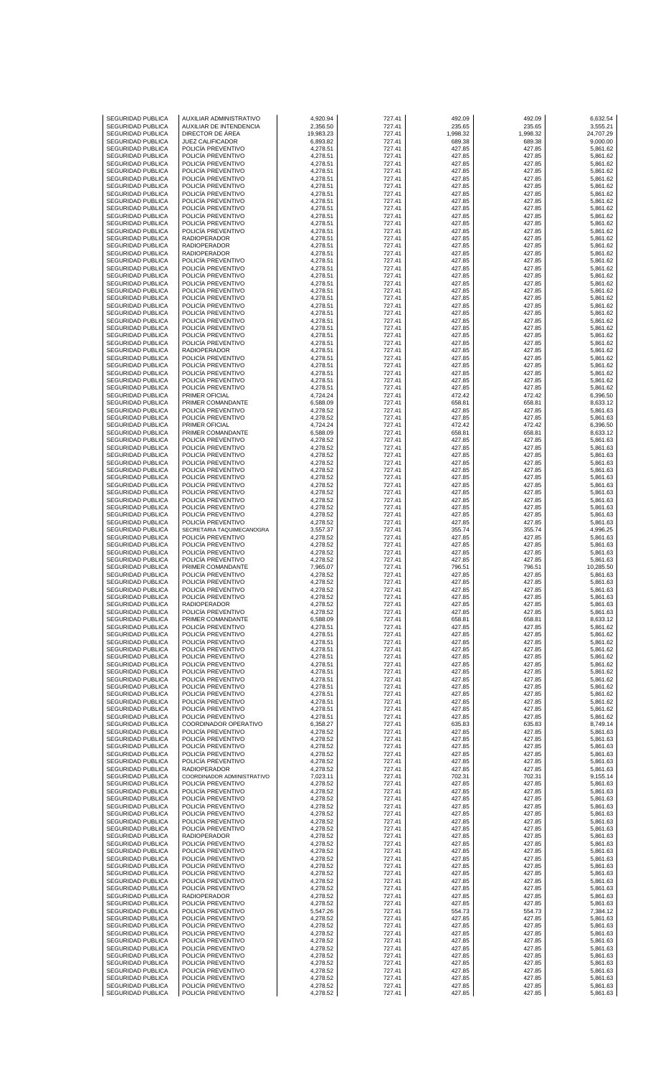| <b>SEGURIDAD PUBLICA</b>                             |                                                    |                      |                  |                  |                  |                      |
|------------------------------------------------------|----------------------------------------------------|----------------------|------------------|------------------|------------------|----------------------|
| SEGURIDAD PUBLICA                                    | AUXILIAR ADMINISTRATIVO<br>AUXILIAR DE INTENDENCIA | 4,920.94<br>2,356.50 | 727.41<br>727.41 | 492.09<br>235.65 | 492.09<br>235.65 | 6,632.54<br>3,555.21 |
| SEGURIDAD PUBLICA                                    | DIRECTOR DE AREA                                   | 19,983.23            | 727.41           | 1,998.32         | 1,998.32         | 24,707.29            |
| <b>SEGURIDAD PUBLICA</b>                             | <b>JUEZ CALIFICADOR</b>                            | 6,893.82             | 727.41           | 689.38           | 689.38           | 9,000.00             |
| <b>SEGURIDAD PUBLICA</b><br>SEGURIDAD PUBLICA        | POLICIA PREVENTIVO<br>POLICIA PREVENTIVO           | 4,278.51<br>4,278.51 | 727.41<br>727.41 | 427.85<br>427.85 | 427.85<br>427.85 | 5,861.62<br>5,861.62 |
| <b>SEGURIDAD PUBLICA</b>                             | POLICÍA PREVENTIVO                                 | 4,278.51             | 727.41           | 427.85           | 427.85           | 5,861.62             |
| <b>SEGURIDAD PUBLICA</b>                             | POLICIA PREVENTIVO                                 | 4,278.51             | 727.41           | 427.85           | 427.85           | 5,861.62             |
| SEGURIDAD PUBLICA<br><b>SEGURIDAD PUBLICA</b>        | POLICIA PREVENTIVO<br>POLICÍA PREVENTIVO           | 4,278.51<br>4,278.51 | 727.41<br>727.41 | 427.85<br>427.85 | 427.85<br>427.85 | 5,861.62<br>5.861.62 |
| <b>SEGURIDAD PUBLICA</b>                             | POLICIA PREVENTIVO                                 | 4,278.51             | 727.41           | 427.85           | 427.85           | 5,861.62             |
| SEGURIDAD PUBLICA                                    | POLICIA PREVENTIVO                                 | 4,278.51             | 727.41           | 427.85           | 427.85           | 5,861.62             |
| <b>SEGURIDAD PUBLICA</b>                             | POLICIA PREVENTIVO                                 | 4,278.51             | 727.41           | 427.85<br>427.85 | 427.85           | 5,861.62             |
| <b>SEGURIDAD PUBLICA</b><br>SEGURIDAD PUBLICA        | POLICIA PREVENTIVO<br>POLICIA PREVENTIVO           | 4,278.51<br>4,278.51 | 727.41<br>727.41 | 427.85           | 427.85<br>427.85 | 5,861.62<br>5,861.62 |
| <b>SEGURIDAD PUBLICA</b>                             | POLICIA PREVENTIVO                                 | 4,278.51             | 727.41           | 427.85           | 427.85           | 5,861.62             |
| <b>SEGURIDAD PUBLICA</b>                             | RADIOPERADOR                                       | 4,278.51             | 727.41           | 427.85           | 427.85           | 5,861.62             |
| SEGURIDAD PUBLICA<br><b>SEGURIDAD PUBLICA</b>        | <b>RADIOPERADOR</b><br><b>RADIOPERADOR</b>         | 4,278.51<br>4,278.51 | 727.41<br>727.41 | 427.85<br>427.85 | 427.85<br>427.85 | 5,861.62<br>5,861.62 |
| <b>SEGURIDAD PUBLICA</b>                             | POLICIA PREVENTIVO                                 | 4,278.51             | 727.41           | 427.85           | 427.85           | 5,861.62             |
| SEGURIDAD PUBLICA                                    | POLICIA PREVENTIVO                                 | 4,278.51             | 727.41           | 427.85           | 427.85           | 5,861.62             |
| <b>SEGURIDAD PUBLICA</b>                             | POLICIA PREVENTIVO                                 | 4,278.51             | 727.41           | 427.85           | 427.85           | 5,861.62             |
| <b>SEGURIDAD PUBLICA</b><br>SEGURIDAD PUBLICA        | POLICIA PREVENTIVO<br>POLICIA PREVENTIVO           | 4,278.51<br>4,278.51 | 727.41<br>727.41 | 427.85<br>427.85 | 427.85<br>427.85 | 5,861.62<br>5,861.62 |
| <b>SEGURIDAD PUBLICA</b>                             | POLICÍA PREVENTIVO                                 | 4,278.51             | 727.41           | 427.85           | 427.85           | 5,861.62             |
| <b>SEGURIDAD PUBLICA</b>                             | POLICIA PREVENTIVO                                 | 4,278.51             | 727.41           | 427.85           | 427.85           | 5,861.62             |
| SEGURIDAD PUBLICA<br><b>SEGURIDAD PUBLICA</b>        | POLICIA PREVENTIVO<br>POLICIA PREVENTIVO           | 4,278.51<br>4,278.51 | 727.41<br>727.41 | 427.85<br>427.85 | 427.85<br>427.85 | 5,861.62<br>5,861.62 |
| <b>SEGURIDAD PUBLICA</b>                             | POLICIA PREVENTIVO                                 | 4,278.51             | 727.41           | 427.85           | 427.85           | 5,861.62             |
| SEGURIDAD PUBLICA                                    | POLICIA PREVENTIVO                                 | 4,278.51             | 727.41           | 427.85           | 427.85           | 5,861.62             |
| <b>SEGURIDAD PUBLICA</b>                             | POLICÍA PREVENTIVO                                 | 4,278.51             | 727.41           | 427.85           | 427.85           | 5,861.62             |
| <b>SEGURIDAD PUBLICA</b><br>SEGURIDAD PUBLICA        | RADIOPERADOR<br>POLICIA PREVENTIVO                 | 4,278.51<br>4,278.51 | 727.41<br>727.41 | 427.85<br>427.85 | 427.85<br>427.85 | 5,861.62<br>5,861.62 |
| <b>SEGURIDAD PUBLICA</b>                             | POLICIA PREVENTIVO                                 | 4,278.51             | 727.41           | 427.85           | 427.85           | 5,861.62             |
| <b>SEGURIDAD PUBLICA</b>                             | POLICIA PREVENTIVO                                 | 4,278.51             | 727.41           | 427.85           | 427.85           | 5,861.62             |
| SEGURIDAD PUBLICA                                    | POLICIA PREVENTIVO                                 | 4,278.51             | 727.41           | 427.85           | 427.85           | 5,861.62             |
| <b>SEGURIDAD PUBLICA</b><br><b>SEGURIDAD PUBLICA</b> | POLICIA PREVENTIVO<br>PRIMER OFICIAL               | 4,278.51<br>4,724.24 | 727.41<br>727.41 | 427.85<br>472.42 | 427.85<br>472.42 | 5,861.62<br>6,396.50 |
| SEGURIDAD PUBLICA                                    | PRIMER COMANDANTE                                  | 6,588.09             | 727.41           | 658.81           | 658.81           | 8,633.12             |
| <b>SEGURIDAD PUBLICA</b>                             | POLICIA PREVENTIVO                                 | 4,278.52             | 727.41           | 427.85           | 427.85           | 5,861.63             |
| <b>SEGURIDAD PUBLICA</b>                             | POLICIA PREVENTIVO                                 | 4,278.52             | 727.41           | 427.85           | 427.85           | 5,861.63             |
| SEGURIDAD PUBLICA<br><b>SEGURIDAD PUBLICA</b>        | PRIMER OFICIAL<br>PRIMER COMANDANTE                | 4,724.24<br>6,588.09 | 727.41<br>727.41 | 472.42<br>658.81 | 472.42<br>658.81 | 6,396.50<br>8,633.12 |
| <b>SEGURIDAD PUBLICA</b>                             | POLICIA PREVENTIVO                                 | 4,278.52             | 727.41           | 427.85           | 427.85           | 5,861.63             |
| SEGURIDAD PUBLICA                                    | POLICIA PREVENTIVO                                 | 4,278.52             | 727.41           | 427.85           | 427.85           | 5,861.63             |
| <b>SEGURIDAD PUBLICA</b>                             | POLICIA PREVENTIVO                                 | 4,278.52             | 727.41           | 427.85           | 427.85           | 5,861.63             |
| <b>SEGURIDAD PUBLICA</b><br>SEGURIDAD PUBLICA        | POLICIA PREVENTIVO<br>POLICIA PREVENTIVO           | 4,278.52<br>4,278.52 | 727.41<br>727.41 | 427.85<br>427.85 | 427.85<br>427.85 | 5,861.63<br>5,861.63 |
| <b>SEGURIDAD PUBLICA</b>                             | POLICIA PREVENTIVO                                 | 4,278.52             | 727.41           | 427.85           | 427.85           | 5,861.63             |
| <b>SEGURIDAD PUBLICA</b>                             | POLICIA PREVENTIVO                                 | 4,278.52             | 727.41           | 427.85           | 427.85           | 5,861.63             |
| SEGURIDAD PUBLICA                                    | POLICIA PREVENTIVO                                 | 4,278.52             | 727.41           | 427.85           | 427.85           | 5,861.63             |
| <b>SEGURIDAD PUBLICA</b><br><b>SEGURIDAD PUBLICA</b> | POLICIA PREVENTIVO<br>POLICIA PREVENTIVO           | 4,278.52<br>4,278.52 | 727.41<br>727.41 | 427.85<br>427.85 | 427.85<br>427.85 | 5,861.63<br>5,861.63 |
| SEGURIDAD PUBLICA                                    | POLICIA PREVENTIVO                                 | 4,278.52             | 727.41           | 427.85           | 427.85           | 5,861.63             |
| <b>SEGURIDAD PUBLICA</b>                             | POLICÍA PREVENTIVO                                 | 4,278.52             | 727.41           | 427.85           | 427.85           | 5,861.63             |
| <b>SEGURIDAD PUBLICA</b>                             | SECRETARIA TAQUIMECANOGRA                          | 3,557.37             | 727.41           | 355.74           | 355.74           | 4,996.25             |
| SEGURIDAD PUBLICA<br><b>SEGURIDAD PUBLICA</b>        | POLICÍA PREVENTIVO<br>POLICIA PREVENTIVO           | 4,278.52<br>4,278.52 | 727.41<br>727.41 | 427.85<br>427.85 | 427.85<br>427.85 | 5,861.63<br>5,861.63 |
| <b>SEGURIDAD PUBLICA</b>                             | POLICIA PREVENTIVO                                 | 4,278.52             | 727.41           | 427.85           | 427.85           | 5,861.63             |
| <b>SEGURIDAD PUBLICA</b>                             | POLICIA PREVENTIVO                                 | 4,278.52             | 727.41           | 427.85           | 427.85           | 5,861.63             |
| <b>SEGURIDAD PUBLICA</b>                             | PRIMER COMANDANTE                                  | 7,965.07             | 727.41           | 796.51           | 796.51           | 10.285.50            |
| <b>SEGURIDAD PUBLICA</b><br>SEGURIDAD PUBLICA        | POLICIA PREVENTIVO<br>POLICIA PREVENTIVO           | 4,278.52<br>4,278.52 | 727.41<br>727.41 | 427.85<br>427.85 | 427.85<br>427.85 | 5,861.63<br>5,861.63 |
| SEGURIDAD PUBLICA                                    | POLICIA PREVENTIVO                                 | 4,278.52             | 727.41           | 427.85           | 427.85           | 5,861.63             |
| SEGURIDAD PUBLICA                                    | POLICÍA PREVENTIVO                                 | 4,278.52             | 727.41           | 427.85           | 427.85           | 5,861.63             |
| SEGURIDAD PUBLICA                                    | <b>RADIOPERADOR</b>                                | 4,278.52             | 727.41           | 427.85           | 427.85           | 5,861.63             |
| SEGURIDAD PUBLICA<br><b>SEGURIDAD PUBLICA</b>        | POLICÍA PREVENTIVO<br>PRIMER COMANDANTE            | 4,278.52<br>6,588.09 | 727.41<br>727.41 | 427.85<br>658.81 | 427.85<br>658.81 | 5,861.63<br>8,633.12 |
| <b>SEGURIDAD PUBLICA</b>                             | POLICÍA PREVENTIVO                                 | 4,278.51             | 727.41           | 427.85           | 427.85           | 5,861.62             |
| SEGURIDAD PUBLICA                                    | POLICÍA PREVENTIVO                                 | 4,278.51             | 727.41           | 427.85           | 427.85           | 5,861.62             |
| <b>SEGURIDAD PUBLICA</b><br>SEGURIDAD PUBLICA        | POLICIA PREVENTIVO<br>POLICÍA PREVENTIVO           | 4,278.51<br>4,278.51 | 727.41<br>727.41 | 427.85<br>427.85 | 427.85<br>427.85 | 5,861.62<br>5,861.62 |
| <b>SEGURIDAD PUBLICA</b>                             | POLICÍA PREVENTIVO                                 | 4,278.51             | 727.41           | 427.85           | 427.85           | 5,861.62             |
| <b>SEGURIDAD PUBLICA</b>                             | POLICIA PREVENTIVO                                 | 4,278.51             | 727.41           | 427.85           | 427.85           | 5,861.62             |
| SEGURIDAD PUBLICA                                    | POLICÍA PREVENTIVO                                 | 4,278.51             | 727.41           | 427.85           | 427.85           | 5,861.62             |
| SEGURIDAD PUBLICA<br><b>SEGURIDAD PUBLICA</b>        | POLICÍA PREVENTIVO<br>POLICIA PREVENTIVO           | 4,278.51<br>4,278.51 | 727.41<br>727.41 | 427.85<br>427.85 | 427.85<br>427.85 | 5,861.62<br>5,861.62 |
| <b>SEGURIDAD PUBLICA</b>                             | POLICÍA PREVENTIVO                                 | 4,278.51             | 727.41           | 427.85           | 427.85           | 5,861.62             |
| SEGURIDAD PUBLICA                                    | POLICÍA PREVENTIVO                                 | 4,278.51             | 727.41           | 427.85           | 427.85           | 5,861.62             |
| <b>SEGURIDAD PUBLICA</b><br><b>SEGURIDAD PUBLICA</b> | POLICIA PREVENTIVO<br>POLICIA PREVENTIVO           | 4,278.51<br>4,278.51 | 727.41<br>727.41 | 427.85<br>427.85 | 427.85<br>427.85 | 5,861.62<br>5,861.62 |
| <b>SEGURIDAD PUBLICA</b>                             | COORDINADOR OPERATIVO                              | 6,358.27             | 727.41           | 635.83           | 635.83           | 8,749.14             |
| <b>SEGURIDAD PUBLICA</b>                             | POLICIA PREVENTIVO                                 | 4,278.52             | 727.41           | 427.85           | 427.85           | 5,861.63             |
| <b>SEGURIDAD PUBLICA</b>                             | POLICIA PREVENTIVO                                 | 4,278.52             | 727.41           | 427.85           | 427.85           | 5,861.63             |
| SEGURIDAD PUBLICA<br><b>SEGURIDAD PUBLICA</b>        | POLICÍA PREVENTIVO<br>POLICIA PREVENTIVO           | 4,278.52<br>4,278.52 | 727.41<br>727.41 | 427.85<br>427.85 | 427.85<br>427.85 | 5,861.63<br>5,861.63 |
| SEGURIDAD PUBLICA                                    | POLICIA PREVENTIVO                                 | 4,278.52             | 727.41           | 427.85           | 427.85           | 5,861.63             |
| SEGURIDAD PUBLICA                                    | <b>RADIOPERADOR</b>                                | 4,278.52             | 727.41           | 427.85           | 427.85           | 5,861.63             |
| <b>SEGURIDAD PUBLICA</b><br><b>SEGURIDAD PUBLICA</b> | COORDINADOR ADMINISTRATIVO<br>POLICIA PREVENTIVO   | 7,023.11<br>4,278.52 | 727.41<br>727.41 | 702.31<br>427.85 | 702.31<br>427.85 | 9,155.14<br>5,861.63 |
| SEGURIDAD PUBLICA                                    | POLICÍA PREVENTIVO                                 | 4,278.52             | 727.41           | 427.85           | 427.85           | 5,861.63             |
| <b>SEGURIDAD PUBLICA</b>                             | POLICIA PREVENTIVO                                 | 4,278.52             | 727.41           | 427.85           | 427.85           | 5,861.63             |
| <b>SEGURIDAD PUBLICA</b>                             | POLICÍA PREVENTIVO                                 | 4,278.52             | 727.41           | 427.85           | 427.85           | 5,861.63             |
| SEGURIDAD PUBLICA<br><b>SEGURIDAD PUBLICA</b>        | POLICÍA PREVENTIVO<br>POLICIA PREVENTIVO           | 4,278.52<br>4,278.52 | 727.41<br>727.41 | 427.85<br>427.85 | 427.85<br>427.85 | 5,861.63<br>5,861.63 |
| <b>SEGURIDAD PUBLICA</b>                             | POLICIA PREVENTIVO                                 | 4,278.52             | 727.41           | 427.85           | 427.85           | 5,861.63             |
| SEGURIDAD PUBLICA                                    | <b>RADIOPERADOR</b>                                | 4,278.52             | 727.41           | 427.85           | 427.85           | 5,861.63             |
| <b>SEGURIDAD PUBLICA</b>                             | POLICIA PREVENTIVO                                 | 4,278.52             | 727.41           | 427.85           | 427.85           | 5,861.63             |
| <b>SEGURIDAD PUBLICA</b><br>SEGURIDAD PUBLICA        | POLICÍA PREVENTIVO<br>POLICÍA PREVENTIVO           | 4,278.52<br>4,278.52 | 727.41<br>727.41 | 427.85<br>427.85 | 427.85<br>427.85 | 5,861.63<br>5,861.63 |
| <b>SEGURIDAD PUBLICA</b>                             | POLICIA PREVENTIVO                                 | 4,278.52             | 727.41           | 427.85           | 427.85           | 5,861.63             |
| <b>SEGURIDAD PUBLICA</b>                             | POLICÍA PREVENTIVO                                 | 4,278.52             | 727.41           | 427.85           | 427.85           | 5,861.63             |
| SEGURIDAD PUBLICA                                    | POLICÍA PREVENTIVO                                 | 4,278.52             | 727.41           | 427.85           | 427.85           | 5,861.63             |
| <b>SEGURIDAD PUBLICA</b><br><b>SEGURIDAD PUBLICA</b> | POLICIA PREVENTIVO<br><b>RADIOPERADOR</b>          | 4,278.52<br>4,278.52 | 727.41<br>727.41 | 427.85<br>427.85 | 427.85<br>427.85 | 5,861.63<br>5,861.63 |
| SEGURIDAD PUBLICA                                    | POLICÍA PREVENTIVO                                 | 4,278.52             | 727.41           | 427.85           | 427.85           | 5,861.63             |
| <b>SEGURIDAD PUBLICA</b>                             | POLICIA PREVENTIVO                                 | 5,547.26             | 727.41           | 554.73           | 554.73           | 7,384.12             |
| <b>SEGURIDAD PUBLICA</b>                             | POLICÍA PREVENTIVO                                 | 4,278.52             | 727.41           | 427.85           | 427.85           | 5,861.63             |
| SEGURIDAD PUBLICA<br>SEGURIDAD PUBLICA               | POLICÍA PREVENTIVO<br>POLICIA PREVENTIVO           | 4,278.52<br>4,278.52 | 727.41<br>727.41 | 427.85<br>427.85 | 427.85<br>427.85 | 5,861.63<br>5,861.63 |
| <b>SEGURIDAD PUBLICA</b>                             | POLICÍA PREVENTIVO                                 | 4,278.52             | 727.41           | 427.85           | 427.85           | 5,861.63             |
| <b>SEGURIDAD PUBLICA</b>                             | POLICÍA PREVENTIVO                                 | 4,278.52             | 727.41           | 427.85           | 427.85           | 5,861.63             |
| <b>SEGURIDAD PUBLICA</b>                             | POLICÍA PREVENTIVO                                 | 4,278.52             | 727.41           | 427.85           | 427.85           | 5,861.63             |
| SEGURIDAD PUBLICA<br><b>SEGURIDAD PUBLICA</b>        | POLICÍA PREVENTIVO<br>POLICÍA PREVENTIVO           | 4,278.52<br>4,278.52 | 727.41<br>727.41 | 427.85<br>427.85 | 427.85<br>427.85 | 5,861.63<br>5,861.63 |
| <b>SEGURIDAD PUBLICA</b>                             | POLICÍA PREVENTIVO                                 | 4,278.52             | 727.41           | 427.85           | 427.85           | 5,861.63             |
| SEGURIDAD PUBLICA                                    | POLICÍA PREVENTIVO                                 | 4,278.52             | 727.41           | 427.85           | 427.85           | 5,861.63             |
| SEGURIDAD PUBLICA                                    | POLICÍA PREVENTIVO                                 | 4,278.52             | 727.41           | 427.85           | 427.85           | 5,861.63             |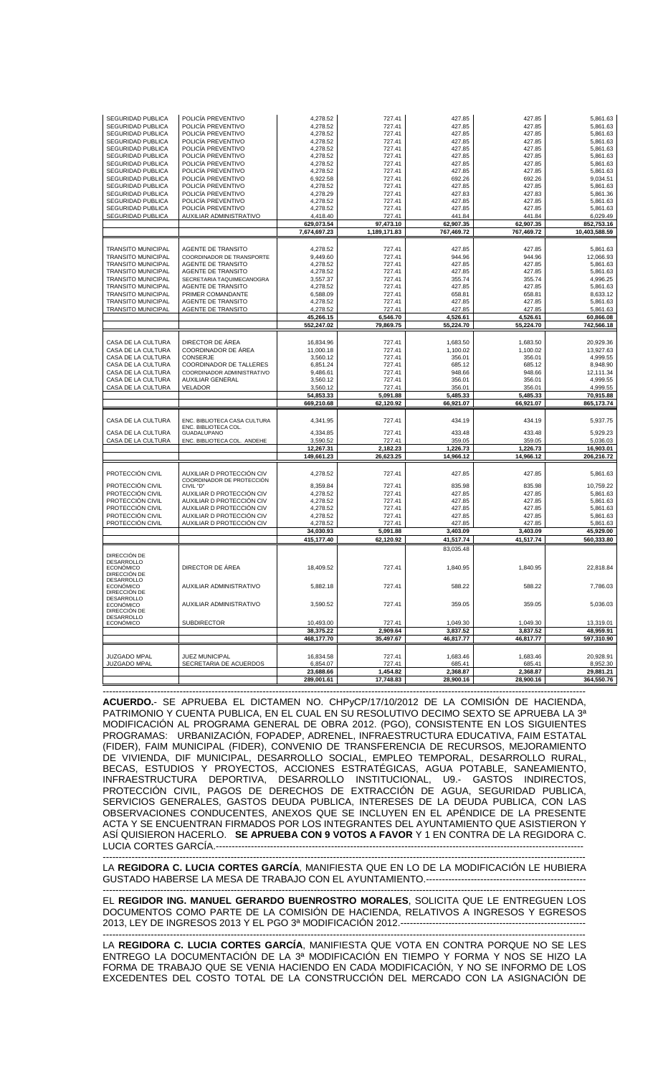| SEGURIDAD PUBLICA<br>POLICÍA PREVENTIVO<br>4,278.52<br>727.41<br>427.85<br>427.85<br><b>SEGURIDAD PUBLICA</b><br>POLICÍA PREVENTIVO<br>4,278.52<br>427.85<br>727.41<br>427.85<br>SEGURIDAD PUBLICA<br>POLICÍA PREVENTIVO<br>4,278.52<br>727.41<br>427.85<br>427.85<br>SEGURIDAD PUBLICA<br>POLICÍA PREVENTIVO<br>4,278.52<br>727.41<br>427.85<br>427.85<br>5,861.63<br>SEGURIDAD PUBLICA<br>POLICÍA PREVENTIVO<br>4,278.52<br>727.41<br>427.85<br>427.85<br>5,861.63<br>SEGURIDAD PUBLICA<br>POLICÍA PREVENTIVO<br>4,278.52<br>727.41<br>427.85<br>427.85<br>5,861.63<br>SEGURIDAD PUBLICA<br>POLICÍA PREVENTIVO<br>4,278.52<br>727.41<br>427.85<br>427.85<br>5,861.63<br><b>SEGURIDAD PUBLICA</b><br>POLICÍA PREVENTIVO<br>6,922.58<br>692.26<br>727.41<br>692.26<br>9,034.51<br><b>SEGURIDAD PUBLICA</b><br>POLICÍA PREVENTIVO<br>4,278.52<br>727.41<br>427.85<br>427.85<br>5,861.63<br>SEGURIDAD PUBLICA<br>POLICÍA PREVENTIVO<br>4,278.29<br>727.41<br>427.83<br>427.83<br>SEGURIDAD PUBLICA<br>POLICÍA PREVENTIVO<br>4,278.52<br>427.85<br>427.85<br>727.41<br>SEGURIDAD PUBLICA<br>POLICÍA PREVENTIVO<br>4,278.52<br>727.41<br>427.85<br>427.85<br>SEGURIDAD PUBLICA<br>AUXILIAR ADMINISTRATIVO<br>4,418.40<br>727.41<br>441.84<br>441.84<br>629,073.54<br>97,473.10<br>62,907.35<br>62,907.35<br>7,674,697.23<br>1,189,171.83<br>767,469.72<br>767,469.72<br>427.85<br><b>TRANSITO MUNICIPAL</b><br><b>AGENTE DE TRANSITO</b><br>4,278.52<br>727.41<br>427.85<br><b>TRANSITO MUNICIPAL</b><br>COORDINADOR DE TRANSPORTE<br>9,449.60<br>727.41<br>944.96<br>944.96<br><b>TRANSITO MUNICIPAL</b><br>AGENTE DE TRANSITO<br>4,278.52<br>727.41<br>427.85<br>427.85<br>5,861.63<br><b>TRANSITO MUNICIPAL</b><br>AGENTE DE TRANSITO<br>4,278.52<br>727.41<br>427.85<br>427.85<br>5,861.63<br>355.74<br><b>TRANSITO MUNICIPAL</b><br>SECRETARIA TAQUIMECANOGRA<br>3,557.37<br>727.41<br>355.74<br>4,996.25<br><b>TRANSITO MUNICIPAL</b><br>AGENTE DE TRANSITO<br>4,278.52<br>727.41<br>427.85<br>427.85<br>5,861.63<br><b>TRANSITO MUNICIPAL</b><br>PRIMER COMANDANTE<br>6,588.09<br>727.41<br>658.81<br>658.81<br>8,633.12<br><b>TRANSITO MUNICIPAL</b><br>AGENTE DE TRANSITO<br>4,278.52<br>727.41<br>427.85<br>427.85<br>5,861.63<br><b>TRANSITO MUNICIPAL</b><br>AGENTE DE TRANSITO<br>4,278.52<br>427.85<br>427.85<br>5,861.63<br>727.41<br>45,266.15<br>6,546.70<br>4,526.61<br>4,526.61<br>60,866.08<br>552,247.02<br>79,869.75<br>55,224.70<br>55,224.70<br>CASA DE LA CULTURA<br>DIRECTOR DE ÁREA<br>727.41<br>16,834.96<br>1,683.50<br>1,683.50<br>CASA DE LA CULTURA<br>COORDINADOR DE ÁREA<br>1,100.02<br>13,927.63<br>11,000.18<br>727.41<br>1,100.02<br>CASA DE LA CULTURA<br>CONSERJE<br>3,560.12<br>727.41<br>356.01<br>356.01<br>CASA DE LA CULTURA<br>COORDINADOR DE TALLERES<br>727.41<br>6,851.24<br>685.12<br>685.12<br>CASA DE LA CULTURA<br>COORDINADOR ADMINISTRATIVO<br>9,486.61<br>727.41<br>948.66<br>948.66<br>CASA DE LA CULTURA<br><b>AUXILIAR GENERAL</b><br>3,560.12<br>727.41<br>356.01<br>356.01<br>CASA DE LA CULTURA<br>VELADOR<br>3,560.12<br>727.41<br>356.01<br>356.01<br>54,853.33<br>5,091.88<br>5,485.33<br>5,485.33<br>669,210.68<br>62,120.92<br>66,921.07<br>66,921.07<br>865,173.74<br>CASA DE LA CULTURA<br>ENC. BIBLIOTECA CASA CULTURA<br>727.41<br>434.19<br>434.19<br>5,937.75<br>4,341.95<br>ENC. BIBLIOTECA COL.<br>CASA DE LA CULTURA<br>GUADALUPANO<br>4,334.85<br>727.41<br>433.48<br>433.48<br>5,929.23<br>359.05<br>CASA DE LA CULTURA<br>ENC. BIBLIOTECA COL. ANDEHE<br>3,590.52<br>727.41<br>359.05<br>2,182.23<br>12,267.31<br>1,226.73<br>1,226.73<br>149,661.23<br>26,623.25<br>14,966.12<br>14,966.12<br>PROTECCIÓN CIVIL<br>AUXILIAR D PROTECCIÓN CIV<br>727.41<br>427.85<br>427.85<br>4,278.52<br>COORDINADOR DE PROTECCIÓN<br>PROTECCIÓN CIVIL<br>CIVIL "D"<br>8,359.84<br>727.41<br>835.98<br>835.98<br>10,759.22<br>AUXILIAR D PROTECCIÓN CIV<br>PROTECCIÓN CIVIL<br>4,278.52<br>727.41<br>427.85<br>427.85<br>5,861.63<br>PROTECCIÓN CIVIL<br>AUXILIAR D PROTECCIÓN CIV<br>4,278.52<br>727.41<br>427.85<br>427.85<br>5,861.63<br>PROTECCIÓN CIVIL<br>AUXILIAR D PROTECCIÓN CIV<br>4,278.52<br>427.85<br>427.85<br>5,861.63<br>727.41<br>PROTECCIÓN CIVIL<br>AUXILIAR D PROTECCIÓN CIV<br>4,278.52<br>727.41<br>427.85<br>427.85<br>PROTECCIÓN CIVIL<br>AUXILIAR D PROTECCIÓN CIV<br>4,278.52<br>727.41<br>427.85<br>427.85<br>34,030.93<br>5,091.88<br>3,403.09<br>3,403.09<br>415,177.40<br>62,120.92<br>41,517.74<br>41,517.74<br>83,035.48<br>DIRECCIÓN DE<br>DESARROLLO<br>DIRECTOR DE ÁREA<br><b>ECONÓMICO</b><br>18,409.52<br>727.41<br>1,840.95<br>1,840.95<br>22,818.84<br>DIRECCIÓN DE<br><b>DESARROLLO</b><br>AUXILIAR ADMINISTRATIVO<br>5,882.18<br>727.41<br>588.22<br>588.22<br><b>ECONÓMICO</b><br>DIRECCIÓN DE<br>DESARROLLO<br><b>ECONÓMICO</b><br>AUXILIAR ADMINISTRATIVO<br>3,590.52<br>727.41<br>359.05<br>359.05<br>DIRECCIÓN DE<br><b>DESARROLLO</b><br><b>ECONÓMICO</b><br><b>SUBDIRECTOR</b><br>10,493.00<br>1,049.30<br>1,049.30<br>727.41<br>3,837.52<br>38,375.22<br>2,909.64<br>3,837.52<br>468,177.70<br>35,497.67<br>46,817.77<br>46,817.77<br>JUZGADO MPAL<br>16,834.58<br>727.41<br>1,683.46<br>1,683.46<br>JUEZ MUNICIPAL | SEGURIDAD PUBLICA   | POLICÍA PREVENTIVO     | 4.278.52 | 727.41 | 427.85 | 427.85 | 5,861.63      |
|---------------------------------------------------------------------------------------------------------------------------------------------------------------------------------------------------------------------------------------------------------------------------------------------------------------------------------------------------------------------------------------------------------------------------------------------------------------------------------------------------------------------------------------------------------------------------------------------------------------------------------------------------------------------------------------------------------------------------------------------------------------------------------------------------------------------------------------------------------------------------------------------------------------------------------------------------------------------------------------------------------------------------------------------------------------------------------------------------------------------------------------------------------------------------------------------------------------------------------------------------------------------------------------------------------------------------------------------------------------------------------------------------------------------------------------------------------------------------------------------------------------------------------------------------------------------------------------------------------------------------------------------------------------------------------------------------------------------------------------------------------------------------------------------------------------------------------------------------------------------------------------------------------------------------------------------------------------------------------------------------------------------------------------------------------------------------------------------------------------------------------------------------------------------------------------------------------------------------------------------------------------------------------------------------------------------------------------------------------------------------------------------------------------------------------------------------------------------------------------------------------------------------------------------------------------------------------------------------------------------------------------------------------------------------------------------------------------------------------------------------------------------------------------------------------------------------------------------------------------------------------------------------------------------------------------------------------------------------------------------------------------------------------------------------------------------------------------------------------------------------------------------------------------------------------------------------------------------------------------------------------------------------------------------------------------------------------------------------------------------------------------------------------------------------------------------------------------------------------------------------------------------------------------------------------------------------------------------------------------------------------------------------------------------------------------------------------------------------------------------------------------------------------------------------------------------------------------------------------------------------------------------------------------------------------------------------------------------------------------------------------------------------------------------------------------------------------------------------------------------------------------------------------------------------------------------------------------------------------------------------------------------------------------------------------------------------------------------------------------------------------------------------------------------------------------------------------------------------------------------------------------------------------------------------------------------------------------------------------------------------------------------------------------------------------------------------------------------------------------------------------------------------------------------------------------------------------------------------------------------------------------------------------------------------------------------------------------------------------------------------------------------------------------------------------------------------------------------------------------------------------------------------------------------------------------------------------------------------------|---------------------|------------------------|----------|--------|--------|--------|---------------|
|                                                                                                                                                                                                                                                                                                                                                                                                                                                                                                                                                                                                                                                                                                                                                                                                                                                                                                                                                                                                                                                                                                                                                                                                                                                                                                                                                                                                                                                                                                                                                                                                                                                                                                                                                                                                                                                                                                                                                                                                                                                                                                                                                                                                                                                                                                                                                                                                                                                                                                                                                                                                                                                                                                                                                                                                                                                                                                                                                                                                                                                                                                                                                                                                                                                                                                                                                                                                                                                                                                                                                                                                                                                                                                                                                                                                                                                                                                                                                                                                                                                                                                                                                                                                                                                                                                                                                                                                                                                                                                                                                                                                                                                                                                                                                                                                                                                                                                                                                                                                                                                                                                                                                                                                                                 |                     |                        |          |        |        |        | 5,861.63      |
|                                                                                                                                                                                                                                                                                                                                                                                                                                                                                                                                                                                                                                                                                                                                                                                                                                                                                                                                                                                                                                                                                                                                                                                                                                                                                                                                                                                                                                                                                                                                                                                                                                                                                                                                                                                                                                                                                                                                                                                                                                                                                                                                                                                                                                                                                                                                                                                                                                                                                                                                                                                                                                                                                                                                                                                                                                                                                                                                                                                                                                                                                                                                                                                                                                                                                                                                                                                                                                                                                                                                                                                                                                                                                                                                                                                                                                                                                                                                                                                                                                                                                                                                                                                                                                                                                                                                                                                                                                                                                                                                                                                                                                                                                                                                                                                                                                                                                                                                                                                                                                                                                                                                                                                                                                 |                     |                        |          |        |        |        | 5,861.63      |
|                                                                                                                                                                                                                                                                                                                                                                                                                                                                                                                                                                                                                                                                                                                                                                                                                                                                                                                                                                                                                                                                                                                                                                                                                                                                                                                                                                                                                                                                                                                                                                                                                                                                                                                                                                                                                                                                                                                                                                                                                                                                                                                                                                                                                                                                                                                                                                                                                                                                                                                                                                                                                                                                                                                                                                                                                                                                                                                                                                                                                                                                                                                                                                                                                                                                                                                                                                                                                                                                                                                                                                                                                                                                                                                                                                                                                                                                                                                                                                                                                                                                                                                                                                                                                                                                                                                                                                                                                                                                                                                                                                                                                                                                                                                                                                                                                                                                                                                                                                                                                                                                                                                                                                                                                                 |                     |                        |          |        |        |        | 5,861.63      |
|                                                                                                                                                                                                                                                                                                                                                                                                                                                                                                                                                                                                                                                                                                                                                                                                                                                                                                                                                                                                                                                                                                                                                                                                                                                                                                                                                                                                                                                                                                                                                                                                                                                                                                                                                                                                                                                                                                                                                                                                                                                                                                                                                                                                                                                                                                                                                                                                                                                                                                                                                                                                                                                                                                                                                                                                                                                                                                                                                                                                                                                                                                                                                                                                                                                                                                                                                                                                                                                                                                                                                                                                                                                                                                                                                                                                                                                                                                                                                                                                                                                                                                                                                                                                                                                                                                                                                                                                                                                                                                                                                                                                                                                                                                                                                                                                                                                                                                                                                                                                                                                                                                                                                                                                                                 |                     |                        |          |        |        |        |               |
|                                                                                                                                                                                                                                                                                                                                                                                                                                                                                                                                                                                                                                                                                                                                                                                                                                                                                                                                                                                                                                                                                                                                                                                                                                                                                                                                                                                                                                                                                                                                                                                                                                                                                                                                                                                                                                                                                                                                                                                                                                                                                                                                                                                                                                                                                                                                                                                                                                                                                                                                                                                                                                                                                                                                                                                                                                                                                                                                                                                                                                                                                                                                                                                                                                                                                                                                                                                                                                                                                                                                                                                                                                                                                                                                                                                                                                                                                                                                                                                                                                                                                                                                                                                                                                                                                                                                                                                                                                                                                                                                                                                                                                                                                                                                                                                                                                                                                                                                                                                                                                                                                                                                                                                                                                 |                     |                        |          |        |        |        |               |
|                                                                                                                                                                                                                                                                                                                                                                                                                                                                                                                                                                                                                                                                                                                                                                                                                                                                                                                                                                                                                                                                                                                                                                                                                                                                                                                                                                                                                                                                                                                                                                                                                                                                                                                                                                                                                                                                                                                                                                                                                                                                                                                                                                                                                                                                                                                                                                                                                                                                                                                                                                                                                                                                                                                                                                                                                                                                                                                                                                                                                                                                                                                                                                                                                                                                                                                                                                                                                                                                                                                                                                                                                                                                                                                                                                                                                                                                                                                                                                                                                                                                                                                                                                                                                                                                                                                                                                                                                                                                                                                                                                                                                                                                                                                                                                                                                                                                                                                                                                                                                                                                                                                                                                                                                                 |                     |                        |          |        |        |        |               |
|                                                                                                                                                                                                                                                                                                                                                                                                                                                                                                                                                                                                                                                                                                                                                                                                                                                                                                                                                                                                                                                                                                                                                                                                                                                                                                                                                                                                                                                                                                                                                                                                                                                                                                                                                                                                                                                                                                                                                                                                                                                                                                                                                                                                                                                                                                                                                                                                                                                                                                                                                                                                                                                                                                                                                                                                                                                                                                                                                                                                                                                                                                                                                                                                                                                                                                                                                                                                                                                                                                                                                                                                                                                                                                                                                                                                                                                                                                                                                                                                                                                                                                                                                                                                                                                                                                                                                                                                                                                                                                                                                                                                                                                                                                                                                                                                                                                                                                                                                                                                                                                                                                                                                                                                                                 |                     |                        |          |        |        |        |               |
|                                                                                                                                                                                                                                                                                                                                                                                                                                                                                                                                                                                                                                                                                                                                                                                                                                                                                                                                                                                                                                                                                                                                                                                                                                                                                                                                                                                                                                                                                                                                                                                                                                                                                                                                                                                                                                                                                                                                                                                                                                                                                                                                                                                                                                                                                                                                                                                                                                                                                                                                                                                                                                                                                                                                                                                                                                                                                                                                                                                                                                                                                                                                                                                                                                                                                                                                                                                                                                                                                                                                                                                                                                                                                                                                                                                                                                                                                                                                                                                                                                                                                                                                                                                                                                                                                                                                                                                                                                                                                                                                                                                                                                                                                                                                                                                                                                                                                                                                                                                                                                                                                                                                                                                                                                 |                     |                        |          |        |        |        |               |
|                                                                                                                                                                                                                                                                                                                                                                                                                                                                                                                                                                                                                                                                                                                                                                                                                                                                                                                                                                                                                                                                                                                                                                                                                                                                                                                                                                                                                                                                                                                                                                                                                                                                                                                                                                                                                                                                                                                                                                                                                                                                                                                                                                                                                                                                                                                                                                                                                                                                                                                                                                                                                                                                                                                                                                                                                                                                                                                                                                                                                                                                                                                                                                                                                                                                                                                                                                                                                                                                                                                                                                                                                                                                                                                                                                                                                                                                                                                                                                                                                                                                                                                                                                                                                                                                                                                                                                                                                                                                                                                                                                                                                                                                                                                                                                                                                                                                                                                                                                                                                                                                                                                                                                                                                                 |                     |                        |          |        |        |        | 5,861.36      |
|                                                                                                                                                                                                                                                                                                                                                                                                                                                                                                                                                                                                                                                                                                                                                                                                                                                                                                                                                                                                                                                                                                                                                                                                                                                                                                                                                                                                                                                                                                                                                                                                                                                                                                                                                                                                                                                                                                                                                                                                                                                                                                                                                                                                                                                                                                                                                                                                                                                                                                                                                                                                                                                                                                                                                                                                                                                                                                                                                                                                                                                                                                                                                                                                                                                                                                                                                                                                                                                                                                                                                                                                                                                                                                                                                                                                                                                                                                                                                                                                                                                                                                                                                                                                                                                                                                                                                                                                                                                                                                                                                                                                                                                                                                                                                                                                                                                                                                                                                                                                                                                                                                                                                                                                                                 |                     |                        |          |        |        |        | 5,861.63      |
|                                                                                                                                                                                                                                                                                                                                                                                                                                                                                                                                                                                                                                                                                                                                                                                                                                                                                                                                                                                                                                                                                                                                                                                                                                                                                                                                                                                                                                                                                                                                                                                                                                                                                                                                                                                                                                                                                                                                                                                                                                                                                                                                                                                                                                                                                                                                                                                                                                                                                                                                                                                                                                                                                                                                                                                                                                                                                                                                                                                                                                                                                                                                                                                                                                                                                                                                                                                                                                                                                                                                                                                                                                                                                                                                                                                                                                                                                                                                                                                                                                                                                                                                                                                                                                                                                                                                                                                                                                                                                                                                                                                                                                                                                                                                                                                                                                                                                                                                                                                                                                                                                                                                                                                                                                 |                     |                        |          |        |        |        | 5,861.63      |
|                                                                                                                                                                                                                                                                                                                                                                                                                                                                                                                                                                                                                                                                                                                                                                                                                                                                                                                                                                                                                                                                                                                                                                                                                                                                                                                                                                                                                                                                                                                                                                                                                                                                                                                                                                                                                                                                                                                                                                                                                                                                                                                                                                                                                                                                                                                                                                                                                                                                                                                                                                                                                                                                                                                                                                                                                                                                                                                                                                                                                                                                                                                                                                                                                                                                                                                                                                                                                                                                                                                                                                                                                                                                                                                                                                                                                                                                                                                                                                                                                                                                                                                                                                                                                                                                                                                                                                                                                                                                                                                                                                                                                                                                                                                                                                                                                                                                                                                                                                                                                                                                                                                                                                                                                                 |                     |                        |          |        |        |        | 6,029.49      |
|                                                                                                                                                                                                                                                                                                                                                                                                                                                                                                                                                                                                                                                                                                                                                                                                                                                                                                                                                                                                                                                                                                                                                                                                                                                                                                                                                                                                                                                                                                                                                                                                                                                                                                                                                                                                                                                                                                                                                                                                                                                                                                                                                                                                                                                                                                                                                                                                                                                                                                                                                                                                                                                                                                                                                                                                                                                                                                                                                                                                                                                                                                                                                                                                                                                                                                                                                                                                                                                                                                                                                                                                                                                                                                                                                                                                                                                                                                                                                                                                                                                                                                                                                                                                                                                                                                                                                                                                                                                                                                                                                                                                                                                                                                                                                                                                                                                                                                                                                                                                                                                                                                                                                                                                                                 |                     |                        |          |        |        |        | 852,753.16    |
|                                                                                                                                                                                                                                                                                                                                                                                                                                                                                                                                                                                                                                                                                                                                                                                                                                                                                                                                                                                                                                                                                                                                                                                                                                                                                                                                                                                                                                                                                                                                                                                                                                                                                                                                                                                                                                                                                                                                                                                                                                                                                                                                                                                                                                                                                                                                                                                                                                                                                                                                                                                                                                                                                                                                                                                                                                                                                                                                                                                                                                                                                                                                                                                                                                                                                                                                                                                                                                                                                                                                                                                                                                                                                                                                                                                                                                                                                                                                                                                                                                                                                                                                                                                                                                                                                                                                                                                                                                                                                                                                                                                                                                                                                                                                                                                                                                                                                                                                                                                                                                                                                                                                                                                                                                 |                     |                        |          |        |        |        | 10,403,588.59 |
|                                                                                                                                                                                                                                                                                                                                                                                                                                                                                                                                                                                                                                                                                                                                                                                                                                                                                                                                                                                                                                                                                                                                                                                                                                                                                                                                                                                                                                                                                                                                                                                                                                                                                                                                                                                                                                                                                                                                                                                                                                                                                                                                                                                                                                                                                                                                                                                                                                                                                                                                                                                                                                                                                                                                                                                                                                                                                                                                                                                                                                                                                                                                                                                                                                                                                                                                                                                                                                                                                                                                                                                                                                                                                                                                                                                                                                                                                                                                                                                                                                                                                                                                                                                                                                                                                                                                                                                                                                                                                                                                                                                                                                                                                                                                                                                                                                                                                                                                                                                                                                                                                                                                                                                                                                 |                     |                        |          |        |        |        |               |
|                                                                                                                                                                                                                                                                                                                                                                                                                                                                                                                                                                                                                                                                                                                                                                                                                                                                                                                                                                                                                                                                                                                                                                                                                                                                                                                                                                                                                                                                                                                                                                                                                                                                                                                                                                                                                                                                                                                                                                                                                                                                                                                                                                                                                                                                                                                                                                                                                                                                                                                                                                                                                                                                                                                                                                                                                                                                                                                                                                                                                                                                                                                                                                                                                                                                                                                                                                                                                                                                                                                                                                                                                                                                                                                                                                                                                                                                                                                                                                                                                                                                                                                                                                                                                                                                                                                                                                                                                                                                                                                                                                                                                                                                                                                                                                                                                                                                                                                                                                                                                                                                                                                                                                                                                                 |                     |                        |          |        |        |        | 5,861.63      |
|                                                                                                                                                                                                                                                                                                                                                                                                                                                                                                                                                                                                                                                                                                                                                                                                                                                                                                                                                                                                                                                                                                                                                                                                                                                                                                                                                                                                                                                                                                                                                                                                                                                                                                                                                                                                                                                                                                                                                                                                                                                                                                                                                                                                                                                                                                                                                                                                                                                                                                                                                                                                                                                                                                                                                                                                                                                                                                                                                                                                                                                                                                                                                                                                                                                                                                                                                                                                                                                                                                                                                                                                                                                                                                                                                                                                                                                                                                                                                                                                                                                                                                                                                                                                                                                                                                                                                                                                                                                                                                                                                                                                                                                                                                                                                                                                                                                                                                                                                                                                                                                                                                                                                                                                                                 |                     |                        |          |        |        |        | 12,066.93     |
|                                                                                                                                                                                                                                                                                                                                                                                                                                                                                                                                                                                                                                                                                                                                                                                                                                                                                                                                                                                                                                                                                                                                                                                                                                                                                                                                                                                                                                                                                                                                                                                                                                                                                                                                                                                                                                                                                                                                                                                                                                                                                                                                                                                                                                                                                                                                                                                                                                                                                                                                                                                                                                                                                                                                                                                                                                                                                                                                                                                                                                                                                                                                                                                                                                                                                                                                                                                                                                                                                                                                                                                                                                                                                                                                                                                                                                                                                                                                                                                                                                                                                                                                                                                                                                                                                                                                                                                                                                                                                                                                                                                                                                                                                                                                                                                                                                                                                                                                                                                                                                                                                                                                                                                                                                 |                     |                        |          |        |        |        |               |
|                                                                                                                                                                                                                                                                                                                                                                                                                                                                                                                                                                                                                                                                                                                                                                                                                                                                                                                                                                                                                                                                                                                                                                                                                                                                                                                                                                                                                                                                                                                                                                                                                                                                                                                                                                                                                                                                                                                                                                                                                                                                                                                                                                                                                                                                                                                                                                                                                                                                                                                                                                                                                                                                                                                                                                                                                                                                                                                                                                                                                                                                                                                                                                                                                                                                                                                                                                                                                                                                                                                                                                                                                                                                                                                                                                                                                                                                                                                                                                                                                                                                                                                                                                                                                                                                                                                                                                                                                                                                                                                                                                                                                                                                                                                                                                                                                                                                                                                                                                                                                                                                                                                                                                                                                                 |                     |                        |          |        |        |        |               |
|                                                                                                                                                                                                                                                                                                                                                                                                                                                                                                                                                                                                                                                                                                                                                                                                                                                                                                                                                                                                                                                                                                                                                                                                                                                                                                                                                                                                                                                                                                                                                                                                                                                                                                                                                                                                                                                                                                                                                                                                                                                                                                                                                                                                                                                                                                                                                                                                                                                                                                                                                                                                                                                                                                                                                                                                                                                                                                                                                                                                                                                                                                                                                                                                                                                                                                                                                                                                                                                                                                                                                                                                                                                                                                                                                                                                                                                                                                                                                                                                                                                                                                                                                                                                                                                                                                                                                                                                                                                                                                                                                                                                                                                                                                                                                                                                                                                                                                                                                                                                                                                                                                                                                                                                                                 |                     |                        |          |        |        |        |               |
|                                                                                                                                                                                                                                                                                                                                                                                                                                                                                                                                                                                                                                                                                                                                                                                                                                                                                                                                                                                                                                                                                                                                                                                                                                                                                                                                                                                                                                                                                                                                                                                                                                                                                                                                                                                                                                                                                                                                                                                                                                                                                                                                                                                                                                                                                                                                                                                                                                                                                                                                                                                                                                                                                                                                                                                                                                                                                                                                                                                                                                                                                                                                                                                                                                                                                                                                                                                                                                                                                                                                                                                                                                                                                                                                                                                                                                                                                                                                                                                                                                                                                                                                                                                                                                                                                                                                                                                                                                                                                                                                                                                                                                                                                                                                                                                                                                                                                                                                                                                                                                                                                                                                                                                                                                 |                     |                        |          |        |        |        |               |
|                                                                                                                                                                                                                                                                                                                                                                                                                                                                                                                                                                                                                                                                                                                                                                                                                                                                                                                                                                                                                                                                                                                                                                                                                                                                                                                                                                                                                                                                                                                                                                                                                                                                                                                                                                                                                                                                                                                                                                                                                                                                                                                                                                                                                                                                                                                                                                                                                                                                                                                                                                                                                                                                                                                                                                                                                                                                                                                                                                                                                                                                                                                                                                                                                                                                                                                                                                                                                                                                                                                                                                                                                                                                                                                                                                                                                                                                                                                                                                                                                                                                                                                                                                                                                                                                                                                                                                                                                                                                                                                                                                                                                                                                                                                                                                                                                                                                                                                                                                                                                                                                                                                                                                                                                                 |                     |                        |          |        |        |        |               |
|                                                                                                                                                                                                                                                                                                                                                                                                                                                                                                                                                                                                                                                                                                                                                                                                                                                                                                                                                                                                                                                                                                                                                                                                                                                                                                                                                                                                                                                                                                                                                                                                                                                                                                                                                                                                                                                                                                                                                                                                                                                                                                                                                                                                                                                                                                                                                                                                                                                                                                                                                                                                                                                                                                                                                                                                                                                                                                                                                                                                                                                                                                                                                                                                                                                                                                                                                                                                                                                                                                                                                                                                                                                                                                                                                                                                                                                                                                                                                                                                                                                                                                                                                                                                                                                                                                                                                                                                                                                                                                                                                                                                                                                                                                                                                                                                                                                                                                                                                                                                                                                                                                                                                                                                                                 |                     |                        |          |        |        |        |               |
|                                                                                                                                                                                                                                                                                                                                                                                                                                                                                                                                                                                                                                                                                                                                                                                                                                                                                                                                                                                                                                                                                                                                                                                                                                                                                                                                                                                                                                                                                                                                                                                                                                                                                                                                                                                                                                                                                                                                                                                                                                                                                                                                                                                                                                                                                                                                                                                                                                                                                                                                                                                                                                                                                                                                                                                                                                                                                                                                                                                                                                                                                                                                                                                                                                                                                                                                                                                                                                                                                                                                                                                                                                                                                                                                                                                                                                                                                                                                                                                                                                                                                                                                                                                                                                                                                                                                                                                                                                                                                                                                                                                                                                                                                                                                                                                                                                                                                                                                                                                                                                                                                                                                                                                                                                 |                     |                        |          |        |        |        |               |
|                                                                                                                                                                                                                                                                                                                                                                                                                                                                                                                                                                                                                                                                                                                                                                                                                                                                                                                                                                                                                                                                                                                                                                                                                                                                                                                                                                                                                                                                                                                                                                                                                                                                                                                                                                                                                                                                                                                                                                                                                                                                                                                                                                                                                                                                                                                                                                                                                                                                                                                                                                                                                                                                                                                                                                                                                                                                                                                                                                                                                                                                                                                                                                                                                                                                                                                                                                                                                                                                                                                                                                                                                                                                                                                                                                                                                                                                                                                                                                                                                                                                                                                                                                                                                                                                                                                                                                                                                                                                                                                                                                                                                                                                                                                                                                                                                                                                                                                                                                                                                                                                                                                                                                                                                                 |                     |                        |          |        |        |        | 742,566.18    |
|                                                                                                                                                                                                                                                                                                                                                                                                                                                                                                                                                                                                                                                                                                                                                                                                                                                                                                                                                                                                                                                                                                                                                                                                                                                                                                                                                                                                                                                                                                                                                                                                                                                                                                                                                                                                                                                                                                                                                                                                                                                                                                                                                                                                                                                                                                                                                                                                                                                                                                                                                                                                                                                                                                                                                                                                                                                                                                                                                                                                                                                                                                                                                                                                                                                                                                                                                                                                                                                                                                                                                                                                                                                                                                                                                                                                                                                                                                                                                                                                                                                                                                                                                                                                                                                                                                                                                                                                                                                                                                                                                                                                                                                                                                                                                                                                                                                                                                                                                                                                                                                                                                                                                                                                                                 |                     |                        |          |        |        |        |               |
|                                                                                                                                                                                                                                                                                                                                                                                                                                                                                                                                                                                                                                                                                                                                                                                                                                                                                                                                                                                                                                                                                                                                                                                                                                                                                                                                                                                                                                                                                                                                                                                                                                                                                                                                                                                                                                                                                                                                                                                                                                                                                                                                                                                                                                                                                                                                                                                                                                                                                                                                                                                                                                                                                                                                                                                                                                                                                                                                                                                                                                                                                                                                                                                                                                                                                                                                                                                                                                                                                                                                                                                                                                                                                                                                                                                                                                                                                                                                                                                                                                                                                                                                                                                                                                                                                                                                                                                                                                                                                                                                                                                                                                                                                                                                                                                                                                                                                                                                                                                                                                                                                                                                                                                                                                 |                     |                        |          |        |        |        | 20,929.36     |
|                                                                                                                                                                                                                                                                                                                                                                                                                                                                                                                                                                                                                                                                                                                                                                                                                                                                                                                                                                                                                                                                                                                                                                                                                                                                                                                                                                                                                                                                                                                                                                                                                                                                                                                                                                                                                                                                                                                                                                                                                                                                                                                                                                                                                                                                                                                                                                                                                                                                                                                                                                                                                                                                                                                                                                                                                                                                                                                                                                                                                                                                                                                                                                                                                                                                                                                                                                                                                                                                                                                                                                                                                                                                                                                                                                                                                                                                                                                                                                                                                                                                                                                                                                                                                                                                                                                                                                                                                                                                                                                                                                                                                                                                                                                                                                                                                                                                                                                                                                                                                                                                                                                                                                                                                                 |                     |                        |          |        |        |        |               |
|                                                                                                                                                                                                                                                                                                                                                                                                                                                                                                                                                                                                                                                                                                                                                                                                                                                                                                                                                                                                                                                                                                                                                                                                                                                                                                                                                                                                                                                                                                                                                                                                                                                                                                                                                                                                                                                                                                                                                                                                                                                                                                                                                                                                                                                                                                                                                                                                                                                                                                                                                                                                                                                                                                                                                                                                                                                                                                                                                                                                                                                                                                                                                                                                                                                                                                                                                                                                                                                                                                                                                                                                                                                                                                                                                                                                                                                                                                                                                                                                                                                                                                                                                                                                                                                                                                                                                                                                                                                                                                                                                                                                                                                                                                                                                                                                                                                                                                                                                                                                                                                                                                                                                                                                                                 |                     |                        |          |        |        |        | 4,999.55      |
|                                                                                                                                                                                                                                                                                                                                                                                                                                                                                                                                                                                                                                                                                                                                                                                                                                                                                                                                                                                                                                                                                                                                                                                                                                                                                                                                                                                                                                                                                                                                                                                                                                                                                                                                                                                                                                                                                                                                                                                                                                                                                                                                                                                                                                                                                                                                                                                                                                                                                                                                                                                                                                                                                                                                                                                                                                                                                                                                                                                                                                                                                                                                                                                                                                                                                                                                                                                                                                                                                                                                                                                                                                                                                                                                                                                                                                                                                                                                                                                                                                                                                                                                                                                                                                                                                                                                                                                                                                                                                                                                                                                                                                                                                                                                                                                                                                                                                                                                                                                                                                                                                                                                                                                                                                 |                     |                        |          |        |        |        | 8,948.90      |
|                                                                                                                                                                                                                                                                                                                                                                                                                                                                                                                                                                                                                                                                                                                                                                                                                                                                                                                                                                                                                                                                                                                                                                                                                                                                                                                                                                                                                                                                                                                                                                                                                                                                                                                                                                                                                                                                                                                                                                                                                                                                                                                                                                                                                                                                                                                                                                                                                                                                                                                                                                                                                                                                                                                                                                                                                                                                                                                                                                                                                                                                                                                                                                                                                                                                                                                                                                                                                                                                                                                                                                                                                                                                                                                                                                                                                                                                                                                                                                                                                                                                                                                                                                                                                                                                                                                                                                                                                                                                                                                                                                                                                                                                                                                                                                                                                                                                                                                                                                                                                                                                                                                                                                                                                                 |                     |                        |          |        |        |        | 12,111.34     |
|                                                                                                                                                                                                                                                                                                                                                                                                                                                                                                                                                                                                                                                                                                                                                                                                                                                                                                                                                                                                                                                                                                                                                                                                                                                                                                                                                                                                                                                                                                                                                                                                                                                                                                                                                                                                                                                                                                                                                                                                                                                                                                                                                                                                                                                                                                                                                                                                                                                                                                                                                                                                                                                                                                                                                                                                                                                                                                                                                                                                                                                                                                                                                                                                                                                                                                                                                                                                                                                                                                                                                                                                                                                                                                                                                                                                                                                                                                                                                                                                                                                                                                                                                                                                                                                                                                                                                                                                                                                                                                                                                                                                                                                                                                                                                                                                                                                                                                                                                                                                                                                                                                                                                                                                                                 |                     |                        |          |        |        |        | 4,999.55      |
|                                                                                                                                                                                                                                                                                                                                                                                                                                                                                                                                                                                                                                                                                                                                                                                                                                                                                                                                                                                                                                                                                                                                                                                                                                                                                                                                                                                                                                                                                                                                                                                                                                                                                                                                                                                                                                                                                                                                                                                                                                                                                                                                                                                                                                                                                                                                                                                                                                                                                                                                                                                                                                                                                                                                                                                                                                                                                                                                                                                                                                                                                                                                                                                                                                                                                                                                                                                                                                                                                                                                                                                                                                                                                                                                                                                                                                                                                                                                                                                                                                                                                                                                                                                                                                                                                                                                                                                                                                                                                                                                                                                                                                                                                                                                                                                                                                                                                                                                                                                                                                                                                                                                                                                                                                 |                     |                        |          |        |        |        | 4,999.55      |
|                                                                                                                                                                                                                                                                                                                                                                                                                                                                                                                                                                                                                                                                                                                                                                                                                                                                                                                                                                                                                                                                                                                                                                                                                                                                                                                                                                                                                                                                                                                                                                                                                                                                                                                                                                                                                                                                                                                                                                                                                                                                                                                                                                                                                                                                                                                                                                                                                                                                                                                                                                                                                                                                                                                                                                                                                                                                                                                                                                                                                                                                                                                                                                                                                                                                                                                                                                                                                                                                                                                                                                                                                                                                                                                                                                                                                                                                                                                                                                                                                                                                                                                                                                                                                                                                                                                                                                                                                                                                                                                                                                                                                                                                                                                                                                                                                                                                                                                                                                                                                                                                                                                                                                                                                                 |                     |                        |          |        |        |        | 70,915.88     |
|                                                                                                                                                                                                                                                                                                                                                                                                                                                                                                                                                                                                                                                                                                                                                                                                                                                                                                                                                                                                                                                                                                                                                                                                                                                                                                                                                                                                                                                                                                                                                                                                                                                                                                                                                                                                                                                                                                                                                                                                                                                                                                                                                                                                                                                                                                                                                                                                                                                                                                                                                                                                                                                                                                                                                                                                                                                                                                                                                                                                                                                                                                                                                                                                                                                                                                                                                                                                                                                                                                                                                                                                                                                                                                                                                                                                                                                                                                                                                                                                                                                                                                                                                                                                                                                                                                                                                                                                                                                                                                                                                                                                                                                                                                                                                                                                                                                                                                                                                                                                                                                                                                                                                                                                                                 |                     |                        |          |        |        |        |               |
|                                                                                                                                                                                                                                                                                                                                                                                                                                                                                                                                                                                                                                                                                                                                                                                                                                                                                                                                                                                                                                                                                                                                                                                                                                                                                                                                                                                                                                                                                                                                                                                                                                                                                                                                                                                                                                                                                                                                                                                                                                                                                                                                                                                                                                                                                                                                                                                                                                                                                                                                                                                                                                                                                                                                                                                                                                                                                                                                                                                                                                                                                                                                                                                                                                                                                                                                                                                                                                                                                                                                                                                                                                                                                                                                                                                                                                                                                                                                                                                                                                                                                                                                                                                                                                                                                                                                                                                                                                                                                                                                                                                                                                                                                                                                                                                                                                                                                                                                                                                                                                                                                                                                                                                                                                 |                     |                        |          |        |        |        |               |
|                                                                                                                                                                                                                                                                                                                                                                                                                                                                                                                                                                                                                                                                                                                                                                                                                                                                                                                                                                                                                                                                                                                                                                                                                                                                                                                                                                                                                                                                                                                                                                                                                                                                                                                                                                                                                                                                                                                                                                                                                                                                                                                                                                                                                                                                                                                                                                                                                                                                                                                                                                                                                                                                                                                                                                                                                                                                                                                                                                                                                                                                                                                                                                                                                                                                                                                                                                                                                                                                                                                                                                                                                                                                                                                                                                                                                                                                                                                                                                                                                                                                                                                                                                                                                                                                                                                                                                                                                                                                                                                                                                                                                                                                                                                                                                                                                                                                                                                                                                                                                                                                                                                                                                                                                                 |                     |                        |          |        |        |        |               |
|                                                                                                                                                                                                                                                                                                                                                                                                                                                                                                                                                                                                                                                                                                                                                                                                                                                                                                                                                                                                                                                                                                                                                                                                                                                                                                                                                                                                                                                                                                                                                                                                                                                                                                                                                                                                                                                                                                                                                                                                                                                                                                                                                                                                                                                                                                                                                                                                                                                                                                                                                                                                                                                                                                                                                                                                                                                                                                                                                                                                                                                                                                                                                                                                                                                                                                                                                                                                                                                                                                                                                                                                                                                                                                                                                                                                                                                                                                                                                                                                                                                                                                                                                                                                                                                                                                                                                                                                                                                                                                                                                                                                                                                                                                                                                                                                                                                                                                                                                                                                                                                                                                                                                                                                                                 |                     |                        |          |        |        |        |               |
|                                                                                                                                                                                                                                                                                                                                                                                                                                                                                                                                                                                                                                                                                                                                                                                                                                                                                                                                                                                                                                                                                                                                                                                                                                                                                                                                                                                                                                                                                                                                                                                                                                                                                                                                                                                                                                                                                                                                                                                                                                                                                                                                                                                                                                                                                                                                                                                                                                                                                                                                                                                                                                                                                                                                                                                                                                                                                                                                                                                                                                                                                                                                                                                                                                                                                                                                                                                                                                                                                                                                                                                                                                                                                                                                                                                                                                                                                                                                                                                                                                                                                                                                                                                                                                                                                                                                                                                                                                                                                                                                                                                                                                                                                                                                                                                                                                                                                                                                                                                                                                                                                                                                                                                                                                 |                     |                        |          |        |        |        | 5,036.03      |
|                                                                                                                                                                                                                                                                                                                                                                                                                                                                                                                                                                                                                                                                                                                                                                                                                                                                                                                                                                                                                                                                                                                                                                                                                                                                                                                                                                                                                                                                                                                                                                                                                                                                                                                                                                                                                                                                                                                                                                                                                                                                                                                                                                                                                                                                                                                                                                                                                                                                                                                                                                                                                                                                                                                                                                                                                                                                                                                                                                                                                                                                                                                                                                                                                                                                                                                                                                                                                                                                                                                                                                                                                                                                                                                                                                                                                                                                                                                                                                                                                                                                                                                                                                                                                                                                                                                                                                                                                                                                                                                                                                                                                                                                                                                                                                                                                                                                                                                                                                                                                                                                                                                                                                                                                                 |                     |                        |          |        |        |        | 16,903.01     |
|                                                                                                                                                                                                                                                                                                                                                                                                                                                                                                                                                                                                                                                                                                                                                                                                                                                                                                                                                                                                                                                                                                                                                                                                                                                                                                                                                                                                                                                                                                                                                                                                                                                                                                                                                                                                                                                                                                                                                                                                                                                                                                                                                                                                                                                                                                                                                                                                                                                                                                                                                                                                                                                                                                                                                                                                                                                                                                                                                                                                                                                                                                                                                                                                                                                                                                                                                                                                                                                                                                                                                                                                                                                                                                                                                                                                                                                                                                                                                                                                                                                                                                                                                                                                                                                                                                                                                                                                                                                                                                                                                                                                                                                                                                                                                                                                                                                                                                                                                                                                                                                                                                                                                                                                                                 |                     |                        |          |        |        |        | 206,216.72    |
|                                                                                                                                                                                                                                                                                                                                                                                                                                                                                                                                                                                                                                                                                                                                                                                                                                                                                                                                                                                                                                                                                                                                                                                                                                                                                                                                                                                                                                                                                                                                                                                                                                                                                                                                                                                                                                                                                                                                                                                                                                                                                                                                                                                                                                                                                                                                                                                                                                                                                                                                                                                                                                                                                                                                                                                                                                                                                                                                                                                                                                                                                                                                                                                                                                                                                                                                                                                                                                                                                                                                                                                                                                                                                                                                                                                                                                                                                                                                                                                                                                                                                                                                                                                                                                                                                                                                                                                                                                                                                                                                                                                                                                                                                                                                                                                                                                                                                                                                                                                                                                                                                                                                                                                                                                 |                     |                        |          |        |        |        |               |
|                                                                                                                                                                                                                                                                                                                                                                                                                                                                                                                                                                                                                                                                                                                                                                                                                                                                                                                                                                                                                                                                                                                                                                                                                                                                                                                                                                                                                                                                                                                                                                                                                                                                                                                                                                                                                                                                                                                                                                                                                                                                                                                                                                                                                                                                                                                                                                                                                                                                                                                                                                                                                                                                                                                                                                                                                                                                                                                                                                                                                                                                                                                                                                                                                                                                                                                                                                                                                                                                                                                                                                                                                                                                                                                                                                                                                                                                                                                                                                                                                                                                                                                                                                                                                                                                                                                                                                                                                                                                                                                                                                                                                                                                                                                                                                                                                                                                                                                                                                                                                                                                                                                                                                                                                                 |                     |                        |          |        |        |        | 5,861.63      |
|                                                                                                                                                                                                                                                                                                                                                                                                                                                                                                                                                                                                                                                                                                                                                                                                                                                                                                                                                                                                                                                                                                                                                                                                                                                                                                                                                                                                                                                                                                                                                                                                                                                                                                                                                                                                                                                                                                                                                                                                                                                                                                                                                                                                                                                                                                                                                                                                                                                                                                                                                                                                                                                                                                                                                                                                                                                                                                                                                                                                                                                                                                                                                                                                                                                                                                                                                                                                                                                                                                                                                                                                                                                                                                                                                                                                                                                                                                                                                                                                                                                                                                                                                                                                                                                                                                                                                                                                                                                                                                                                                                                                                                                                                                                                                                                                                                                                                                                                                                                                                                                                                                                                                                                                                                 |                     |                        |          |        |        |        |               |
|                                                                                                                                                                                                                                                                                                                                                                                                                                                                                                                                                                                                                                                                                                                                                                                                                                                                                                                                                                                                                                                                                                                                                                                                                                                                                                                                                                                                                                                                                                                                                                                                                                                                                                                                                                                                                                                                                                                                                                                                                                                                                                                                                                                                                                                                                                                                                                                                                                                                                                                                                                                                                                                                                                                                                                                                                                                                                                                                                                                                                                                                                                                                                                                                                                                                                                                                                                                                                                                                                                                                                                                                                                                                                                                                                                                                                                                                                                                                                                                                                                                                                                                                                                                                                                                                                                                                                                                                                                                                                                                                                                                                                                                                                                                                                                                                                                                                                                                                                                                                                                                                                                                                                                                                                                 |                     |                        |          |        |        |        |               |
|                                                                                                                                                                                                                                                                                                                                                                                                                                                                                                                                                                                                                                                                                                                                                                                                                                                                                                                                                                                                                                                                                                                                                                                                                                                                                                                                                                                                                                                                                                                                                                                                                                                                                                                                                                                                                                                                                                                                                                                                                                                                                                                                                                                                                                                                                                                                                                                                                                                                                                                                                                                                                                                                                                                                                                                                                                                                                                                                                                                                                                                                                                                                                                                                                                                                                                                                                                                                                                                                                                                                                                                                                                                                                                                                                                                                                                                                                                                                                                                                                                                                                                                                                                                                                                                                                                                                                                                                                                                                                                                                                                                                                                                                                                                                                                                                                                                                                                                                                                                                                                                                                                                                                                                                                                 |                     |                        |          |        |        |        |               |
|                                                                                                                                                                                                                                                                                                                                                                                                                                                                                                                                                                                                                                                                                                                                                                                                                                                                                                                                                                                                                                                                                                                                                                                                                                                                                                                                                                                                                                                                                                                                                                                                                                                                                                                                                                                                                                                                                                                                                                                                                                                                                                                                                                                                                                                                                                                                                                                                                                                                                                                                                                                                                                                                                                                                                                                                                                                                                                                                                                                                                                                                                                                                                                                                                                                                                                                                                                                                                                                                                                                                                                                                                                                                                                                                                                                                                                                                                                                                                                                                                                                                                                                                                                                                                                                                                                                                                                                                                                                                                                                                                                                                                                                                                                                                                                                                                                                                                                                                                                                                                                                                                                                                                                                                                                 |                     |                        |          |        |        |        |               |
|                                                                                                                                                                                                                                                                                                                                                                                                                                                                                                                                                                                                                                                                                                                                                                                                                                                                                                                                                                                                                                                                                                                                                                                                                                                                                                                                                                                                                                                                                                                                                                                                                                                                                                                                                                                                                                                                                                                                                                                                                                                                                                                                                                                                                                                                                                                                                                                                                                                                                                                                                                                                                                                                                                                                                                                                                                                                                                                                                                                                                                                                                                                                                                                                                                                                                                                                                                                                                                                                                                                                                                                                                                                                                                                                                                                                                                                                                                                                                                                                                                                                                                                                                                                                                                                                                                                                                                                                                                                                                                                                                                                                                                                                                                                                                                                                                                                                                                                                                                                                                                                                                                                                                                                                                                 |                     |                        |          |        |        |        | 5,861.63      |
|                                                                                                                                                                                                                                                                                                                                                                                                                                                                                                                                                                                                                                                                                                                                                                                                                                                                                                                                                                                                                                                                                                                                                                                                                                                                                                                                                                                                                                                                                                                                                                                                                                                                                                                                                                                                                                                                                                                                                                                                                                                                                                                                                                                                                                                                                                                                                                                                                                                                                                                                                                                                                                                                                                                                                                                                                                                                                                                                                                                                                                                                                                                                                                                                                                                                                                                                                                                                                                                                                                                                                                                                                                                                                                                                                                                                                                                                                                                                                                                                                                                                                                                                                                                                                                                                                                                                                                                                                                                                                                                                                                                                                                                                                                                                                                                                                                                                                                                                                                                                                                                                                                                                                                                                                                 |                     |                        |          |        |        |        | 5,861.63      |
|                                                                                                                                                                                                                                                                                                                                                                                                                                                                                                                                                                                                                                                                                                                                                                                                                                                                                                                                                                                                                                                                                                                                                                                                                                                                                                                                                                                                                                                                                                                                                                                                                                                                                                                                                                                                                                                                                                                                                                                                                                                                                                                                                                                                                                                                                                                                                                                                                                                                                                                                                                                                                                                                                                                                                                                                                                                                                                                                                                                                                                                                                                                                                                                                                                                                                                                                                                                                                                                                                                                                                                                                                                                                                                                                                                                                                                                                                                                                                                                                                                                                                                                                                                                                                                                                                                                                                                                                                                                                                                                                                                                                                                                                                                                                                                                                                                                                                                                                                                                                                                                                                                                                                                                                                                 |                     |                        |          |        |        |        | 45,929.00     |
|                                                                                                                                                                                                                                                                                                                                                                                                                                                                                                                                                                                                                                                                                                                                                                                                                                                                                                                                                                                                                                                                                                                                                                                                                                                                                                                                                                                                                                                                                                                                                                                                                                                                                                                                                                                                                                                                                                                                                                                                                                                                                                                                                                                                                                                                                                                                                                                                                                                                                                                                                                                                                                                                                                                                                                                                                                                                                                                                                                                                                                                                                                                                                                                                                                                                                                                                                                                                                                                                                                                                                                                                                                                                                                                                                                                                                                                                                                                                                                                                                                                                                                                                                                                                                                                                                                                                                                                                                                                                                                                                                                                                                                                                                                                                                                                                                                                                                                                                                                                                                                                                                                                                                                                                                                 |                     |                        |          |        |        |        | 560,333.80    |
|                                                                                                                                                                                                                                                                                                                                                                                                                                                                                                                                                                                                                                                                                                                                                                                                                                                                                                                                                                                                                                                                                                                                                                                                                                                                                                                                                                                                                                                                                                                                                                                                                                                                                                                                                                                                                                                                                                                                                                                                                                                                                                                                                                                                                                                                                                                                                                                                                                                                                                                                                                                                                                                                                                                                                                                                                                                                                                                                                                                                                                                                                                                                                                                                                                                                                                                                                                                                                                                                                                                                                                                                                                                                                                                                                                                                                                                                                                                                                                                                                                                                                                                                                                                                                                                                                                                                                                                                                                                                                                                                                                                                                                                                                                                                                                                                                                                                                                                                                                                                                                                                                                                                                                                                                                 |                     |                        |          |        |        |        |               |
|                                                                                                                                                                                                                                                                                                                                                                                                                                                                                                                                                                                                                                                                                                                                                                                                                                                                                                                                                                                                                                                                                                                                                                                                                                                                                                                                                                                                                                                                                                                                                                                                                                                                                                                                                                                                                                                                                                                                                                                                                                                                                                                                                                                                                                                                                                                                                                                                                                                                                                                                                                                                                                                                                                                                                                                                                                                                                                                                                                                                                                                                                                                                                                                                                                                                                                                                                                                                                                                                                                                                                                                                                                                                                                                                                                                                                                                                                                                                                                                                                                                                                                                                                                                                                                                                                                                                                                                                                                                                                                                                                                                                                                                                                                                                                                                                                                                                                                                                                                                                                                                                                                                                                                                                                                 |                     |                        |          |        |        |        |               |
|                                                                                                                                                                                                                                                                                                                                                                                                                                                                                                                                                                                                                                                                                                                                                                                                                                                                                                                                                                                                                                                                                                                                                                                                                                                                                                                                                                                                                                                                                                                                                                                                                                                                                                                                                                                                                                                                                                                                                                                                                                                                                                                                                                                                                                                                                                                                                                                                                                                                                                                                                                                                                                                                                                                                                                                                                                                                                                                                                                                                                                                                                                                                                                                                                                                                                                                                                                                                                                                                                                                                                                                                                                                                                                                                                                                                                                                                                                                                                                                                                                                                                                                                                                                                                                                                                                                                                                                                                                                                                                                                                                                                                                                                                                                                                                                                                                                                                                                                                                                                                                                                                                                                                                                                                                 |                     |                        |          |        |        |        |               |
|                                                                                                                                                                                                                                                                                                                                                                                                                                                                                                                                                                                                                                                                                                                                                                                                                                                                                                                                                                                                                                                                                                                                                                                                                                                                                                                                                                                                                                                                                                                                                                                                                                                                                                                                                                                                                                                                                                                                                                                                                                                                                                                                                                                                                                                                                                                                                                                                                                                                                                                                                                                                                                                                                                                                                                                                                                                                                                                                                                                                                                                                                                                                                                                                                                                                                                                                                                                                                                                                                                                                                                                                                                                                                                                                                                                                                                                                                                                                                                                                                                                                                                                                                                                                                                                                                                                                                                                                                                                                                                                                                                                                                                                                                                                                                                                                                                                                                                                                                                                                                                                                                                                                                                                                                                 |                     |                        |          |        |        |        |               |
|                                                                                                                                                                                                                                                                                                                                                                                                                                                                                                                                                                                                                                                                                                                                                                                                                                                                                                                                                                                                                                                                                                                                                                                                                                                                                                                                                                                                                                                                                                                                                                                                                                                                                                                                                                                                                                                                                                                                                                                                                                                                                                                                                                                                                                                                                                                                                                                                                                                                                                                                                                                                                                                                                                                                                                                                                                                                                                                                                                                                                                                                                                                                                                                                                                                                                                                                                                                                                                                                                                                                                                                                                                                                                                                                                                                                                                                                                                                                                                                                                                                                                                                                                                                                                                                                                                                                                                                                                                                                                                                                                                                                                                                                                                                                                                                                                                                                                                                                                                                                                                                                                                                                                                                                                                 |                     |                        |          |        |        |        |               |
|                                                                                                                                                                                                                                                                                                                                                                                                                                                                                                                                                                                                                                                                                                                                                                                                                                                                                                                                                                                                                                                                                                                                                                                                                                                                                                                                                                                                                                                                                                                                                                                                                                                                                                                                                                                                                                                                                                                                                                                                                                                                                                                                                                                                                                                                                                                                                                                                                                                                                                                                                                                                                                                                                                                                                                                                                                                                                                                                                                                                                                                                                                                                                                                                                                                                                                                                                                                                                                                                                                                                                                                                                                                                                                                                                                                                                                                                                                                                                                                                                                                                                                                                                                                                                                                                                                                                                                                                                                                                                                                                                                                                                                                                                                                                                                                                                                                                                                                                                                                                                                                                                                                                                                                                                                 |                     |                        |          |        |        |        | 7,786.03      |
|                                                                                                                                                                                                                                                                                                                                                                                                                                                                                                                                                                                                                                                                                                                                                                                                                                                                                                                                                                                                                                                                                                                                                                                                                                                                                                                                                                                                                                                                                                                                                                                                                                                                                                                                                                                                                                                                                                                                                                                                                                                                                                                                                                                                                                                                                                                                                                                                                                                                                                                                                                                                                                                                                                                                                                                                                                                                                                                                                                                                                                                                                                                                                                                                                                                                                                                                                                                                                                                                                                                                                                                                                                                                                                                                                                                                                                                                                                                                                                                                                                                                                                                                                                                                                                                                                                                                                                                                                                                                                                                                                                                                                                                                                                                                                                                                                                                                                                                                                                                                                                                                                                                                                                                                                                 |                     |                        |          |        |        |        |               |
|                                                                                                                                                                                                                                                                                                                                                                                                                                                                                                                                                                                                                                                                                                                                                                                                                                                                                                                                                                                                                                                                                                                                                                                                                                                                                                                                                                                                                                                                                                                                                                                                                                                                                                                                                                                                                                                                                                                                                                                                                                                                                                                                                                                                                                                                                                                                                                                                                                                                                                                                                                                                                                                                                                                                                                                                                                                                                                                                                                                                                                                                                                                                                                                                                                                                                                                                                                                                                                                                                                                                                                                                                                                                                                                                                                                                                                                                                                                                                                                                                                                                                                                                                                                                                                                                                                                                                                                                                                                                                                                                                                                                                                                                                                                                                                                                                                                                                                                                                                                                                                                                                                                                                                                                                                 |                     |                        |          |        |        |        | 5,036.03      |
|                                                                                                                                                                                                                                                                                                                                                                                                                                                                                                                                                                                                                                                                                                                                                                                                                                                                                                                                                                                                                                                                                                                                                                                                                                                                                                                                                                                                                                                                                                                                                                                                                                                                                                                                                                                                                                                                                                                                                                                                                                                                                                                                                                                                                                                                                                                                                                                                                                                                                                                                                                                                                                                                                                                                                                                                                                                                                                                                                                                                                                                                                                                                                                                                                                                                                                                                                                                                                                                                                                                                                                                                                                                                                                                                                                                                                                                                                                                                                                                                                                                                                                                                                                                                                                                                                                                                                                                                                                                                                                                                                                                                                                                                                                                                                                                                                                                                                                                                                                                                                                                                                                                                                                                                                                 |                     |                        |          |        |        |        |               |
|                                                                                                                                                                                                                                                                                                                                                                                                                                                                                                                                                                                                                                                                                                                                                                                                                                                                                                                                                                                                                                                                                                                                                                                                                                                                                                                                                                                                                                                                                                                                                                                                                                                                                                                                                                                                                                                                                                                                                                                                                                                                                                                                                                                                                                                                                                                                                                                                                                                                                                                                                                                                                                                                                                                                                                                                                                                                                                                                                                                                                                                                                                                                                                                                                                                                                                                                                                                                                                                                                                                                                                                                                                                                                                                                                                                                                                                                                                                                                                                                                                                                                                                                                                                                                                                                                                                                                                                                                                                                                                                                                                                                                                                                                                                                                                                                                                                                                                                                                                                                                                                                                                                                                                                                                                 |                     |                        |          |        |        |        | 13,319.01     |
|                                                                                                                                                                                                                                                                                                                                                                                                                                                                                                                                                                                                                                                                                                                                                                                                                                                                                                                                                                                                                                                                                                                                                                                                                                                                                                                                                                                                                                                                                                                                                                                                                                                                                                                                                                                                                                                                                                                                                                                                                                                                                                                                                                                                                                                                                                                                                                                                                                                                                                                                                                                                                                                                                                                                                                                                                                                                                                                                                                                                                                                                                                                                                                                                                                                                                                                                                                                                                                                                                                                                                                                                                                                                                                                                                                                                                                                                                                                                                                                                                                                                                                                                                                                                                                                                                                                                                                                                                                                                                                                                                                                                                                                                                                                                                                                                                                                                                                                                                                                                                                                                                                                                                                                                                                 |                     |                        |          |        |        |        | 48,959.91     |
|                                                                                                                                                                                                                                                                                                                                                                                                                                                                                                                                                                                                                                                                                                                                                                                                                                                                                                                                                                                                                                                                                                                                                                                                                                                                                                                                                                                                                                                                                                                                                                                                                                                                                                                                                                                                                                                                                                                                                                                                                                                                                                                                                                                                                                                                                                                                                                                                                                                                                                                                                                                                                                                                                                                                                                                                                                                                                                                                                                                                                                                                                                                                                                                                                                                                                                                                                                                                                                                                                                                                                                                                                                                                                                                                                                                                                                                                                                                                                                                                                                                                                                                                                                                                                                                                                                                                                                                                                                                                                                                                                                                                                                                                                                                                                                                                                                                                                                                                                                                                                                                                                                                                                                                                                                 |                     |                        |          |        |        |        | 597,310.90    |
|                                                                                                                                                                                                                                                                                                                                                                                                                                                                                                                                                                                                                                                                                                                                                                                                                                                                                                                                                                                                                                                                                                                                                                                                                                                                                                                                                                                                                                                                                                                                                                                                                                                                                                                                                                                                                                                                                                                                                                                                                                                                                                                                                                                                                                                                                                                                                                                                                                                                                                                                                                                                                                                                                                                                                                                                                                                                                                                                                                                                                                                                                                                                                                                                                                                                                                                                                                                                                                                                                                                                                                                                                                                                                                                                                                                                                                                                                                                                                                                                                                                                                                                                                                                                                                                                                                                                                                                                                                                                                                                                                                                                                                                                                                                                                                                                                                                                                                                                                                                                                                                                                                                                                                                                                                 |                     |                        |          |        |        |        |               |
|                                                                                                                                                                                                                                                                                                                                                                                                                                                                                                                                                                                                                                                                                                                                                                                                                                                                                                                                                                                                                                                                                                                                                                                                                                                                                                                                                                                                                                                                                                                                                                                                                                                                                                                                                                                                                                                                                                                                                                                                                                                                                                                                                                                                                                                                                                                                                                                                                                                                                                                                                                                                                                                                                                                                                                                                                                                                                                                                                                                                                                                                                                                                                                                                                                                                                                                                                                                                                                                                                                                                                                                                                                                                                                                                                                                                                                                                                                                                                                                                                                                                                                                                                                                                                                                                                                                                                                                                                                                                                                                                                                                                                                                                                                                                                                                                                                                                                                                                                                                                                                                                                                                                                                                                                                 |                     |                        |          |        |        |        | 20,928.91     |
|                                                                                                                                                                                                                                                                                                                                                                                                                                                                                                                                                                                                                                                                                                                                                                                                                                                                                                                                                                                                                                                                                                                                                                                                                                                                                                                                                                                                                                                                                                                                                                                                                                                                                                                                                                                                                                                                                                                                                                                                                                                                                                                                                                                                                                                                                                                                                                                                                                                                                                                                                                                                                                                                                                                                                                                                                                                                                                                                                                                                                                                                                                                                                                                                                                                                                                                                                                                                                                                                                                                                                                                                                                                                                                                                                                                                                                                                                                                                                                                                                                                                                                                                                                                                                                                                                                                                                                                                                                                                                                                                                                                                                                                                                                                                                                                                                                                                                                                                                                                                                                                                                                                                                                                                                                 | <b>JUZGADO MPAL</b> | SECRETARIA DE ACUERDOS | 6,854.07 | 727.41 | 685.41 | 685.41 | 8,952.30      |
| 23.688.66<br>1,454.82<br>2,368.87<br>2,368.87                                                                                                                                                                                                                                                                                                                                                                                                                                                                                                                                                                                                                                                                                                                                                                                                                                                                                                                                                                                                                                                                                                                                                                                                                                                                                                                                                                                                                                                                                                                                                                                                                                                                                                                                                                                                                                                                                                                                                                                                                                                                                                                                                                                                                                                                                                                                                                                                                                                                                                                                                                                                                                                                                                                                                                                                                                                                                                                                                                                                                                                                                                                                                                                                                                                                                                                                                                                                                                                                                                                                                                                                                                                                                                                                                                                                                                                                                                                                                                                                                                                                                                                                                                                                                                                                                                                                                                                                                                                                                                                                                                                                                                                                                                                                                                                                                                                                                                                                                                                                                                                                                                                                                                                   |                     |                        |          |        |        |        | 29,881.21     |
| 289,001.61<br>17,748.83<br>28,900.16<br>28,900.16                                                                                                                                                                                                                                                                                                                                                                                                                                                                                                                                                                                                                                                                                                                                                                                                                                                                                                                                                                                                                                                                                                                                                                                                                                                                                                                                                                                                                                                                                                                                                                                                                                                                                                                                                                                                                                                                                                                                                                                                                                                                                                                                                                                                                                                                                                                                                                                                                                                                                                                                                                                                                                                                                                                                                                                                                                                                                                                                                                                                                                                                                                                                                                                                                                                                                                                                                                                                                                                                                                                                                                                                                                                                                                                                                                                                                                                                                                                                                                                                                                                                                                                                                                                                                                                                                                                                                                                                                                                                                                                                                                                                                                                                                                                                                                                                                                                                                                                                                                                                                                                                                                                                                                               |                     |                        |          |        |        |        | 364,550.76    |
|                                                                                                                                                                                                                                                                                                                                                                                                                                                                                                                                                                                                                                                                                                                                                                                                                                                                                                                                                                                                                                                                                                                                                                                                                                                                                                                                                                                                                                                                                                                                                                                                                                                                                                                                                                                                                                                                                                                                                                                                                                                                                                                                                                                                                                                                                                                                                                                                                                                                                                                                                                                                                                                                                                                                                                                                                                                                                                                                                                                                                                                                                                                                                                                                                                                                                                                                                                                                                                                                                                                                                                                                                                                                                                                                                                                                                                                                                                                                                                                                                                                                                                                                                                                                                                                                                                                                                                                                                                                                                                                                                                                                                                                                                                                                                                                                                                                                                                                                                                                                                                                                                                                                                                                                                                 |                     |                        |          |        |        |        |               |

**ACUERDO.**- SE APRUEBA EL DICTAMEN NO. CHPyCP/17/10/2012 DE LA COMISIÓN DE HACIENDA, PATRIMONIO Y CUENTA PUBLICA, EN EL CUAL EN SU RESOLUTIVO DECIMO SEXTO SE APRUEBA LA 3ª MODIFICACIÓN AL PROGRAMA GENERAL DE OBRA 2012. (PGO), CONSISTENTE EN LOS SIGUIENTES PROGRAMAS: URBANIZACIÓN, FOPADEP, ADRENEL, INFRAESTRUCTURA EDUCATIVA, FAIM ESTATAL (FIDER), FAIM MUNICIPAL (FIDER), CONVENIO DE TRANSFERENCIA DE RECURSOS, MEJORAMIENTO DE VIVIENDA, DIF MUNICIPAL, DESARROLLO SOCIAL, EMPLEO TEMPORAL, DESARROLLO RURAL, BECAS, ESTUDIOS Y PROYECTOS, ACCIONES ESTRATÉGICAS, AGUA POTABLE, SANEAMIENTO, INFRAESTRUCTURA DEPORTIVA, DESARROLLO INSTITUCIONAL, U9.- GASTOS INDIRECTOS, PROTECCIÓN CIVIL, PAGOS DE DERECHOS DE EXTRACCIÓN DE AGUA, SEGURIDAD PUBLICA, SERVICIOS GENERALES, GASTOS DEUDA PUBLICA, INTERESES DE LA DEUDA PUBLICA, CON LAS OBSERVACIONES CONDUCENTES, ANEXOS QUE SE INCLUYEN EN EL APÉNDICE DE LA PRESENTE ACTA Y SE ENCUENTRAN FIRMADOS POR LOS INTEGRANTES DEL AYUNTAMIENTO QUE ASISTIERON Y ASÍ QUISIERON HACERLO. **SE APRUEBA CON 9 VOTOS A FAVOR** Y 1 EN CONTRA DE LA REGIDORA C. LUCIA CORTES GARCÍA.-------------------------------------------------------------------------------------------------------------------

------------------------------------------------------------------------------------------------------------------------------------------------------- LA **REGIDORA C. LUCIA CORTES GARCÍA**, MANIFIESTA QUE EN LO DE LA MODIFICACIÓN LE HUBIERA GUSTADO HABERSE LA MESA DE TRABAJO CON EL AYUNTAMIENTO.--------------------------------

------------------------------------------------------------------------------------------------------------------------------------------------------- EL **REGIDOR ING. MANUEL GERARDO BUENROSTRO MORALES**, SOLICITA QUE LE ENTREGUEN LOS DOCUMENTOS COMO PARTE DE LA COMISIÓN DE HACIENDA, RELATIVOS A INGRESOS Y EGRESOS 2013, LEY DE INGRESOS 2013 Y EL PGO 3ª MODIFICACIÓN 2012.---------------------------------------------------------- -------------------------------------------------------------------------------------------------------------------------------------------------------

LA **REGIDORA C. LUCIA CORTES GARCÍA**, MANIFIESTA QUE VOTA EN CONTRA PORQUE NO SE LES ENTREGO LA DOCUMENTACIÓN DE LA 3ª MODIFICACIÓN EN TIEMPO Y FORMA Y NOS SE HIZO LA FORMA DE TRABAJO QUE SE VENIA HACIENDO EN CADA MODIFICACIÓN, Y NO SE INFORMO DE LOS EXCEDENTES DEL COSTO TOTAL DE LA CONSTRUCCIÓN DEL MERCADO CON LA ASIGNACIÓN DE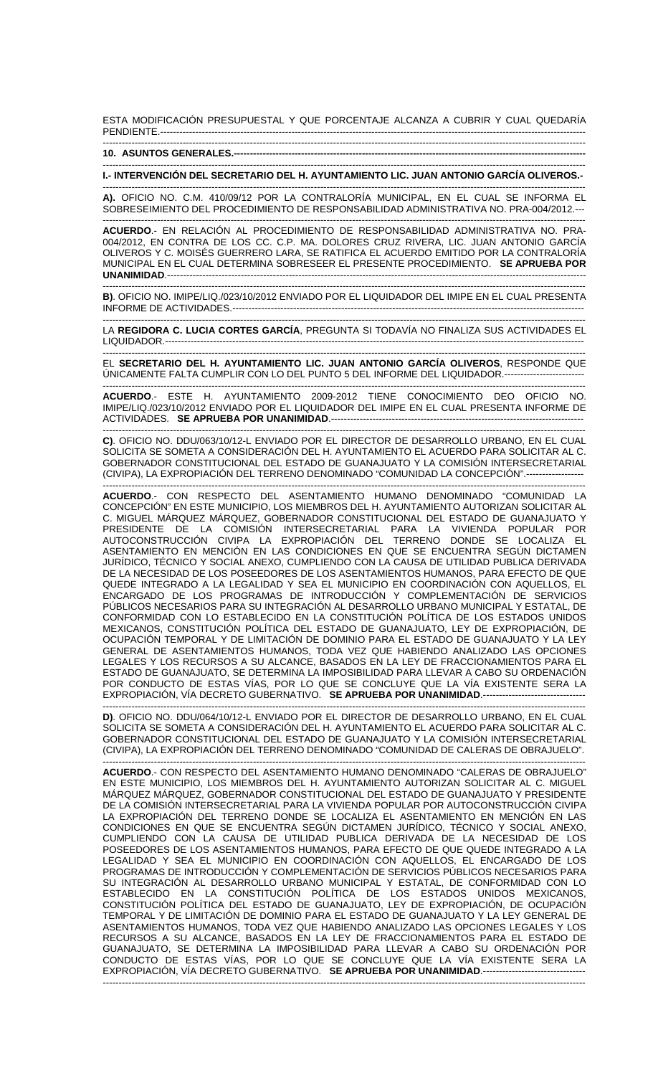ESTA MODIFICACIÓN PRESUPUESTAL Y QUE PORCENTAJE ALCANZA A CUBRIR Y CUAL QUEDARÍA PENDIENTE.--------------------

------------------------------------------------------------------------------------------------------------------------------------------------------- **10. ASUNTOS GENERALES.-----**

------------------------------------------------------------------------------------------------------------------------------------------------------- **I.- INTERVENCIÓN DEL SECRETARIO DEL H. AYUNTAMIENTO LIC. JUAN ANTONIO GARCÍA OLIVEROS.-**  -------------------------------------------------------------------------------------------------------------------------------------------------------

**A).** OFICIO NO. C.M. 410/09/12 POR LA CONTRALORÍA MUNICIPAL, EN EL CUAL SE INFORMA EL SOBRESEIMIENTO DEL PROCEDIMIENTO DE RESPONSABILIDAD ADMINISTRATIVA NO. PRA-004/2012.--- -------------------------------------------------------------------------------------------------------------------------------------------------------

**ACUERDO**.- EN RELACIÓN AL PROCEDIMIENTO DE RESPONSABILIDAD ADMINISTRATIVA NO. PRA-004/2012, EN CONTRA DE LOS CC. C.P. MA. DOLORES CRUZ RIVERA, LIC. JUAN ANTONIO GARCÍA OLIVEROS Y C. MOISÉS GUERRERO LARA, SE RATIFICA EL ACUERDO EMITIDO POR LA CONTRALORÍA MUNICIPAL EN EL CUAL DETERMINA SOBRESEER EL PRESENTE PROCEDIMIENTO. **SE APRUEBA POR UNANIMIDAD.----**

------------------------------------------------------------------------------------------------------------------------------------------------------- **B)**. OFICIO NO. IMIPE/LIQ./023/10/2012 ENVIADO POR EL LIQUIDADOR DEL IMIPE EN EL CUAL PRESENTA INFORME DE ACTIVIDADES.--------------------------------------------------------------------------------------------------------------

------------------------------------------------------------------------------------------------------------------------------------------------------- LA **REGIDORA C. LUCIA CORTES GARCÍA**, PREGUNTA SI TODAVÍA NO FINALIZA SUS ACTIVIDADES EL LIQUIDADOR.-------------------------------

------------------------------------------------------------------------------------------------------------------------------------------------------- EL **SECRETARIO DEL H. AYUNTAMIENTO LIC. JUAN ANTONIO GARCÍA OLIVEROS**, RESPONDE QUE ÚNICAMENTE FALTA CUMPLIR CON LO DEL PUNTO 5 DEL INFORME DEL LIQUIDADOR.-------------------------

-------------------------------------------------------------------------------------------------------------------------------------------------------

**ACUERDO**.- ESTE H. AYUNTAMIENTO 2009-2012 TIENE CONOCIMIENTO DEO OFICIO NO. IMIPE/LIQ./023/10/2012 ENVIADO POR EL LIQUIDADOR DEL IMIPE EN EL CUAL PRESENTA INFORME DE ACTIVIDADES. SE APRUEBA POR UNANIMIDAD.----

------------------------------------------------------------------------------------------------------------------------------------------------------- **C)**. OFICIO NO. DDU/063/10/12-L ENVIADO POR EL DIRECTOR DE DESARROLLO URBANO, EN EL CUAL SOLICITA SE SOMETA A CONSIDERACIÓN DEL H. AYUNTAMIENTO EL ACUERDO PARA SOLICITAR AL C. GOBERNADOR CONSTITUCIONAL DEL ESTADO DE GUANAJUATO Y LA COMISIÓN INTERSECRETARIAL (CIVIPA), LA EXPROPIACIÓN DEL TERRENO DENOMINADO "COMUNIDAD LA CONCEPCIÓN".------------------

------------------------------------------------------------------------------------------------------------------------------------------------------- **ACUERDO**.- CON RESPECTO DEL ASENTAMIENTO HUMANO DENOMINADO "COMUNIDAD LA CONCEPCIÓN" EN ESTE MUNICIPIO, LOS MIEMBROS DEL H. AYUNTAMIENTO AUTORIZAN SOLICITAR AL C. MIGUEL MÁRQUEZ MÁRQUEZ, GOBERNADOR CONSTITUCIONAL DEL ESTADO DE GUANAJUATO Y PRESIDENTE DE LA COMISIÓN INTERSECRETARIAL PARA LA VIVIENDA POPULAR POR AUTOCONSTRUCCIÓN CIVIPA LA EXPROPIACIÓN DEL TERRENO DONDE SE LOCALIZA EL ASENTAMIENTO EN MENCIÓN EN LAS CONDICIONES EN QUE SE ENCUENTRA SEGÚN DICTAMEN JURÍDICO, TÉCNICO Y SOCIAL ANEXO, CUMPLIENDO CON LA CAUSA DE UTILIDAD PUBLICA DERIVADA DE LA NECESIDAD DE LOS POSEEDORES DE LOS ASENTAMIENTOS HUMANOS, PARA EFECTO DE QUE QUEDE INTEGRADO A LA LEGALIDAD Y SEA EL MUNICIPIO EN COORDINACIÓN CON AQUELLOS, EL ENCARGADO DE LOS PROGRAMAS DE INTRODUCCIÓN Y COMPLEMENTACIÓN DE SERVICIOS PÚBLICOS NECESARIOS PARA SU INTEGRACIÓN AL DESARROLLO URBANO MUNICIPAL Y ESTATAL, DE CONFORMIDAD CON LO ESTABLECIDO EN LA CONSTITUCIÓN POLÍTICA DE LOS ESTADOS UNIDOS MEXICANOS, CONSTITUCIÓN POLÍTICA DEL ESTADO DE GUANAJUATO, LEY DE EXPROPIACIÓN, DE OCUPACIÓN TEMPORAL Y DE LIMITACIÓN DE DOMINIO PARA EL ESTADO DE GUANAJUATO Y LA LEY GENERAL DE ASENTAMIENTOS HUMANOS, TODA VEZ QUE HABIENDO ANALIZADO LAS OPCIONES LEGALES Y LOS RECURSOS A SU ALCANCE, BASADOS EN LA LEY DE FRACCIONAMIENTOS PARA EL ESTADO DE GUANAJUATO, SE DETERMINA LA IMPOSIBILIDAD PARA LLEVAR A CABO SU ORDENACIÓN POR CONDUCTO DE ESTAS VÍAS, POR LO QUE SE CONCLUYE QUE LA VÍA EXISTENTE SERA LA EXPROPIACIÓN, VÍA DECRETO GUBERNATIVO. **SE APRUEBA POR UNANIMIDAD.----**

------------------------------------------------------------------------------------------------------------------------------------------------------- **D)**. OFICIO NO. DDU/064/10/12-L ENVIADO POR EL DIRECTOR DE DESARROLLO URBANO, EN EL CUAL SOLICITA SE SOMETA A CONSIDERACIÓN DEL H. AYUNTAMIENTO EL ACUERDO PARA SOLICITAR AL C. GOBERNADOR CONSTITUCIONAL DEL ESTADO DE GUANAJUATO Y LA COMISIÓN INTERSECRETARIAL (CIVIPA), LA EXPROPIACIÓN DEL TERRENO DENOMINADO "COMUNIDAD DE CALERAS DE OBRAJUELO".

------------------------------------------------------------------------------------------------------------------------------------------------------- **ACUERDO**.- CON RESPECTO DEL ASENTAMIENTO HUMANO DENOMINADO "CALERAS DE OBRAJUELO" EN ESTE MUNICIPIO, LOS MIEMBROS DEL H. AYUNTAMIENTO AUTORIZAN SOLICITAR AL C. MIGUEL MÁRQUEZ MÁRQUEZ, GOBERNADOR CONSTITUCIONAL DEL ESTADO DE GUANAJUATO Y PRESIDENTE DE LA COMISIÓN INTERSECRETARIAL PARA LA VIVIENDA POPULAR POR AUTOCONSTRUCCIÓN CIVIPA LA EXPROPIACIÓN DEL TERRENO DONDE SE LOCALIZA EL ASENTAMIENTO EN MENCIÓN EN LAS CONDICIONES EN QUE SE ENCUENTRA SEGÚN DICTAMEN JURÍDICO, TÉCNICO Y SOCIAL ANEXO, CUMPLIENDO CON LA CAUSA DE UTILIDAD PUBLICA DERIVADA DE LA NECESIDAD DE LOS POSEEDORES DE LOS ASENTAMIENTOS HUMANOS, PARA EFECTO DE QUE QUEDE INTEGRADO A LA LEGALIDAD Y SEA EL MUNICIPIO EN COORDINACIÓN CON AQUELLOS, EL ENCARGADO DE LOS PROGRAMAS DE INTRODUCCIÓN Y COMPLEMENTACIÓN DE SERVICIOS PÚBLICOS NECESARIOS PARA SU INTEGRACIÓN AL DESARROLLO URBANO MUNICIPAL Y ESTATAL, DE CONFORMIDAD CON LO ESTABLECIDO EN LA CONSTITUCIÓN POLÍTICA DE LOS ESTADOS UNIDOS MEXICANOS, CONSTITUCIÓN POLÍTICA DEL ESTADO DE GUANAJUATO, LEY DE EXPROPIACIÓN, DE OCUPACIÓN TEMPORAL Y DE LIMITACIÓN DE DOMINIO PARA EL ESTADO DE GUANAJUATO Y LA LEY GENERAL DE ASENTAMIENTOS HUMANOS, TODA VEZ QUE HABIENDO ANALIZADO LAS OPCIONES LEGALES Y LOS RECURSOS A SU ALCANCE, BASADOS EN LA LEY DE FRACCIONAMIENTOS PARA EL ESTADO DE GUANAJUATO, SE DETERMINA LA IMPOSIBILIDAD PARA LLEVAR A CABO SU ORDENACIÓN POR CONDUCTO DE ESTAS VÍAS, POR LO QUE SE CONCLUYE QUE LA VÍA EXISTENTE SERA LA EXPROPIACIÓN, VÍA DECRETO GUBERNATIVO. **SE APRUEBA POR UNANIMIDAD**.-------------------------------- -------------------------------------------------------------------------------------------------------------------------------------------------------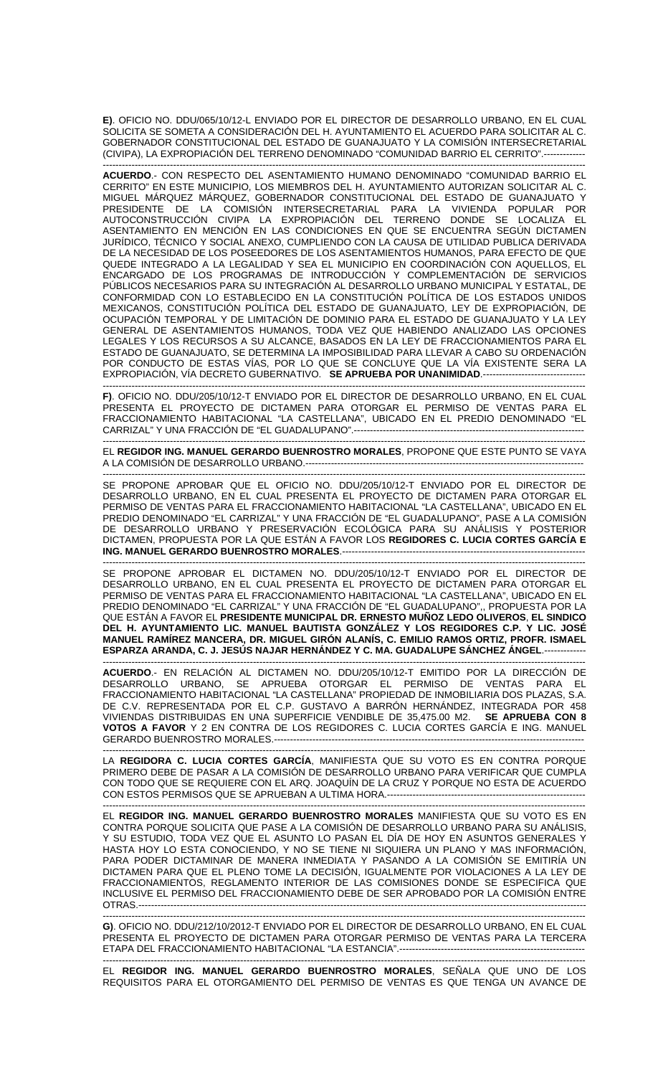**E)**. OFICIO NO. DDU/065/10/12-L ENVIADO POR EL DIRECTOR DE DESARROLLO URBANO, EN EL CUAL SOLICITA SE SOMETA A CONSIDERACIÓN DEL H. AYUNTAMIENTO EL ACUERDO PARA SOLICITAR AL C. GOBERNADOR CONSTITUCIONAL DEL ESTADO DE GUANAJUATO Y LA COMISIÓN INTERSECRETARIAL (CIVIPA), LA EXPROPIACIÓN DEL TERRENO DENOMINADO "COMUNIDAD BARRIO EL CERRITO".-------------

-------------------------------------------------------------------------------------------------------------------------------------------------------

**ACUERDO**.- CON RESPECTO DEL ASENTAMIENTO HUMANO DENOMINADO "COMUNIDAD BARRIO EL CERRITO" EN ESTE MUNICIPIO, LOS MIEMBROS DEL H. AYUNTAMIENTO AUTORIZAN SOLICITAR AL C. MIGUEL MÁRQUEZ MÁRQUEZ, GOBERNADOR CONSTITUCIONAL DEL ESTADO DE GUANAJUATO Y PRESIDENTE DE LA COMISIÓN INTERSECRETARIAL PARA LA VIVIENDA POPULAR POR AUTOCONSTRUCCIÓN CIVIPA LA EXPROPIACIÓN DEL TERRENO DONDE SE LOCALIZA EL ASENTAMIENTO EN MENCIÓN EN LAS CONDICIONES EN QUE SE ENCUENTRA SEGÚN DICTAMEN JURÍDICO, TÉCNICO Y SOCIAL ANEXO, CUMPLIENDO CON LA CAUSA DE UTILIDAD PUBLICA DERIVADA DE LA NECESIDAD DE LOS POSEEDORES DE LOS ASENTAMIENTOS HUMANOS, PARA EFECTO DE QUE QUEDE INTEGRADO A LA LEGALIDAD Y SEA EL MUNICIPIO EN COORDINACIÓN CON AQUELLOS, EL ENCARGADO DE LOS PROGRAMAS DE INTRODUCCIÓN Y COMPLEMENTACIÓN DE SERVICIOS PÚBLICOS NECESARIOS PARA SU INTEGRACIÓN AL DESARROLLO URBANO MUNICIPAL Y ESTATAL, DE CONFORMIDAD CON LO ESTABLECIDO EN LA CONSTITUCIÓN POLÍTICA DE LOS ESTADOS UNIDOS MEXICANOS, CONSTITUCIÓN POLÍTICA DEL ESTADO DE GUANAJUATO, LEY DE EXPROPIACIÓN, DE OCUPACIÓN TEMPORAL Y DE LIMITACIÓN DE DOMINIO PARA EL ESTADO DE GUANAJUATO Y LA LEY GENERAL DE ASENTAMIENTOS HUMANOS, TODA VEZ QUE HABIENDO ANALIZADO LAS OPCIONES LEGALES Y LOS RECURSOS A SU ALCANCE, BASADOS EN LA LEY DE FRACCIONAMIENTOS PARA EL ESTADO DE GUANAJUATO, SE DETERMINA LA IMPOSIBILIDAD PARA LLEVAR A CABO SU ORDENACIÓN POR CONDUCTO DE ESTAS VÍAS, POR LO QUE SE CONCLUYE QUE LA VÍA EXISTENTE SERA LA EXPROPIACIÓN, VÍA DECRETO GUBERNATIVO. **SE APRUEBA POR UNANIMIDAD**.--------------------------------

------------------------------------------------------------------------------------------------------------------------------------------------------- **F)**. OFICIO NO. DDU/205/10/12-T ENVIADO POR EL DIRECTOR DE DESARROLLO URBANO, EN EL CUAL PRESENTA EL PROYECTO DE DICTAMEN PARA OTORGAR EL PERMISO DE VENTAS PARA EL FRACCIONAMIENTO HABITACIONAL "LA CASTELLANA", UBICADO EN EL PREDIO DENOMINADO "EL CARRIZAL" Y UNA FRACCIÓN DE "EL GUADALUPANO".------------------------------------------------------------------------

------------------------------------------------------------------------------------------------------------------------------------------------------- EL **REGIDOR ING. MANUEL GERARDO BUENROSTRO MORALES**, PROPONE QUE ESTE PUNTO SE VAYA A LA COMISIÓN DE DESARROLLO URBANO.---------------------------------------------------------------------------------------

------------------------------------------------------------------------------------------------------------------------------------------------------- SE PROPONE APROBAR QUE EL OFICIO NO. DDU/205/10/12-T ENVIADO POR EL DIRECTOR DE DESARROLLO URBANO, EN EL CUAL PRESENTA EL PROYECTO DE DICTAMEN PARA OTORGAR EL PERMISO DE VENTAS PARA EL FRACCIONAMIENTO HABITACIONAL "LA CASTELLANA", UBICADO EN EL PREDIO DENOMINADO "EL CARRIZAL" Y UNA FRACCIÓN DE "EL GUADALUPANO", PASE A LA COMISIÓN DE DESARROLLO URBANO Y PRESERVACIÓN ECOLÓGICA PARA SU ANÁLISIS Y POSTERIOR DICTAMEN, PROPUESTA POR LA QUE ESTÁN A FAVOR LOS **REGIDORES C. LUCIA CORTES GARCÍA E ING. MANUEL GERARDO BUENROSTRO MORALES.-----**

------------------------------------------------------------------------------------------------------------------------------------------------------- APROBAR EL DICTAMEN NO. DDU/205/10/12-T ENVIADO POR EL DIRECTOR DE DESARROLLO URBANO, EN EL CUAL PRESENTA EL PROYECTO DE DICTAMEN PARA OTORGAR EL PERMISO DE VENTAS PARA EL FRACCIONAMIENTO HABITACIONAL "LA CASTELLANA", UBICADO EN EL PREDIO DENOMINADO "EL CARRIZAL" Y UNA FRACCIÓN DE "EL GUADALUPANO",, PROPUESTA POR LA QUE ESTÁN A FAVOR EL **PRESIDENTE MUNICIPAL DR. ERNESTO MUÑOZ LEDO OLIVEROS**, **EL SINDICO DEL H. AYUNTAMIENTO LIC. MANUEL BAUTISTA GONZÁLEZ Y LOS REGIDORES C.P. Y LIC. JOSÉ MANUEL RAMÍREZ MANCERA, DR. MIGUEL GIRÓN ALANÍS, C. EMILIO RAMOS ORTIZ, PROFR. ISMAEL ESPARZA ARANDA, C. J. JESÚS NAJAR HERNÁNDEZ Y C. MA. GUADALUPE SÁNCHEZ ÁNGEL**.-------------

------------------------------------------------------------------------------------------------------------------------------------------------------- **ACUERDO**.- EN RELACIÓN AL DICTAMEN NO. DDU/205/10/12-T EMITIDO POR LA DIRECCIÓN DE DESARROLLO URBANO, SE APRUEBA OTORGAR EL PERMISO DE VENTAS PARA EL FRACCIONAMIENTO HABITACIONAL "LA CASTELLANA" PROPIEDAD DE INMOBILIARIA DOS PLAZAS, S.A. DE C.V. REPRESENTADA POR EL C.P. GUSTAVO A BARRÓN HERNÁNDEZ, INTEGRADA POR 458<br>VIVIENDAS DISTRIBUIDAS EN UNA SUPERFICIE VENDIBLE DE 35,475.00 M2. **SE APRUEBA CON 8** VIVIENDAS DISTRIBUIDAS EN UNA SUPERFICIE VENDIBLE DE 35,475.00 M2. **VOTOS A FAVOR** Y 2 EN CONTRA DE LOS REGIDORES C. LUCIA CORTES GARCÍA E ING. MANUEL GERARDO BUENROSTRO MORALES.------------------------------------------------------------------------------------------------- -------------------------------------------------------------------------------------------------------------------------------------------------------

LA **REGIDORA C. LUCIA CORTES GARCÍA**, MANIFIESTA QUE SU VOTO ES EN CONTRA PORQUE PRIMERO DEBE DE PASAR A LA COMISIÓN DE DESARROLLO URBANO PARA VERIFICAR QUE CUMPLA CON TODO QUE SE REQUIERE CON EL ARQ. JOAQUÍN DE LA CRUZ Y PORQUE NO ESTA DE ACUERDO CON ESTOS PERMISOS QUE SE APRUEBAN A ULTIMA HORA.-------------------------------------------------------------- -------------------------------------------------------------------------------------------------------------------------------------------------------

EL **REGIDOR ING. MANUEL GERARDO BUENROSTRO MORALES** MANIFIESTA QUE SU VOTO ES EN CONTRA PORQUE SOLICITA QUE PASE A LA COMISIÓN DE DESARROLLO URBANO PARA SU ANÁLISIS, Y SU ESTUDIO, TODA VEZ QUE EL ASUNTO LO PASAN EL DÍA DE HOY EN ASUNTOS GENERALES Y HASTA HOY LO ESTA CONOCIENDO, Y NO SE TIENE NI SIQUIERA UN PLANO Y MAS INFORMACIÓN, PARA PODER DICTAMINAR DE MANERA INMEDIATA Y PASANDO A LA COMISIÓN SE EMITIRÍA UN DICTAMEN PARA QUE EL PLENO TOME LA DECISIÓN, IGUALMENTE POR VIOLACIONES A LA LEY DE FRACCIONAMIENTOS, REGLAMENTO INTERIOR DE LAS COMISIONES DONDE SE ESPECIFICA QUE INCLUSIVE EL PERMISO DEL FRACCIONAMIENTO DEBE DE SER APROBADO POR LA COMISIÓN ENTRE OTRAS.--------------------------------------------------------------------------------------------------------------------------------------------

------------------------------------------------------------------------------------------------------------------------------------------------------- **G)**. OFICIO NO. DDU/212/10/2012-T ENVIADO POR EL DIRECTOR DE DESARROLLO URBANO, EN EL CUAL PRESENTA EL PROYECTO DE DICTAMEN PARA OTORGAR PERMISO DE VENTAS PARA LA TERCERA ETAPA DEL FRACCIONAMIENTO HABITACIONAL "LA ESTANCIA".----------------------------------------------------------

------------------------------------------------------------------------------------------------------------------------------------------------------- EL **REGIDOR ING. MANUEL GERARDO BUENROSTRO MORALES**, SEÑALA QUE UNO DE LOS REQUISITOS PARA EL OTORGAMIENTO DEL PERMISO DE VENTAS ES QUE TENGA UN AVANCE DE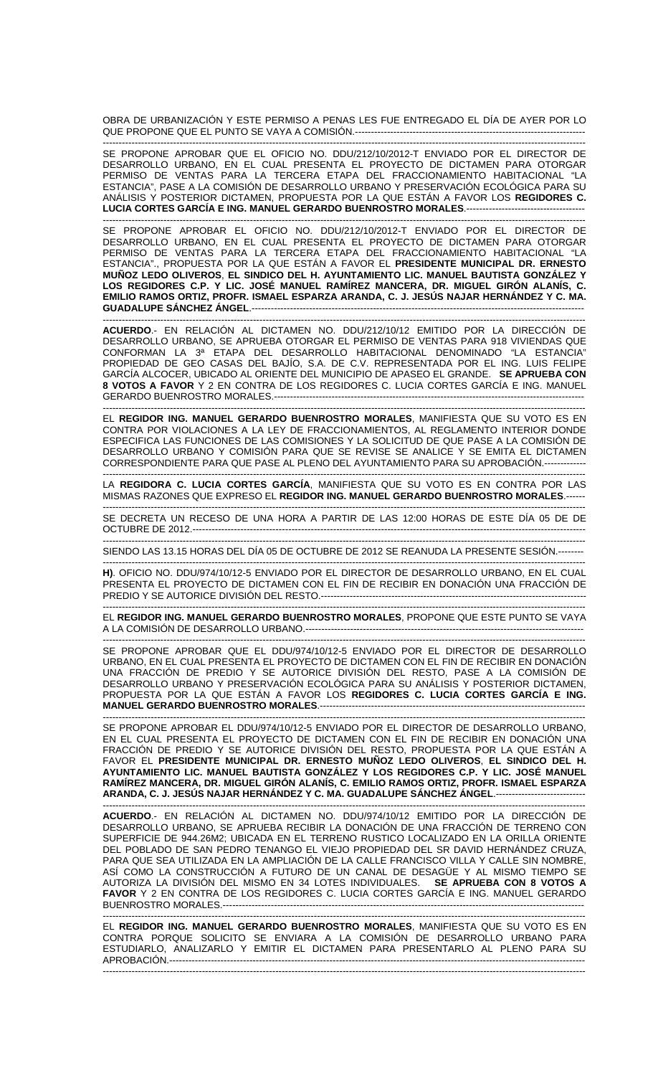OBRA DE URBANIZACIÓN Y ESTE PERMISO A PENAS LES FUE ENTREGADO EL DÍA DE AYER POR LO QUE PROPONE QUE EL PUNTO SE VAYA A COMISIÓN.---

------------------------------------------------------------------------------------------------------------------------------------------------------- SE PROPONE APROBAR QUE EL OFICIO NO. DDU/212/10/2012-T ENVIADO POR EL DIRECTOR DE DESARROLLO URBANO, EN EL CUAL PRESENTA EL PROYECTO DE DICTAMEN PARA OTORGAR PERMISO DE VENTAS PARA LA TERCERA ETAPA DEL FRACCIONAMIENTO HABITACIONAL "LA ESTANCIA", PASE A LA COMISIÓN DE DESARROLLO URBANO Y PRESERVACIÓN ECOLÓGICA PARA SU ANÁLISIS Y POSTERIOR DICTAMEN, PROPUESTA POR LA QUE ESTÁN A FAVOR LOS **REGIDORES C.**  LUCIA CORTES GARCÍA E ING. MANUEL GERARDO BUENROSTRO MORALES.----

------------------------------------------------------------------------------------------------------------------------------------------------------- SE PROPONE APROBAR EL OFICIO NO. DDU/212/10/2012-T ENVIADO POR EL DIRECTOR DE DESARROLLO URBANO, EN EL CUAL PRESENTA EL PROYECTO DE DICTAMEN PARA OTORGAR PERMISO DE VENTAS PARA LA TERCERA ETAPA DEL FRACCIONAMIENTO HABITACIONAL "LA ESTANCIA"., PROPUESTA POR LA QUE ESTÁN A FAVOR EL **PRESIDENTE MUNICIPAL DR. ERNESTO MUÑOZ LEDO OLIVEROS**, **EL SINDICO DEL H. AYUNTAMIENTO LIC. MANUEL BAUTISTA GONZÁLEZ Y LOS REGIDORES C.P. Y LIC. JOSÉ MANUEL RAMÍREZ MANCERA, DR. MIGUEL GIRÓN ALANÍS, C. EMILIO RAMOS ORTIZ, PROFR. ISMAEL ESPARZA ARANDA, C. J. JESÚS NAJAR HERNÁNDEZ Y C. MA. GUADALUPE SÁNCHEZ ÁNGEL**.--------------------------------------------------------------------------------------------------------

------------------------------------------------------------------------------------------------------------------------------------------------------- **ACUERDO**.- EN RELACIÓN AL DICTAMEN NO. DDU/212/10/12 EMITIDO POR LA DIRECCIÓN DE DESARROLLO URBANO, SE APRUEBA OTORGAR EL PERMISO DE VENTAS PARA 918 VIVIENDAS QUE CONFORMAN LA 3ª ETAPA DEL DESARROLLO HABITACIONAL DENOMINADO "LA ESTANCIA" PROPIEDAD DE GEO CASAS DEL BAJÍO, S.A. DE C.V. REPRESENTADA POR EL ING. LUIS FELIPE GARCÍA ALCOCER, UBICADO AL ORIENTE DEL MUNICIPIO DE APASEO EL GRANDE. **SE APRUEBA CON 8 VOTOS A FAVOR** Y 2 EN CONTRA DE LOS REGIDORES C. LUCIA CORTES GARCÍA E ING. MANUEL GERARDO BUENROSTRO MORALES.-------------------------------------------------------------------------------------------------

------------------------------------------------------------------------------------------------------------------------------------------------------- EL **REGIDOR ING. MANUEL GERARDO BUENROSTRO MORALES**, MANIFIESTA QUE SU VOTO ES EN CONTRA POR VIOLACIONES A LA LEY DE FRACCIONAMIENTOS, AL REGLAMENTO INTERIOR DONDE ESPECIFICA LAS FUNCIONES DE LAS COMISIONES Y LA SOLICITUD DE QUE PASE A LA COMISIÓN DE DESARROLLO URBANO Y COMISIÓN PARA QUE SE REVISE SE ANALICE Y SE EMITA EL DICTAMEN CORRESPONDIENTE PARA QUE PASE AL PLENO DEL AYUNTAMIENTO PARA SU APROBACIÓN.-------------

------------------------------------------------------------------------------------------------------------------------------------------------------- LA **REGIDORA C. LUCIA CORTES GARCÍA**, MANIFIESTA QUE SU VOTO ES EN CONTRA POR LAS MISMAS RAZONES QUE EXPRESO EL **REGIDOR ING. MANUEL GERARDO BUENROSTRO MORALES**.------

------------------------------------------------------------------------------------------------------------------------------------------------------- SE DECRETA UN RECESO DE UNA HORA A PARTIR DE LAS 12:00 HORAS DE ESTE DÍA 05 DE DE OCTUBRE DE 2012.---------------------------------------------------------------------------------------------------------------------------

-------------------------------------------------------------------------------------------------------------------------------------------------------

SIENDO LAS 13.15 HORAS DEL DÍA 05 DE OCTUBRE DE 2012 SE REANUDA LA PRESENTE SESIÓN.--------

------------------------------------------------------------------------------------------------------------------------------------------------------- **H)**. OFICIO NO. DDU/974/10/12-5 ENVIADO POR EL DIRECTOR DE DESARROLLO URBANO, EN EL CUAL PRESENTA EL PROYECTO DE DICTAMEN CON EL FIN DE RECIBIR EN DONACIÓN UNA FRACCIÓN DE PREDIO Y SE AUTORICE DIVISIÓN DEL RESTO.-----------------------------------------------------------------------------------

------------------------------------------------------------------------------------------------------------------------------------------------------- EL **REGIDOR ING. MANUEL GERARDO BUENROSTRO MORALES**, PROPONE QUE ESTE PUNTO SE VAYA A LA COMISIÓN DE DESARROLLO URBANO.---------------------------------------------------------------------------------------

------------------------------------------------------------------------------------------------------------------------------------------------------- SE PROPONE APROBAR QUE EL DDU/974/10/12-5 ENVIADO POR EL DIRECTOR DE DESARROLLO URBANO, EN EL CUAL PRESENTA EL PROYECTO DE DICTAMEN CON EL FIN DE RECIBIR EN DONACIÓN UNA FRACCIÓN DE PREDIO Y SE AUTORICE DIVISIÓN DEL RESTO, PASE A LA COMISIÓN DE DESARROLLO URBANO Y PRESERVACIÓN ECOLÓGICA PARA SU ANÁLISIS Y POSTERIOR DICTAMEN, PROPUESTA POR LA QUE ESTÁN A FAVOR LOS **REGIDORES C. LUCIA CORTES GARCÍA E ING. MANUEL GERARDO BUENROSTRO MORALES**.-----------------------------------------------------------------------------------

------------------------------------------------------------------------------------------------------------------------------------------------------- SE PROPONE APROBAR EL DDU/974/10/12-5 ENVIADO POR EL DIRECTOR DE DESARROLLO URBANO, EN EL CUAL PRESENTA EL PROYECTO DE DICTAMEN CON EL FIN DE RECIBIR EN DONACIÓN UNA FRACCIÓN DE PREDIO Y SE AUTORICE DIVISIÓN DEL RESTO, PROPUESTA POR LA QUE ESTÁN A FAVOR EL **PRESIDENTE MUNICIPAL DR. ERNESTO MUÑOZ LEDO OLIVEROS**, **EL SINDICO DEL H. AYUNTAMIENTO LIC. MANUEL BAUTISTA GONZÁLEZ Y LOS REGIDORES C.P. Y LIC. JOSÉ MANUEL RAMÍREZ MANCERA, DR. MIGUEL GIRÓN ALANÍS, C. EMILIO RAMOS ORTIZ, PROFR. ISMAEL ESPARZA ARANDA, C. J. JESÚS NAJAR HERNÁNDEZ Y C. MA. GUADALUPE SÁNCHEZ ÁNGEL**.----------------------------

------------------------------------------------------------------------------------------------------------------------------------------------------- **ACUERDO**.- EN RELACIÓN AL DICTAMEN NO. DDU/974/10/12 EMITIDO POR LA DIRECCIÓN DE DESARROLLO URBANO, SE APRUEBA RECIBIR LA DONACIÓN DE UNA FRACCIÓN DE TERRENO CON SUPERFICIE DE 944.26M2; UBICADA EN EL TERRENO RUSTICO LOCALIZADO EN LA ORILLA ORIENTE DEL POBLADO DE SAN PEDRO TENANGO EL VIEJO PROPIEDAD DEL SR DAVID HERNÁNDEZ CRUZA, PARA QUE SEA UTILIZADA EN LA AMPLIACIÓN DE LA CALLE FRANCISCO VILLA Y CALLE SIN NOMBRE, ASÍ COMO LA CONSTRUCCIÓN A FUTURO DE UN CANAL DE DESAGÜE Y AL MISMO TIEMPO SE AUTORIZA LA DIVISIÓN DEL MISMO EN 34 LOTES INDIVIDUALES. **SE APRUEBA CON 8 VOTOS A FAVOR** Y 2 EN CONTRA DE LOS REGIDORES C. LUCIA CORTES GARCÍA E ING. MANUEL GERARDO BUENROSTRO MORALES.-----------------------------------------------------------------------------------------------------------------

------------------------------------------------------------------------------------------------------------------------------------------------------- EL **REGIDOR ING. MANUEL GERARDO BUENROSTRO MORALES**, MANIFIESTA QUE SU VOTO ES EN CONTRA PORQUE SOLICITO SE ENVIARA A LA COMISIÓN DE DESARROLLO URBANO PARA ESTUDIARLO, ANALIZARLO Y EMITIR EL DICTAMEN PARA PRESENTARLO AL PLENO PARA SU APROBACIÓN.--------------------------------

-------------------------------------------------------------------------------------------------------------------------------------------------------